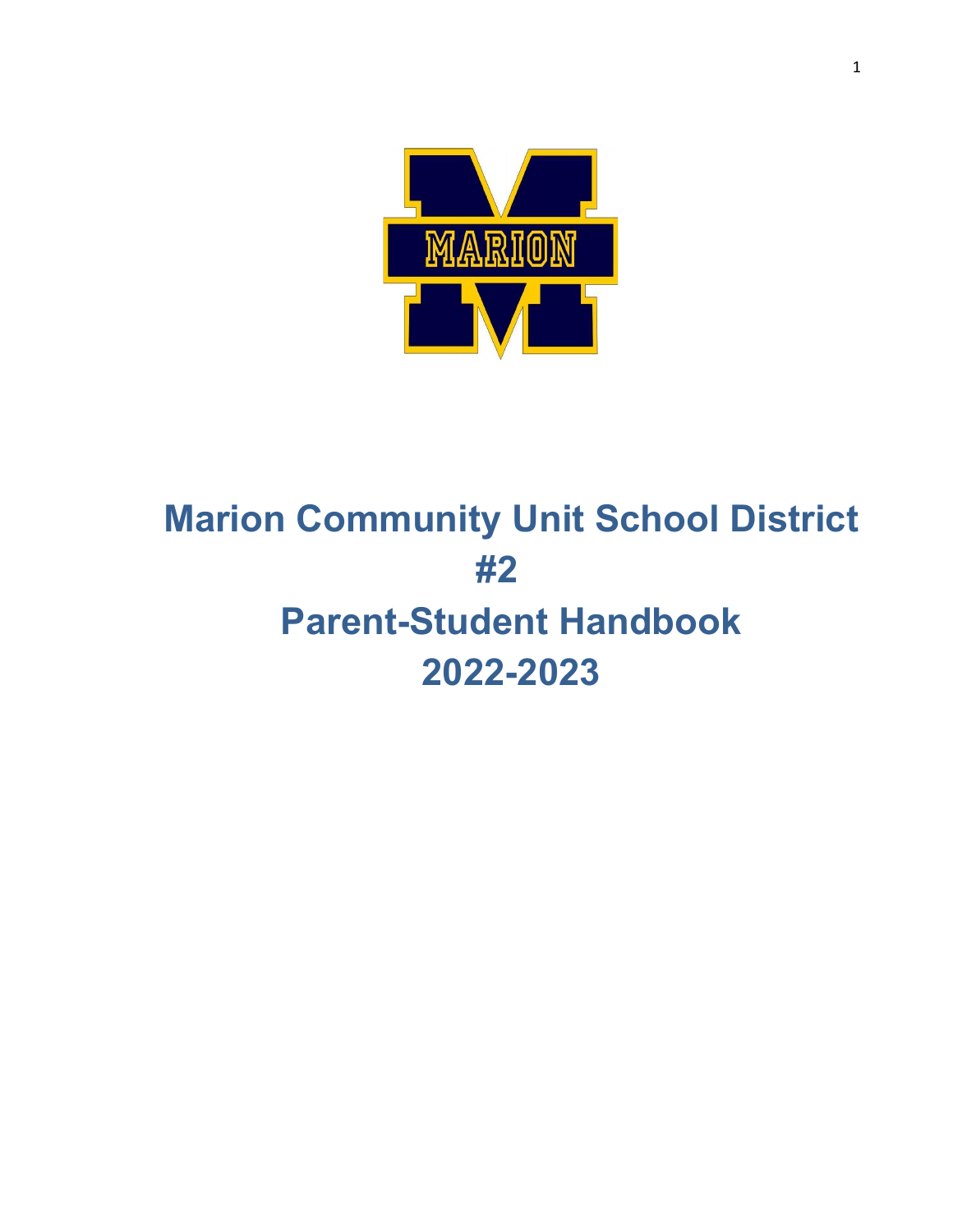

# **Marion Community Unit School District #2 Parent-Student Handbook 2022-2023**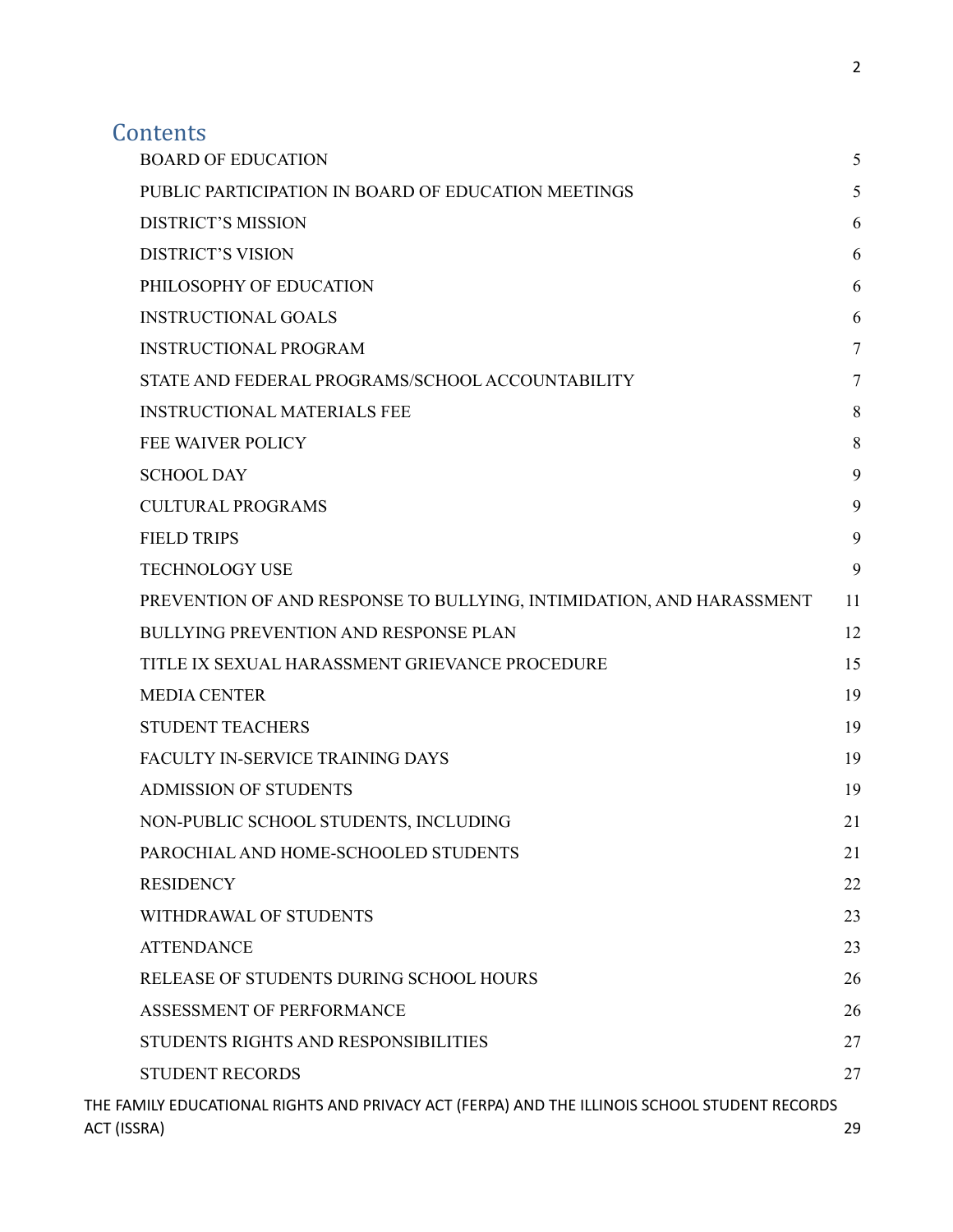## **Contents**

|             | <b>BOARD OF EDUCATION</b>                                                                     | 5  |
|-------------|-----------------------------------------------------------------------------------------------|----|
|             | PUBLIC PARTICIPATION IN BOARD OF EDUCATION MEETINGS                                           | 5  |
|             | <b>DISTRICT'S MISSION</b>                                                                     | 6  |
|             | <b>DISTRICT'S VISION</b>                                                                      | 6  |
|             | PHILOSOPHY OF EDUCATION                                                                       | 6  |
|             | <b>INSTRUCTIONAL GOALS</b>                                                                    | 6  |
|             | <b>INSTRUCTIONAL PROGRAM</b>                                                                  | 7  |
|             | STATE AND FEDERAL PROGRAMS/SCHOOL ACCOUNTABILITY                                              | 7  |
|             | <b>INSTRUCTIONAL MATERIALS FEE</b>                                                            | 8  |
|             | <b>FEE WAIVER POLICY</b>                                                                      | 8  |
|             | <b>SCHOOL DAY</b>                                                                             | 9  |
|             | <b>CULTURAL PROGRAMS</b>                                                                      | 9  |
|             | <b>FIELD TRIPS</b>                                                                            | 9  |
|             | <b>TECHNOLOGY USE</b>                                                                         | 9  |
|             | PREVENTION OF AND RESPONSE TO BULLYING, INTIMIDATION, AND HARASSMENT                          | 11 |
|             | <b>BULLYING PREVENTION AND RESPONSE PLAN</b>                                                  | 12 |
|             | TITLE IX SEXUAL HARASSMENT GRIEVANCE PROCEDURE                                                | 15 |
|             | <b>MEDIA CENTER</b>                                                                           | 19 |
|             | <b>STUDENT TEACHERS</b>                                                                       | 19 |
|             | FACULTY IN-SERVICE TRAINING DAYS                                                              | 19 |
|             | <b>ADMISSION OF STUDENTS</b>                                                                  | 19 |
|             | NON-PUBLIC SCHOOL STUDENTS, INCLUDING                                                         | 21 |
|             | PAROCHIAL AND HOME-SCHOOLED STUDENTS                                                          | 21 |
|             | <b>RESIDENCY</b>                                                                              | 22 |
|             | WITHDRAWAL OF STUDENTS                                                                        | 23 |
|             | <b>ATTENDANCE</b>                                                                             | 23 |
|             | RELEASE OF STUDENTS DURING SCHOOL HOURS                                                       | 26 |
|             | ASSESSMENT OF PERFORMANCE                                                                     | 26 |
|             | STUDENTS RIGHTS AND RESPONSIBILITIES                                                          | 27 |
|             | <b>STUDENT RECORDS</b>                                                                        | 27 |
| ACT (ISSRA) | THE FAMILY EDUCATIONAL RIGHTS AND PRIVACY ACT (FERPA) AND THE ILLINOIS SCHOOL STUDENT RECORDS | 29 |
|             |                                                                                               |    |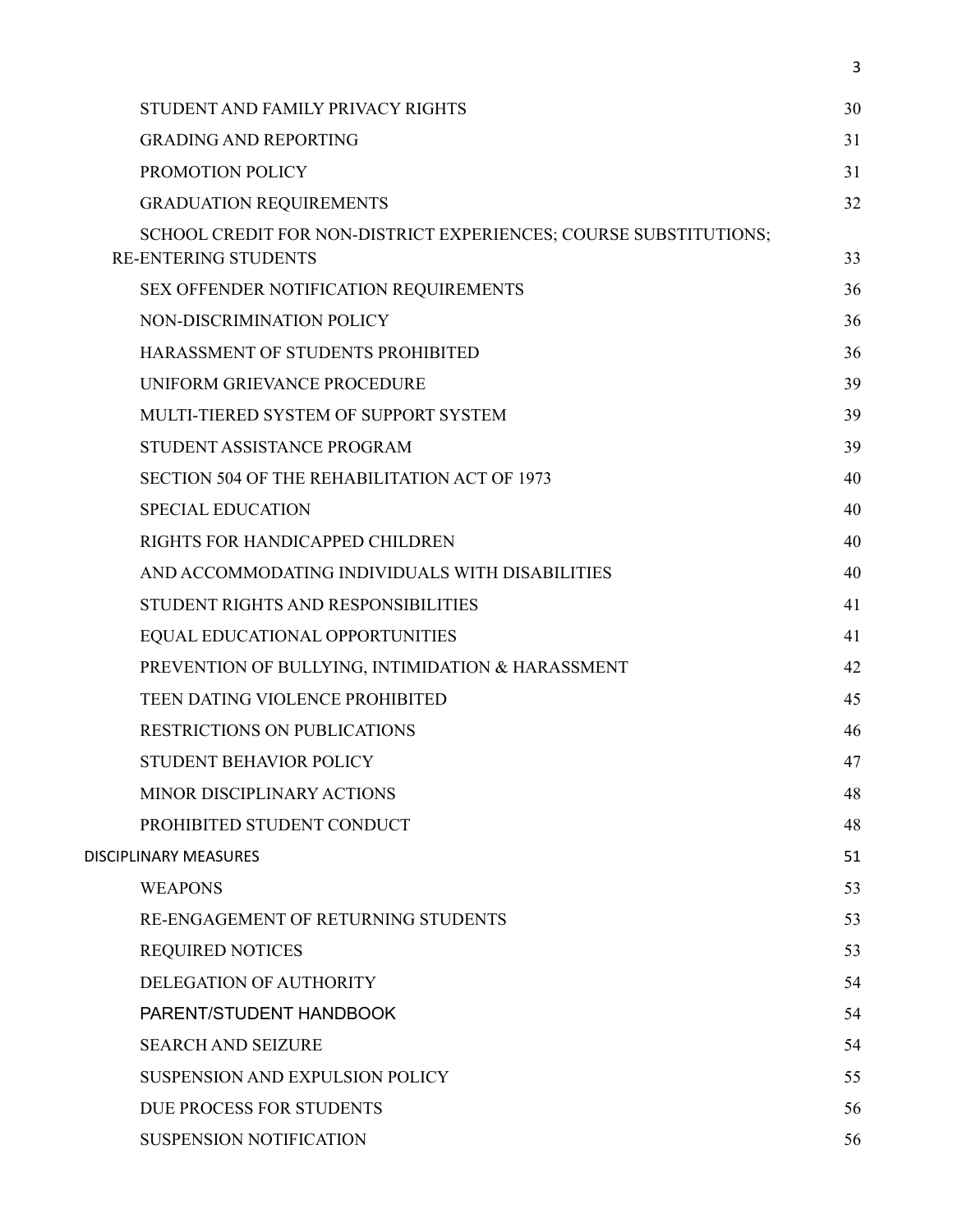| STUDENT AND FAMILY PRIVACY RIGHTS                                                                | 30 |
|--------------------------------------------------------------------------------------------------|----|
| <b>GRADING AND REPORTING</b>                                                                     | 31 |
| PROMOTION POLICY                                                                                 | 31 |
| <b>GRADUATION REQUIREMENTS</b>                                                                   | 32 |
| SCHOOL CREDIT FOR NON-DISTRICT EXPERIENCES; COURSE SUBSTITUTIONS;<br><b>RE-ENTERING STUDENTS</b> | 33 |
| SEX OFFENDER NOTIFICATION REQUIREMENTS                                                           | 36 |
| NON-DISCRIMINATION POLICY                                                                        | 36 |
| HARASSMENT OF STUDENTS PROHIBITED                                                                | 36 |
| UNIFORM GRIEVANCE PROCEDURE                                                                      | 39 |
| MULTI-TIERED SYSTEM OF SUPPORT SYSTEM                                                            | 39 |
| STUDENT ASSISTANCE PROGRAM                                                                       | 39 |
| SECTION 504 OF THE REHABILITATION ACT OF 1973                                                    | 40 |
| <b>SPECIAL EDUCATION</b>                                                                         | 40 |
| RIGHTS FOR HANDICAPPED CHILDREN                                                                  | 40 |
| AND ACCOMMODATING INDIVIDUALS WITH DISABILITIES                                                  | 40 |
| STUDENT RIGHTS AND RESPONSIBILITIES                                                              | 41 |
| EQUAL EDUCATIONAL OPPORTUNITIES                                                                  | 41 |
| PREVENTION OF BULLYING, INTIMIDATION & HARASSMENT                                                | 42 |
| TEEN DATING VIOLENCE PROHIBITED                                                                  | 45 |
| <b>RESTRICTIONS ON PUBLICATIONS</b>                                                              | 46 |
| <b>STUDENT BEHAVIOR POLICY</b>                                                                   | 47 |
| MINOR DISCIPLINARY ACTIONS                                                                       | 48 |
| PROHIBITED STUDENT CONDUCT                                                                       | 48 |
| <b>DISCIPLINARY MEASURES</b>                                                                     | 51 |
| <b>WEAPONS</b>                                                                                   | 53 |
| RE-ENGAGEMENT OF RETURNING STUDENTS                                                              | 53 |
| <b>REQUIRED NOTICES</b>                                                                          | 53 |
| DELEGATION OF AUTHORITY                                                                          | 54 |
| PARENT/STUDENT HANDBOOK                                                                          | 54 |
| <b>SEARCH AND SEIZURE</b>                                                                        | 54 |
| <b>SUSPENSION AND EXPULSION POLICY</b>                                                           | 55 |
| DUE PROCESS FOR STUDENTS                                                                         | 56 |
| SUSPENSION NOTIFICATION                                                                          | 56 |
|                                                                                                  |    |

3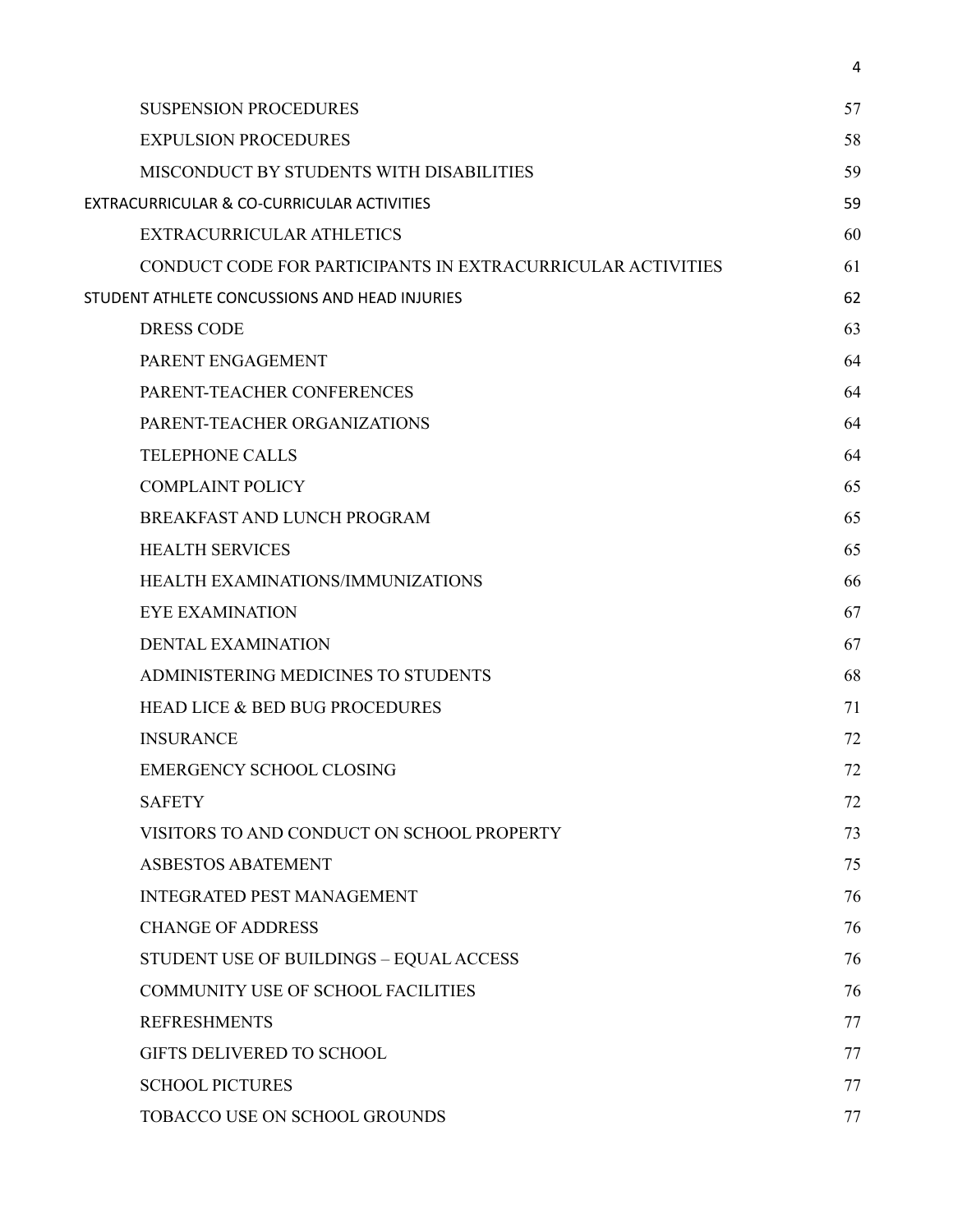| <b>SUSPENSION PROCEDURES</b>                                | 57 |
|-------------------------------------------------------------|----|
| <b>EXPULSION PROCEDURES</b>                                 | 58 |
| <b>MISCONDUCT BY STUDENTS WITH DISABILITIES</b>             | 59 |
| EXTRACURRICULAR & CO-CURRICULAR ACTIVITIES                  |    |
| EXTRACURRICULAR ATHLETICS                                   | 60 |
| CONDUCT CODE FOR PARTICIPANTS IN EXTRACURRICULAR ACTIVITIES | 61 |
| STUDENT ATHLETE CONCUSSIONS AND HEAD INJURIES               | 62 |
| <b>DRESS CODE</b>                                           | 63 |
| PARENT ENGAGEMENT                                           | 64 |
| PARENT-TEACHER CONFERENCES                                  | 64 |
| PARENT-TEACHER ORGANIZATIONS                                | 64 |
| <b>TELEPHONE CALLS</b>                                      | 64 |
| <b>COMPLAINT POLICY</b>                                     | 65 |
| BREAKFAST AND LUNCH PROGRAM                                 | 65 |
| <b>HEALTH SERVICES</b>                                      | 65 |
| HEALTH EXAMINATIONS/IMMUNIZATIONS                           | 66 |
| <b>EYE EXAMINATION</b>                                      | 67 |
| <b>DENTAL EXAMINATION</b>                                   | 67 |
| ADMINISTERING MEDICINES TO STUDENTS                         | 68 |
| <b>HEAD LICE &amp; BED BUG PROCEDURES</b>                   | 71 |
| <b>INSURANCE</b>                                            | 72 |
| <b>EMERGENCY SCHOOL CLOSING</b>                             | 72 |
| <b>SAFETY</b>                                               | 72 |
| VISITORS TO AND CONDUCT ON SCHOOL PROPERTY                  | 73 |
| <b>ASBESTOS ABATEMENT</b>                                   | 75 |
| <b>INTEGRATED PEST MANAGEMENT</b>                           | 76 |
| <b>CHANGE OF ADDRESS</b>                                    | 76 |
| STUDENT USE OF BUILDINGS - EQUAL ACCESS                     | 76 |
| <b>COMMUNITY USE OF SCHOOL FACILITIES</b>                   | 76 |
| <b>REFRESHMENTS</b>                                         | 77 |
| <b>GIFTS DELIVERED TO SCHOOL</b>                            | 77 |
| <b>SCHOOL PICTURES</b>                                      | 77 |
| TOBACCO USE ON SCHOOL GROUNDS                               | 77 |

4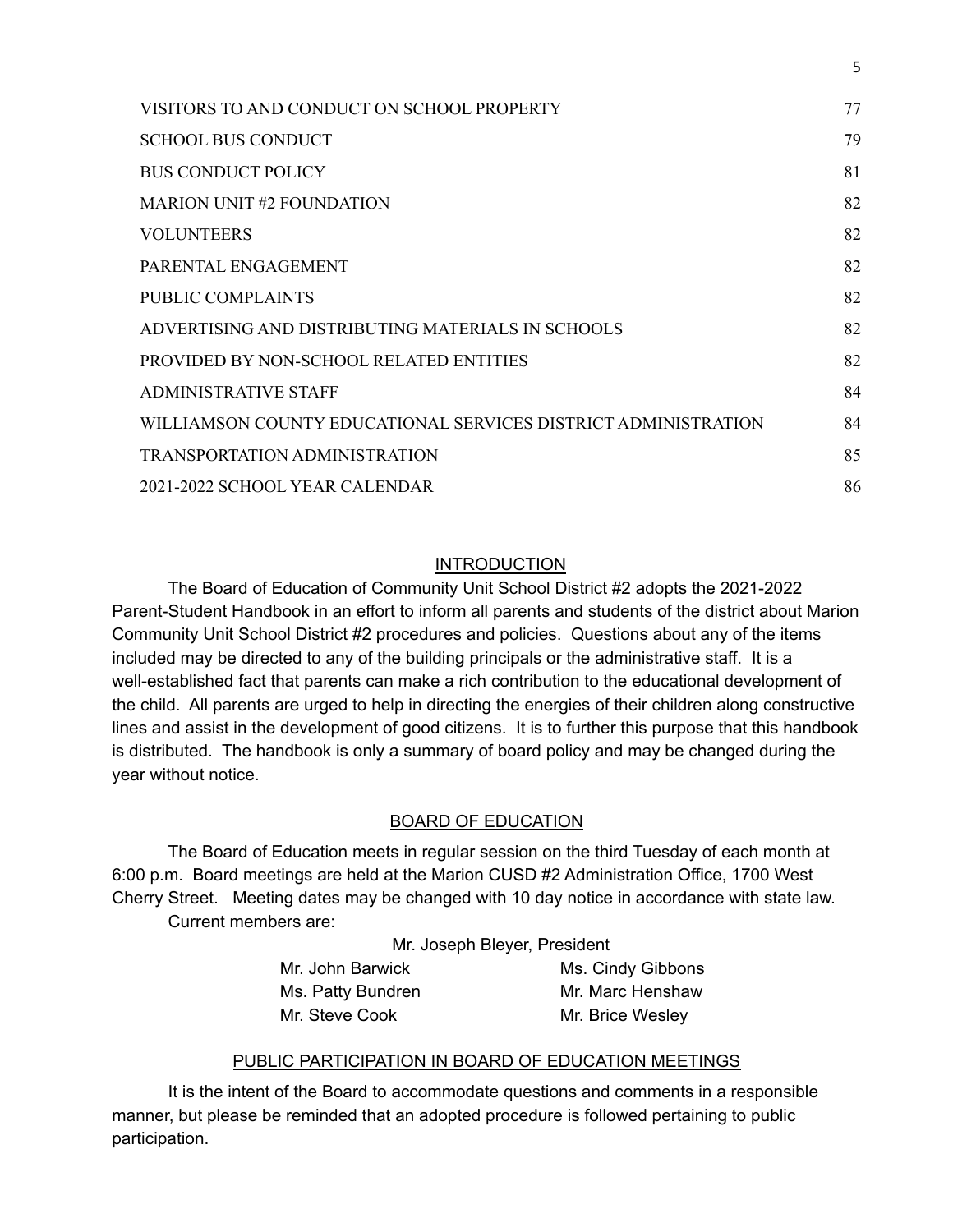| VISITORS TO AND CONDUCT ON SCHOOL PROPERTY                     | 77 |
|----------------------------------------------------------------|----|
| <b>SCHOOL BUS CONDUCT</b>                                      | 79 |
| <b>BUS CONDUCT POLICY</b>                                      | 81 |
| <b>MARION UNIT #2 FOUNDATION</b>                               | 82 |
| <b>VOLUNTEERS</b>                                              | 82 |
| PARENTAL ENGAGEMENT                                            | 82 |
| PUBLIC COMPLAINTS                                              | 82 |
| ADVERTISING AND DISTRIBUTING MATERIALS IN SCHOOLS              | 82 |
| PROVIDED BY NON-SCHOOL RELATED ENTITIES                        | 82 |
| <b>ADMINISTRATIVE STAFF</b>                                    | 84 |
| WILLIAMSON COUNTY EDUCATIONAL SERVICES DISTRICT ADMINISTRATION | 84 |
| <b>TRANSPORTATION ADMINISTRATION</b>                           | 85 |
| 2021-2022 SCHOOL YEAR CALENDAR                                 | 86 |

5

#### **INTRODUCTION**

The Board of Education of Community Unit School District #2 adopts the 2021-2022 Parent-Student Handbook in an effort to inform all parents and students of the district about Marion Community Unit School District #2 procedures and policies. Questions about any of the items included may be directed to any of the building principals or the administrative staff. It is a well-established fact that parents can make a rich contribution to the educational development of the child. All parents are urged to help in directing the energies of their children along constructive lines and assist in the development of good citizens. It is to further this purpose that this handbook is distributed. The handbook is only a summary of board policy and may be changed during the year without notice.

#### BOARD OF EDUCATION

<span id="page-4-0"></span>The Board of Education meets in regular session on the third Tuesday of each month at 6:00 p.m. Board meetings are held at the Marion CUSD #2 Administration Office, 1700 West Cherry Street. Meeting dates may be changed with 10 day notice in accordance with state law. Current members are:

Mr. Joseph Bleyer, President

Mr. John Barwick Ms. Cindy Gibbons Ms. Patty Bundren Mr. Marc Henshaw Mr. Steve Cook Mr. Brice Wesley

#### PUBLIC PARTICIPATION IN BOARD OF EDUCATION MEETINGS

<span id="page-4-1"></span>It is the intent of the Board to accommodate questions and comments in a responsible manner, but please be reminded that an adopted procedure is followed pertaining to public participation.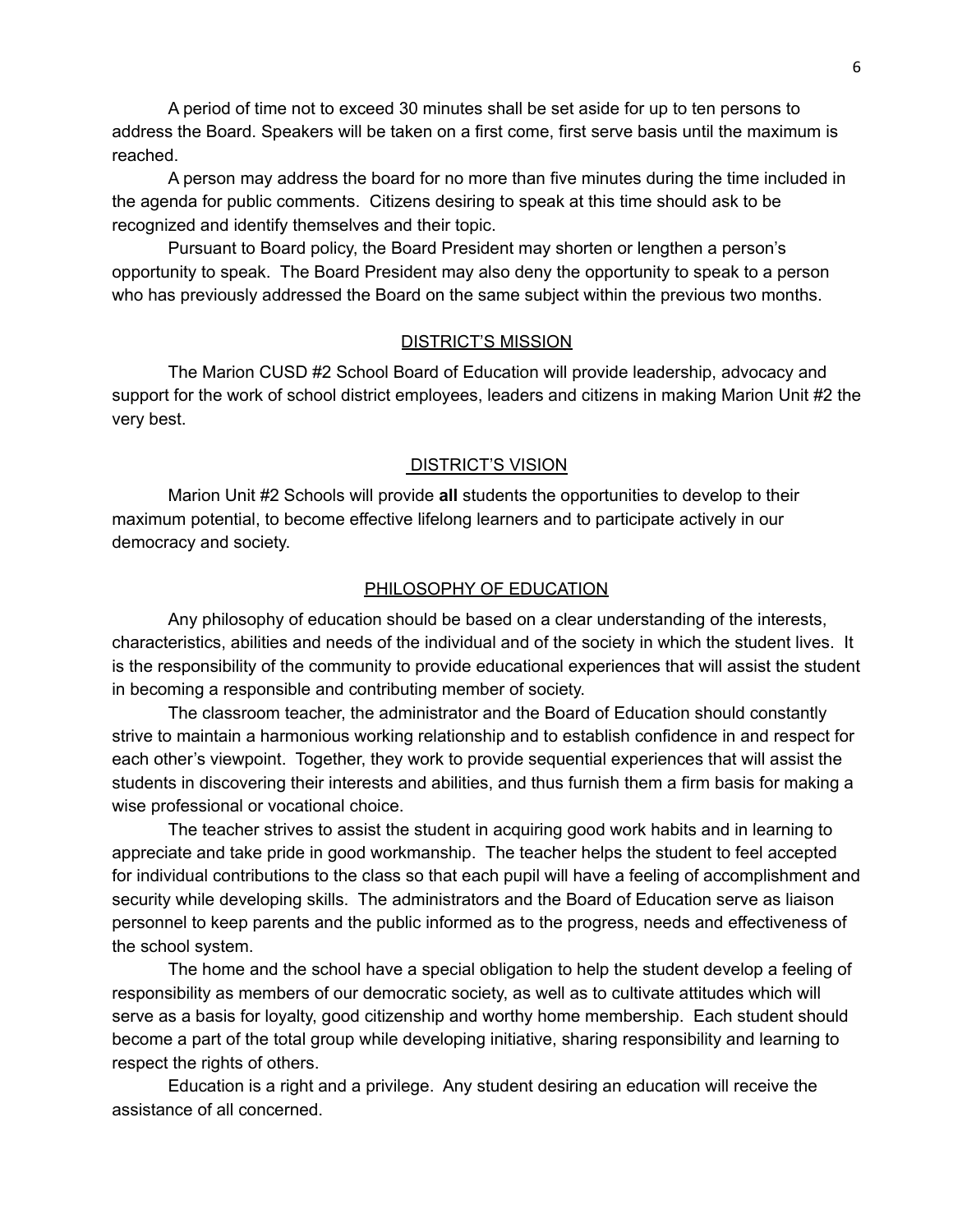A period of time not to exceed 30 minutes shall be set aside for up to ten persons to address the Board. Speakers will be taken on a first come, first serve basis until the maximum is reached.

A person may address the board for no more than five minutes during the time included in the agenda for public comments. Citizens desiring to speak at this time should ask to be recognized and identify themselves and their topic.

Pursuant to Board policy, the Board President may shorten or lengthen a person's opportunity to speak. The Board President may also deny the opportunity to speak to a person who has previously addressed the Board on the same subject within the previous two months.

#### DISTRICT'S MISSION

<span id="page-5-0"></span>The Marion CUSD #2 School Board of Education will provide leadership, advocacy and support for the work of school district employees, leaders and citizens in making Marion Unit #2 the very best.

#### DISTRICT'S VISION

<span id="page-5-1"></span>Marion Unit #2 Schools will provide **all** students the opportunities to develop to their maximum potential, to become effective lifelong learners and to participate actively in our democracy and society.

#### PHILOSOPHY OF EDUCATION

<span id="page-5-2"></span>Any philosophy of education should be based on a clear understanding of the interests, characteristics, abilities and needs of the individual and of the society in which the student lives. It is the responsibility of the community to provide educational experiences that will assist the student in becoming a responsible and contributing member of society.

The classroom teacher, the administrator and the Board of Education should constantly strive to maintain a harmonious working relationship and to establish confidence in and respect for each other's viewpoint. Together, they work to provide sequential experiences that will assist the students in discovering their interests and abilities, and thus furnish them a firm basis for making a wise professional or vocational choice.

The teacher strives to assist the student in acquiring good work habits and in learning to appreciate and take pride in good workmanship. The teacher helps the student to feel accepted for individual contributions to the class so that each pupil will have a feeling of accomplishment and security while developing skills. The administrators and the Board of Education serve as liaison personnel to keep parents and the public informed as to the progress, needs and effectiveness of the school system.

The home and the school have a special obligation to help the student develop a feeling of responsibility as members of our democratic society, as well as to cultivate attitudes which will serve as a basis for loyalty, good citizenship and worthy home membership. Each student should become a part of the total group while developing initiative, sharing responsibility and learning to respect the rights of others.

Education is a right and a privilege. Any student desiring an education will receive the assistance of all concerned.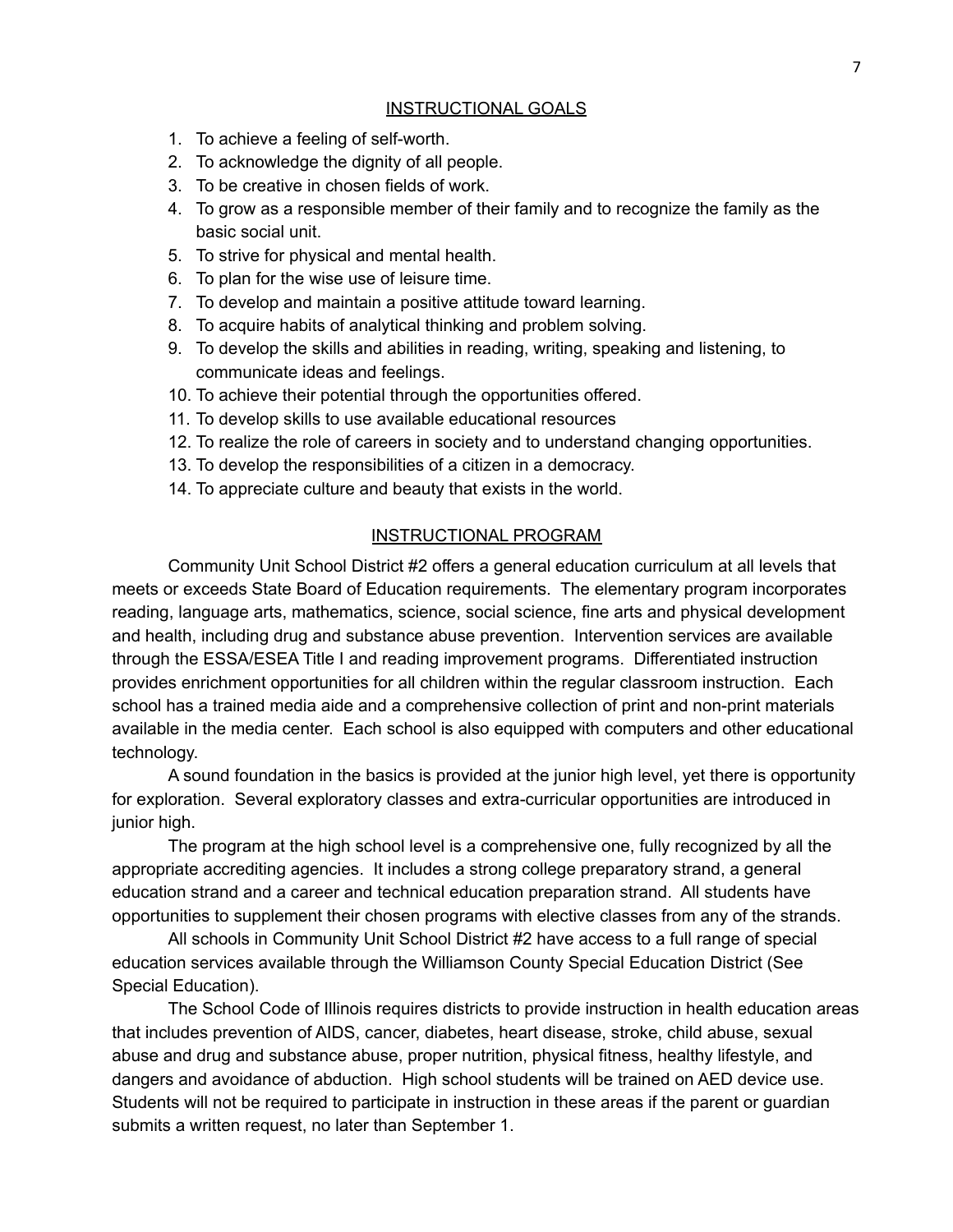#### INSTRUCTIONAL GOALS

- <span id="page-6-0"></span>1. To achieve a feeling of self-worth.
- 2. To acknowledge the dignity of all people.
- 3. To be creative in chosen fields of work.
- 4. To grow as a responsible member of their family and to recognize the family as the basic social unit.
- 5. To strive for physical and mental health.
- 6. To plan for the wise use of leisure time.
- 7. To develop and maintain a positive attitude toward learning.
- 8. To acquire habits of analytical thinking and problem solving.
- 9. To develop the skills and abilities in reading, writing, speaking and listening, to communicate ideas and feelings.
- 10. To achieve their potential through the opportunities offered.
- 11. To develop skills to use available educational resources
- 12. To realize the role of careers in society and to understand changing opportunities.
- 13. To develop the responsibilities of a citizen in a democracy.
- 14. To appreciate culture and beauty that exists in the world.

#### INSTRUCTIONAL PROGRAM

<span id="page-6-1"></span>Community Unit School District #2 offers a general education curriculum at all levels that meets or exceeds State Board of Education requirements. The elementary program incorporates reading, language arts, mathematics, science, social science, fine arts and physical development and health, including drug and substance abuse prevention. Intervention services are available through the ESSA/ESEA Title I and reading improvement programs. Differentiated instruction provides enrichment opportunities for all children within the regular classroom instruction. Each school has a trained media aide and a comprehensive collection of print and non-print materials available in the media center. Each school is also equipped with computers and other educational technology.

A sound foundation in the basics is provided at the junior high level, yet there is opportunity for exploration. Several exploratory classes and extra-curricular opportunities are introduced in junior high.

The program at the high school level is a comprehensive one, fully recognized by all the appropriate accrediting agencies. It includes a strong college preparatory strand, a general education strand and a career and technical education preparation strand. All students have opportunities to supplement their chosen programs with elective classes from any of the strands.

All schools in Community Unit School District #2 have access to a full range of special education services available through the Williamson County Special Education District (See Special Education).

The School Code of Illinois requires districts to provide instruction in health education areas that includes prevention of AIDS, cancer, diabetes, heart disease, stroke, child abuse, sexual abuse and drug and substance abuse, proper nutrition, physical fitness, healthy lifestyle, and dangers and avoidance of abduction. High school students will be trained on AED device use. Students will not be required to participate in instruction in these areas if the parent or guardian submits a written request, no later than September 1.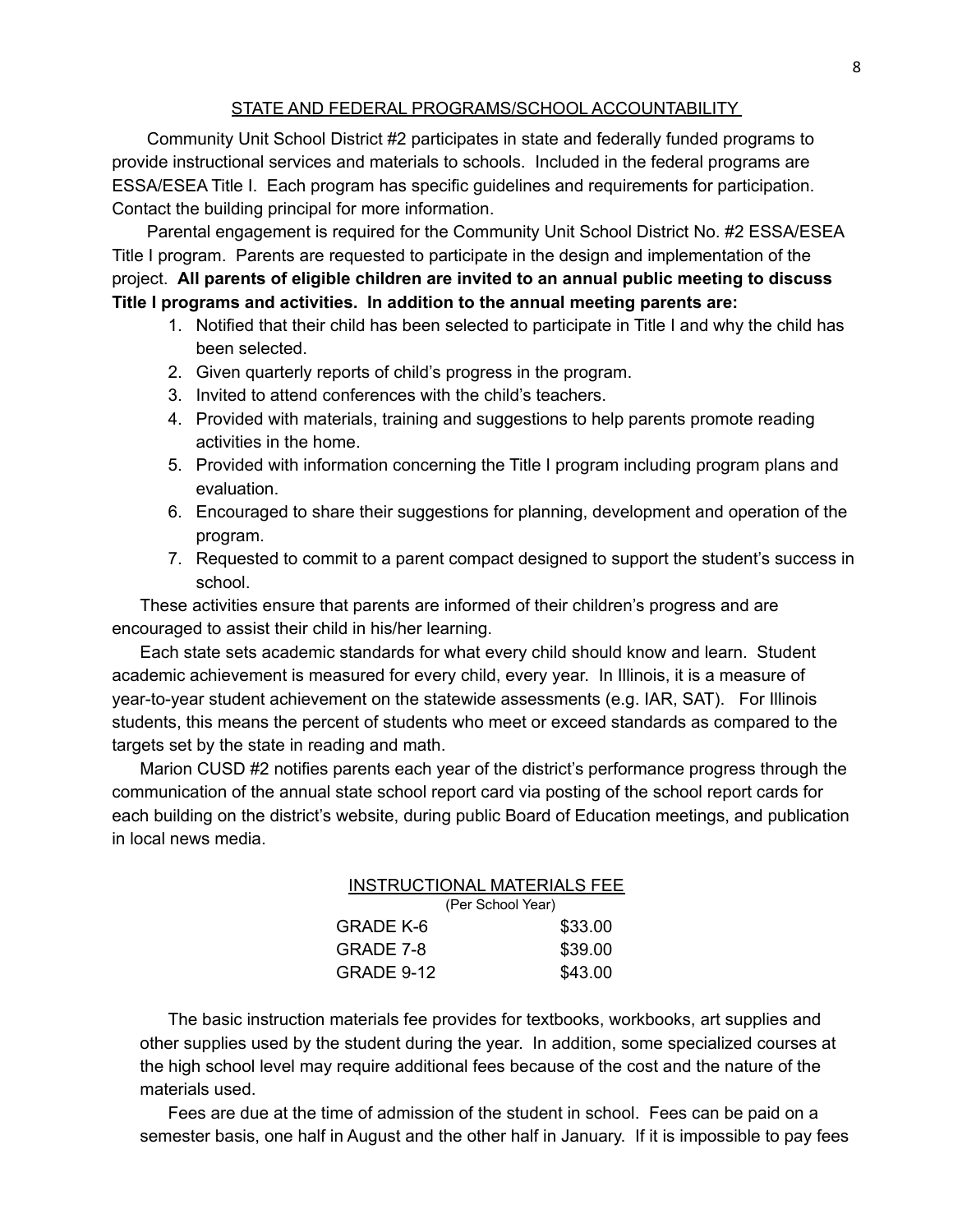#### STATE AND FEDERAL PROGRAMS/SCHOOL ACCOUNTABILITY

<span id="page-7-0"></span>Community Unit School District #2 participates in state and federally funded programs to provide instructional services and materials to schools. Included in the federal programs are ESSA/ESEA Title I. Each program has specific guidelines and requirements for participation. Contact the building principal for more information.

Parental engagement is required for the Community Unit School District No. #2 ESSA/ESEA Title I program. Parents are requested to participate in the design and implementation of the project. **All parents of eligible children are invited to an annual public meeting to discuss Title I programs and activities. In addition to the annual meeting parents are:**

- 1. Notified that their child has been selected to participate in Title I and why the child has been selected.
- 2. Given quarterly reports of child's progress in the program.
- 3. Invited to attend conferences with the child's teachers.
- 4. Provided with materials, training and suggestions to help parents promote reading activities in the home.
- 5. Provided with information concerning the Title I program including program plans and evaluation.
- 6. Encouraged to share their suggestions for planning, development and operation of the program.
- 7. Requested to commit to a parent compact designed to support the student's success in school.

These activities ensure that parents are informed of their children's progress and are encouraged to assist their child in his/her learning.

Each state sets academic standards for what every child should know and learn. Student academic achievement is measured for every child, every year. In Illinois, it is a measure of year-to-year student achievement on the statewide assessments (e.g. IAR, SAT). For Illinois students, this means the percent of students who meet or exceed standards as compared to the targets set by the state in reading and math.

<span id="page-7-1"></span>Marion CUSD #2 notifies parents each year of the district's performance progress through the communication of the annual state school report card via posting of the school report cards for each building on the district's website, during public Board of Education meetings, and publication in local news media.

#### INSTRUCTIONAL MATERIALS FEE (Per School Year) GRADE K-6 \$33.00 GRADE 7-8 \$39.00

GRADE 9-12 \$43.00

The basic instruction materials fee provides for textbooks, workbooks, art supplies and other supplies used by the student during the year. In addition, some specialized courses at the high school level may require additional fees because of the cost and the nature of the materials used.

Fees are due at the time of admission of the student in school. Fees can be paid on a semester basis, one half in August and the other half in January. If it is impossible to pay fees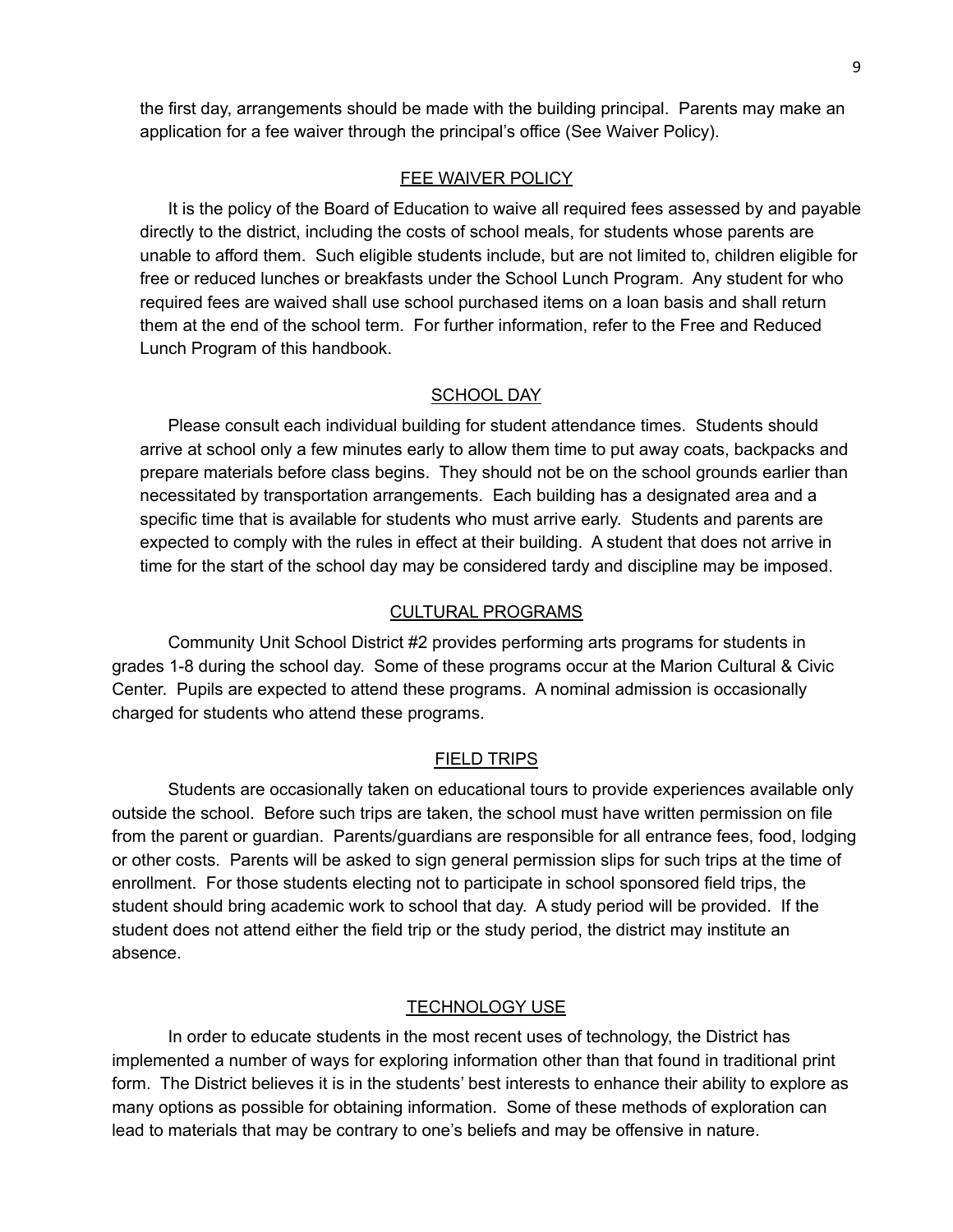the first day, arrangements should be made with the building principal. Parents may make an application for a fee waiver through the principal's office (See Waiver Policy).

#### FEE WAIVER POLICY

<span id="page-8-0"></span>It is the policy of the Board of Education to waive all required fees assessed by and payable directly to the district, including the costs of school meals, for students whose parents are unable to afford them. Such eligible students include, but are not limited to, children eligible for free or reduced lunches or breakfasts under the School Lunch Program. Any student for who required fees are waived shall use school purchased items on a loan basis and shall return them at the end of the school term. For further information, refer to the Free and Reduced Lunch Program of this handbook.

#### SCHOOL DAY

<span id="page-8-1"></span>Please consult each individual building for student attendance times. Students should arrive at school only a few minutes early to allow them time to put away coats, backpacks and prepare materials before class begins. They should not be on the school grounds earlier than necessitated by transportation arrangements. Each building has a designated area and a specific time that is available for students who must arrive early. Students and parents are expected to comply with the rules in effect at their building. A student that does not arrive in time for the start of the school day may be considered tardy and discipline may be imposed.

#### CULTURAL PROGRAMS

<span id="page-8-2"></span>Community Unit School District #2 provides performing arts programs for students in grades 1-8 during the school day. Some of these programs occur at the Marion Cultural & Civic Center. Pupils are expected to attend these programs. A nominal admission is occasionally charged for students who attend these programs.

#### FIELD TRIPS

<span id="page-8-3"></span>Students are occasionally taken on educational tours to provide experiences available only outside the school. Before such trips are taken, the school must have written permission on file from the parent or guardian. Parents/guardians are responsible for all entrance fees, food, lodging or other costs. Parents will be asked to sign general permission slips for such trips at the time of enrollment. For those students electing not to participate in school sponsored field trips, the student should bring academic work to school that day. A study period will be provided. If the student does not attend either the field trip or the study period, the district may institute an absence.

#### **TECHNOLOGY USE**

<span id="page-8-4"></span>In order to educate students in the most recent uses of technology, the District has implemented a number of ways for exploring information other than that found in traditional print form. The District believes it is in the students' best interests to enhance their ability to explore as many options as possible for obtaining information. Some of these methods of exploration can lead to materials that may be contrary to one's beliefs and may be offensive in nature.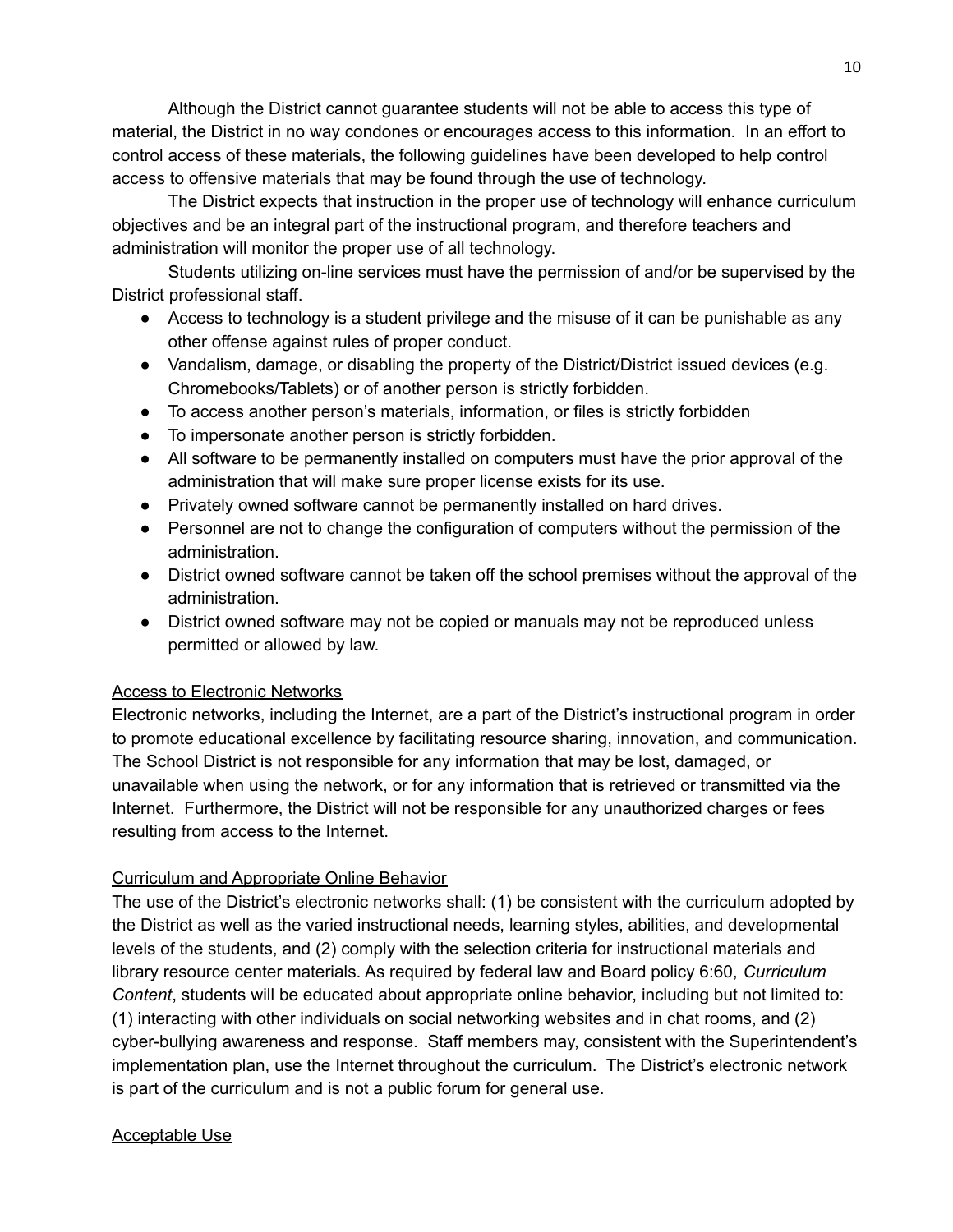Although the District cannot guarantee students will not be able to access this type of material, the District in no way condones or encourages access to this information. In an effort to control access of these materials, the following guidelines have been developed to help control access to offensive materials that may be found through the use of technology.

The District expects that instruction in the proper use of technology will enhance curriculum objectives and be an integral part of the instructional program, and therefore teachers and administration will monitor the proper use of all technology.

Students utilizing on-line services must have the permission of and/or be supervised by the District professional staff.

- Access to technology is a student privilege and the misuse of it can be punishable as any other offense against rules of proper conduct.
- Vandalism, damage, or disabling the property of the District/District issued devices (e.g. Chromebooks/Tablets) or of another person is strictly forbidden.
- To access another person's materials, information, or files is strictly forbidden
- To impersonate another person is strictly forbidden.
- All software to be permanently installed on computers must have the prior approval of the administration that will make sure proper license exists for its use.
- Privately owned software cannot be permanently installed on hard drives.
- Personnel are not to change the configuration of computers without the permission of the administration.
- District owned software cannot be taken off the school premises without the approval of the administration.
- District owned software may not be copied or manuals may not be reproduced unless permitted or allowed by law.

#### Access to Electronic Networks

Electronic networks, including the Internet, are a part of the District's instructional program in order to promote educational excellence by facilitating resource sharing, innovation, and communication. The School District is not responsible for any information that may be lost, damaged, or unavailable when using the network, or for any information that is retrieved or transmitted via the Internet. Furthermore, the District will not be responsible for any unauthorized charges or fees resulting from access to the Internet.

### Curriculum and Appropriate Online Behavior

The use of the District's electronic networks shall: (1) be consistent with the curriculum adopted by the District as well as the varied instructional needs, learning styles, abilities, and developmental levels of the students, and (2) comply with the selection criteria for instructional materials and library resource center materials. As required by federal law and Board policy 6:60, *Curriculum Content*, students will be educated about appropriate online behavior, including but not limited to: (1) interacting with other individuals on social networking websites and in chat rooms, and (2) cyber-bullying awareness and response. Staff members may, consistent with the Superintendent's implementation plan, use the Internet throughout the curriculum. The District's electronic network is part of the curriculum and is not a public forum for general use.

### Acceptable Use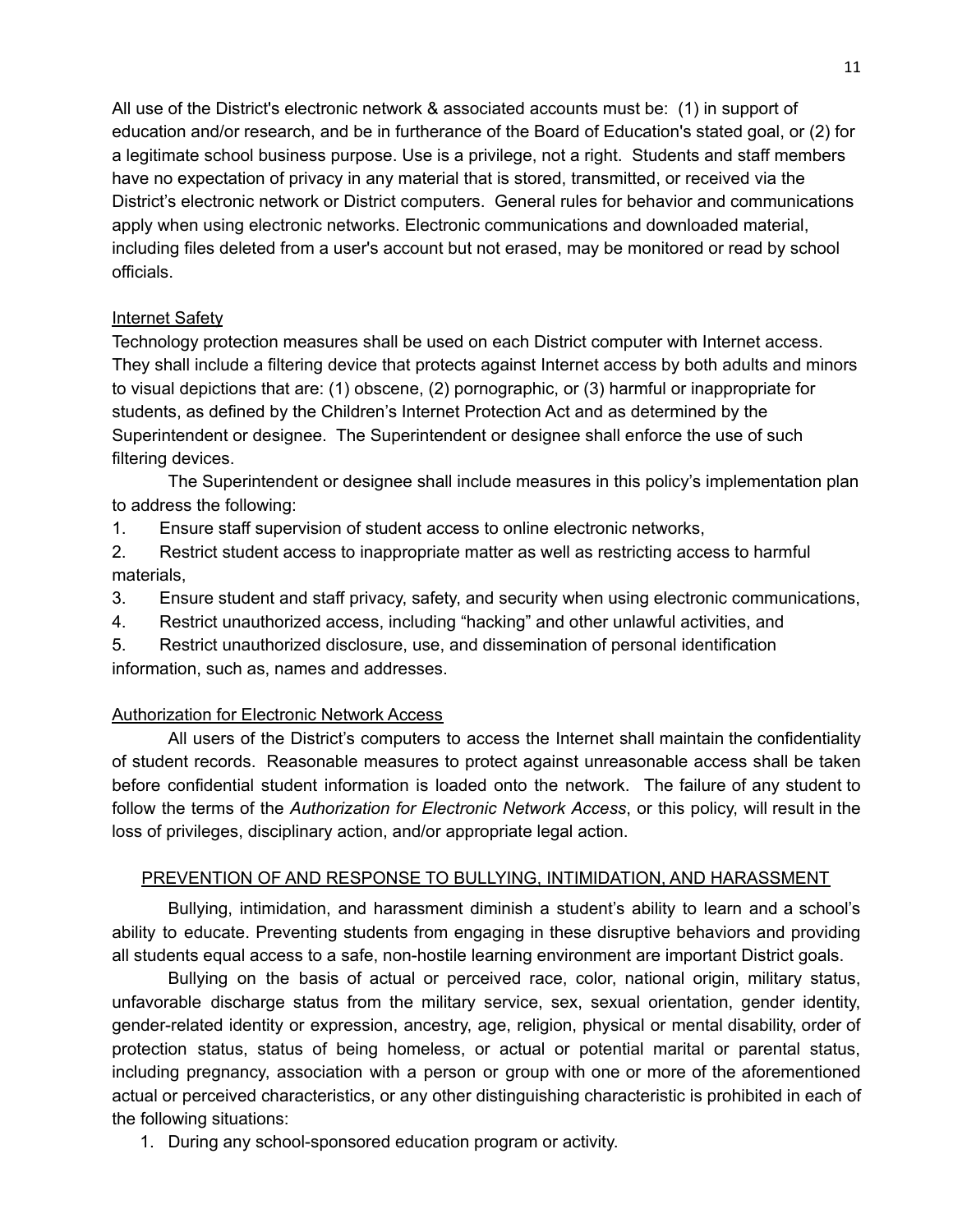All use of the District's electronic network & associated accounts must be: (1) in support of education and/or research, and be in furtherance of the Board of Education's stated goal, or (2) for a legitimate school business purpose. Use is a privilege, not a right. Students and staff members have no expectation of privacy in any material that is stored, transmitted, or received via the District's electronic network or District computers. General rules for behavior and communications apply when using electronic networks. Electronic communications and downloaded material, including files deleted from a user's account but not erased, may be monitored or read by school officials.

#### Internet Safety

Technology protection measures shall be used on each District computer with Internet access. They shall include a filtering device that protects against Internet access by both adults and minors to visual depictions that are: (1) obscene, (2) pornographic, or (3) harmful or inappropriate for students, as defined by the Children's Internet Protection Act and as determined by the Superintendent or designee. The Superintendent or designee shall enforce the use of such filtering devices.

The Superintendent or designee shall include measures in this policy's implementation plan to address the following:

1. Ensure staff supervision of student access to online electronic networks,

2. Restrict student access to inappropriate matter as well as restricting access to harmful materials,

3. Ensure student and staff privacy, safety, and security when using electronic communications,

4. Restrict unauthorized access, including "hacking" and other unlawful activities, and

5. Restrict unauthorized disclosure, use, and dissemination of personal identification information, such as, names and addresses.

#### Authorization for Electronic Network Access

All users of the District's computers to access the Internet shall maintain the confidentiality of student records. Reasonable measures to protect against unreasonable access shall be taken before confidential student information is loaded onto the network. The failure of any student to follow the terms of the *Authorization for Electronic Network Access*, or this policy, will result in the loss of privileges, disciplinary action, and/or appropriate legal action.

#### <span id="page-10-0"></span>PREVENTION OF AND RESPONSE TO BULLYING, INTIMIDATION, AND HARASSMENT

Bullying, intimidation, and harassment diminish a student's ability to learn and a school's ability to educate. Preventing students from engaging in these disruptive behaviors and providing all students equal access to a safe, non-hostile learning environment are important District goals.

Bullying on the basis of actual or perceived race, color, national origin, military status, unfavorable discharge status from the military service, sex, sexual orientation, gender identity, gender-related identity or expression, ancestry, age, religion, physical or mental disability, order of protection status, status of being homeless, or actual or potential marital or parental status, including pregnancy, association with a person or group with one or more of the aforementioned actual or perceived characteristics, or any other distinguishing characteristic is prohibited in each of the following situations:

1. During any school-sponsored education program or activity.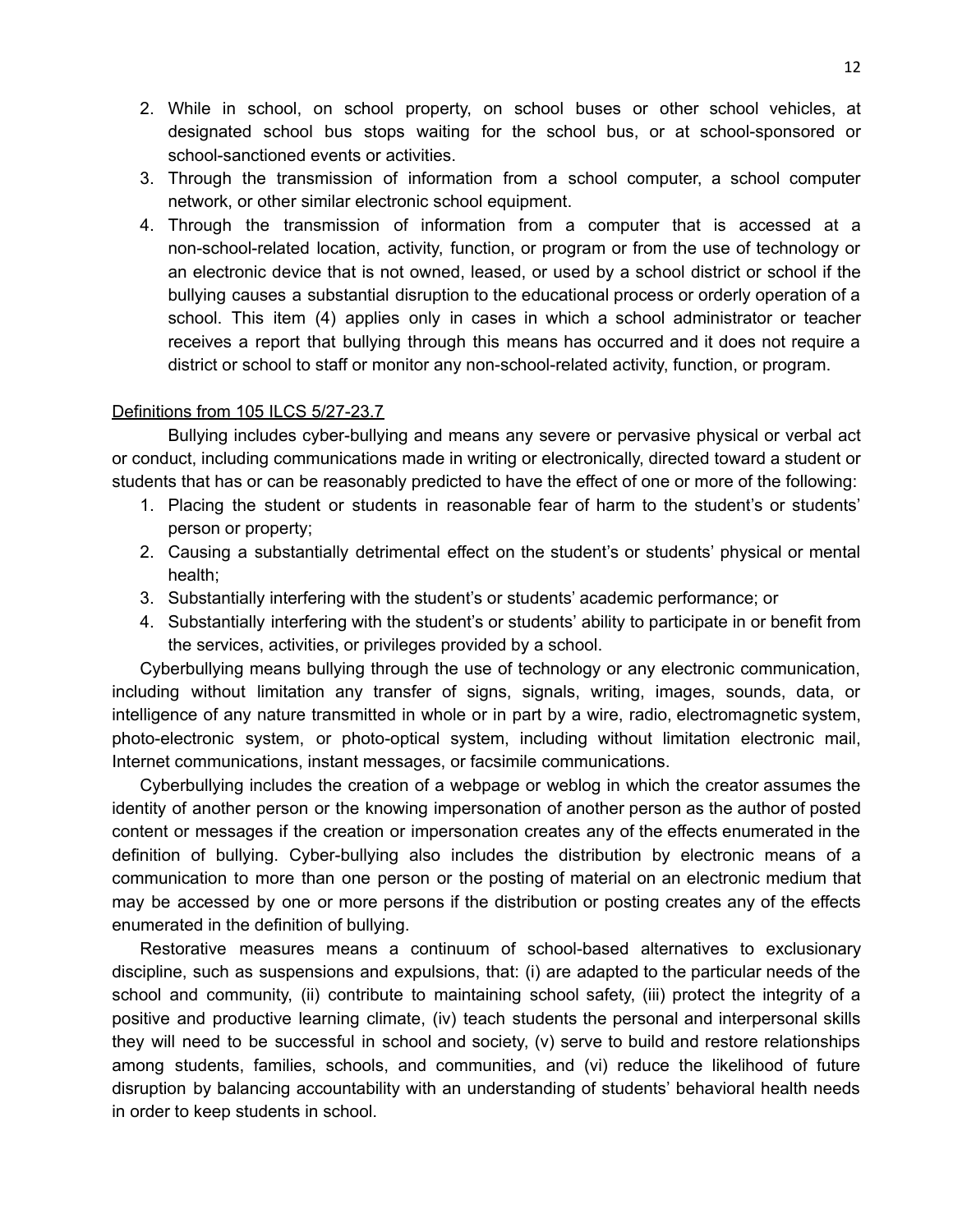- 2. While in school, on school property, on school buses or other school vehicles, at designated school bus stops waiting for the school bus, or at school-sponsored or school-sanctioned events or activities.
- 3. Through the transmission of information from a school computer, a school computer network, or other similar electronic school equipment.
- 4. Through the transmission of information from a computer that is accessed at a non-school-related location, activity, function, or program or from the use of technology or an electronic device that is not owned, leased, or used by a school district or school if the bullying causes a substantial disruption to the educational process or orderly operation of a school. This item (4) applies only in cases in which a school administrator or teacher receives a report that bullying through this means has occurred and it does not require a district or school to staff or monitor any non-school-related activity, function, or program.

#### Definitions from 105 ILCS 5/27-23.7

Bullying includes cyber-bullying and means any severe or pervasive physical or verbal act or conduct, including communications made in writing or electronically, directed toward a student or students that has or can be reasonably predicted to have the effect of one or more of the following:

- 1. Placing the student or students in reasonable fear of harm to the student's or students' person or property;
- 2. Causing a substantially detrimental effect on the student's or students' physical or mental health;
- 3. Substantially interfering with the student's or students' academic performance; or
- 4. Substantially interfering with the student's or students' ability to participate in or benefit from the services, activities, or privileges provided by a school.

Cyberbullying means bullying through the use of technology or any electronic communication, including without limitation any transfer of signs, signals, writing, images, sounds, data, or intelligence of any nature transmitted in whole or in part by a wire, radio, electromagnetic system, photo-electronic system, or photo-optical system, including without limitation electronic mail, Internet communications, instant messages, or facsimile communications.

Cyberbullying includes the creation of a webpage or weblog in which the creator assumes the identity of another person or the knowing impersonation of another person as the author of posted content or messages if the creation or impersonation creates any of the effects enumerated in the definition of bullying. Cyber-bullying also includes the distribution by electronic means of a communication to more than one person or the posting of material on an electronic medium that may be accessed by one or more persons if the distribution or posting creates any of the effects enumerated in the definition of bullying.

Restorative measures means a continuum of school-based alternatives to exclusionary discipline, such as suspensions and expulsions, that: (i) are adapted to the particular needs of the school and community, (ii) contribute to maintaining school safety, (iii) protect the integrity of a positive and productive learning climate, (iv) teach students the personal and interpersonal skills they will need to be successful in school and society, (v) serve to build and restore relationships among students, families, schools, and communities, and (vi) reduce the likelihood of future disruption by balancing accountability with an understanding of students' behavioral health needs in order to keep students in school.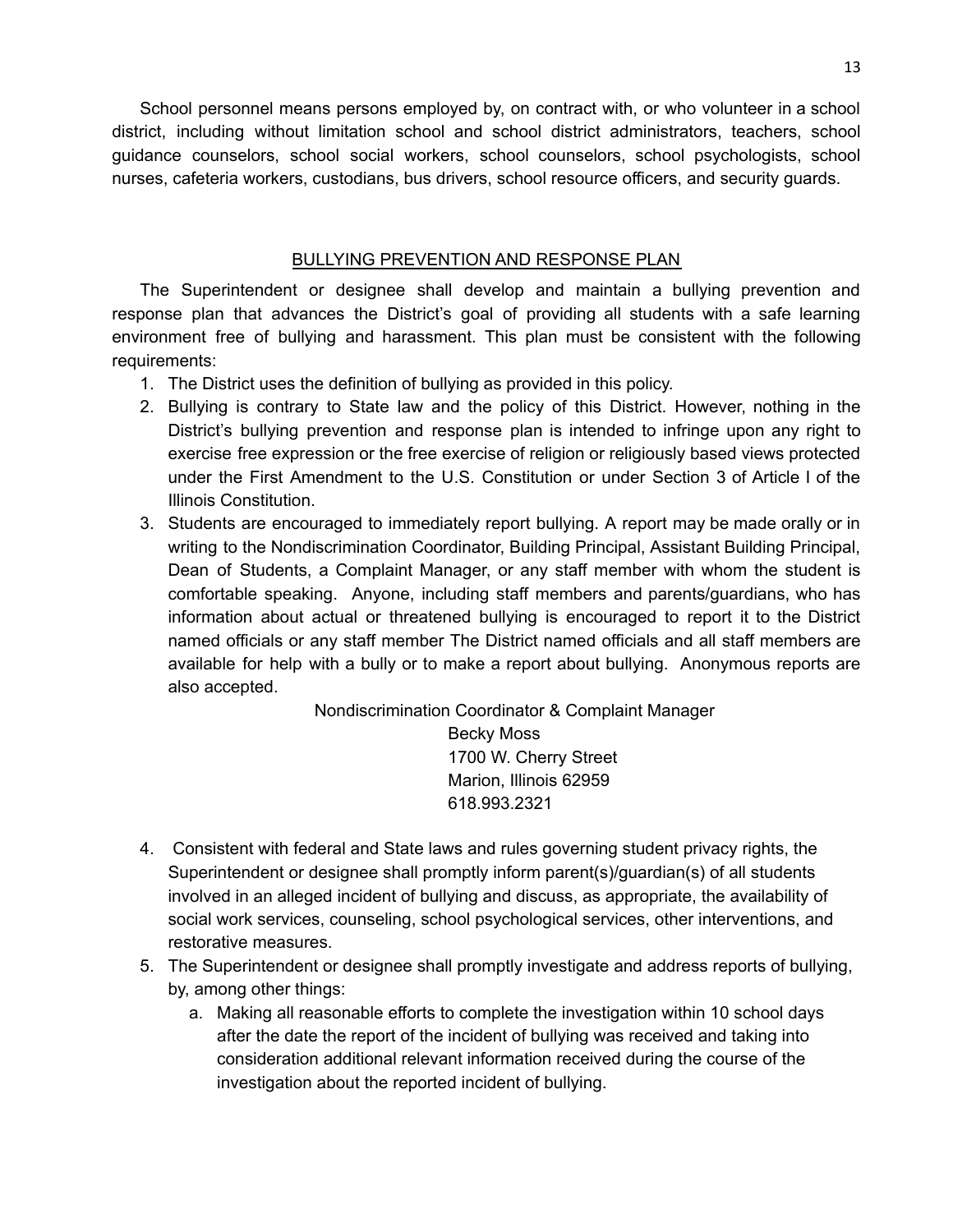School personnel means persons employed by, on contract with, or who volunteer in a school district, including without limitation school and school district administrators, teachers, school guidance counselors, school social workers, school counselors, school psychologists, school nurses, cafeteria workers, custodians, bus drivers, school resource officers, and security guards.

#### BULLYING PREVENTION AND RESPONSE PLAN

<span id="page-12-0"></span>The Superintendent or designee shall develop and maintain a bullying prevention and response plan that advances the District's goal of providing all students with a safe learning environment free of bullying and harassment. This plan must be consistent with the following requirements:

- 1. The District uses the definition of bullying as provided in this policy.
- 2. Bullying is contrary to State law and the policy of this District. However, nothing in the District's bullying prevention and response plan is intended to infringe upon any right to exercise free expression or the free exercise of religion or religiously based views protected under the First Amendment to the U.S. Constitution or under Section 3 of Article I of the Illinois Constitution.
- 3. Students are encouraged to immediately report bullying. A report may be made orally or in writing to the Nondiscrimination Coordinator, Building Principal, Assistant Building Principal, Dean of Students, a Complaint Manager, or any staff member with whom the student is comfortable speaking. Anyone, including staff members and parents/guardians, who has information about actual or threatened bullying is encouraged to report it to the District named officials or any staff member The District named officials and all staff members are available for help with a bully or to make a report about bullying. Anonymous reports are also accepted.

Nondiscrimination Coordinator & Complaint Manager Becky Moss

1700 W. Cherry Street Marion, Illinois 62959 618.993.2321

- 4. Consistent with federal and State laws and rules governing student privacy rights, the Superintendent or designee shall promptly inform parent(s)/guardian(s) of all students involved in an alleged incident of bullying and discuss, as appropriate, the availability of social work services, counseling, school psychological services, other interventions, and restorative measures.
- 5. The Superintendent or designee shall promptly investigate and address reports of bullying, by, among other things:
	- a. Making all reasonable efforts to complete the investigation within 10 school days after the date the report of the incident of bullying was received and taking into consideration additional relevant information received during the course of the investigation about the reported incident of bullying.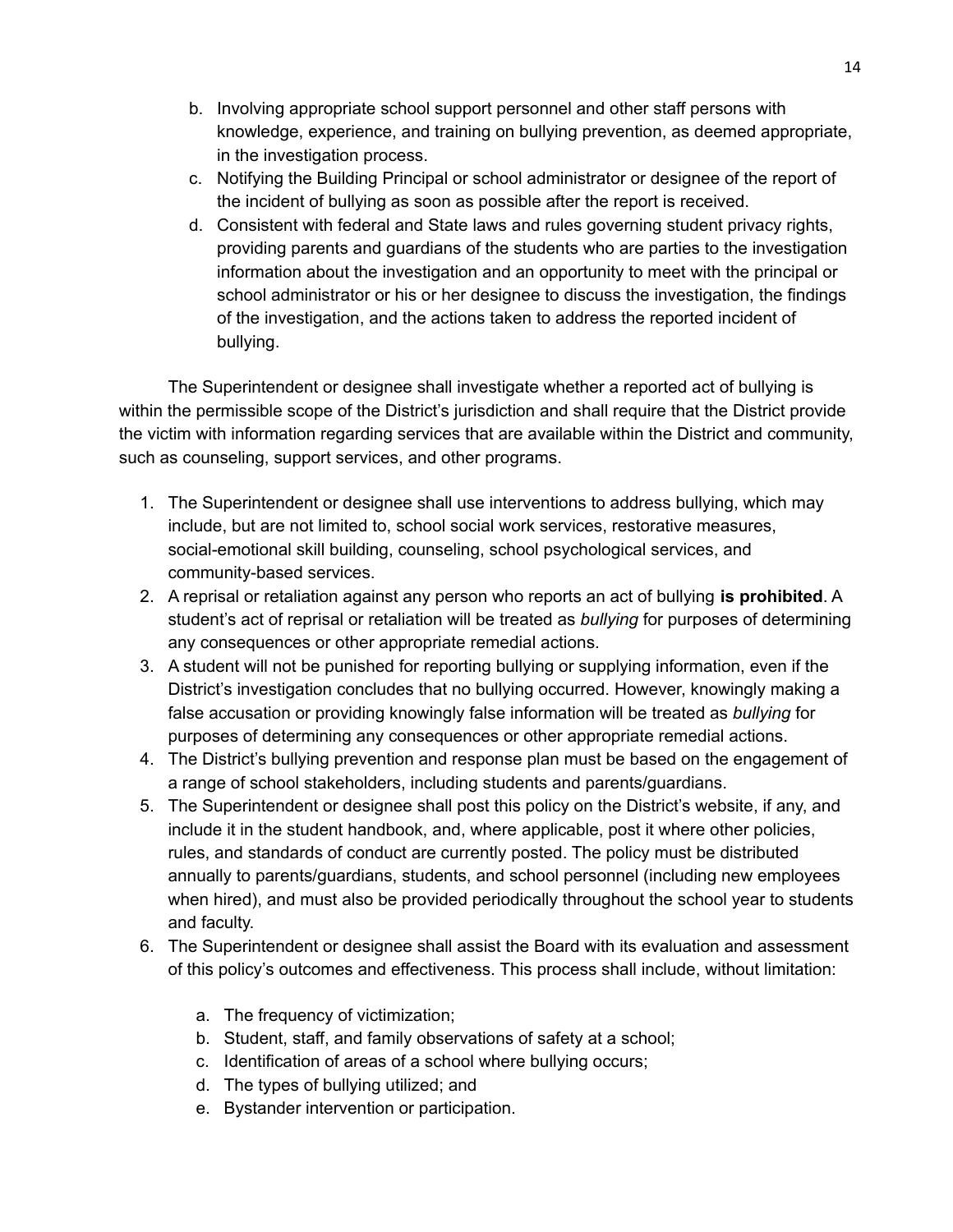- b. Involving appropriate school support personnel and other staff persons with knowledge, experience, and training on bullying prevention, as deemed appropriate, in the investigation process.
- c. Notifying the Building Principal or school administrator or designee of the report of the incident of bullying as soon as possible after the report is received.
- d. Consistent with federal and State laws and rules governing student privacy rights, providing parents and guardians of the students who are parties to the investigation information about the investigation and an opportunity to meet with the principal or school administrator or his or her designee to discuss the investigation, the findings of the investigation, and the actions taken to address the reported incident of bullying.

The Superintendent or designee shall investigate whether a reported act of bullying is within the permissible scope of the District's jurisdiction and shall require that the District provide the victim with information regarding services that are available within the District and community, such as counseling, support services, and other programs.

- 1. The Superintendent or designee shall use interventions to address bullying, which may include, but are not limited to, school social work services, restorative measures, social-emotional skill building, counseling, school psychological services, and community-based services.
- 2. A reprisal or retaliation against any person who reports an act of bullying **is prohibited**. A student's act of reprisal or retaliation will be treated as *bullying* for purposes of determining any consequences or other appropriate remedial actions.
- 3. A student will not be punished for reporting bullying or supplying information, even if the District's investigation concludes that no bullying occurred. However, knowingly making a false accusation or providing knowingly false information will be treated as *bullying* for purposes of determining any consequences or other appropriate remedial actions.
- 4. The District's bullying prevention and response plan must be based on the engagement of a range of school stakeholders, including students and parents/guardians.
- 5. The Superintendent or designee shall post this policy on the District's website, if any, and include it in the student handbook, and, where applicable, post it where other policies, rules, and standards of conduct are currently posted. The policy must be distributed annually to parents/guardians, students, and school personnel (including new employees when hired), and must also be provided periodically throughout the school year to students and faculty.
- 6. The Superintendent or designee shall assist the Board with its evaluation and assessment of this policy's outcomes and effectiveness. This process shall include, without limitation:
	- a. The frequency of victimization;
	- b. Student, staff, and family observations of safety at a school;
	- c. Identification of areas of a school where bullying occurs;
	- d. The types of bullying utilized; and
	- e. Bystander intervention or participation.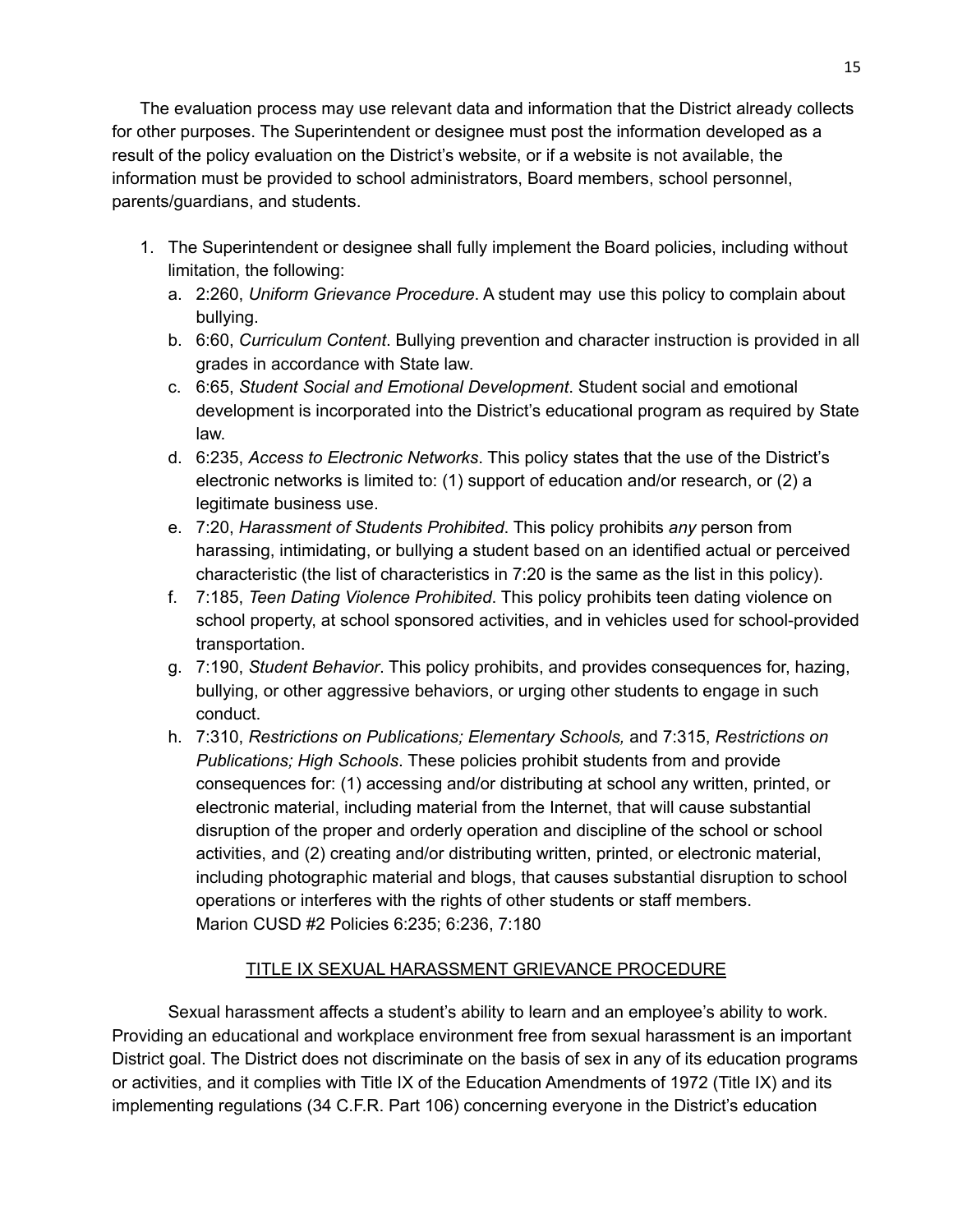The evaluation process may use relevant data and information that the District already collects for other purposes. The Superintendent or designee must post the information developed as a result of the policy evaluation on the District's website, or if a website is not available, the information must be provided to school administrators, Board members, school personnel, parents/guardians, and students.

- 1. The Superintendent or designee shall fully implement the Board policies, including without limitation, the following:
	- a. 2:260, *Uniform Grievance Procedure*. A student may use this policy to complain about bullying.
	- b. 6:60, *Curriculum Content*. Bullying prevention and character instruction is provided in all grades in accordance with State law.
	- c. 6:65, *Student Social and Emotional Development*. Student social and emotional development is incorporated into the District's educational program as required by State law.
	- d. 6:235, *Access to Electronic Networks*. This policy states that the use of the District's electronic networks is limited to: (1) support of education and/or research, or (2) a legitimate business use.
	- e. 7:20, *Harassment of Students Prohibited*. This policy prohibits *any* person from harassing, intimidating, or bullying a student based on an identified actual or perceived characteristic (the list of characteristics in 7:20 is the same as the list in this policy).
	- f. 7:185, *Teen Dating Violence Prohibited*. This policy prohibits teen dating violence on school property, at school sponsored activities, and in vehicles used for school-provided transportation.
	- g. 7:190, *Student Behavior*. This policy prohibits, and provides consequences for, hazing, bullying, or other aggressive behaviors, or urging other students to engage in such conduct.
	- h. 7:310, *Restrictions on Publications; Elementary Schools,* and 7:315, *Restrictions on Publications; High Schools*. These policies prohibit students from and provide consequences for: (1) accessing and/or distributing at school any written, printed, or electronic material, including material from the Internet, that will cause substantial disruption of the proper and orderly operation and discipline of the school or school activities, and (2) creating and/or distributing written, printed, or electronic material, including photographic material and blogs, that causes substantial disruption to school operations or interferes with the rights of other students or staff members. Marion CUSD #2 Policies 6:235; 6:236, 7:180

### TITLE IX SEXUAL HARASSMENT GRIEVANCE PROCEDURE

<span id="page-14-0"></span>Sexual harassment affects a student's ability to learn and an employee's ability to work. Providing an educational and workplace environment free from sexual harassment is an important District goal. The District does not discriminate on the basis of sex in any of its education programs or activities, and it complies with Title IX of the Education Amendments of 1972 (Title IX) and its implementing regulations (34 C.F.R. Part 106) concerning everyone in the District's education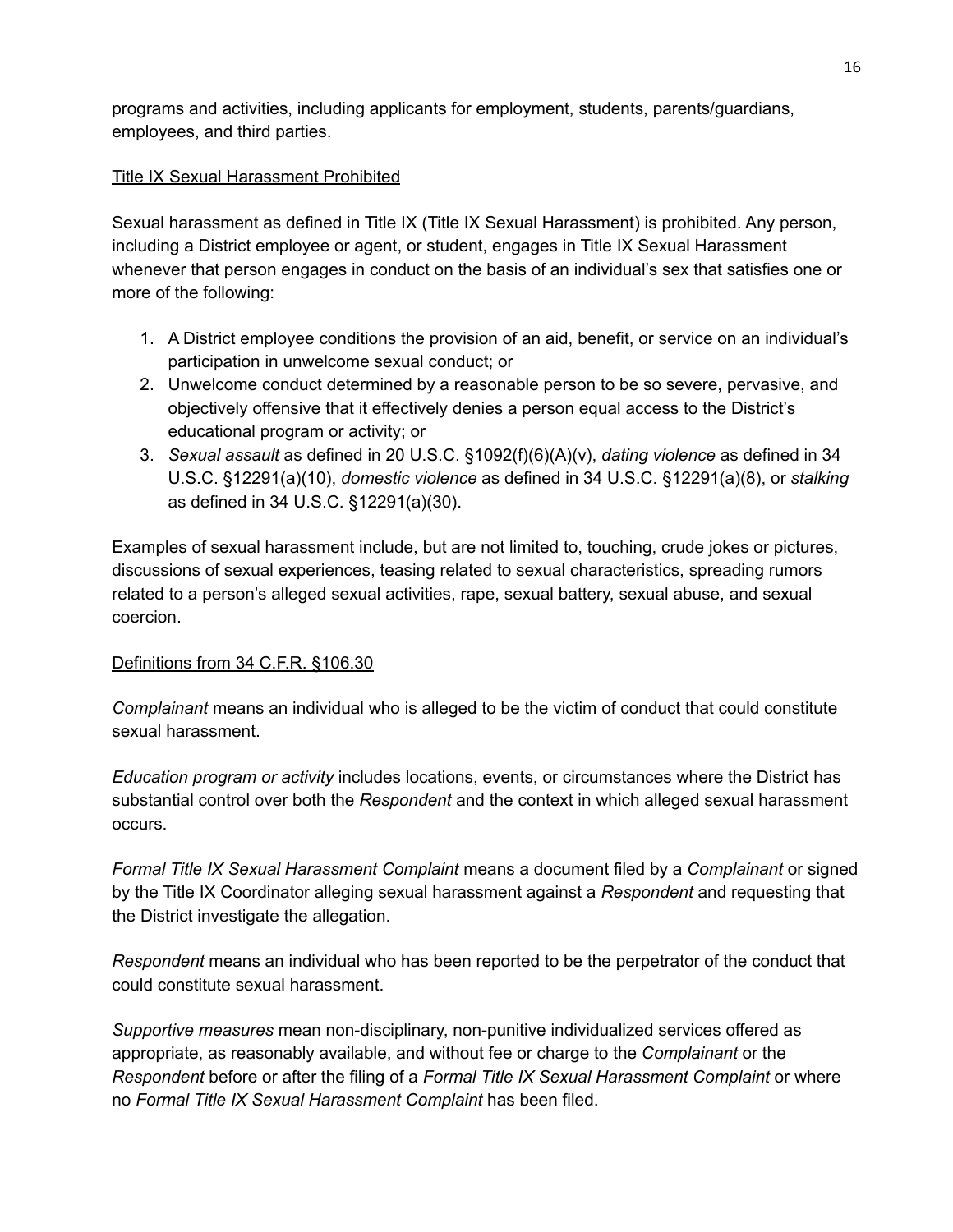programs and activities, including applicants for employment, students, parents/guardians, employees, and third parties.

#### Title IX Sexual Harassment Prohibited

Sexual harassment as defined in Title IX (Title IX Sexual Harassment) is prohibited. Any person, including a District employee or agent, or student, engages in Title IX Sexual Harassment whenever that person engages in conduct on the basis of an individual's sex that satisfies one or more of the following:

- 1. A District employee conditions the provision of an aid, benefit, or service on an individual's participation in unwelcome sexual conduct; or
- 2. Unwelcome conduct determined by a reasonable person to be so severe, pervasive, and objectively offensive that it effectively denies a person equal access to the District's educational program or activity; or
- 3. *Sexual assault* as defined in 20 U.S.C. §1092(f)(6)(A)(v), *dating violence* as defined in 34 U.S.C. §12291(a)(10), *domestic violence* as defined in 34 U.S.C. §12291(a)(8), or *stalking* as defined in 34 U.S.C. §12291(a)(30).

Examples of sexual harassment include, but are not limited to, touching, crude jokes or pictures, discussions of sexual experiences, teasing related to sexual characteristics, spreading rumors related to a person's alleged sexual activities, rape, sexual battery, sexual abuse, and sexual coercion.

#### Definitions from 34 C.F.R. §106.30

*Complainant* means an individual who is alleged to be the victim of conduct that could constitute sexual harassment.

*Education program or activity* includes locations, events, or circumstances where the District has substantial control over both the *Respondent* and the context in which alleged sexual harassment occurs.

*Formal Title IX Sexual Harassment Complaint* means a document filed by a *Complainant* or signed by the Title IX Coordinator alleging sexual harassment against a *Respondent* and requesting that the District investigate the allegation.

*Respondent* means an individual who has been reported to be the perpetrator of the conduct that could constitute sexual harassment.

*Supportive measures* mean non-disciplinary, non-punitive individualized services offered as appropriate, as reasonably available, and without fee or charge to the *Complainant* or the *Respondent* before or after the filing of a *Formal Title IX Sexual Harassment Complaint* or where no *Formal Title IX Sexual Harassment Complaint* has been filed.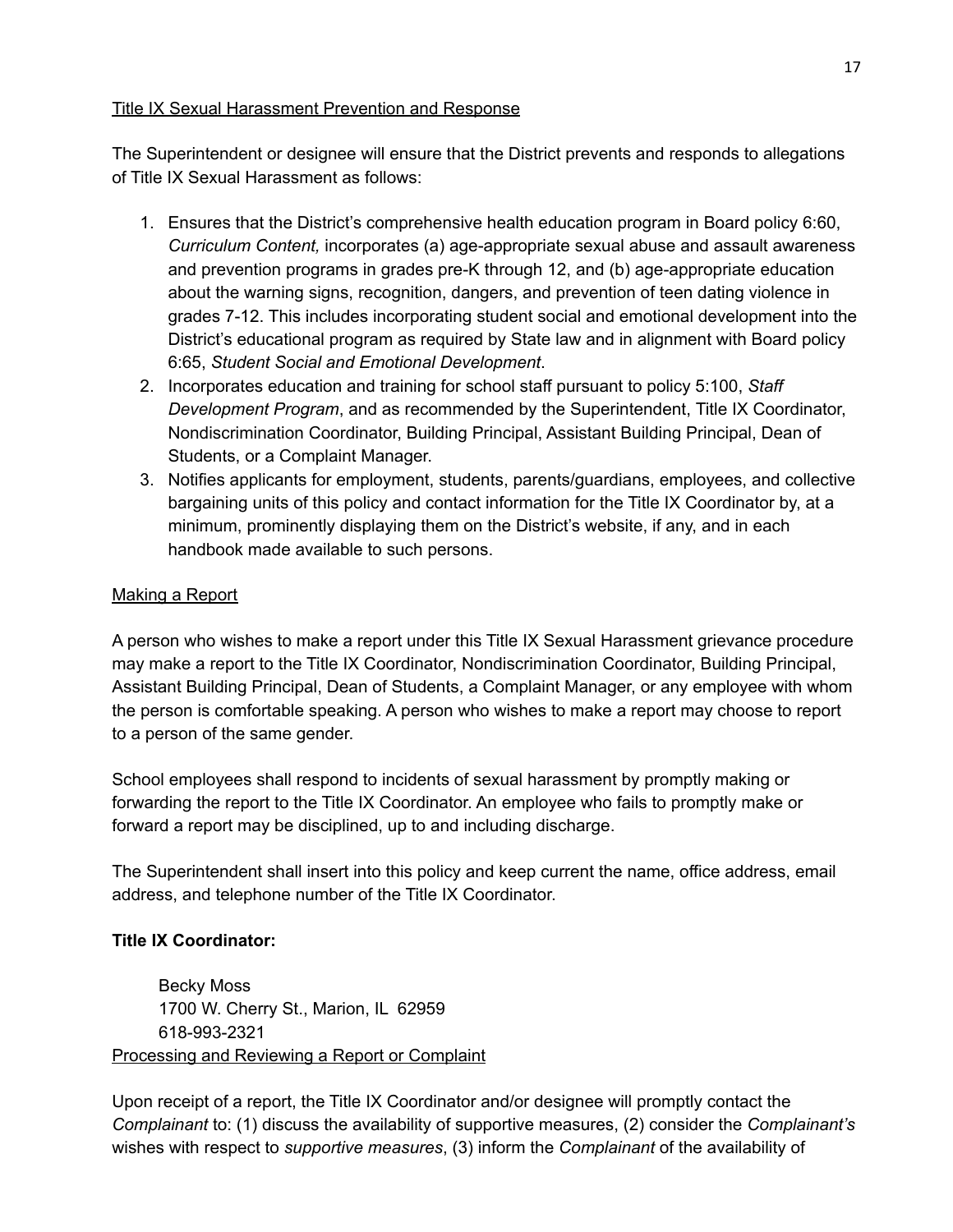#### Title IX Sexual Harassment Prevention and Response

The Superintendent or designee will ensure that the District prevents and responds to allegations of Title IX Sexual Harassment as follows:

- 1. Ensures that the District's comprehensive health education program in Board policy 6:60, *Curriculum Content,* incorporates (a) age-appropriate sexual abuse and assault awareness and prevention programs in grades pre-K through 12, and (b) age-appropriate education about the warning signs, recognition, dangers, and prevention of teen dating violence in grades 7-12. This includes incorporating student social and emotional development into the District's educational program as required by State law and in alignment with Board policy 6:65, *Student Social and Emotional Development*.
- 2. Incorporates education and training for school staff pursuant to policy 5:100, *Staff Development Program*, and as recommended by the Superintendent, Title IX Coordinator, Nondiscrimination Coordinator, Building Principal, Assistant Building Principal, Dean of Students, or a Complaint Manager.
- 3. Notifies applicants for employment, students, parents/guardians, employees, and collective bargaining units of this policy and contact information for the Title IX Coordinator by, at a minimum, prominently displaying them on the District's website, if any, and in each handbook made available to such persons.

#### Making a Report

A person who wishes to make a report under this Title IX Sexual Harassment grievance procedure may make a report to the Title IX Coordinator, Nondiscrimination Coordinator, Building Principal, Assistant Building Principal, Dean of Students, a Complaint Manager, or any employee with whom the person is comfortable speaking. A person who wishes to make a report may choose to report to a person of the same gender.

School employees shall respond to incidents of sexual harassment by promptly making or forwarding the report to the Title IX Coordinator. An employee who fails to promptly make or forward a report may be disciplined, up to and including discharge.

The Superintendent shall insert into this policy and keep current the name, office address, email address, and telephone number of the Title IX Coordinator.

#### **Title IX Coordinator:**

Becky Moss 1700 W. Cherry St., Marion, IL 62959 618-993-2321 Processing and Reviewing a Report or Complaint

Upon receipt of a report, the Title IX Coordinator and/or designee will promptly contact the *Complainant* to: (1) discuss the availability of supportive measures, (2) consider the *Complainant's* wishes with respect to *supportive measures*, (3) inform the *Complainant* of the availability of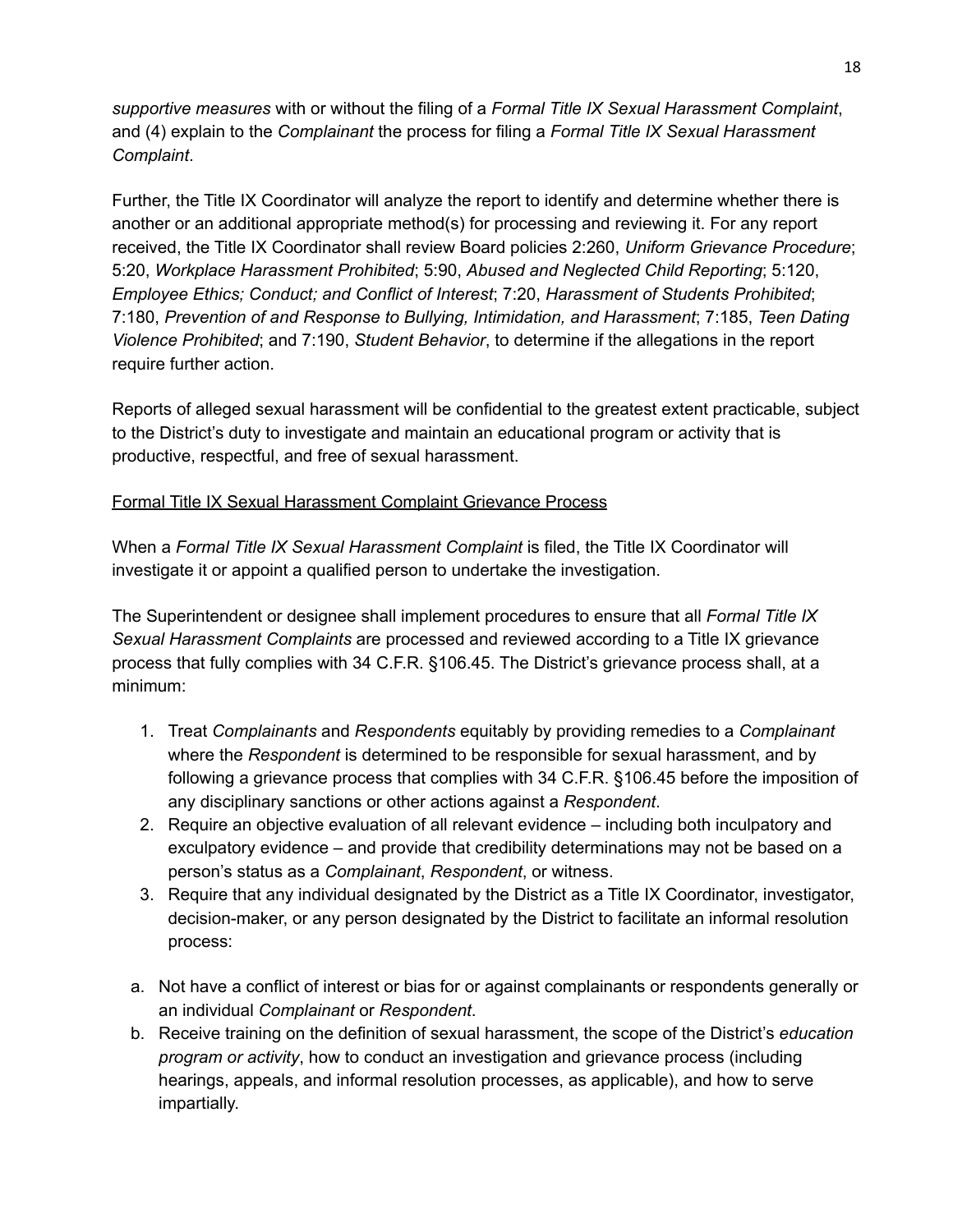*supportive measures* with or without the filing of a *Formal Title IX Sexual Harassment Complaint*, and (4) explain to the *Complainant* the process for filing a *Formal Title IX Sexual Harassment Complaint*.

Further, the Title IX Coordinator will analyze the report to identify and determine whether there is another or an additional appropriate method(s) for processing and reviewing it. For any report received, the Title IX Coordinator shall review Board policies 2:260, *Uniform Grievance Procedure*; 5:20, *Workplace Harassment Prohibited*; 5:90, *Abused and Neglected Child Reporting*; 5:120, *Employee Ethics; Conduct; and Conflict of Interest*; 7:20, *Harassment of Students Prohibited*; 7:180, *Prevention of and Response to Bullying, Intimidation, and Harassment*; 7:185, *Teen Dating Violence Prohibited*; and 7:190, *Student Behavior*, to determine if the allegations in the report require further action.

Reports of alleged sexual harassment will be confidential to the greatest extent practicable, subject to the District's duty to investigate and maintain an educational program or activity that is productive, respectful, and free of sexual harassment.

#### Formal Title IX Sexual Harassment Complaint Grievance Process

When a *Formal Title IX Sexual Harassment Complaint* is filed, the Title IX Coordinator will investigate it or appoint a qualified person to undertake the investigation.

The Superintendent or designee shall implement procedures to ensure that all *Formal Title IX Sexual Harassment Complaints* are processed and reviewed according to a Title IX grievance process that fully complies with 34 C.F.R. §106.45. The District's grievance process shall, at a minimum:

- 1. Treat *Complainants* and *Respondents* equitably by providing remedies to a *Complainant* where the *Respondent* is determined to be responsible for sexual harassment, and by following a grievance process that complies with 34 C.F.R. §106.45 before the imposition of any disciplinary sanctions or other actions against a *Respondent*.
- 2. Require an objective evaluation of all relevant evidence including both inculpatory and exculpatory evidence – and provide that credibility determinations may not be based on a person's status as a *Complainant*, *Respondent*, or witness.
- 3. Require that any individual designated by the District as a Title IX Coordinator, investigator, decision-maker, or any person designated by the District to facilitate an informal resolution process:
- a. Not have a conflict of interest or bias for or against complainants or respondents generally or an individual *Complainant* or *Respondent*.
- b. Receive training on the definition of sexual harassment, the scope of the District's *education program or activity*, how to conduct an investigation and grievance process (including hearings, appeals, and informal resolution processes, as applicable), and how to serve impartially.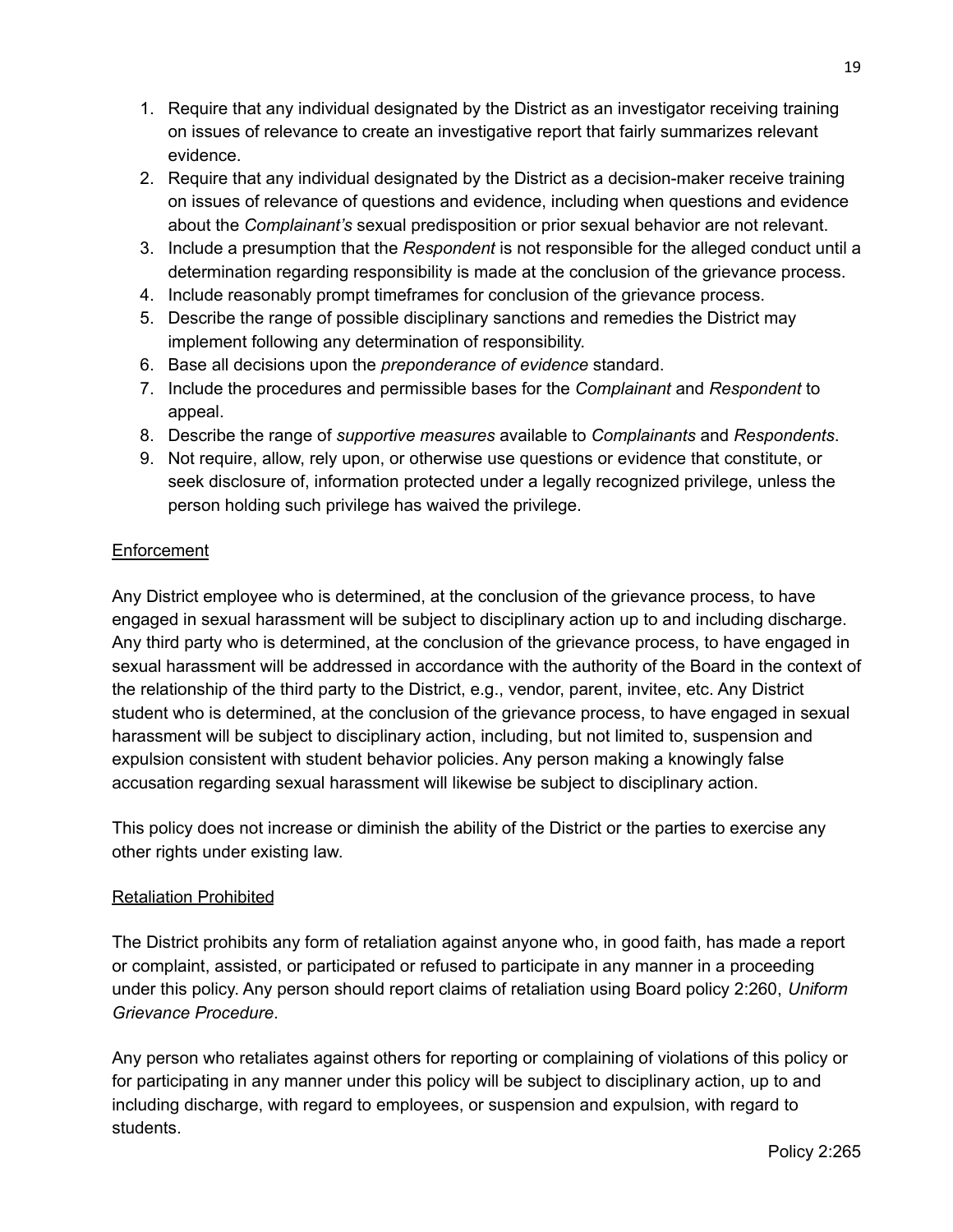- 1. Require that any individual designated by the District as an investigator receiving training on issues of relevance to create an investigative report that fairly summarizes relevant evidence.
- 2. Require that any individual designated by the District as a decision-maker receive training on issues of relevance of questions and evidence, including when questions and evidence about the *Complainant's* sexual predisposition or prior sexual behavior are not relevant.
- 3. Include a presumption that the *Respondent* is not responsible for the alleged conduct until a determination regarding responsibility is made at the conclusion of the grievance process.
- 4. Include reasonably prompt timeframes for conclusion of the grievance process.
- 5. Describe the range of possible disciplinary sanctions and remedies the District may implement following any determination of responsibility.
- 6. Base all decisions upon the *preponderance of evidence* standard.
- 7. Include the procedures and permissible bases for the *Complainant* and *Respondent* to appeal.
- 8. Describe the range of *supportive measures* available to *Complainants* and *Respondents*.
- 9. Not require, allow, rely upon, or otherwise use questions or evidence that constitute, or seek disclosure of, information protected under a legally recognized privilege, unless the person holding such privilege has waived the privilege.

#### **Enforcement**

Any District employee who is determined, at the conclusion of the grievance process, to have engaged in sexual harassment will be subject to disciplinary action up to and including discharge. Any third party who is determined, at the conclusion of the grievance process, to have engaged in sexual harassment will be addressed in accordance with the authority of the Board in the context of the relationship of the third party to the District, e.g., vendor, parent, invitee, etc. Any District student who is determined, at the conclusion of the grievance process, to have engaged in sexual harassment will be subject to disciplinary action, including, but not limited to, suspension and expulsion consistent with student behavior policies. Any person making a knowingly false accusation regarding sexual harassment will likewise be subject to disciplinary action.

This policy does not increase or diminish the ability of the District or the parties to exercise any other rights under existing law.

#### Retaliation Prohibited

The District prohibits any form of retaliation against anyone who, in good faith, has made a report or complaint, assisted, or participated or refused to participate in any manner in a proceeding under this policy. Any person should report claims of retaliation using Board policy 2:260, *Uniform Grievance Procedure*.

Any person who retaliates against others for reporting or complaining of violations of this policy or for participating in any manner under this policy will be subject to disciplinary action, up to and including discharge, with regard to employees, or suspension and expulsion, with regard to students.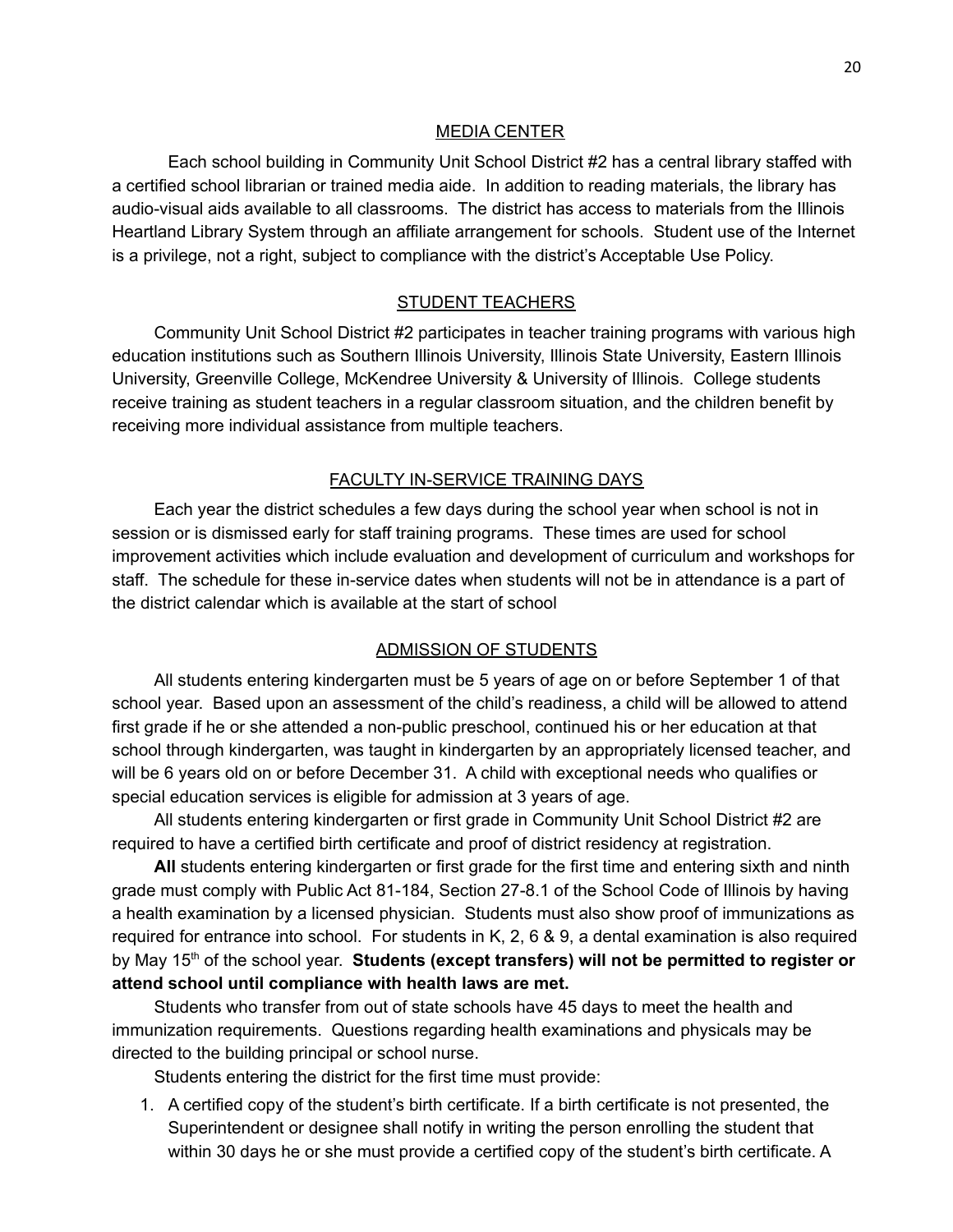#### MEDIA CENTER

<span id="page-19-0"></span>Each school building in Community Unit School District #2 has a central library staffed with a certified school librarian or trained media aide. In addition to reading materials, the library has audio-visual aids available to all classrooms. The district has access to materials from the Illinois Heartland Library System through an affiliate arrangement for schools. Student use of the Internet is a privilege, not a right, subject to compliance with the district's Acceptable Use Policy.

#### STUDENT TEACHERS

<span id="page-19-1"></span>Community Unit School District #2 participates in teacher training programs with various high education institutions such as Southern Illinois University, Illinois State University, Eastern Illinois University, Greenville College, McKendree University & University of Illinois. College students receive training as student teachers in a regular classroom situation, and the children benefit by receiving more individual assistance from multiple teachers.

#### FACULTY IN-SERVICE TRAINING DAYS

<span id="page-19-2"></span>Each year the district schedules a few days during the school year when school is not in session or is dismissed early for staff training programs. These times are used for school improvement activities which include evaluation and development of curriculum and workshops for staff. The schedule for these in-service dates when students will not be in attendance is a part of the district calendar which is available at the start of school

#### ADMISSION OF STUDENTS

<span id="page-19-3"></span>All students entering kindergarten must be 5 years of age on or before September 1 of that school year. Based upon an assessment of the child's readiness, a child will be allowed to attend first grade if he or she attended a non-public preschool, continued his or her education at that school through kindergarten, was taught in kindergarten by an appropriately licensed teacher, and will be 6 years old on or before December 31. A child with exceptional needs who qualifies or special education services is eligible for admission at 3 years of age.

All students entering kindergarten or first grade in Community Unit School District #2 are required to have a certified birth certificate and proof of district residency at registration.

**All** students entering kindergarten or first grade for the first time and entering sixth and ninth grade must comply with Public Act 81-184, Section 27-8.1 of the School Code of Illinois by having a health examination by a licensed physician. Students must also show proof of immunizations as required for entrance into school. For students in K, 2, 6 & 9, a dental examination is also required by May 15 th of the school year. **Students (except transfers) will not be permitted to register or attend school until compliance with health laws are met.**

Students who transfer from out of state schools have 45 days to meet the health and immunization requirements. Questions regarding health examinations and physicals may be directed to the building principal or school nurse.

Students entering the district for the first time must provide:

1. A certified copy of the student's birth certificate. If a birth certificate is not presented, the Superintendent or designee shall notify in writing the person enrolling the student that within 30 days he or she must provide a certified copy of the student's birth certificate. A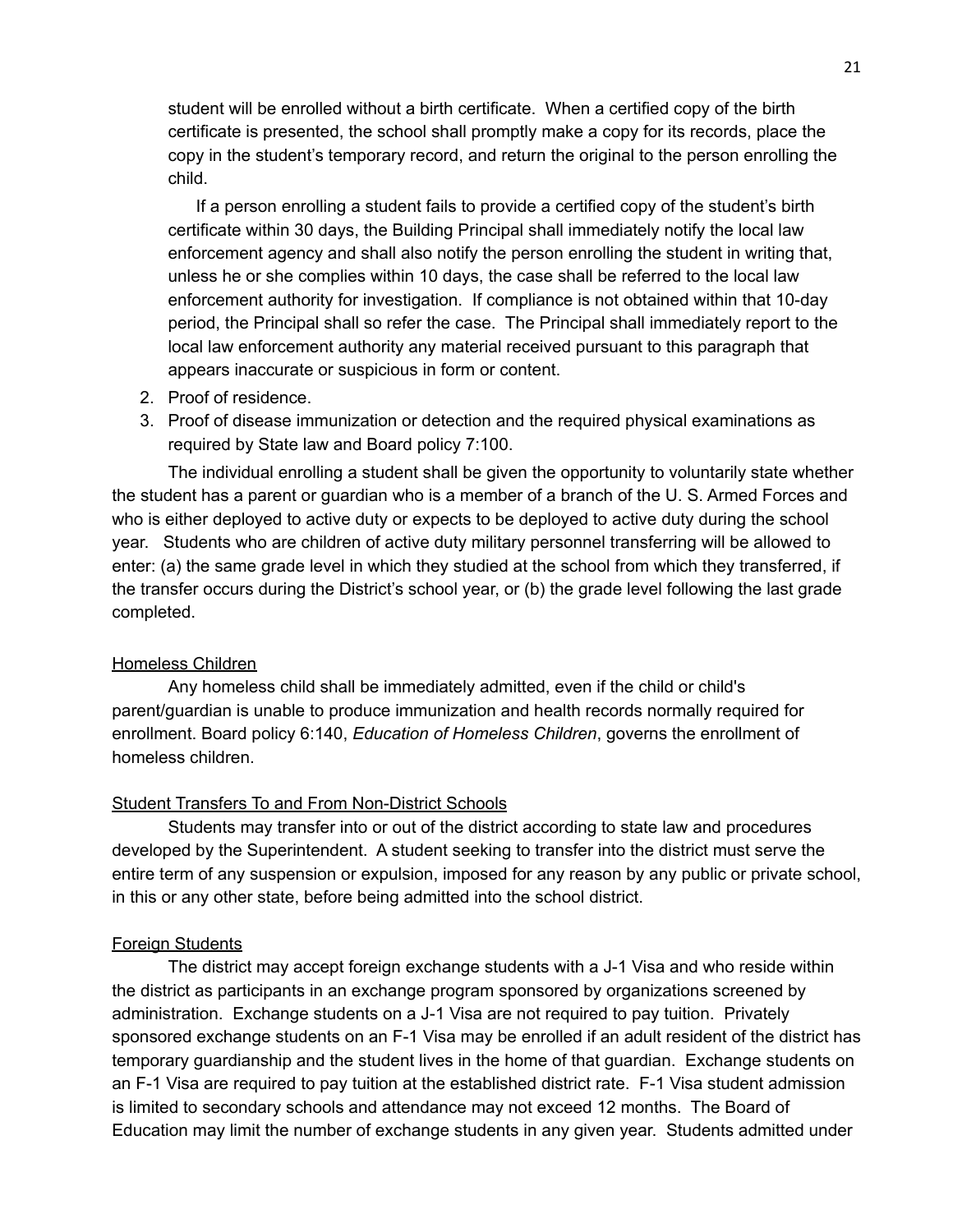student will be enrolled without a birth certificate. When a certified copy of the birth certificate is presented, the school shall promptly make a copy for its records, place the copy in the student's temporary record, and return the original to the person enrolling the child.

If a person enrolling a student fails to provide a certified copy of the student's birth certificate within 30 days, the Building Principal shall immediately notify the local law enforcement agency and shall also notify the person enrolling the student in writing that, unless he or she complies within 10 days, the case shall be referred to the local law enforcement authority for investigation. If compliance is not obtained within that 10-day period, the Principal shall so refer the case. The Principal shall immediately report to the local law enforcement authority any material received pursuant to this paragraph that appears inaccurate or suspicious in form or content.

- 2. Proof of residence.
- 3. Proof of disease immunization or detection and the required physical examinations as required by State law and Board policy 7:100.

The individual enrolling a student shall be given the opportunity to voluntarily state whether the student has a parent or guardian who is a member of a branch of the U. S. Armed Forces and who is either deployed to active duty or expects to be deployed to active duty during the school year. Students who are children of active duty military personnel transferring will be allowed to enter: (a) the same grade level in which they studied at the school from which they transferred, if the transfer occurs during the District's school year, or (b) the grade level following the last grade completed.

#### Homeless Children

Any homeless child shall be immediately admitted, even if the child or child's parent/guardian is unable to produce immunization and health records normally required for enrollment. Board policy 6:140, *Education of Homeless Children*, governs the enrollment of homeless children.

#### Student Transfers To and From Non-District Schools

Students may transfer into or out of the district according to state law and procedures developed by the Superintendent. A student seeking to transfer into the district must serve the entire term of any suspension or expulsion, imposed for any reason by any public or private school, in this or any other state, before being admitted into the school district.

#### Foreign Students

The district may accept foreign exchange students with a J-1 Visa and who reside within the district as participants in an exchange program sponsored by organizations screened by administration. Exchange students on a J-1 Visa are not required to pay tuition. Privately sponsored exchange students on an F-1 Visa may be enrolled if an adult resident of the district has temporary guardianship and the student lives in the home of that guardian. Exchange students on an F-1 Visa are required to pay tuition at the established district rate. F-1 Visa student admission is limited to secondary schools and attendance may not exceed 12 months. The Board of Education may limit the number of exchange students in any given year. Students admitted under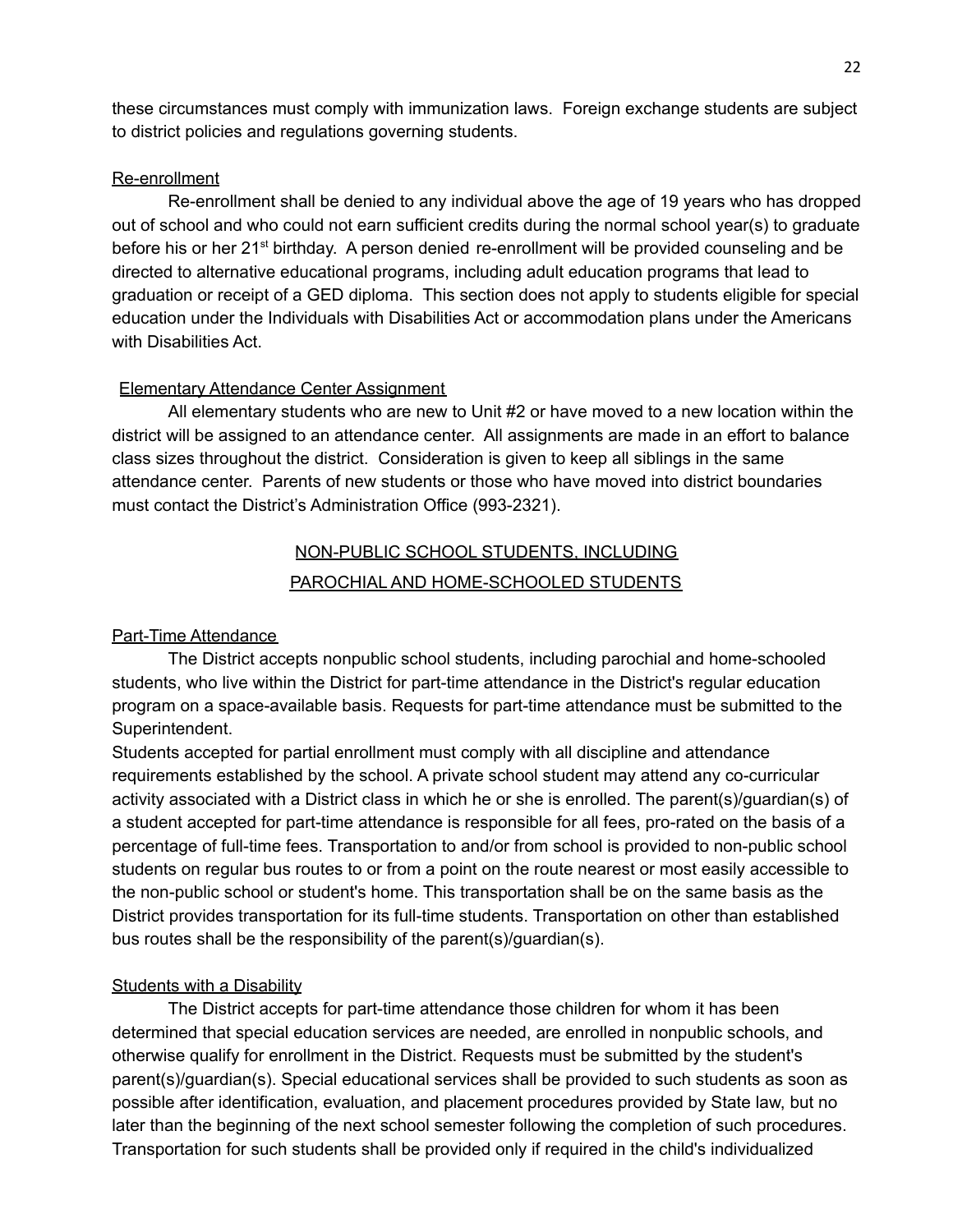these circumstances must comply with immunization laws. Foreign exchange students are subject to district policies and regulations governing students.

#### Re-enrollment

Re-enrollment shall be denied to any individual above the age of 19 years who has dropped out of school and who could not earn sufficient credits during the normal school year(s) to graduate before his or her 21<sup>st</sup> birthday. A person denied re-enrollment will be provided counseling and be directed to alternative educational programs, including adult education programs that lead to graduation or receipt of a GED diploma. This section does not apply to students eligible for special education under the Individuals with Disabilities Act or accommodation plans under the Americans with Disabilities Act.

#### Elementary Attendance Center Assignment

All elementary students who are new to Unit #2 or have moved to a new location within the district will be assigned to an attendance center. All assignments are made in an effort to balance class sizes throughout the district. Consideration is given to keep all siblings in the same attendance center. Parents of new students or those who have moved into district boundaries must contact the District's Administration Office (993-2321).

### NON-PUBLIC SCHOOL STUDENTS, INCLUDING PAROCHIAL AND HOME-SCHOOLED STUDENTS

#### <span id="page-21-1"></span><span id="page-21-0"></span>Part-Time Attendance

The District accepts nonpublic school students, including parochial and home-schooled students, who live within the District for part-time attendance in the District's regular education program on a space-available basis. Requests for part-time attendance must be submitted to the Superintendent.

Students accepted for partial enrollment must comply with all discipline and attendance requirements established by the school. A private school student may attend any co-curricular activity associated with a District class in which he or she is enrolled. The parent(s)/guardian(s) of a student accepted for part-time attendance is responsible for all fees, pro-rated on the basis of a percentage of full-time fees. Transportation to and/or from school is provided to non-public school students on regular bus routes to or from a point on the route nearest or most easily accessible to the non-public school or student's home. This transportation shall be on the same basis as the District provides transportation for its full-time students. Transportation on other than established bus routes shall be the responsibility of the parent(s)/guardian(s).

#### Students with a Disability

The District accepts for part-time attendance those children for whom it has been determined that special education services are needed, are enrolled in nonpublic schools, and otherwise qualify for enrollment in the District. Requests must be submitted by the student's parent(s)/guardian(s). Special educational services shall be provided to such students as soon as possible after identification, evaluation, and placement procedures provided by State law, but no later than the beginning of the next school semester following the completion of such procedures. Transportation for such students shall be provided only if required in the child's individualized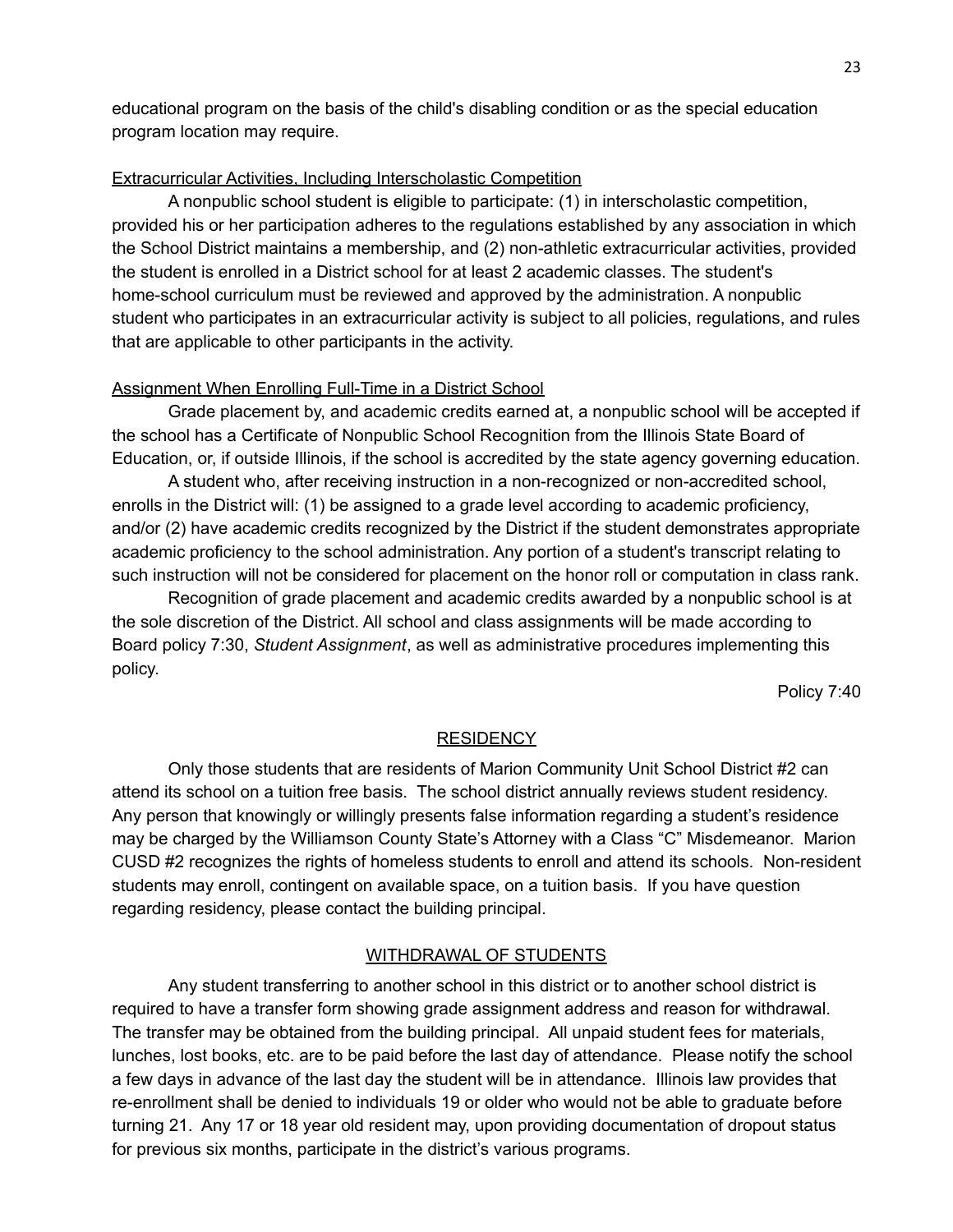educational program on the basis of the child's disabling condition or as the special education program location may require.

#### Extracurricular Activities, Including Interscholastic Competition

A nonpublic school student is eligible to participate: (1) in interscholastic competition, provided his or her participation adheres to the regulations established by any association in which the School District maintains a membership, and (2) non-athletic extracurricular activities, provided the student is enrolled in a District school for at least 2 academic classes. The student's home-school curriculum must be reviewed and approved by the administration. A nonpublic student who participates in an extracurricular activity is subject to all policies, regulations, and rules that are applicable to other participants in the activity.

#### Assignment When Enrolling Full-Time in a District School

Grade placement by, and academic credits earned at, a nonpublic school will be accepted if the school has a Certificate of Nonpublic School Recognition from the Illinois State Board of Education, or, if outside Illinois, if the school is accredited by the state agency governing education.

A student who, after receiving instruction in a non-recognized or non-accredited school, enrolls in the District will: (1) be assigned to a grade level according to academic proficiency, and/or (2) have academic credits recognized by the District if the student demonstrates appropriate academic proficiency to the school administration. Any portion of a student's transcript relating to such instruction will not be considered for placement on the honor roll or computation in class rank.

Recognition of grade placement and academic credits awarded by a nonpublic school is at the sole discretion of the District. All school and class assignments will be made according to Board policy 7:30, *Student Assignment*, as well as administrative procedures implementing this policy.

Policy 7:40

#### **RESIDENCY**

<span id="page-22-0"></span>Only those students that are residents of Marion Community Unit School District #2 can attend its school on a tuition free basis. The school district annually reviews student residency. Any person that knowingly or willingly presents false information regarding a student's residence may be charged by the Williamson County State's Attorney with a Class "C" Misdemeanor. Marion CUSD #2 recognizes the rights of homeless students to enroll and attend its schools. Non-resident students may enroll, contingent on available space, on a tuition basis. If you have question regarding residency, please contact the building principal.

#### WITHDRAWAL OF STUDENTS

<span id="page-22-1"></span>Any student transferring to another school in this district or to another school district is required to have a transfer form showing grade assignment address and reason for withdrawal. The transfer may be obtained from the building principal. All unpaid student fees for materials, lunches, lost books, etc. are to be paid before the last day of attendance. Please notify the school a few days in advance of the last day the student will be in attendance. Illinois law provides that re-enrollment shall be denied to individuals 19 or older who would not be able to graduate before turning 21. Any 17 or 18 year old resident may, upon providing documentation of dropout status for previous six months, participate in the district's various programs.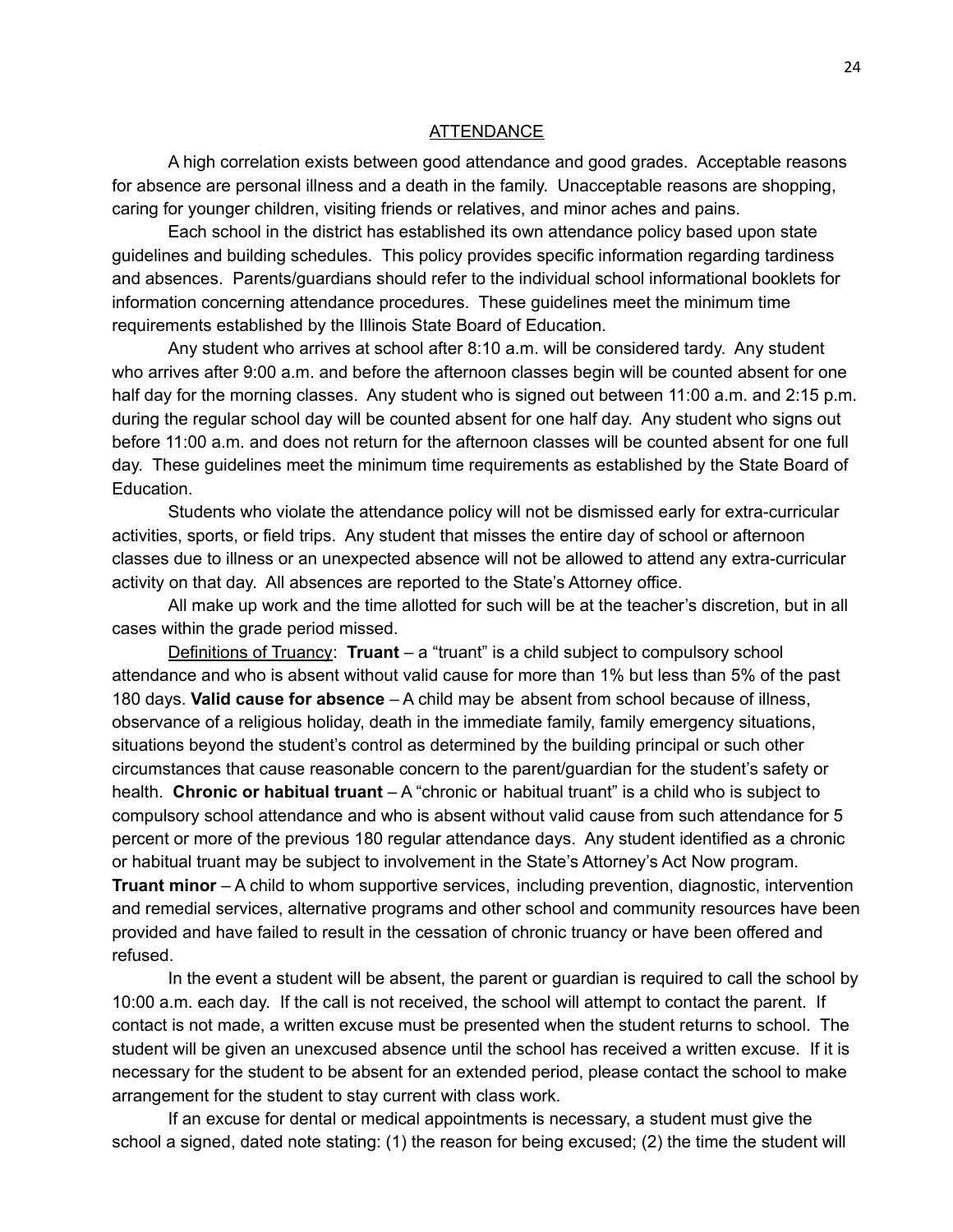#### **ATTENDANCE**

<span id="page-23-0"></span>A high correlation exists between good attendance and good grades. Acceptable reasons for absence are personal illness and a death in the family. Unacceptable reasons are shopping, caring for younger children, visiting friends or relatives, and minor aches and pains.

Each school in the district has established its own attendance policy based upon state guidelines and building schedules. This policy provides specific information regarding tardiness and absences. Parents/guardians should refer to the individual school informational booklets for information concerning attendance procedures. These guidelines meet the minimum time requirements established by the Illinois State Board of Education.

Any student who arrives at school after 8:10 a.m. will be considered tardy. Any student who arrives after 9:00 a.m. and before the afternoon classes begin will be counted absent for one half day for the morning classes. Any student who is signed out between 11:00 a.m. and 2:15 p.m. during the regular school day will be counted absent for one half day. Any student who signs out before 11:00 a.m. and does not return for the afternoon classes will be counted absent for one full day. These guidelines meet the minimum time requirements as established by the State Board of Education.

Students who violate the attendance policy will not be dismissed early for extra-curricular activities, sports, or field trips. Any student that misses the entire day of school or afternoon classes due to illness or an unexpected absence will not be allowed to attend any extra-curricular activity on that day. All absences are reported to the State's Attorney office.

All make up work and the time allotted for such will be at the teacher's discretion, but in all cases within the grade period missed.

Definitions of Truancy: **Truant** – a "truant" is a child subject to compulsory school attendance and who is absent without valid cause for more than 1% but less than 5% of the past 180 days. **Valid cause for absence** – A child may be absent from school because of illness, observance of a religious holiday, death in the immediate family, family emergency situations, situations beyond the student's control as determined by the building principal or such other circumstances that cause reasonable concern to the parent/guardian for the student's safety or health. **Chronic or habitual truant** – A "chronic or habitual truant" is a child who is subject to compulsory school attendance and who is absent without valid cause from such attendance for 5 percent or more of the previous 180 regular attendance days. Any student identified as a chronic or habitual truant may be subject to involvement in the State's Attorney's Act Now program. **Truant minor** – A child to whom supportive services, including prevention, diagnostic, intervention and remedial services, alternative programs and other school and community resources have been provided and have failed to result in the cessation of chronic truancy or have been offered and refused.

In the event a student will be absent, the parent or guardian is required to call the school by 10:00 a.m. each day. If the call is not received, the school will attempt to contact the parent. If contact is not made, a written excuse must be presented when the student returns to school. The student will be given an unexcused absence until the school has received a written excuse. If it is necessary for the student to be absent for an extended period, please contact the school to make arrangement for the student to stay current with class work.

If an excuse for dental or medical appointments is necessary, a student must give the school a signed, dated note stating: (1) the reason for being excused; (2) the time the student will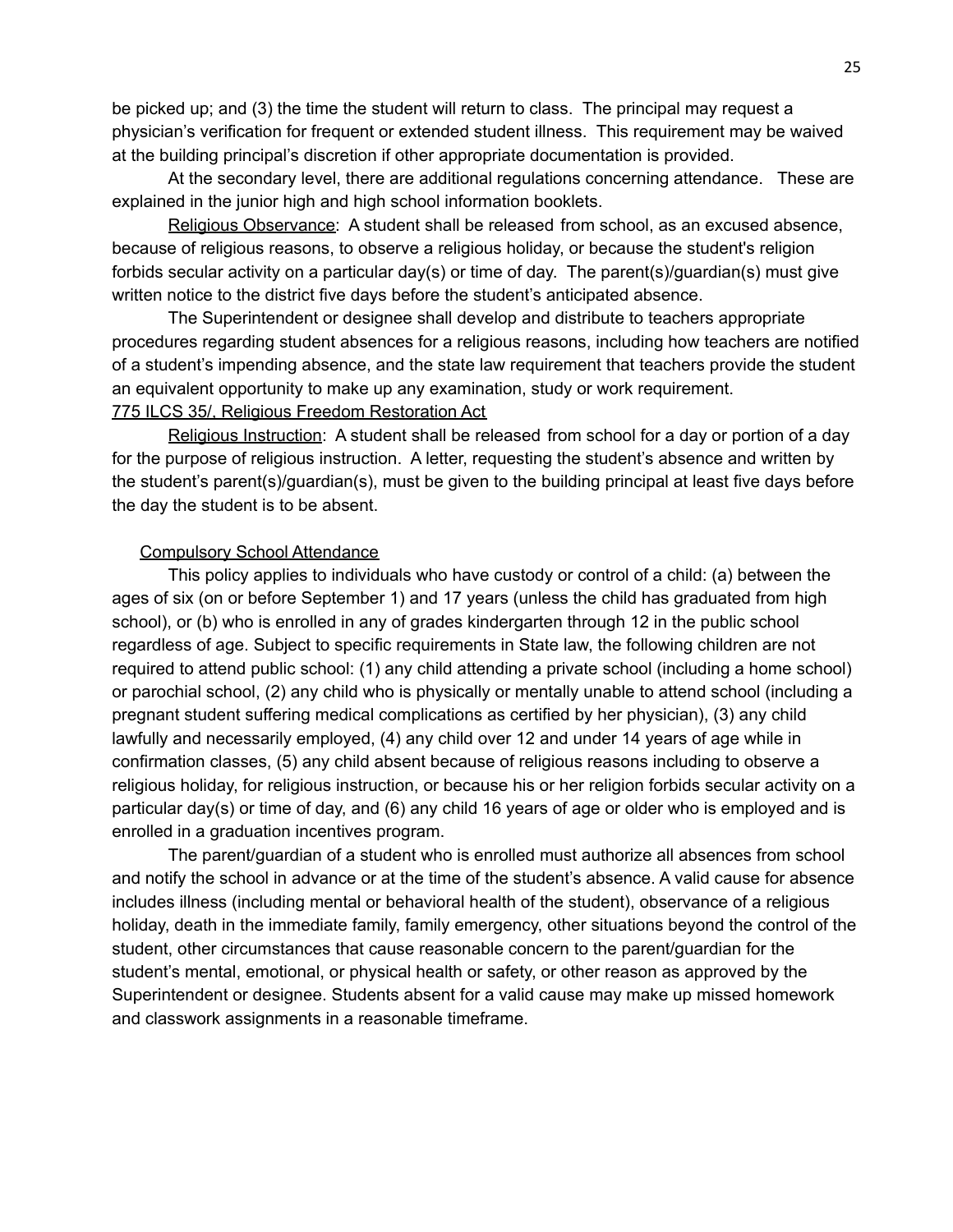be picked up; and (3) the time the student will return to class. The principal may request a physician's verification for frequent or extended student illness. This requirement may be waived at the building principal's discretion if other appropriate documentation is provided.

At the secondary level, there are additional regulations concerning attendance. These are explained in the junior high and high school information booklets.

Religious Observance: A student shall be released from school, as an excused absence, because of religious reasons, to observe a religious holiday, or because the student's religion forbids secular activity on a particular day(s) or time of day. The parent(s)/guardian(s) must give written notice to the district five days before the student's anticipated absence.

The Superintendent or designee shall develop and distribute to teachers appropriate procedures regarding student absences for a religious reasons, including how teachers are notified of a student's impending absence, and the state law requirement that teachers provide the student an equivalent opportunity to make up any examination, study or work requirement. 775 ILCS 35/, Religious Freedom Restoration Act

Religious Instruction: A student shall be released from school for a day or portion of a day for the purpose of religious instruction. A letter, requesting the student's absence and written by the student's parent(s)/guardian(s), must be given to the building principal at least five days before the day the student is to be absent.

#### Compulsory School Attendance

This policy applies to individuals who have custody or control of a child: (a) between the ages of six (on or before September 1) and 17 years (unless the child has graduated from high school), or (b) who is enrolled in any of grades kindergarten through 12 in the public school regardless of age. Subject to specific requirements in State law, the following children are not required to attend public school: (1) any child attending a private school (including a home school) or parochial school, (2) any child who is physically or mentally unable to attend school (including a pregnant student suffering medical complications as certified by her physician), (3) any child lawfully and necessarily employed, (4) any child over 12 and under 14 years of age while in confirmation classes, (5) any child absent because of religious reasons including to observe a religious holiday, for religious instruction, or because his or her religion forbids secular activity on a particular day(s) or time of day, and (6) any child 16 years of age or older who is employed and is enrolled in a graduation incentives program.

The parent/guardian of a student who is enrolled must authorize all absences from school and notify the school in advance or at the time of the student's absence. A valid cause for absence includes illness (including mental or behavioral health of the student), observance of a religious holiday, death in the immediate family, family emergency, other situations beyond the control of the student, other circumstances that cause reasonable concern to the parent/guardian for the student's mental, emotional, or physical health or safety, or other reason as approved by the Superintendent or designee. Students absent for a valid cause may make up missed homework and classwork assignments in a reasonable timeframe.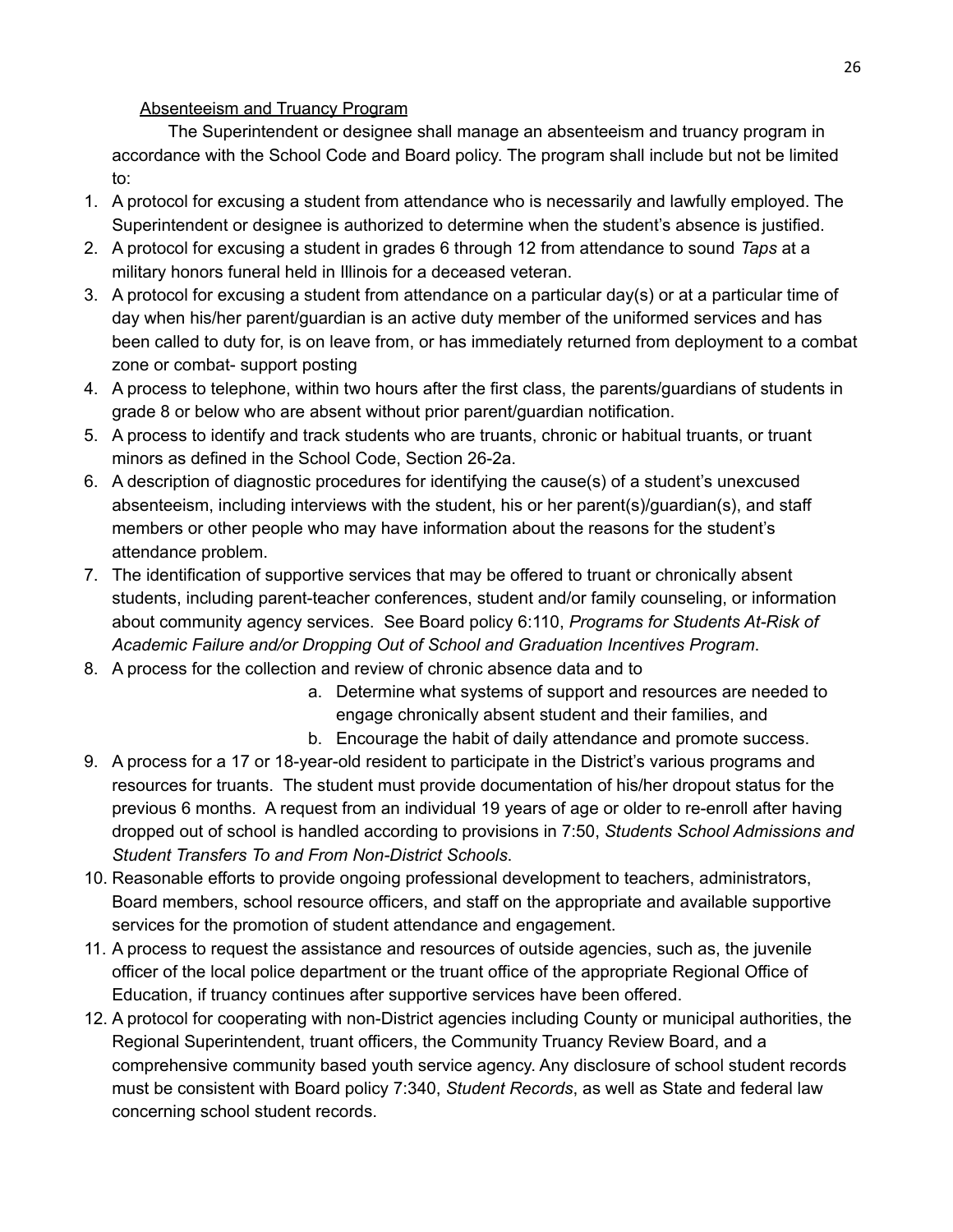#### Absenteeism and Truancy Program

The Superintendent or designee shall manage an absenteeism and truancy program in accordance with the School Code and Board policy. The program shall include but not be limited to:

- 1. A protocol for excusing a student from attendance who is necessarily and lawfully employed. The Superintendent or designee is authorized to determine when the student's absence is justified.
- 2. A protocol for excusing a student in grades 6 through 12 from attendance to sound *Taps* at a military honors funeral held in Illinois for a deceased veteran.
- 3. A protocol for excusing a student from attendance on a particular day(s) or at a particular time of day when his/her parent/guardian is an active duty member of the uniformed services and has been called to duty for, is on leave from, or has immediately returned from deployment to a combat zone or combat- support posting
- 4. A process to telephone, within two hours after the first class, the parents/guardians of students in grade 8 or below who are absent without prior parent/guardian notification.
- 5. A process to identify and track students who are truants, chronic or habitual truants, or truant minors as defined in the School Code, Section 26-2a.
- 6. A description of diagnostic procedures for identifying the cause(s) of a student's unexcused absenteeism, including interviews with the student, his or her parent(s)/guardian(s), and staff members or other people who may have information about the reasons for the student's attendance problem.
- 7. The identification of supportive services that may be offered to truant or chronically absent students, including parent-teacher conferences, student and/or family counseling, or information about community agency services. See Board policy 6:110, *Programs for Students At-Risk of Academic Failure and/or Dropping Out of School and Graduation Incentives Program*.
- 8. A process for the collection and review of chronic absence data and to
	- a. Determine what systems of support and resources are needed to engage chronically absent student and their families, and
	- b. Encourage the habit of daily attendance and promote success.
- 9. A process for a 17 or 18-year-old resident to participate in the District's various programs and resources for truants. The student must provide documentation of his/her dropout status for the previous 6 months. A request from an individual 19 years of age or older to re-enroll after having dropped out of school is handled according to provisions in 7:50, *Students School Admissions and Student Transfers To and From Non-District Schools*.
- 10. Reasonable efforts to provide ongoing professional development to teachers, administrators, Board members, school resource officers, and staff on the appropriate and available supportive services for the promotion of student attendance and engagement.
- 11. A process to request the assistance and resources of outside agencies, such as, the juvenile officer of the local police department or the truant office of the appropriate Regional Office of Education, if truancy continues after supportive services have been offered.
- 12. A protocol for cooperating with non-District agencies including County or municipal authorities, the Regional Superintendent, truant officers, the Community Truancy Review Board, and a comprehensive community based youth service agency. Any disclosure of school student records must be consistent with Board policy 7:340, *Student Records*, as well as State and federal law concerning school student records.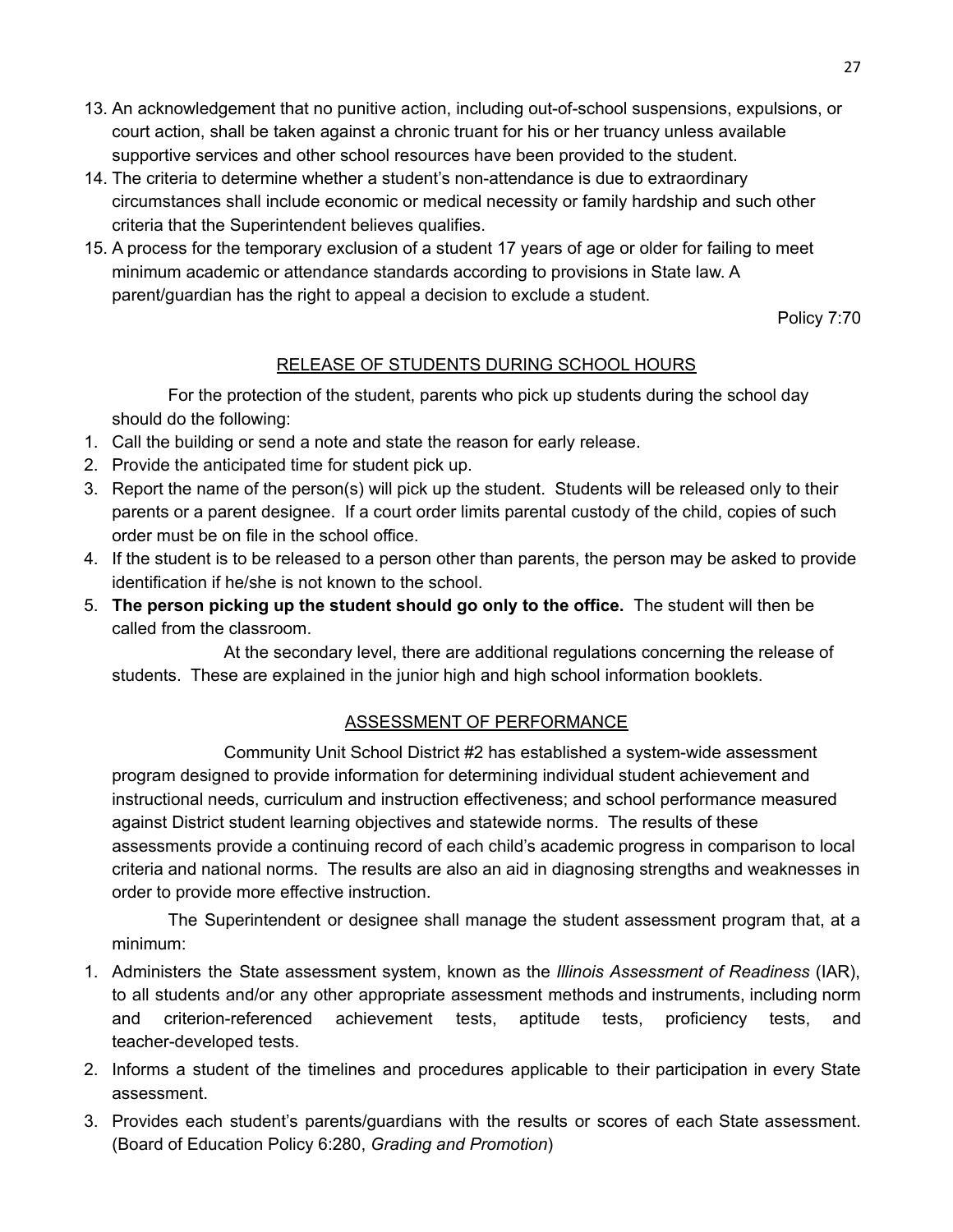- 13. An acknowledgement that no punitive action, including out-of-school suspensions, expulsions, or court action, shall be taken against a chronic truant for his or her truancy unless available supportive services and other school resources have been provided to the student.
- 14. The criteria to determine whether a student's non-attendance is due to extraordinary circumstances shall include economic or medical necessity or family hardship and such other criteria that the Superintendent believes qualifies.
- 15. A process for the temporary exclusion of a student 17 years of age or older for failing to meet minimum academic or attendance standards according to provisions in State law. A parent/guardian has the right to appeal a decision to exclude a student.

Policy 7:70

### RELEASE OF STUDENTS DURING SCHOOL HOURS

<span id="page-26-0"></span>For the protection of the student, parents who pick up students during the school day should do the following:

- 1. Call the building or send a note and state the reason for early release.
- 2. Provide the anticipated time for student pick up.
- 3. Report the name of the person(s) will pick up the student. Students will be released only to their parents or a parent designee. If a court order limits parental custody of the child, copies of such order must be on file in the school office.
- 4. If the student is to be released to a person other than parents, the person may be asked to provide identification if he/she is not known to the school.
- 5. **The person picking up the student should go only to the office.** The student will then be called from the classroom.

At the secondary level, there are additional regulations concerning the release of students. These are explained in the junior high and high school information booklets.

### ASSESSMENT OF PERFORMANCE

<span id="page-26-1"></span>Community Unit School District #2 has established a system-wide assessment program designed to provide information for determining individual student achievement and instructional needs, curriculum and instruction effectiveness; and school performance measured against District student learning objectives and statewide norms. The results of these assessments provide a continuing record of each child's academic progress in comparison to local criteria and national norms. The results are also an aid in diagnosing strengths and weaknesses in order to provide more effective instruction.

The Superintendent or designee shall manage the student assessment program that, at a minimum:

- 1. Administers the State assessment system, known as the *Illinois Assessment of Readiness* (IAR), to all students and/or any other appropriate assessment methods and instruments, including norm and criterion-referenced achievement tests, aptitude tests, proficiency tests, and teacher-developed tests.
- 2. Informs a student of the timelines and procedures applicable to their participation in every State assessment.
- 3. Provides each student's parents/guardians with the results or scores of each State assessment. (Board of Education Policy 6:280, *Grading and Promotion*)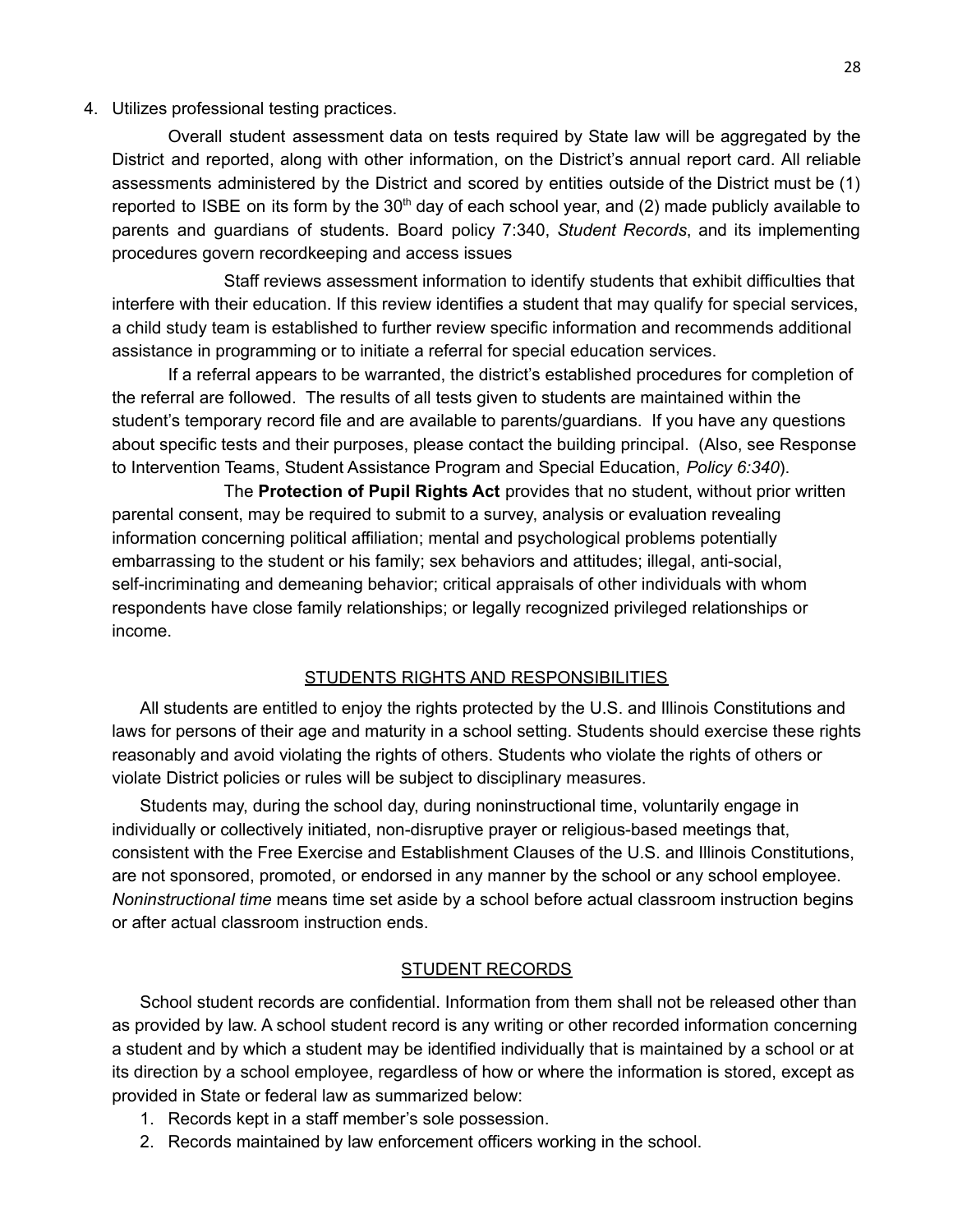#### 4. Utilizes professional testing practices.

Overall student assessment data on tests required by State law will be aggregated by the District and reported, along with other information, on the District's annual report card. All reliable assessments administered by the District and scored by entities outside of the District must be (1) reported to ISBE on its form by the  $30<sup>th</sup>$  day of each school year, and (2) made publicly available to parents and guardians of students. Board policy 7:340, *Student Records*, and its implementing procedures govern recordkeeping and access issues

Staff reviews assessment information to identify students that exhibit difficulties that interfere with their education. If this review identifies a student that may qualify for special services, a child study team is established to further review specific information and recommends additional assistance in programming or to initiate a referral for special education services.

If a referral appears to be warranted, the district's established procedures for completion of the referral are followed. The results of all tests given to students are maintained within the student's temporary record file and are available to parents/guardians. If you have any questions about specific tests and their purposes, please contact the building principal. (Also, see Response to Intervention Teams, Student Assistance Program and Special Education, *Policy 6:340*).

The **Protection of Pupil Rights Act** provides that no student, without prior written parental consent, may be required to submit to a survey, analysis or evaluation revealing information concerning political affiliation; mental and psychological problems potentially embarrassing to the student or his family; sex behaviors and attitudes; illegal, anti-social, self-incriminating and demeaning behavior; critical appraisals of other individuals with whom respondents have close family relationships; or legally recognized privileged relationships or income.

#### STUDENTS RIGHTS AND RESPONSIBILITIES

<span id="page-27-0"></span>All students are entitled to enjoy the rights protected by the U.S. and Illinois Constitutions and laws for persons of their age and maturity in a school setting. Students should exercise these rights reasonably and avoid violating the rights of others. Students who violate the rights of others or violate District policies or rules will be subject to disciplinary measures.

Students may, during the school day, during noninstructional time, voluntarily engage in individually or collectively initiated, non-disruptive prayer or religious-based meetings that, consistent with the Free Exercise and Establishment Clauses of the U.S. and Illinois Constitutions, are not sponsored, promoted, or endorsed in any manner by the school or any school employee. *Noninstructional time* means time set aside by a school before actual classroom instruction begins or after actual classroom instruction ends.

#### STUDENT RECORDS

<span id="page-27-1"></span>School student records are confidential. Information from them shall not be released other than as provided by law. A school student record is any writing or other recorded information concerning a student and by which a student may be identified individually that is maintained by a school or at its direction by a school employee, regardless of how or where the information is stored, except as provided in State or federal law as summarized below:

- 1. Records kept in a staff member's sole possession.
- 2. Records maintained by law enforcement officers working in the school.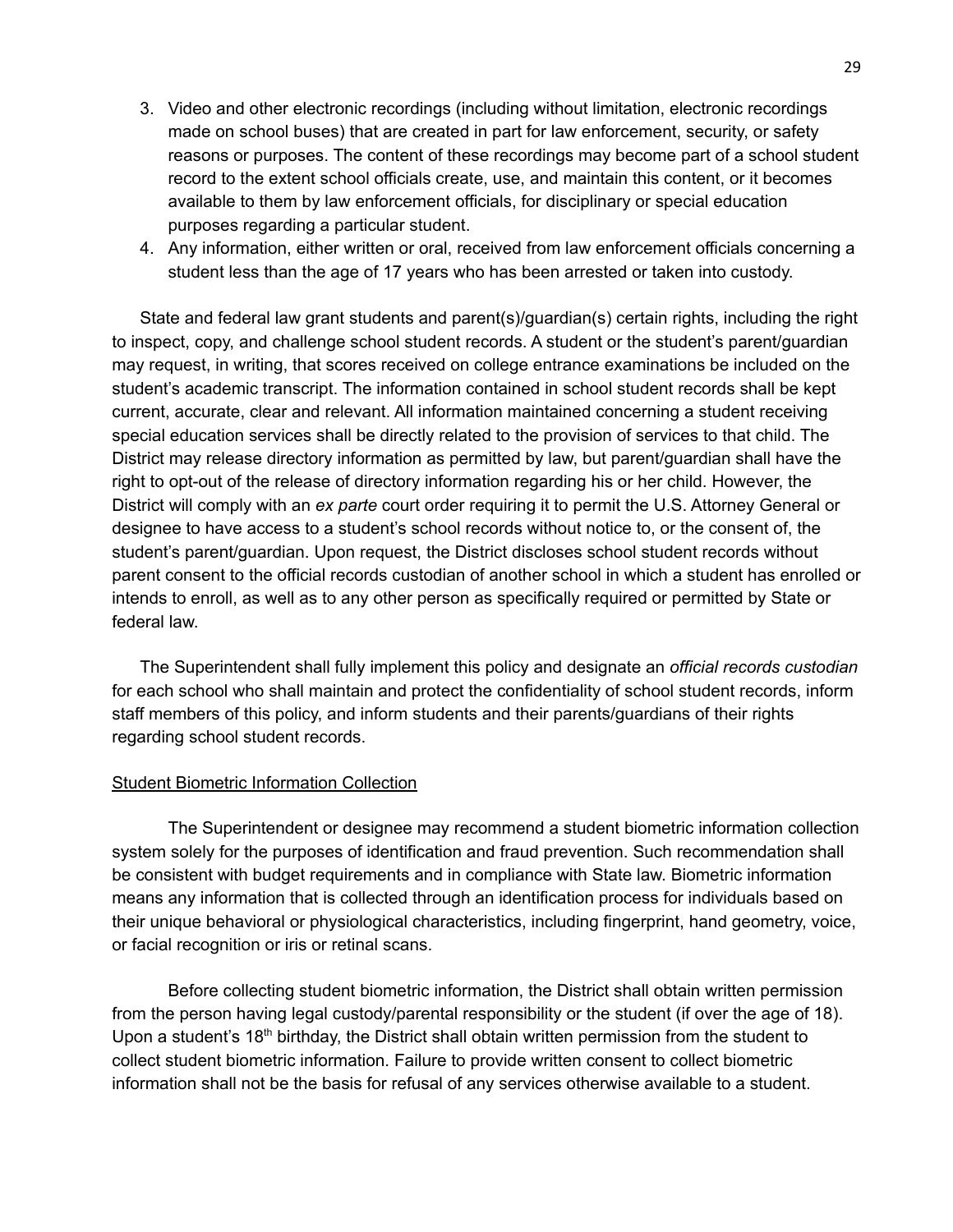- 3. Video and other electronic recordings (including without limitation, electronic recordings made on school buses) that are created in part for law enforcement, security, or safety reasons or purposes. The content of these recordings may become part of a school student record to the extent school officials create, use, and maintain this content, or it becomes available to them by law enforcement officials, for disciplinary or special education purposes regarding a particular student.
- 4. Any information, either written or oral, received from law enforcement officials concerning a student less than the age of 17 years who has been arrested or taken into custody.

State and federal law grant students and parent(s)/guardian(s) certain rights, including the right to inspect, copy, and challenge school student records. A student or the student's parent/guardian may request, in writing, that scores received on college entrance examinations be included on the student's academic transcript. The information contained in school student records shall be kept current, accurate, clear and relevant. All information maintained concerning a student receiving special education services shall be directly related to the provision of services to that child. The District may release directory information as permitted by law, but parent/guardian shall have the right to opt-out of the release of directory information regarding his or her child. However, the District will comply with an *ex parte* court order requiring it to permit the U.S. Attorney General or designee to have access to a student's school records without notice to, or the consent of, the student's parent/guardian. Upon request, the District discloses school student records without parent consent to the official records custodian of another school in which a student has enrolled or intends to enroll, as well as to any other person as specifically required or permitted by State or federal law.

The Superintendent shall fully implement this policy and designate an *official records custodian* for each school who shall maintain and protect the confidentiality of school student records, inform staff members of this policy, and inform students and their parents/guardians of their rights regarding school student records.

#### Student Biometric Information Collection

The Superintendent or designee may recommend a student biometric information collection system solely for the purposes of identification and fraud prevention. Such recommendation shall be consistent with budget requirements and in compliance with State law. Biometric information means any information that is collected through an identification process for individuals based on their unique behavioral or physiological characteristics, including fingerprint, hand geometry, voice, or facial recognition or iris or retinal scans.

Before collecting student biometric information, the District shall obtain written permission from the person having legal custody/parental responsibility or the student (if over the age of 18). Upon a student's 18<sup>th</sup> birthday, the District shall obtain written permission from the student to collect student biometric information. Failure to provide written consent to collect biometric information shall not be the basis for refusal of any services otherwise available to a student.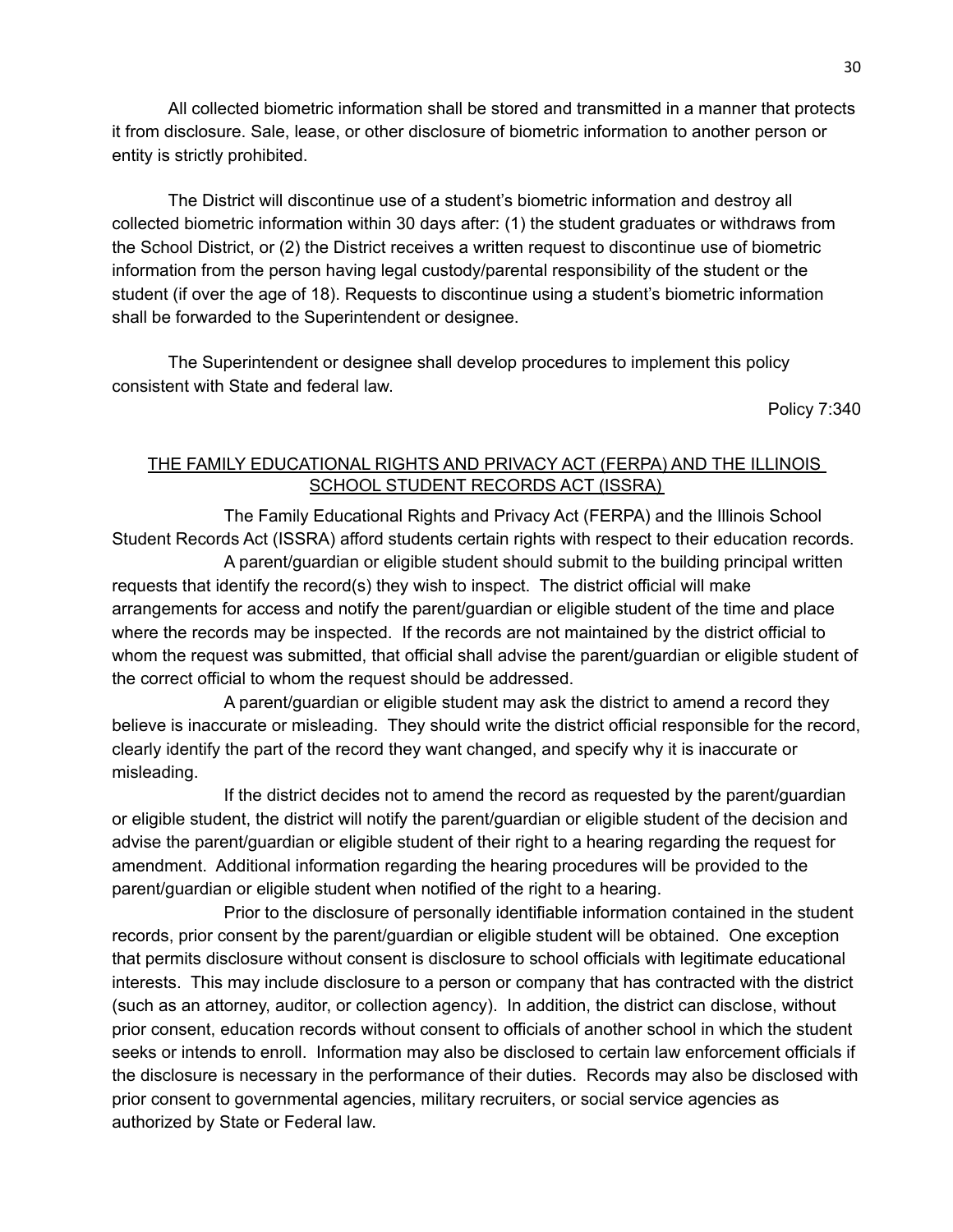All collected biometric information shall be stored and transmitted in a manner that protects it from disclosure. Sale, lease, or other disclosure of biometric information to another person or entity is strictly prohibited.

The District will discontinue use of a student's biometric information and destroy all collected biometric information within 30 days after: (1) the student graduates or withdraws from the School District, or (2) the District receives a written request to discontinue use of biometric information from the person having legal custody/parental responsibility of the student or the student (if over the age of 18). Requests to discontinue using a student's biometric information shall be forwarded to the Superintendent or designee.

The Superintendent or designee shall develop procedures to implement this policy consistent with State and federal law.

Policy 7:340

#### THE FAMILY EDUCATIONAL RIGHTS AND PRIVACY ACT (FERPA) AND THE ILLINOIS SCHOOL STUDENT RECORDS ACT (ISSRA)

<span id="page-29-0"></span>The Family Educational Rights and Privacy Act (FERPA) and the Illinois School Student Records Act (ISSRA) afford students certain rights with respect to their education records.

A parent/guardian or eligible student should submit to the building principal written requests that identify the record(s) they wish to inspect. The district official will make arrangements for access and notify the parent/guardian or eligible student of the time and place where the records may be inspected. If the records are not maintained by the district official to whom the request was submitted, that official shall advise the parent/guardian or eligible student of the correct official to whom the request should be addressed.

A parent/guardian or eligible student may ask the district to amend a record they believe is inaccurate or misleading. They should write the district official responsible for the record, clearly identify the part of the record they want changed, and specify why it is inaccurate or misleading.

If the district decides not to amend the record as requested by the parent/guardian or eligible student, the district will notify the parent/guardian or eligible student of the decision and advise the parent/guardian or eligible student of their right to a hearing regarding the request for amendment. Additional information regarding the hearing procedures will be provided to the parent/guardian or eligible student when notified of the right to a hearing.

Prior to the disclosure of personally identifiable information contained in the student records, prior consent by the parent/guardian or eligible student will be obtained. One exception that permits disclosure without consent is disclosure to school officials with legitimate educational interests. This may include disclosure to a person or company that has contracted with the district (such as an attorney, auditor, or collection agency). In addition, the district can disclose, without prior consent, education records without consent to officials of another school in which the student seeks or intends to enroll. Information may also be disclosed to certain law enforcement officials if the disclosure is necessary in the performance of their duties. Records may also be disclosed with prior consent to governmental agencies, military recruiters, or social service agencies as authorized by State or Federal law.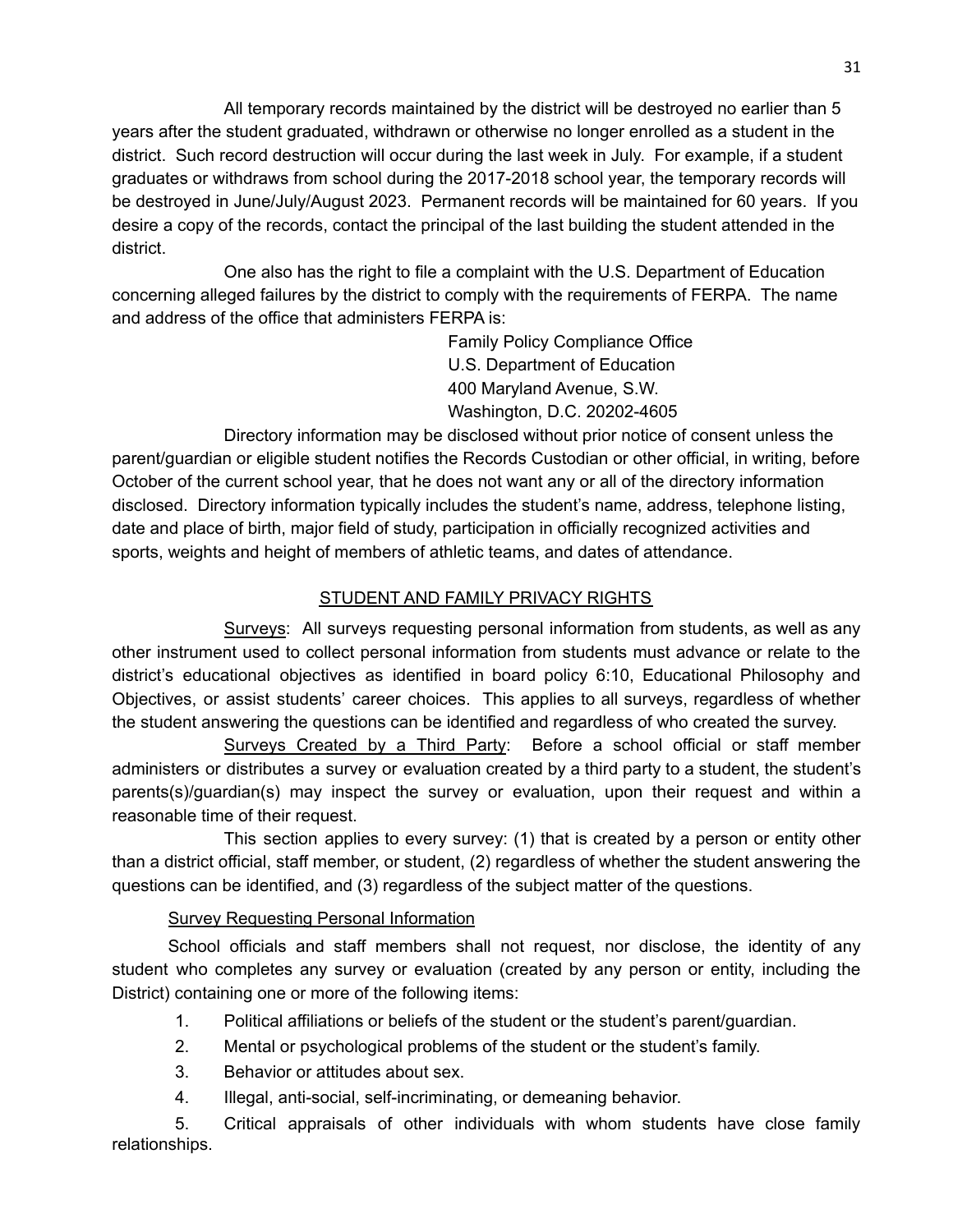All temporary records maintained by the district will be destroyed no earlier than 5 years after the student graduated, withdrawn or otherwise no longer enrolled as a student in the district. Such record destruction will occur during the last week in July. For example, if a student graduates or withdraws from school during the 2017-2018 school year, the temporary records will be destroyed in June/July/August 2023. Permanent records will be maintained for 60 years. If you desire a copy of the records, contact the principal of the last building the student attended in the district.

One also has the right to file a complaint with the U.S. Department of Education concerning alleged failures by the district to comply with the requirements of FERPA. The name and address of the office that administers FERPA is:

> Family Policy Compliance Office U.S. Department of Education 400 Maryland Avenue, S.W. Washington, D.C. 20202-4605

Directory information may be disclosed without prior notice of consent unless the parent/guardian or eligible student notifies the Records Custodian or other official, in writing, before October of the current school year, that he does not want any or all of the directory information disclosed. Directory information typically includes the student's name, address, telephone listing, date and place of birth, major field of study, participation in officially recognized activities and sports, weights and height of members of athletic teams, and dates of attendance.

#### STUDENT AND FAMILY PRIVACY RIGHTS

<span id="page-30-0"></span>Surveys: All surveys requesting personal information from students, as well as any other instrument used to collect personal information from students must advance or relate to the district's educational objectives as identified in board policy 6:10, Educational Philosophy and Objectives, or assist students' career choices. This applies to all surveys, regardless of whether the student answering the questions can be identified and regardless of who created the survey.

Surveys Created by a Third Party: Before a school official or staff member administers or distributes a survey or evaluation created by a third party to a student, the student's parents(s)/guardian(s) may inspect the survey or evaluation, upon their request and within a reasonable time of their request.

This section applies to every survey: (1) that is created by a person or entity other than a district official, staff member, or student, (2) regardless of whether the student answering the questions can be identified, and (3) regardless of the subject matter of the questions.

#### Survey Requesting Personal Information

School officials and staff members shall not request, nor disclose, the identity of any student who completes any survey or evaluation (created by any person or entity, including the District) containing one or more of the following items:

- 1. Political affiliations or beliefs of the student or the student's parent/guardian.
- 2. Mental or psychological problems of the student or the student's family.
- 3. Behavior or attitudes about sex.
- 4. Illegal, anti-social, self-incriminating, or demeaning behavior.

5. Critical appraisals of other individuals with whom students have close family relationships.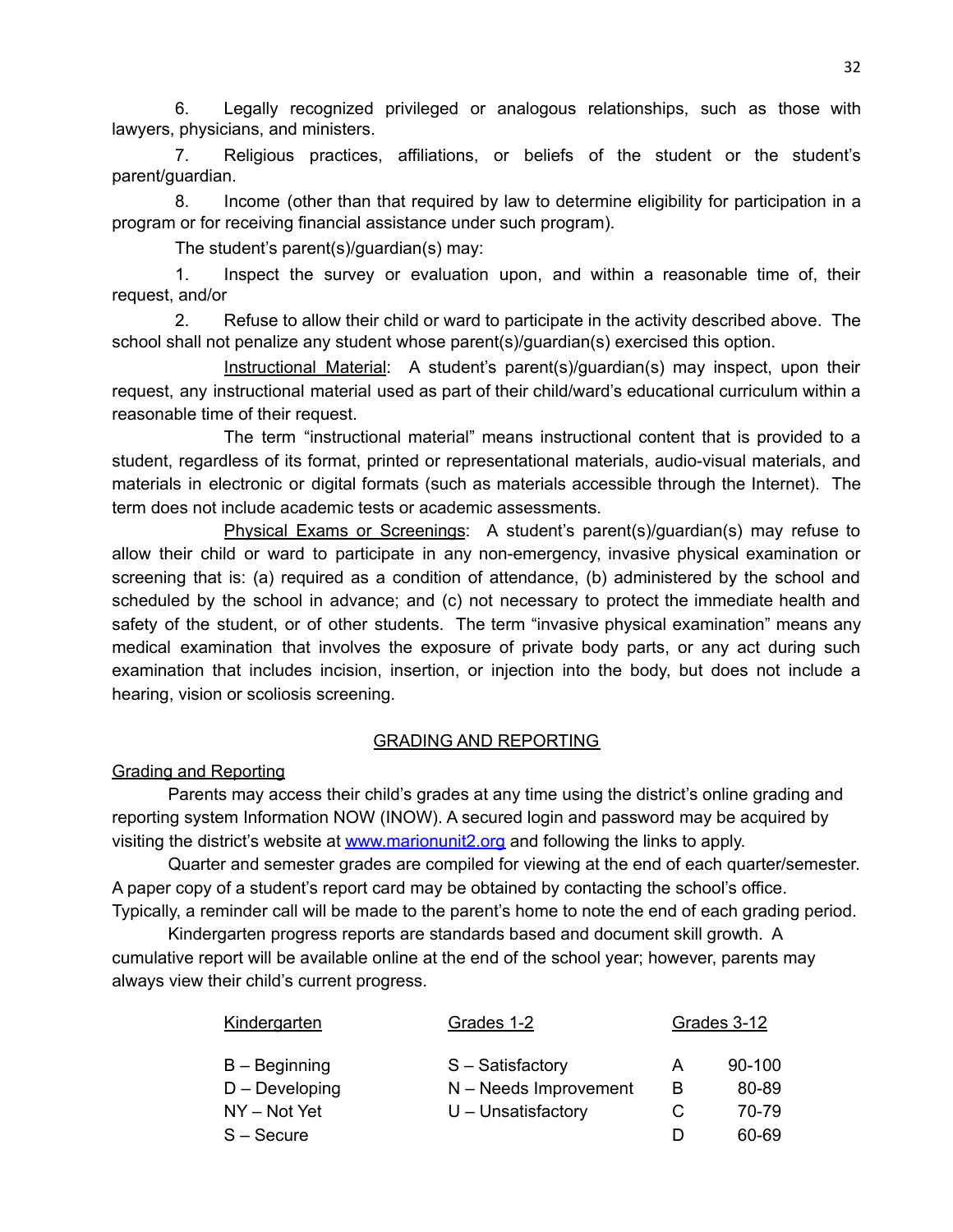6. Legally recognized privileged or analogous relationships, such as those with lawyers, physicians, and ministers.

7. Religious practices, affiliations, or beliefs of the student or the student's parent/guardian.

8. Income (other than that required by law to determine eligibility for participation in a program or for receiving financial assistance under such program).

The student's parent(s)/guardian(s) may:

1. Inspect the survey or evaluation upon, and within a reasonable time of, their request, and/or

2. Refuse to allow their child or ward to participate in the activity described above. The school shall not penalize any student whose parent(s)/guardian(s) exercised this option.

Instructional Material: A student's parent(s)/guardian(s) may inspect, upon their request, any instructional material used as part of their child/ward's educational curriculum within a reasonable time of their request.

The term "instructional material" means instructional content that is provided to a student, regardless of its format, printed or representational materials, audio-visual materials, and materials in electronic or digital formats (such as materials accessible through the Internet). The term does not include academic tests or academic assessments.

Physical Exams or Screenings: A student's parent(s)/guardian(s) may refuse to allow their child or ward to participate in any non-emergency, invasive physical examination or screening that is: (a) required as a condition of attendance, (b) administered by the school and scheduled by the school in advance; and (c) not necessary to protect the immediate health and safety of the student, or of other students. The term "invasive physical examination" means any medical examination that involves the exposure of private body parts, or any act during such examination that includes incision, insertion, or injection into the body, but does not include a hearing, vision or scoliosis screening.

#### GRADING AND REPORTING

#### <span id="page-31-0"></span>Grading and Reporting

Parents may access their child's grades at any time using the district's online grading and reporting system Information NOW (INOW). A secured login and password may be acquired by visiting the district's website at [www.marionunit2.org](http://www.marionunit2.org) and following the links to apply.

Quarter and semester grades are compiled for viewing at the end of each quarter/semester. A paper copy of a student's report card may be obtained by contacting the school's office. Typically, a reminder call will be made to the parent's home to note the end of each grading period.

Kindergarten progress reports are standards based and document skill growth. A cumulative report will be available online at the end of the school year; however, parents may always view their child's current progress.

| Kindergarten      | Grades 1-2              | Grades 3-12 |            |
|-------------------|-------------------------|-------------|------------|
| $B -$ Beginning   | S - Satisfactory        | А           | $90 - 100$ |
| $D - Development$ | $N - Needs$ Improvement | B           | 80-89      |
| NY - Not Yet      | $U$ – Unsatisfactory    | C           | 70-79      |
| $S -$ Secure      |                         |             | 60-69      |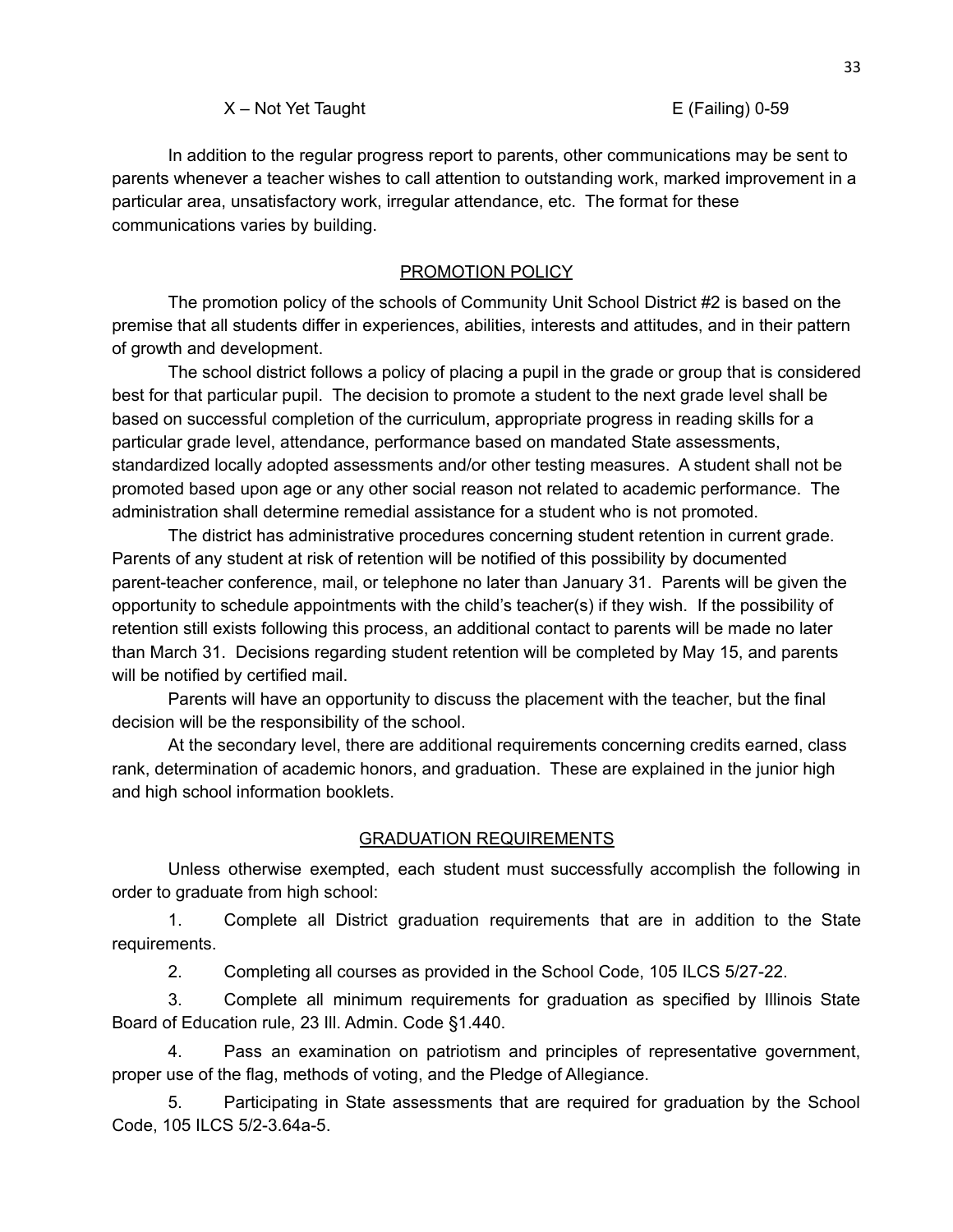#### X – Not Yet Taught E (Failing) 0-59

In addition to the regular progress report to parents, other communications may be sent to parents whenever a teacher wishes to call attention to outstanding work, marked improvement in a particular area, unsatisfactory work, irregular attendance, etc. The format for these communications varies by building.

#### PROMOTION POLICY

<span id="page-32-0"></span>The promotion policy of the schools of Community Unit School District #2 is based on the premise that all students differ in experiences, abilities, interests and attitudes, and in their pattern of growth and development.

The school district follows a policy of placing a pupil in the grade or group that is considered best for that particular pupil. The decision to promote a student to the next grade level shall be based on successful completion of the curriculum, appropriate progress in reading skills for a particular grade level, attendance, performance based on mandated State assessments, standardized locally adopted assessments and/or other testing measures. A student shall not be promoted based upon age or any other social reason not related to academic performance. The administration shall determine remedial assistance for a student who is not promoted.

The district has administrative procedures concerning student retention in current grade. Parents of any student at risk of retention will be notified of this possibility by documented parent-teacher conference, mail, or telephone no later than January 31. Parents will be given the opportunity to schedule appointments with the child's teacher(s) if they wish. If the possibility of retention still exists following this process, an additional contact to parents will be made no later than March 31. Decisions regarding student retention will be completed by May 15, and parents will be notified by certified mail.

Parents will have an opportunity to discuss the placement with the teacher, but the final decision will be the responsibility of the school.

At the secondary level, there are additional requirements concerning credits earned, class rank, determination of academic honors, and graduation. These are explained in the junior high and high school information booklets.

#### GRADUATION REQUIREMENTS

<span id="page-32-1"></span>Unless otherwise exempted, each student must successfully accomplish the following in order to graduate from high school:

1. Complete all District graduation requirements that are in addition to the State requirements.

2. Completing all courses as provided in the School Code, 105 ILCS 5/27-22.

3. Complete all minimum requirements for graduation as specified by Illinois State Board of Education rule, 23 Ill. Admin. Code §1.440.

4. Pass an examination on patriotism and principles of representative government, proper use of the flag, methods of voting, and the Pledge of Allegiance.

5. Participating in State assessments that are required for graduation by the School Code, 105 ILCS 5/2-3.64a-5.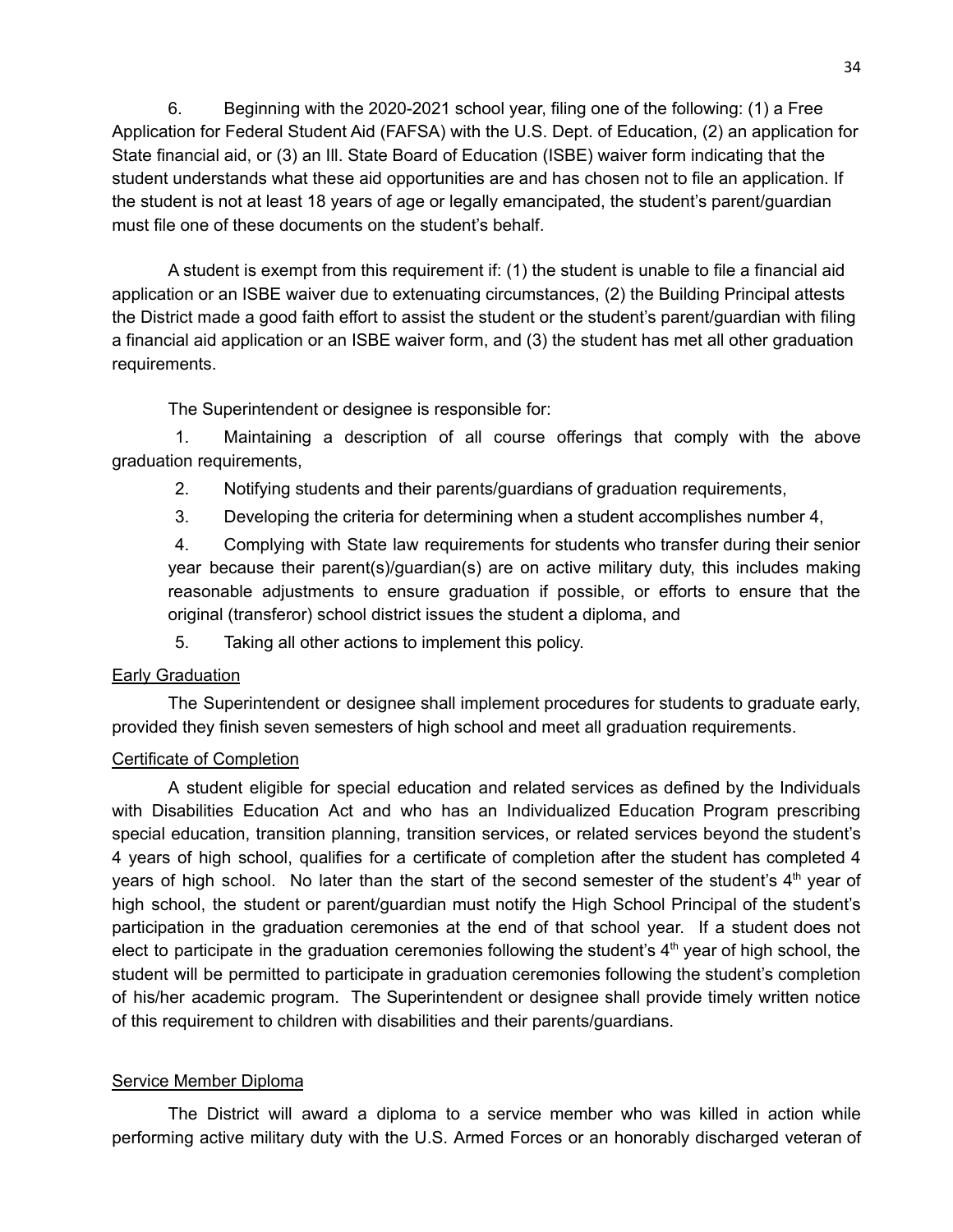6. Beginning with the 2020-2021 school year, filing one of the following: (1) a Free Application for Federal Student Aid (FAFSA) with the U.S. Dept. of Education, (2) an application for State financial aid, or (3) an Ill. State Board of Education (ISBE) waiver form indicating that the student understands what these aid opportunities are and has chosen not to file an application. If the student is not at least 18 years of age or legally emancipated, the student's parent/guardian must file one of these documents on the student's behalf.

A student is exempt from this requirement if: (1) the student is unable to file a financial aid application or an ISBE waiver due to extenuating circumstances, (2) the Building Principal attests the District made a good faith effort to assist the student or the student's parent/guardian with filing a financial aid application or an ISBE waiver form, and (3) the student has met all other graduation requirements.

The Superintendent or designee is responsible for:

1. Maintaining a description of all course offerings that comply with the above graduation requirements,

- 2. Notifying students and their parents/guardians of graduation requirements,
- 3. Developing the criteria for determining when a student accomplishes number 4,

4. Complying with State law requirements for students who transfer during their senior year because their parent(s)/guardian(s) are on active military duty, this includes making reasonable adjustments to ensure graduation if possible, or efforts to ensure that the original (transferor) school district issues the student a diploma, and

5. Taking all other actions to implement this policy.

#### **Early Graduation**

The Superintendent or designee shall implement procedures for students to graduate early, provided they finish seven semesters of high school and meet all graduation requirements.

#### Certificate of Completion

A student eligible for special education and related services as defined by the Individuals with Disabilities Education Act and who has an Individualized Education Program prescribing special education, transition planning, transition services, or related services beyond the student's 4 years of high school, qualifies for a certificate of completion after the student has completed 4 years of high school. No later than the start of the second semester of the student's  $4<sup>th</sup>$  year of high school, the student or parent/guardian must notify the High School Principal of the student's participation in the graduation ceremonies at the end of that school year. If a student does not elect to participate in the graduation ceremonies following the student's  $4<sup>th</sup>$  year of high school, the student will be permitted to participate in graduation ceremonies following the student's completion of his/her academic program. The Superintendent or designee shall provide timely written notice of this requirement to children with disabilities and their parents/guardians.

#### Service Member Diploma

The District will award a diploma to a service member who was killed in action while performing active military duty with the U.S. Armed Forces or an honorably discharged veteran of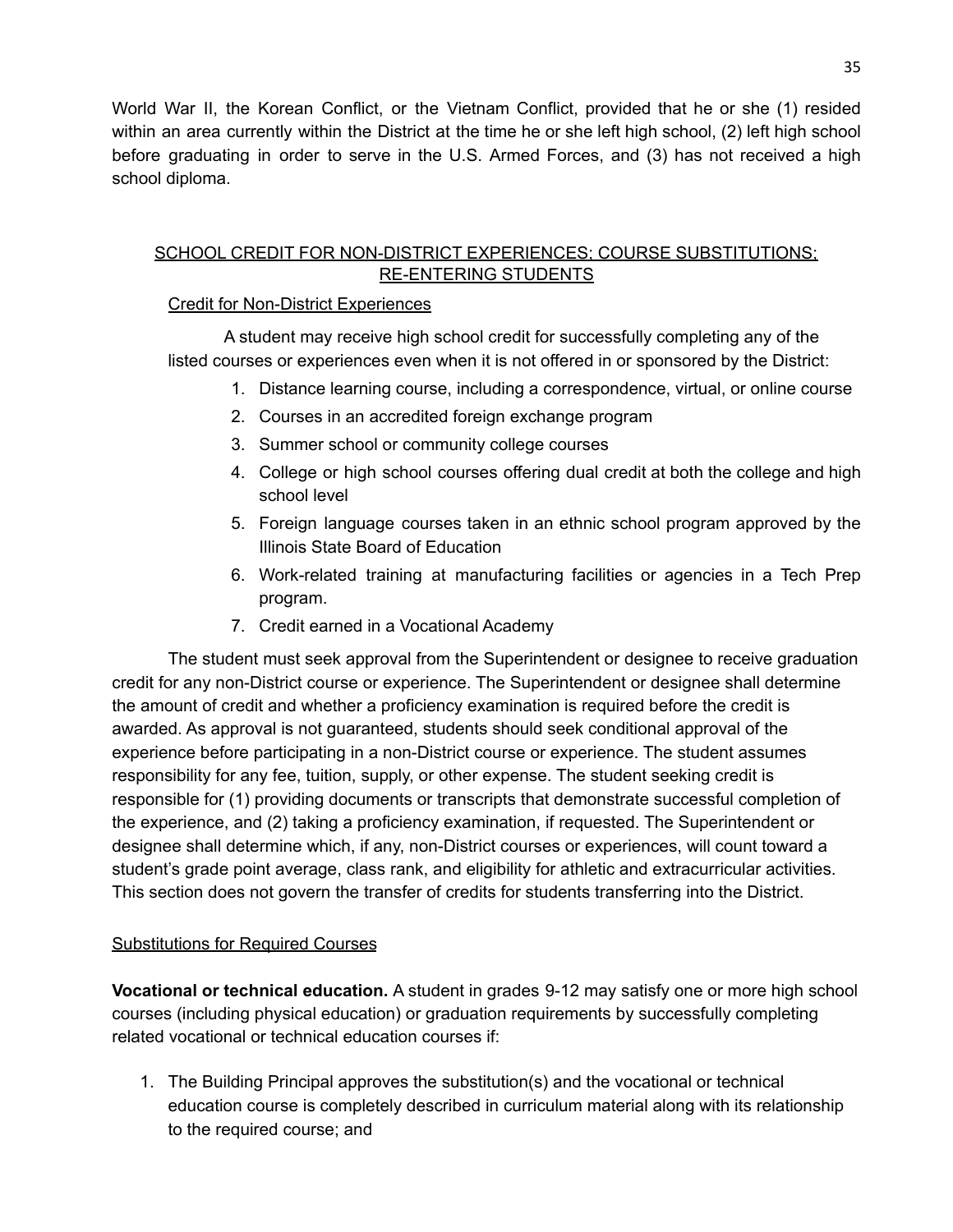World War II, the Korean Conflict, or the Vietnam Conflict, provided that he or she (1) resided within an area currently within the District at the time he or she left high school, (2) left high school before graduating in order to serve in the U.S. Armed Forces, and (3) has not received a high school diploma.

#### <span id="page-34-0"></span>SCHOOL CREDIT FOR NON-DISTRICT EXPERIENCES; COURSE SUBSTITUTIONS; RE-ENTERING STUDENTS

#### Credit for Non-District Experiences

A student may receive high school credit for successfully completing any of the listed courses or experiences even when it is not offered in or sponsored by the District:

- 1. Distance learning course, including a correspondence, virtual, or online course
- 2. Courses in an accredited foreign exchange program
- 3. Summer school or community college courses
- 4. College or high school courses offering dual credit at both the college and high school level
- 5. Foreign language courses taken in an ethnic school program approved by the Illinois State Board of Education
- 6. Work-related training at manufacturing facilities or agencies in a Tech Prep program.
- 7. Credit earned in a Vocational Academy

The student must seek approval from the Superintendent or designee to receive graduation credit for any non-District course or experience. The Superintendent or designee shall determine the amount of credit and whether a proficiency examination is required before the credit is awarded. As approval is not guaranteed, students should seek conditional approval of the experience before participating in a non-District course or experience. The student assumes responsibility for any fee, tuition, supply, or other expense. The student seeking credit is responsible for (1) providing documents or transcripts that demonstrate successful completion of the experience, and (2) taking a proficiency examination, if requested. The Superintendent or designee shall determine which, if any, non-District courses or experiences, will count toward a student's grade point average, class rank, and eligibility for athletic and extracurricular activities. This section does not govern the transfer of credits for students transferring into the District.

### Substitutions for Required Courses

**Vocational or technical education.** A student in grades 9-12 may satisfy one or more high school courses (including physical education) or graduation requirements by successfully completing related vocational or technical education courses if:

1. The Building Principal approves the substitution(s) and the vocational or technical education course is completely described in curriculum material along with its relationship to the required course; and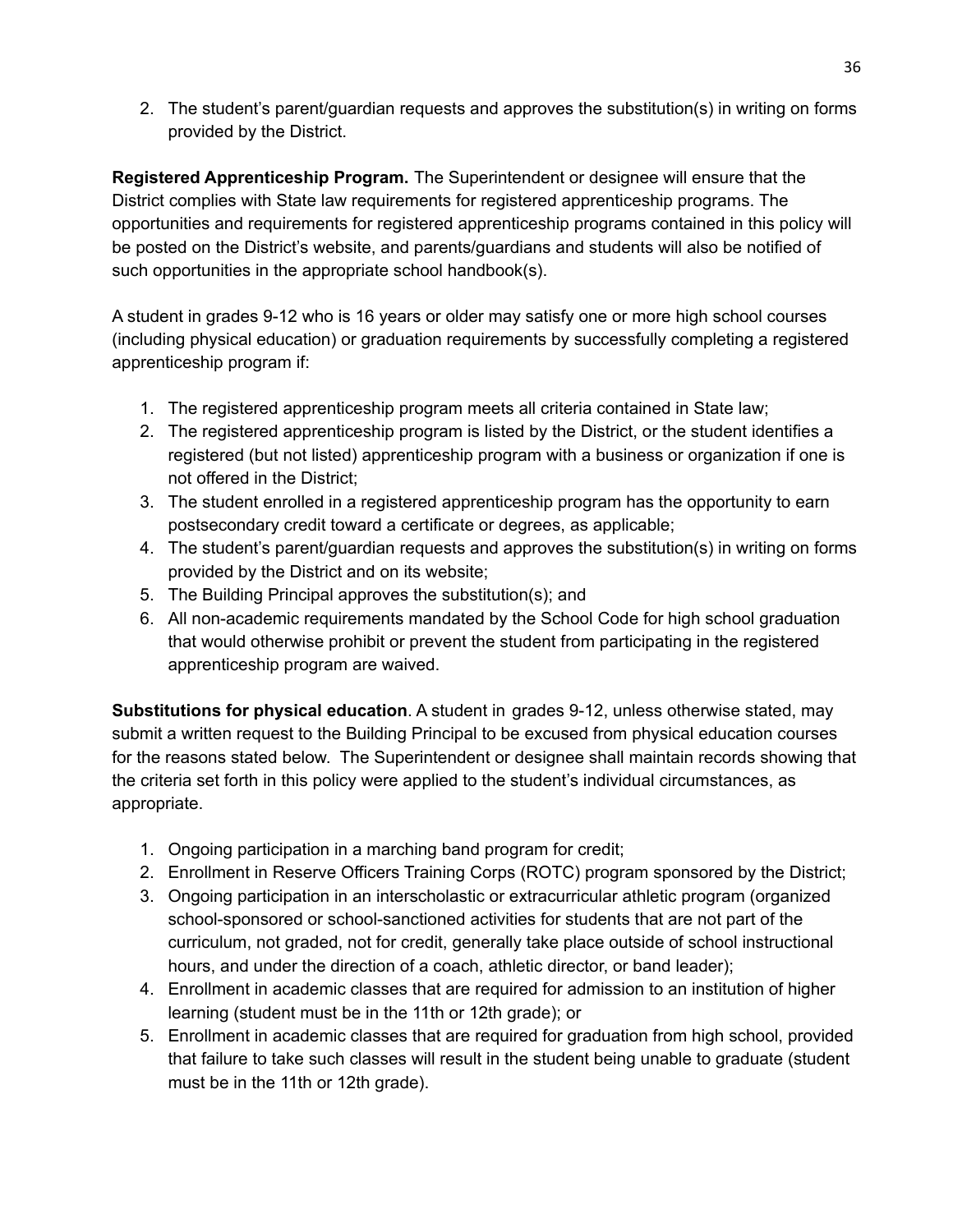2. The student's parent/guardian requests and approves the substitution(s) in writing on forms provided by the District.

**Registered Apprenticeship Program.** The Superintendent or designee will ensure that the District complies with State law requirements for registered apprenticeship programs. The opportunities and requirements for registered apprenticeship programs contained in this policy will be posted on the District's website, and parents/guardians and students will also be notified of such opportunities in the appropriate school handbook(s).

A student in grades 9-12 who is 16 years or older may satisfy one or more high school courses (including physical education) or graduation requirements by successfully completing a registered apprenticeship program if:

- 1. The registered apprenticeship program meets all criteria contained in State law;
- 2. The registered apprenticeship program is listed by the District, or the student identifies a registered (but not listed) apprenticeship program with a business or organization if one is not offered in the District;
- 3. The student enrolled in a registered apprenticeship program has the opportunity to earn postsecondary credit toward a certificate or degrees, as applicable;
- 4. The student's parent/guardian requests and approves the substitution(s) in writing on forms provided by the District and on its website;
- 5. The Building Principal approves the substitution(s); and
- 6. All non-academic requirements mandated by the School Code for high school graduation that would otherwise prohibit or prevent the student from participating in the registered apprenticeship program are waived.

**Substitutions for physical education**. A student in grades 9-12, unless otherwise stated, may submit a written request to the Building Principal to be excused from physical education courses for the reasons stated below. The Superintendent or designee shall maintain records showing that the criteria set forth in this policy were applied to the student's individual circumstances, as appropriate.

- 1. Ongoing participation in a marching band program for credit;
- 2. Enrollment in Reserve Officers Training Corps (ROTC) program sponsored by the District;
- 3. Ongoing participation in an interscholastic or extracurricular athletic program (organized school-sponsored or school-sanctioned activities for students that are not part of the curriculum, not graded, not for credit, generally take place outside of school instructional hours, and under the direction of a coach, athletic director, or band leader);
- 4. Enrollment in academic classes that are required for admission to an institution of higher learning (student must be in the 11th or 12th grade); or
- 5. Enrollment in academic classes that are required for graduation from high school, provided that failure to take such classes will result in the student being unable to graduate (student must be in the 11th or 12th grade).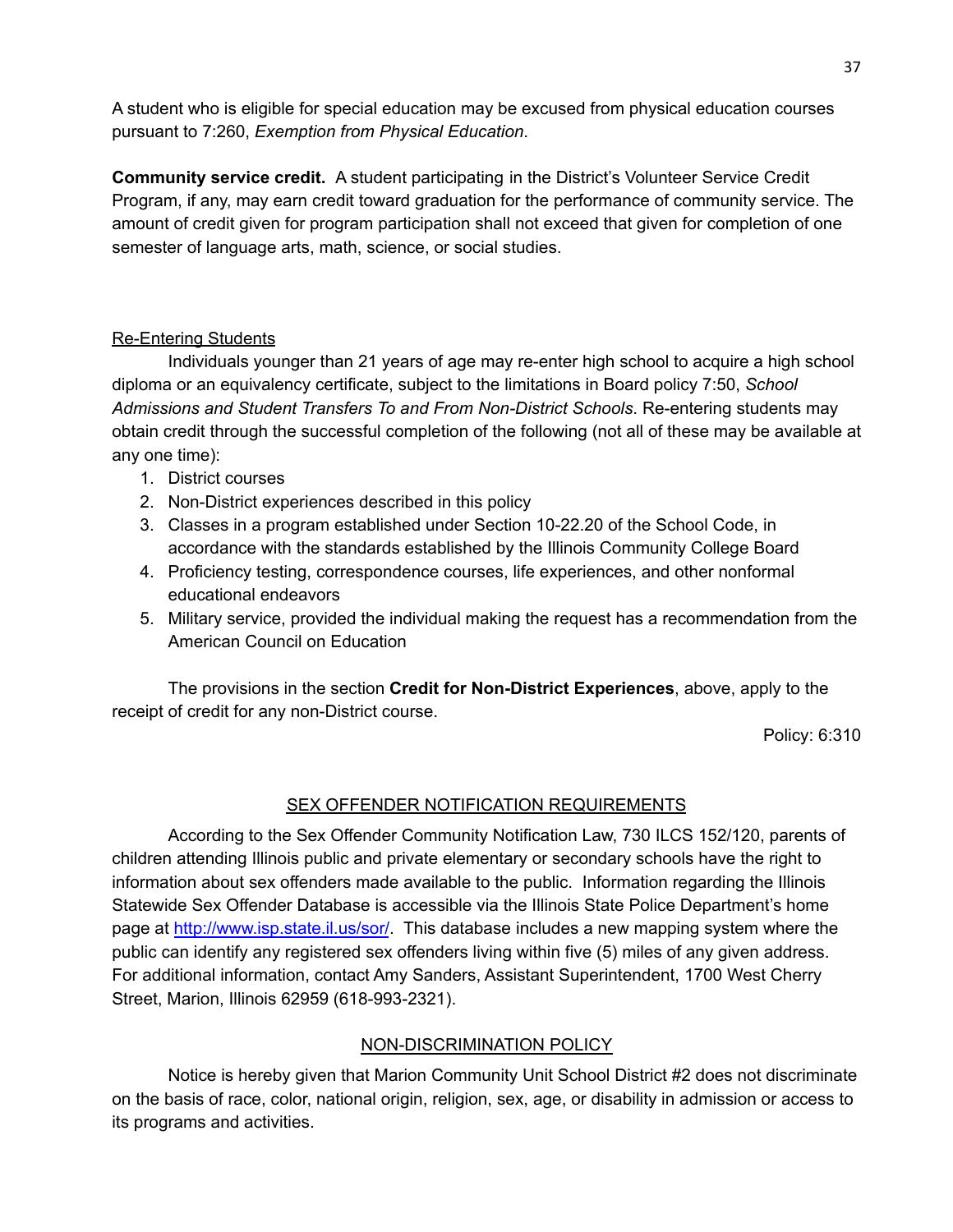A student who is eligible for special education may be excused from physical education courses pursuant to 7:260, *Exemption from Physical Education*.

**Community service credit.** A student participating in the District's Volunteer Service Credit Program, if any, may earn credit toward graduation for the performance of community service. The amount of credit given for program participation shall not exceed that given for completion of one semester of language arts, math, science, or social studies.

## Re-Entering Students

Individuals younger than 21 years of age may re-enter high school to acquire a high school diploma or an equivalency certificate, subject to the limitations in Board policy 7:50, *School Admissions and Student Transfers To and From Non-District Schools*. Re-entering students may obtain credit through the successful completion of the following (not all of these may be available at any one time):

- 1. District courses
- 2. Non-District experiences described in this policy
- 3. Classes in a program established under Section 10-22.20 of the School Code, in accordance with the standards established by the Illinois Community College Board
- 4. Proficiency testing, correspondence courses, life experiences, and other nonformal educational endeavors
- 5. Military service, provided the individual making the request has a recommendation from the American Council on Education

The provisions in the section **Credit for Non-District Experiences**, above, apply to the receipt of credit for any non-District course.

Policy: 6:310

## SEX OFFENDER NOTIFICATION REQUIREMENTS

According to the Sex Offender Community Notification Law, 730 ILCS 152/120, parents of children attending Illinois public and private elementary or secondary schools have the right to information about sex offenders made available to the public. Information regarding the Illinois Statewide Sex Offender Database is accessible via the Illinois State Police Department's home page at <http://www.isp.state.il.us/sor/>. This database includes a new mapping system where the public can identify any registered sex offenders living within five (5) miles of any given address. For additional information, contact Amy Sanders, Assistant Superintendent, 1700 West Cherry Street, Marion, Illinois 62959 (618-993-2321).

## NON-DISCRIMINATION POLICY

Notice is hereby given that Marion Community Unit School District #2 does not discriminate on the basis of race, color, national origin, religion, sex, age, or disability in admission or access to its programs and activities.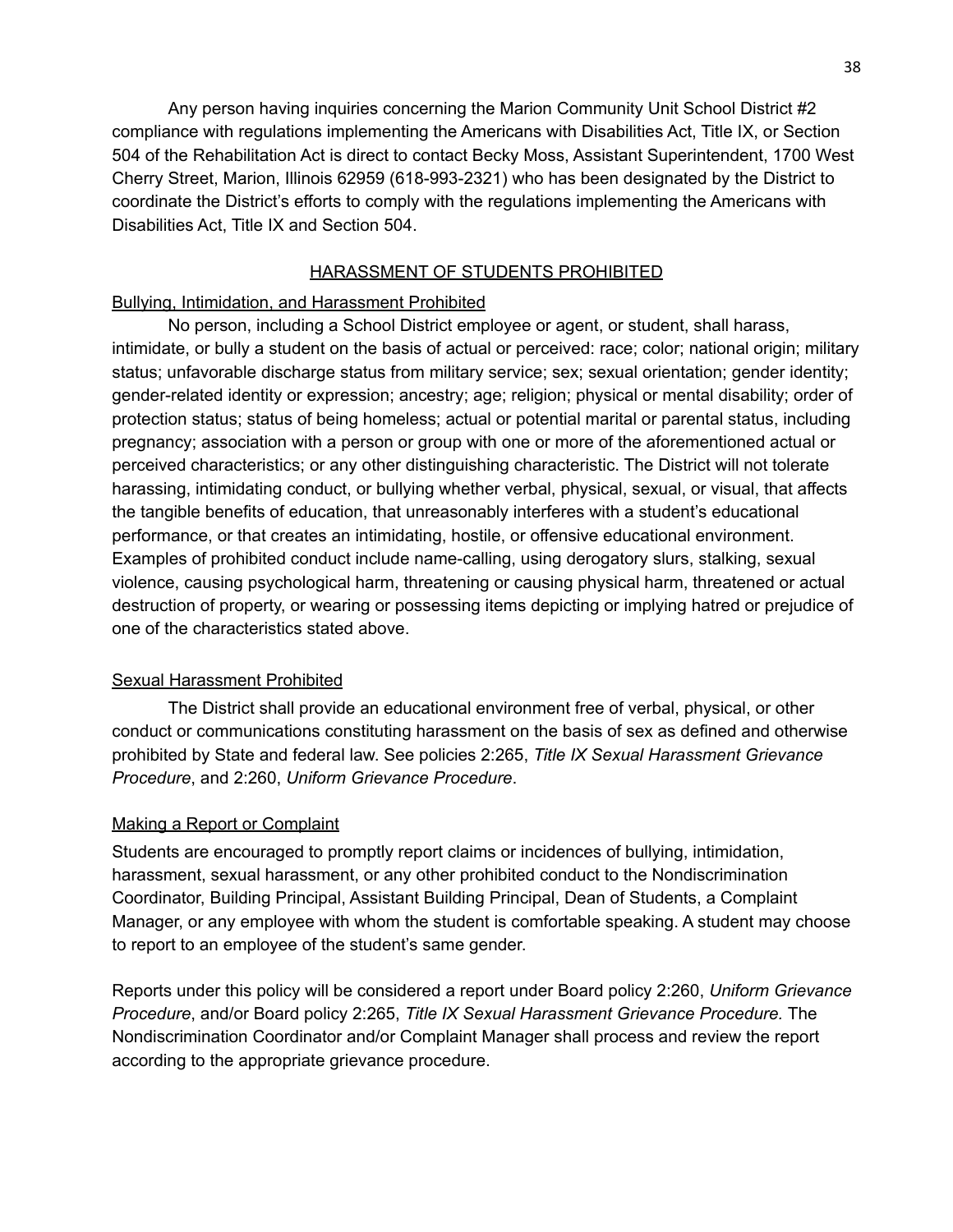Any person having inquiries concerning the Marion Community Unit School District #2 compliance with regulations implementing the Americans with Disabilities Act, Title IX, or Section 504 of the Rehabilitation Act is direct to contact Becky Moss, Assistant Superintendent, 1700 West Cherry Street, Marion, Illinois 62959 (618-993-2321) who has been designated by the District to coordinate the District's efforts to comply with the regulations implementing the Americans with Disabilities Act, Title IX and Section 504.

### HARASSMENT OF STUDENTS PROHIBITED

### Bullying, Intimidation, and Harassment Prohibited

No person, including a School District employee or agent, or student, shall harass, intimidate, or bully a student on the basis of actual or perceived: race; color; national origin; military status; unfavorable discharge status from military service; sex; sexual orientation; gender identity; gender-related identity or expression; ancestry; age; religion; physical or mental disability; order of protection status; status of being homeless; actual or potential marital or parental status, including pregnancy; association with a person or group with one or more of the aforementioned actual or perceived characteristics; or any other distinguishing characteristic. The District will not tolerate harassing, intimidating conduct, or bullying whether verbal, physical, sexual, or visual, that affects the tangible benefits of education, that unreasonably interferes with a student's educational performance, or that creates an intimidating, hostile, or offensive educational environment. Examples of prohibited conduct include name-calling, using derogatory slurs, stalking, sexual violence, causing psychological harm, threatening or causing physical harm, threatened or actual destruction of property, or wearing or possessing items depicting or implying hatred or prejudice of one of the characteristics stated above.

### Sexual Harassment Prohibited

The District shall provide an educational environment free of verbal, physical, or other conduct or communications constituting harassment on the basis of sex as defined and otherwise prohibited by State and federal law. See policies 2:265, *Title IX Sexual Harassment Grievance Procedure*, and 2:260, *Uniform Grievance Procedure*.

#### Making a Report or Complaint

Students are encouraged to promptly report claims or incidences of bullying, intimidation, harassment, sexual harassment, or any other prohibited conduct to the Nondiscrimination Coordinator, Building Principal, Assistant Building Principal, Dean of Students, a Complaint Manager, or any employee with whom the student is comfortable speaking. A student may choose to report to an employee of the student's same gender.

Reports under this policy will be considered a report under Board policy 2:260, *Uniform Grievance Procedure*, and/or Board policy 2:265, *Title IX Sexual Harassment Grievance Procedure.* The Nondiscrimination Coordinator and/or Complaint Manager shall process and review the report according to the appropriate grievance procedure.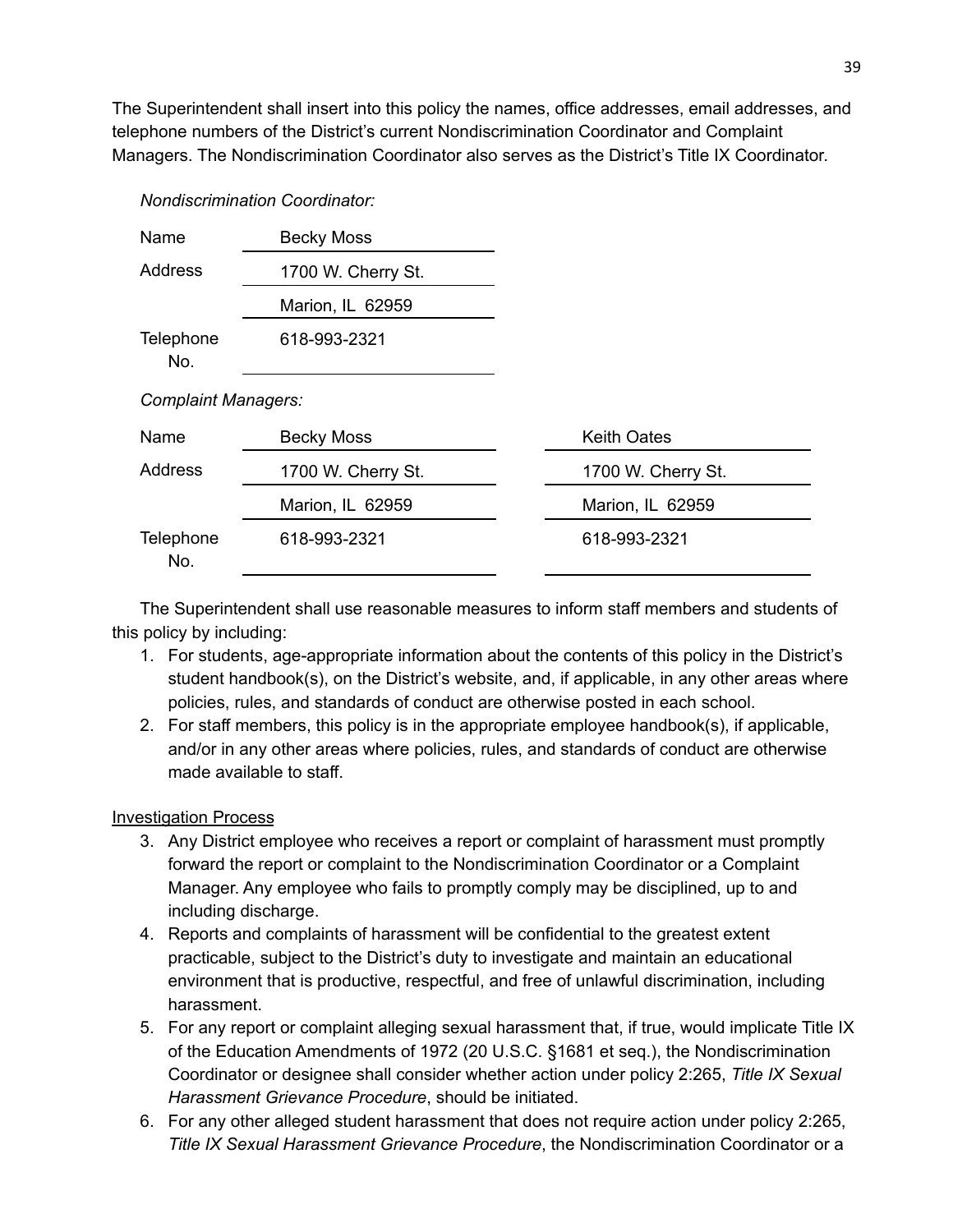The Superintendent shall insert into this policy the names, office addresses, email addresses, and telephone numbers of the District's current Nondiscrimination Coordinator and Complaint Managers. The Nondiscrimination Coordinator also serves as the District's Title IX Coordinator.

| Name                       | <b>Becky Moss</b>  |                    |
|----------------------------|--------------------|--------------------|
| Address                    | 1700 W. Cherry St. |                    |
|                            | Marion, IL 62959   |                    |
| Telephone<br>No.           | 618-993-2321       |                    |
| <b>Complaint Managers:</b> |                    |                    |
| Name                       | <b>Becky Moss</b>  | <b>Keith Oates</b> |
| Address                    | 1700 W. Cherry St. | 1700 W. Cherry St. |
|                            | Marion, IL 62959   | Marion, IL 62959   |
| Telephone<br>No.           | 618-993-2321       | 618-993-2321       |

The Superintendent shall use reasonable measures to inform staff members and students of this policy by including:

- 1. For students, age-appropriate information about the contents of this policy in the District's student handbook(s), on the District's website, and, if applicable, in any other areas where policies, rules, and standards of conduct are otherwise posted in each school.
- 2. For staff members, this policy is in the appropriate employee handbook(s), if applicable, and/or in any other areas where policies, rules, and standards of conduct are otherwise made available to staff.

## Investigation Process

*Nondiscrimination Coordinator:*

- 3. Any District employee who receives a report or complaint of harassment must promptly forward the report or complaint to the Nondiscrimination Coordinator or a Complaint Manager. Any employee who fails to promptly comply may be disciplined, up to and including discharge.
- 4. Reports and complaints of harassment will be confidential to the greatest extent practicable, subject to the District's duty to investigate and maintain an educational environment that is productive, respectful, and free of unlawful discrimination, including harassment.
- 5. For any report or complaint alleging sexual harassment that, if true, would implicate Title IX of the Education Amendments of 1972 (20 U.S.C. §1681 et seq.), the Nondiscrimination Coordinator or designee shall consider whether action under policy 2:265, *Title IX Sexual Harassment Grievance Procedure*, should be initiated.
- 6. For any other alleged student harassment that does not require action under policy 2:265, *Title IX Sexual Harassment Grievance Procedure*, the Nondiscrimination Coordinator or a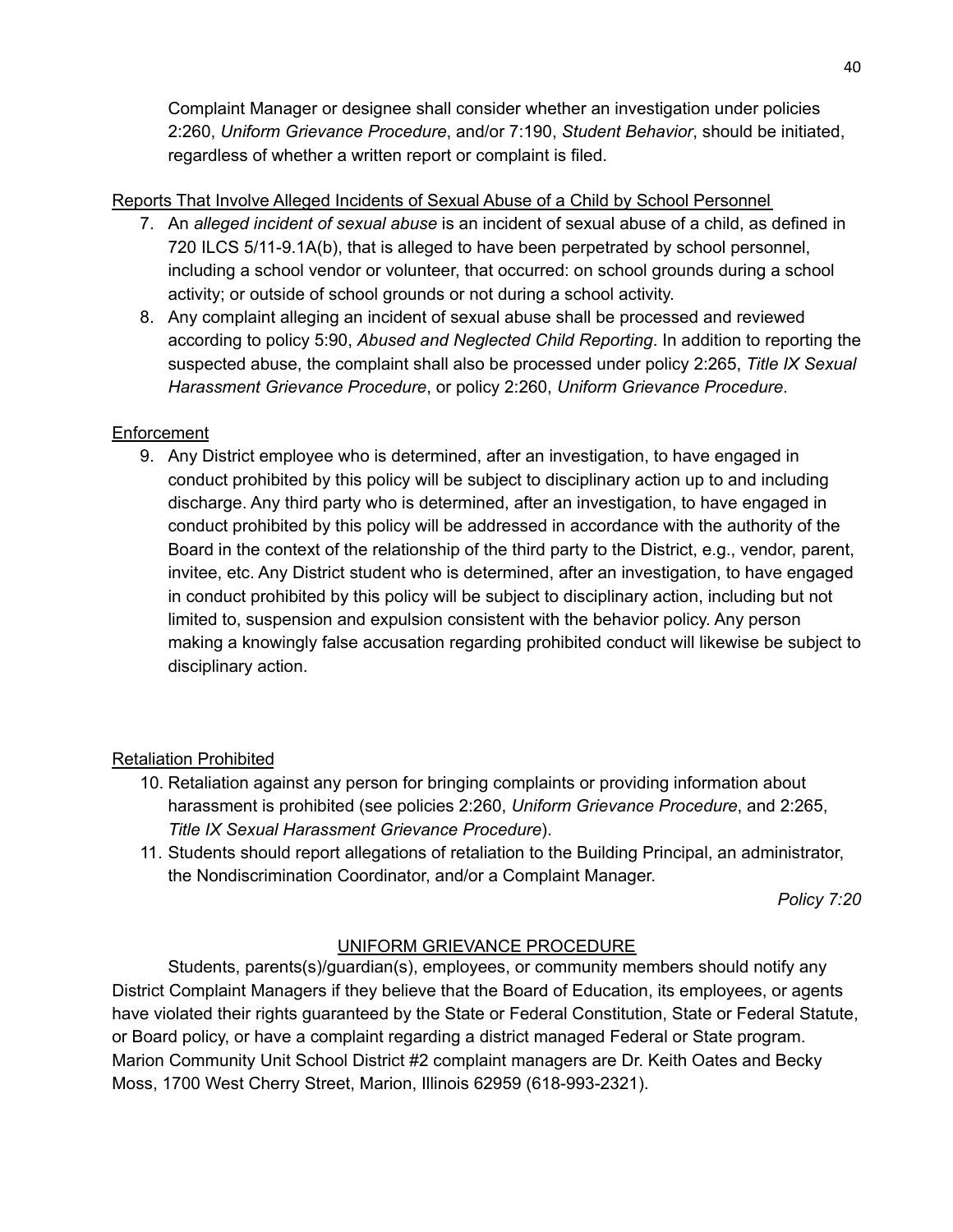Complaint Manager or designee shall consider whether an investigation under policies 2:260, *Uniform Grievance Procedure*, and/or 7:190, *Student Behavior*, should be initiated, regardless of whether a written report or complaint is filed.

## Reports That Involve Alleged Incidents of Sexual Abuse of a Child by School Personnel

- 7. An *alleged incident of sexual abuse* is an incident of sexual abuse of a child, as defined in 720 ILCS 5/11-9.1A(b), that is alleged to have been perpetrated by school personnel, including a school vendor or volunteer, that occurred: on school grounds during a school activity; or outside of school grounds or not during a school activity.
- 8. Any complaint alleging an incident of sexual abuse shall be processed and reviewed according to policy 5:90, *Abused and Neglected Child Reporting*. In addition to reporting the suspected abuse, the complaint shall also be processed under policy 2:265, *Title IX Sexual Harassment Grievance Procedure*, or policy 2:260, *Uniform Grievance Procedure*.

## **Enforcement**

9. Any District employee who is determined, after an investigation, to have engaged in conduct prohibited by this policy will be subject to disciplinary action up to and including discharge. Any third party who is determined, after an investigation, to have engaged in conduct prohibited by this policy will be addressed in accordance with the authority of the Board in the context of the relationship of the third party to the District, e.g., vendor, parent, invitee, etc. Any District student who is determined, after an investigation, to have engaged in conduct prohibited by this policy will be subject to disciplinary action, including but not limited to, suspension and expulsion consistent with the behavior policy. Any person making a knowingly false accusation regarding prohibited conduct will likewise be subject to disciplinary action.

## Retaliation Prohibited

- 10. Retaliation against any person for bringing complaints or providing information about harassment is prohibited (see policies 2:260, *Uniform Grievance Procedure*, and 2:265, *Title IX Sexual Harassment Grievance Procedure*).
- 11. Students should report allegations of retaliation to the Building Principal, an administrator, the Nondiscrimination Coordinator, and/or a Complaint Manager.

*Policy 7:20*

# UNIFORM GRIEVANCE PROCEDURE

Students, parents(s)/guardian(s), employees, or community members should notify any District Complaint Managers if they believe that the Board of Education, its employees, or agents have violated their rights guaranteed by the State or Federal Constitution, State or Federal Statute, or Board policy, or have a complaint regarding a district managed Federal or State program. Marion Community Unit School District #2 complaint managers are Dr. Keith Oates and Becky Moss, 1700 West Cherry Street, Marion, Illinois 62959 (618-993-2321).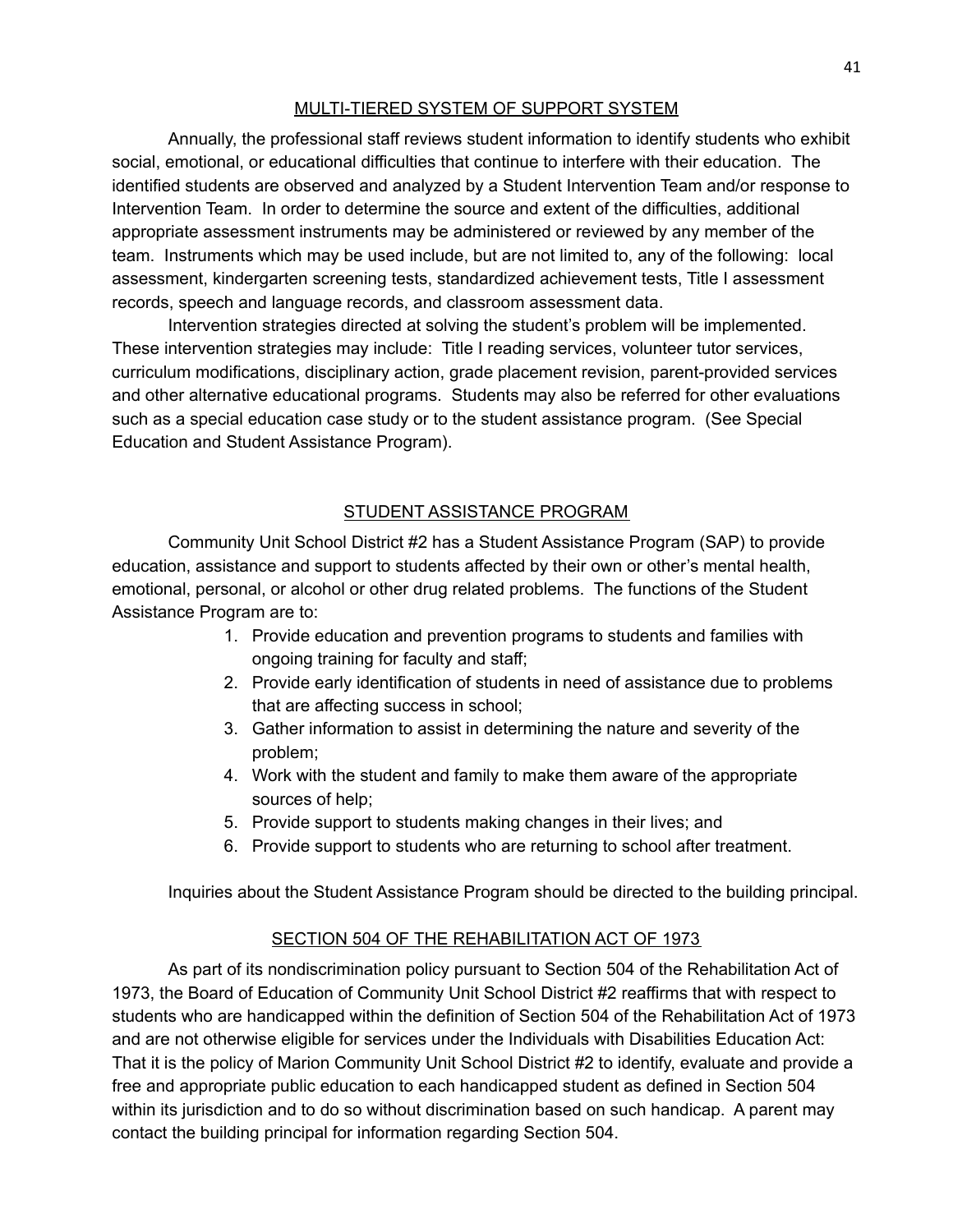## MULTI-TIERED SYSTEM OF SUPPORT SYSTEM

Annually, the professional staff reviews student information to identify students who exhibit social, emotional, or educational difficulties that continue to interfere with their education. The identified students are observed and analyzed by a Student Intervention Team and/or response to Intervention Team. In order to determine the source and extent of the difficulties, additional appropriate assessment instruments may be administered or reviewed by any member of the team. Instruments which may be used include, but are not limited to, any of the following: local assessment, kindergarten screening tests, standardized achievement tests, Title I assessment records, speech and language records, and classroom assessment data.

Intervention strategies directed at solving the student's problem will be implemented. These intervention strategies may include: Title I reading services, volunteer tutor services, curriculum modifications, disciplinary action, grade placement revision, parent-provided services and other alternative educational programs. Students may also be referred for other evaluations such as a special education case study or to the student assistance program. (See Special Education and Student Assistance Program).

## STUDENT ASSISTANCE PROGRAM

Community Unit School District #2 has a Student Assistance Program (SAP) to provide education, assistance and support to students affected by their own or other's mental health, emotional, personal, or alcohol or other drug related problems. The functions of the Student Assistance Program are to:

- 1. Provide education and prevention programs to students and families with ongoing training for faculty and staff;
- 2. Provide early identification of students in need of assistance due to problems that are affecting success in school;
- 3. Gather information to assist in determining the nature and severity of the problem;
- 4. Work with the student and family to make them aware of the appropriate sources of help;
- 5. Provide support to students making changes in their lives; and
- 6. Provide support to students who are returning to school after treatment.

Inquiries about the Student Assistance Program should be directed to the building principal.

## SECTION 504 OF THE REHABILITATION ACT OF 1973

As part of its nondiscrimination policy pursuant to Section 504 of the Rehabilitation Act of 1973, the Board of Education of Community Unit School District #2 reaffirms that with respect to students who are handicapped within the definition of Section 504 of the Rehabilitation Act of 1973 and are not otherwise eligible for services under the Individuals with Disabilities Education Act: That it is the policy of Marion Community Unit School District #2 to identify, evaluate and provide a free and appropriate public education to each handicapped student as defined in Section 504 within its jurisdiction and to do so without discrimination based on such handicap. A parent may contact the building principal for information regarding Section 504.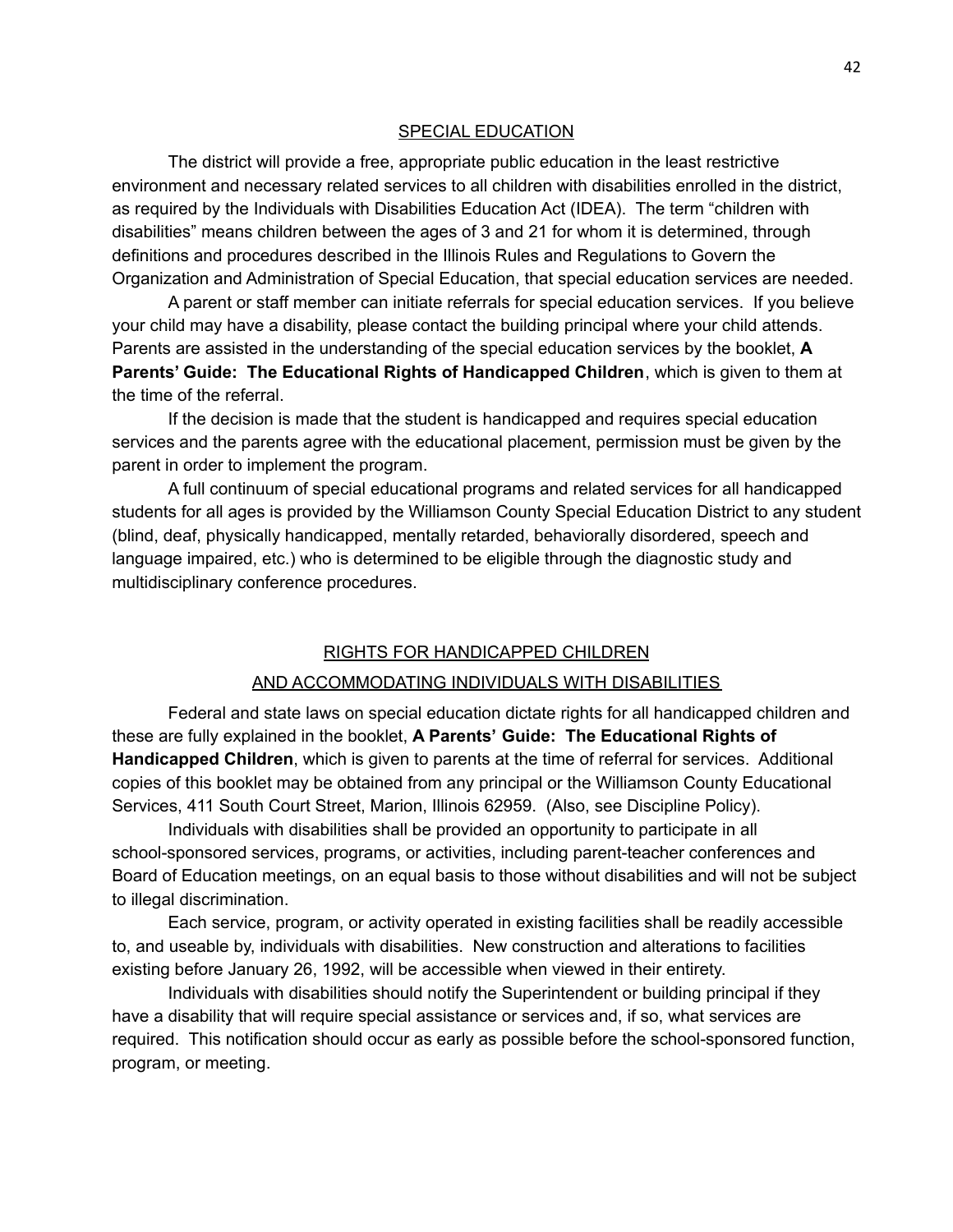#### SPECIAL EDUCATION

The district will provide a free, appropriate public education in the least restrictive environment and necessary related services to all children with disabilities enrolled in the district, as required by the Individuals with Disabilities Education Act (IDEA). The term "children with disabilities" means children between the ages of 3 and 21 for whom it is determined, through definitions and procedures described in the Illinois Rules and Regulations to Govern the Organization and Administration of Special Education, that special education services are needed.

A parent or staff member can initiate referrals for special education services. If you believe your child may have a disability, please contact the building principal where your child attends. Parents are assisted in the understanding of the special education services by the booklet, **A Parents' Guide: The Educational Rights of Handicapped Children**, which is given to them at the time of the referral.

If the decision is made that the student is handicapped and requires special education services and the parents agree with the educational placement, permission must be given by the parent in order to implement the program.

A full continuum of special educational programs and related services for all handicapped students for all ages is provided by the Williamson County Special Education District to any student (blind, deaf, physically handicapped, mentally retarded, behaviorally disordered, speech and language impaired, etc.) who is determined to be eligible through the diagnostic study and multidisciplinary conference procedures.

#### RIGHTS FOR HANDICAPPED CHILDREN

#### AND ACCOMMODATING INDIVIDUALS WITH DISABILITIES

Federal and state laws on special education dictate rights for all handicapped children and these are fully explained in the booklet, **A Parents' Guide: The Educational Rights of Handicapped Children**, which is given to parents at the time of referral for services. Additional copies of this booklet may be obtained from any principal or the Williamson County Educational Services, 411 South Court Street, Marion, Illinois 62959. (Also, see Discipline Policy).

Individuals with disabilities shall be provided an opportunity to participate in all school-sponsored services, programs, or activities, including parent-teacher conferences and Board of Education meetings, on an equal basis to those without disabilities and will not be subject to illegal discrimination.

Each service, program, or activity operated in existing facilities shall be readily accessible to, and useable by, individuals with disabilities. New construction and alterations to facilities existing before January 26, 1992, will be accessible when viewed in their entirety.

Individuals with disabilities should notify the Superintendent or building principal if they have a disability that will require special assistance or services and, if so, what services are required. This notification should occur as early as possible before the school-sponsored function, program, or meeting.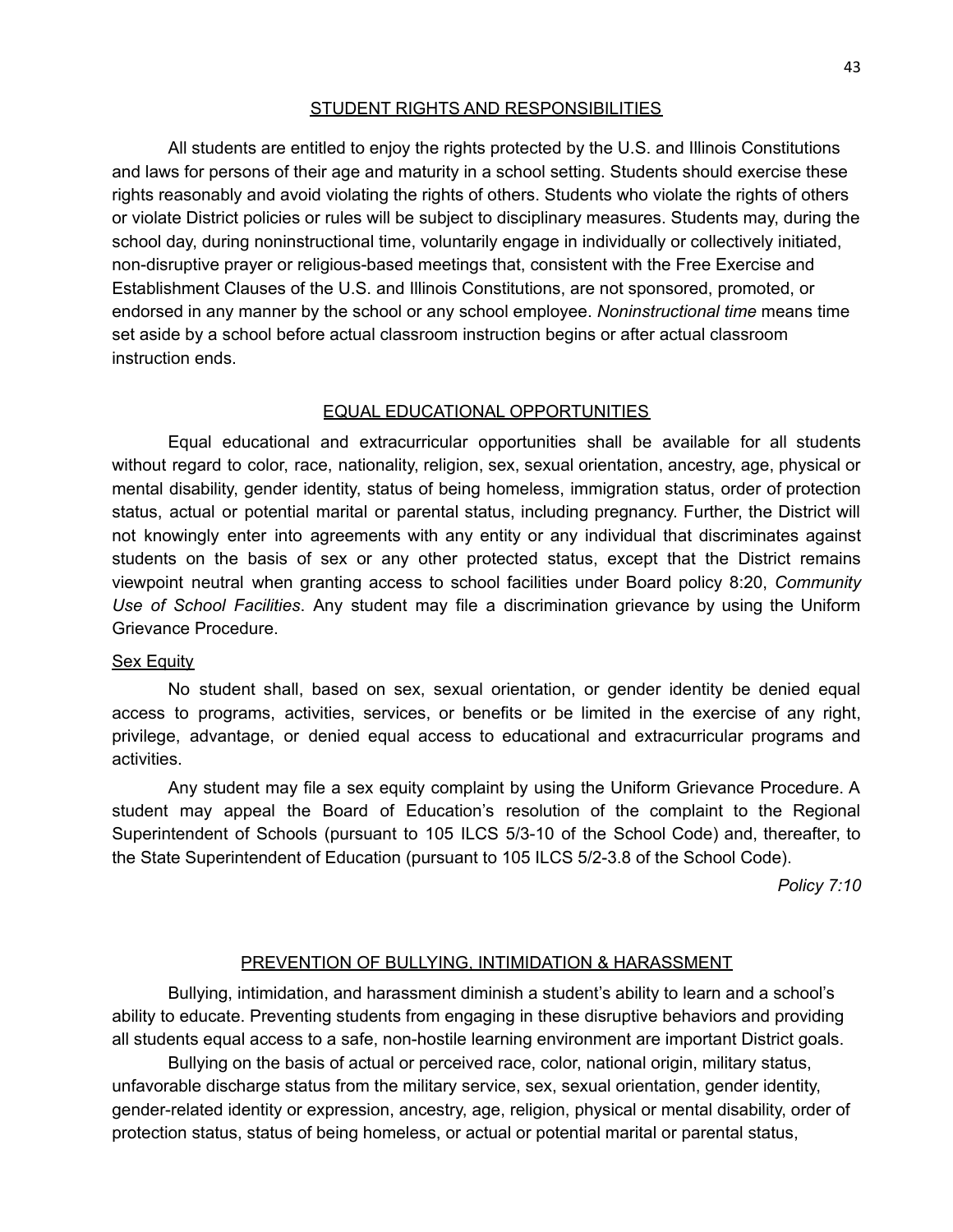#### STUDENT RIGHTS AND RESPONSIBILITIES

All students are entitled to enjoy the rights protected by the U.S. and Illinois Constitutions and laws for persons of their age and maturity in a school setting. Students should exercise these rights reasonably and avoid violating the rights of others. Students who violate the rights of others or violate District policies or rules will be subject to disciplinary measures. Students may, during the school day, during noninstructional time, voluntarily engage in individually or collectively initiated, non-disruptive prayer or religious-based meetings that, consistent with the Free Exercise and Establishment Clauses of the U.S. and Illinois Constitutions, are not sponsored, promoted, or endorsed in any manner by the school or any school employee. *Noninstructional time* means time set aside by a school before actual classroom instruction begins or after actual classroom instruction ends.

#### EQUAL EDUCATIONAL OPPORTUNITIES

Equal educational and extracurricular opportunities shall be available for all students without regard to color, race, nationality, religion, sex, sexual orientation, ancestry, age, physical or mental disability, gender identity, status of being homeless, immigration status, order of protection status, actual or potential marital or parental status, including pregnancy. Further, the District will not knowingly enter into agreements with any entity or any individual that discriminates against students on the basis of sex or any other protected status, except that the District remains viewpoint neutral when granting access to school facilities under Board policy 8:20, *Community Use of School Facilities*. Any student may file a discrimination grievance by using the Uniform Grievance Procedure.

#### Sex Equity

No student shall, based on sex, sexual orientation, or gender identity be denied equal access to programs, activities, services, or benefits or be limited in the exercise of any right, privilege, advantage, or denied equal access to educational and extracurricular programs and activities.

Any student may file a sex equity complaint by using the Uniform Grievance Procedure. A student may appeal the Board of Education's resolution of the complaint to the Regional Superintendent of Schools (pursuant to 105 ILCS 5/3-10 of the School Code) and, thereafter, to the State Superintendent of Education (pursuant to 105 ILCS 5/2-3.8 of the School Code).

*Policy 7:10*

#### PREVENTION OF BULLYING, INTIMIDATION & HARASSMENT

Bullying, intimidation, and harassment diminish a student's ability to learn and a school's ability to educate. Preventing students from engaging in these disruptive behaviors and providing all students equal access to a safe, non-hostile learning environment are important District goals.

Bullying on the basis of actual or perceived race, color, national origin, military status, unfavorable discharge status from the military service, sex, sexual orientation, gender identity, gender-related identity or expression, ancestry, age, religion, physical or mental disability, order of protection status, status of being homeless, or actual or potential marital or parental status,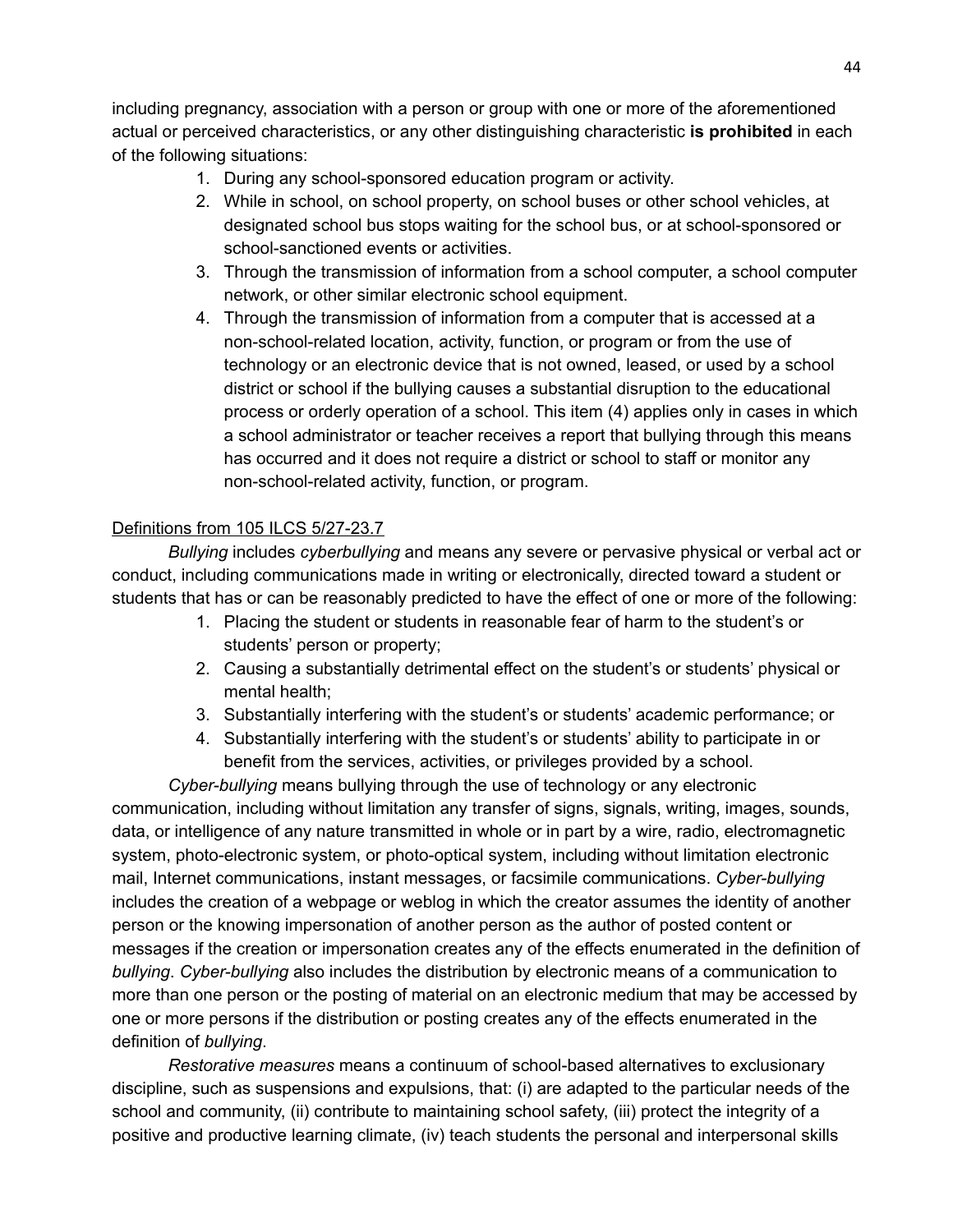including pregnancy, association with a person or group with one or more of the aforementioned actual or perceived characteristics, or any other distinguishing characteristic **is prohibited** in each of the following situations:

- 1. During any school-sponsored education program or activity.
- 2. While in school, on school property, on school buses or other school vehicles, at designated school bus stops waiting for the school bus, or at school-sponsored or school-sanctioned events or activities.
- 3. Through the transmission of information from a school computer, a school computer network, or other similar electronic school equipment.
- 4. Through the transmission of information from a computer that is accessed at a non-school-related location, activity, function, or program or from the use of technology or an electronic device that is not owned, leased, or used by a school district or school if the bullying causes a substantial disruption to the educational process or orderly operation of a school. This item (4) applies only in cases in which a school administrator or teacher receives a report that bullying through this means has occurred and it does not require a district or school to staff or monitor any non-school-related activity, function, or program.

## Definitions from 105 ILCS 5/27-23.7

*Bullying* includes *cyberbullying* and means any severe or pervasive physical or verbal act or conduct, including communications made in writing or electronically, directed toward a student or students that has or can be reasonably predicted to have the effect of one or more of the following:

- 1. Placing the student or students in reasonable fear of harm to the student's or students' person or property;
- 2. Causing a substantially detrimental effect on the student's or students' physical or mental health;
- 3. Substantially interfering with the student's or students' academic performance; or
- 4. Substantially interfering with the student's or students' ability to participate in or benefit from the services, activities, or privileges provided by a school.

*Cyber-bullying* means bullying through the use of technology or any electronic communication, including without limitation any transfer of signs, signals, writing, images, sounds, data, or intelligence of any nature transmitted in whole or in part by a wire, radio, electromagnetic system, photo-electronic system, or photo-optical system, including without limitation electronic mail, Internet communications, instant messages, or facsimile communications. *Cyber-bullying* includes the creation of a webpage or weblog in which the creator assumes the identity of another person or the knowing impersonation of another person as the author of posted content or messages if the creation or impersonation creates any of the effects enumerated in the definition of *bullying*. *Cyber-bullying* also includes the distribution by electronic means of a communication to more than one person or the posting of material on an electronic medium that may be accessed by one or more persons if the distribution or posting creates any of the effects enumerated in the definition of *bullying*.

*Restorative measures* means a continuum of school-based alternatives to exclusionary discipline, such as suspensions and expulsions, that: (i) are adapted to the particular needs of the school and community, (ii) contribute to maintaining school safety, (iii) protect the integrity of a positive and productive learning climate, (iv) teach students the personal and interpersonal skills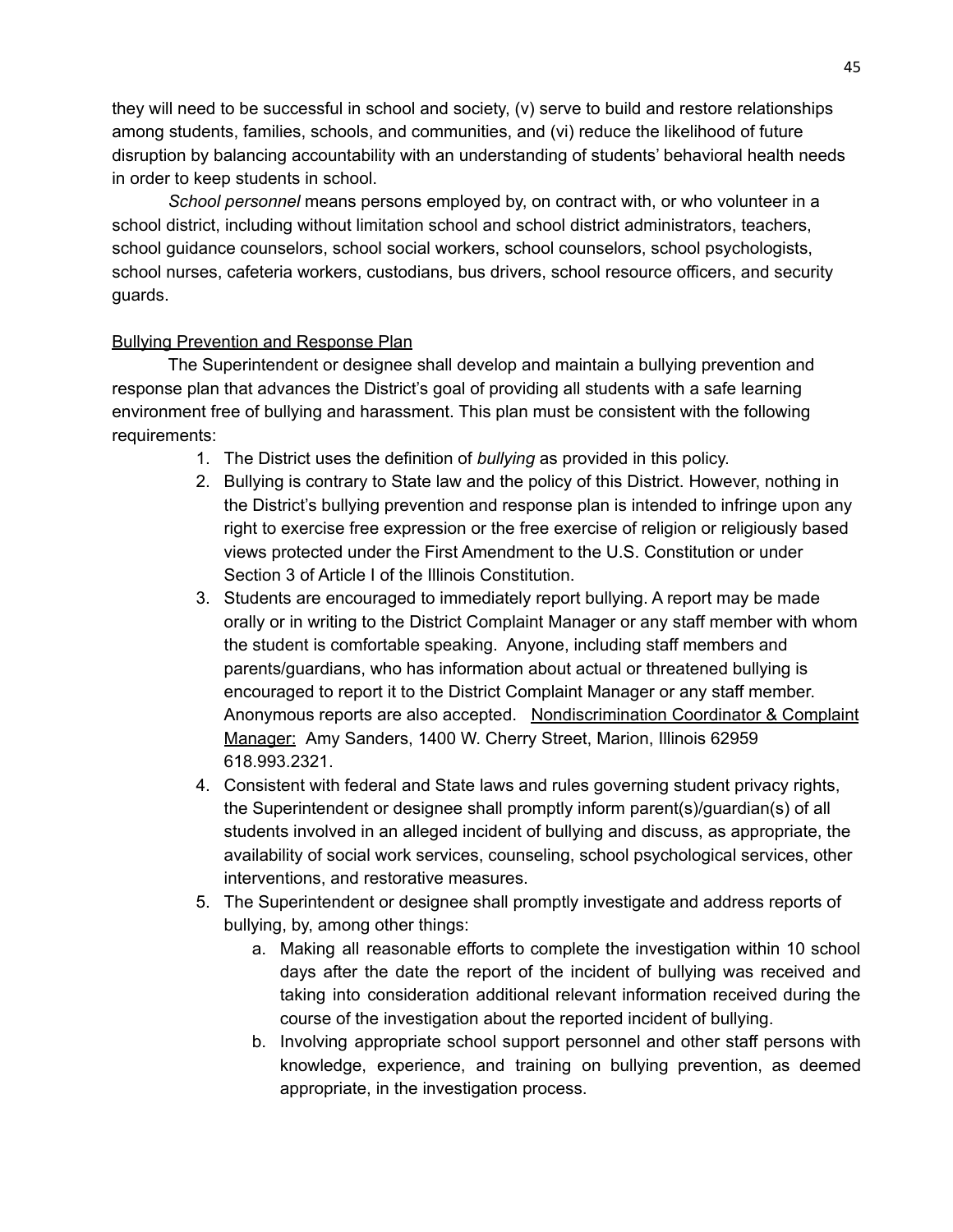they will need to be successful in school and society, (v) serve to build and restore relationships among students, families, schools, and communities, and (vi) reduce the likelihood of future disruption by balancing accountability with an understanding of students' behavioral health needs in order to keep students in school.

*School personnel* means persons employed by, on contract with, or who volunteer in a school district, including without limitation school and school district administrators, teachers, school guidance counselors, school social workers, school counselors, school psychologists, school nurses, cafeteria workers, custodians, bus drivers, school resource officers, and security guards.

### Bullying Prevention and Response Plan

The Superintendent or designee shall develop and maintain a bullying prevention and response plan that advances the District's goal of providing all students with a safe learning environment free of bullying and harassment. This plan must be consistent with the following requirements:

- 1. The District uses the definition of *bullying* as provided in this policy.
- 2. Bullying is contrary to State law and the policy of this District. However, nothing in the District's bullying prevention and response plan is intended to infringe upon any right to exercise free expression or the free exercise of religion or religiously based views protected under the First Amendment to the U.S. Constitution or under Section 3 of Article I of the Illinois Constitution.
- 3. Students are encouraged to immediately report bullying. A report may be made orally or in writing to the District Complaint Manager or any staff member with whom the student is comfortable speaking. Anyone, including staff members and parents/guardians, who has information about actual or threatened bullying is encouraged to report it to the District Complaint Manager or any staff member. Anonymous reports are also accepted. Nondiscrimination Coordinator & Complaint Manager: Amy Sanders, 1400 W. Cherry Street, Marion, Illinois 62959 618.993.2321.
- 4. Consistent with federal and State laws and rules governing student privacy rights, the Superintendent or designee shall promptly inform parent(s)/guardian(s) of all students involved in an alleged incident of bullying and discuss, as appropriate, the availability of social work services, counseling, school psychological services, other interventions, and restorative measures.
- 5. The Superintendent or designee shall promptly investigate and address reports of bullying, by, among other things:
	- a. Making all reasonable efforts to complete the investigation within 10 school days after the date the report of the incident of bullying was received and taking into consideration additional relevant information received during the course of the investigation about the reported incident of bullying.
	- b. Involving appropriate school support personnel and other staff persons with knowledge, experience, and training on bullying prevention, as deemed appropriate, in the investigation process.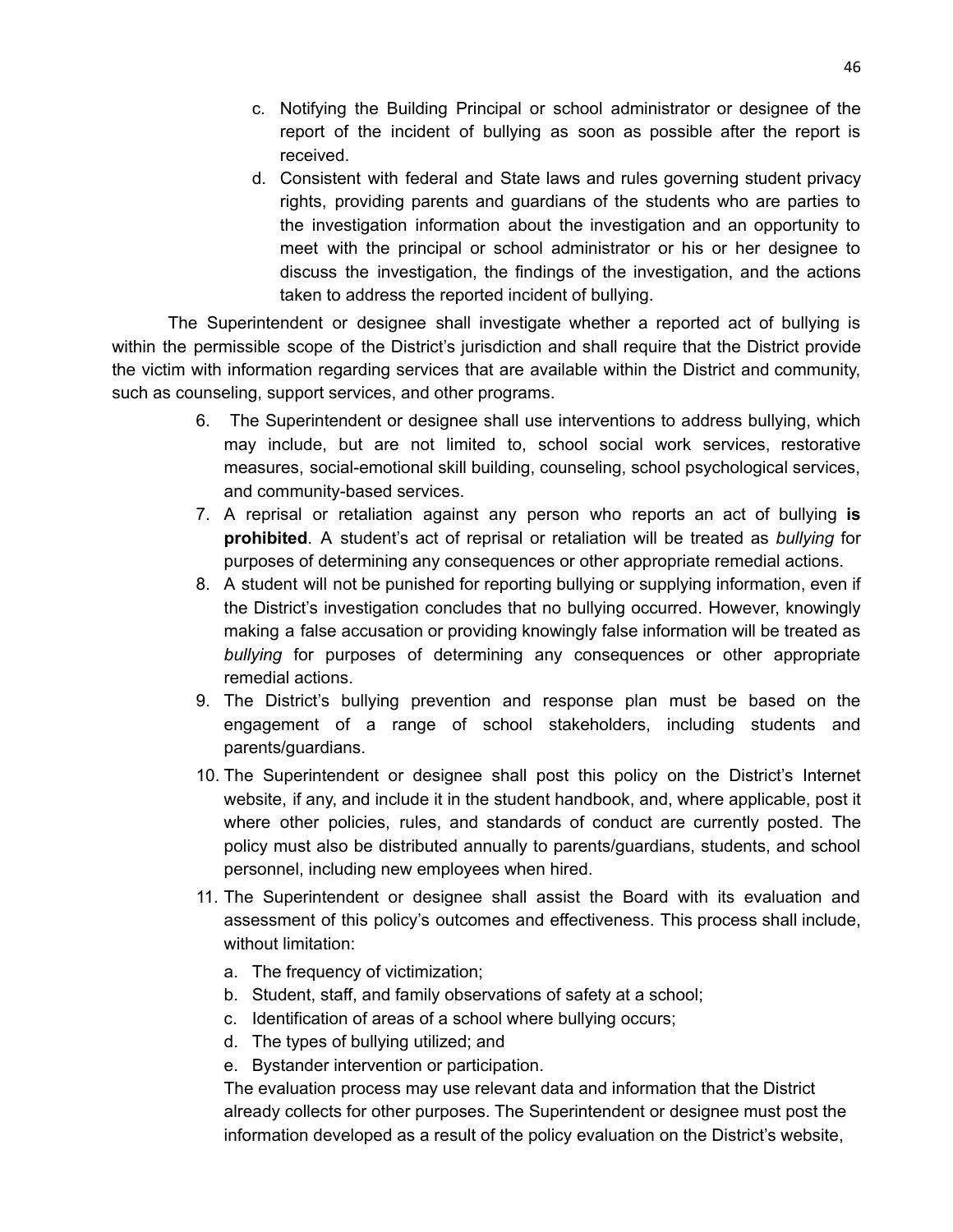- c. Notifying the Building Principal or school administrator or designee of the report of the incident of bullying as soon as possible after the report is received.
- d. Consistent with federal and State laws and rules governing student privacy rights, providing parents and guardians of the students who are parties to the investigation information about the investigation and an opportunity to meet with the principal or school administrator or his or her designee to discuss the investigation, the findings of the investigation, and the actions taken to address the reported incident of bullying.

The Superintendent or designee shall investigate whether a reported act of bullying is within the permissible scope of the District's jurisdiction and shall require that the District provide the victim with information regarding services that are available within the District and community, such as counseling, support services, and other programs.

- 6. The Superintendent or designee shall use interventions to address bullying, which may include, but are not limited to, school social work services, restorative measures, social-emotional skill building, counseling, school psychological services, and community-based services.
- 7. A reprisal or retaliation against any person who reports an act of bullying **is prohibited**. A student's act of reprisal or retaliation will be treated as *bullying* for purposes of determining any consequences or other appropriate remedial actions.
- 8. A student will not be punished for reporting bullying or supplying information, even if the District's investigation concludes that no bullying occurred. However, knowingly making a false accusation or providing knowingly false information will be treated as *bullying* for purposes of determining any consequences or other appropriate remedial actions.
- 9. The District's bullying prevention and response plan must be based on the engagement of a range of school stakeholders, including students and parents/guardians.
- 10. The Superintendent or designee shall post this policy on the District's Internet website, if any, and include it in the student handbook, and, where applicable, post it where other policies, rules, and standards of conduct are currently posted. The policy must also be distributed annually to parents/guardians, students, and school personnel, including new employees when hired.
- 11. The Superintendent or designee shall assist the Board with its evaluation and assessment of this policy's outcomes and effectiveness. This process shall include, without limitation:
	- a. The frequency of victimization;
	- b. Student, staff, and family observations of safety at a school;
	- c. Identification of areas of a school where bullying occurs;
	- d. The types of bullying utilized; and
	- e. Bystander intervention or participation.

The evaluation process may use relevant data and information that the District already collects for other purposes. The Superintendent or designee must post the information developed as a result of the policy evaluation on the District's website,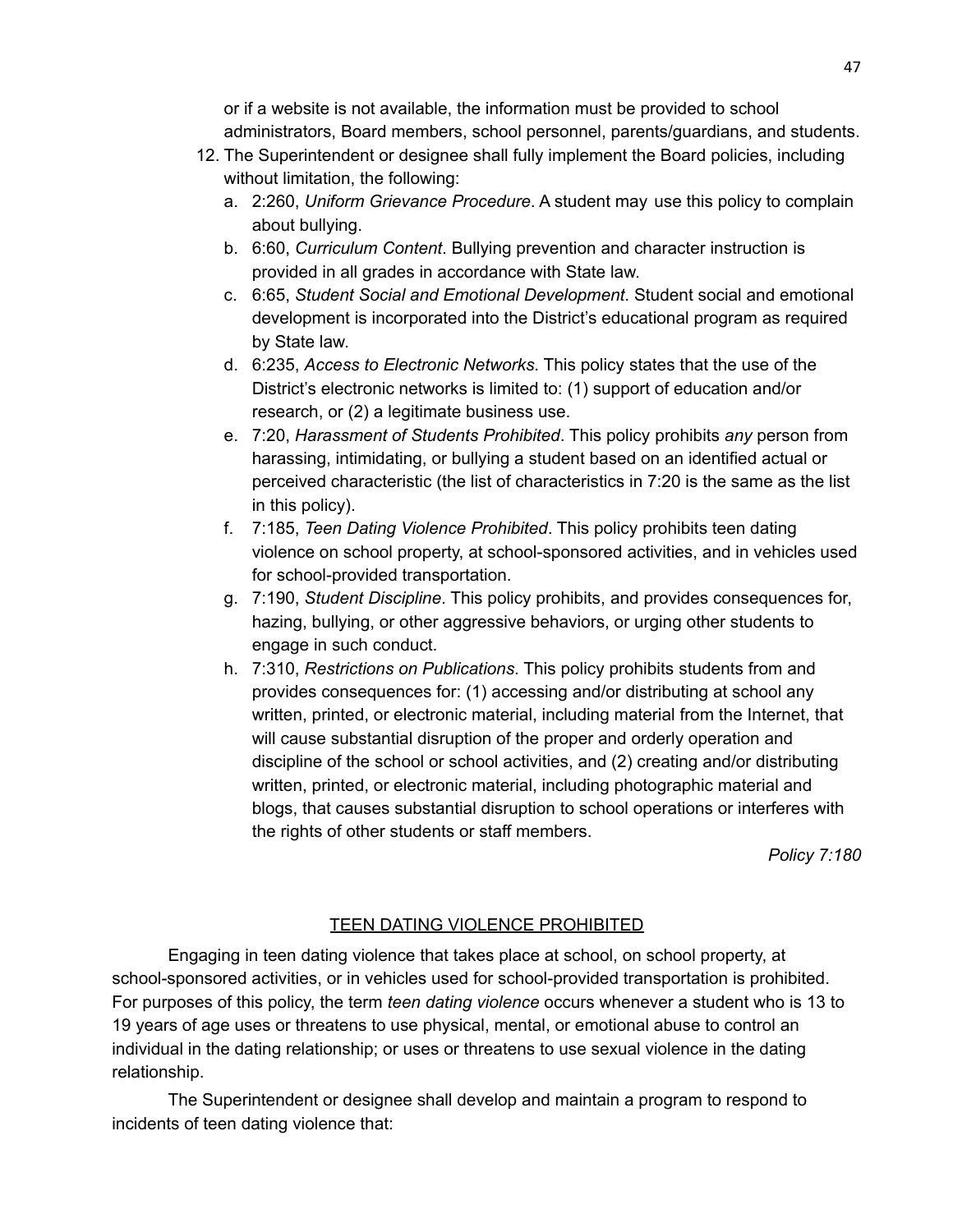or if a website is not available, the information must be provided to school administrators, Board members, school personnel, parents/guardians, and students.

- 12. The Superintendent or designee shall fully implement the Board policies, including without limitation, the following:
	- a. 2:260, *Uniform Grievance Procedure*. A student may use this policy to complain about bullying.
	- b. 6:60, *Curriculum Content*. Bullying prevention and character instruction is provided in all grades in accordance with State law.
	- c. 6:65, *Student Social and Emotional Development*. Student social and emotional development is incorporated into the District's educational program as required by State law.
	- d. 6:235, *Access to Electronic Networks*. This policy states that the use of the District's electronic networks is limited to: (1) support of education and/or research, or (2) a legitimate business use.
	- e. 7:20, *Harassment of Students Prohibited*. This policy prohibits *any* person from harassing, intimidating, or bullying a student based on an identified actual or perceived characteristic (the list of characteristics in 7:20 is the same as the list in this policy).
	- f. 7:185, *Teen Dating Violence Prohibited*. This policy prohibits teen dating violence on school property, at school-sponsored activities, and in vehicles used for school-provided transportation.
	- g. 7:190, *Student Discipline*. This policy prohibits, and provides consequences for, hazing, bullying, or other aggressive behaviors, or urging other students to engage in such conduct.
	- h. 7:310, *Restrictions on Publications*. This policy prohibits students from and provides consequences for: (1) accessing and/or distributing at school any written, printed, or electronic material, including material from the Internet, that will cause substantial disruption of the proper and orderly operation and discipline of the school or school activities, and (2) creating and/or distributing written, printed, or electronic material, including photographic material and blogs, that causes substantial disruption to school operations or interferes with the rights of other students or staff members.

*Policy 7:180*

## TEEN DATING VIOLENCE PROHIBITED

Engaging in teen dating violence that takes place at school, on school property, at school-sponsored activities, or in vehicles used for school-provided transportation is prohibited. For purposes of this policy, the term *teen dating violence* occurs whenever a student who is 13 to 19 years of age uses or threatens to use physical, mental, or emotional abuse to control an individual in the dating relationship; or uses or threatens to use sexual violence in the dating relationship.

The Superintendent or designee shall develop and maintain a program to respond to incidents of teen dating violence that: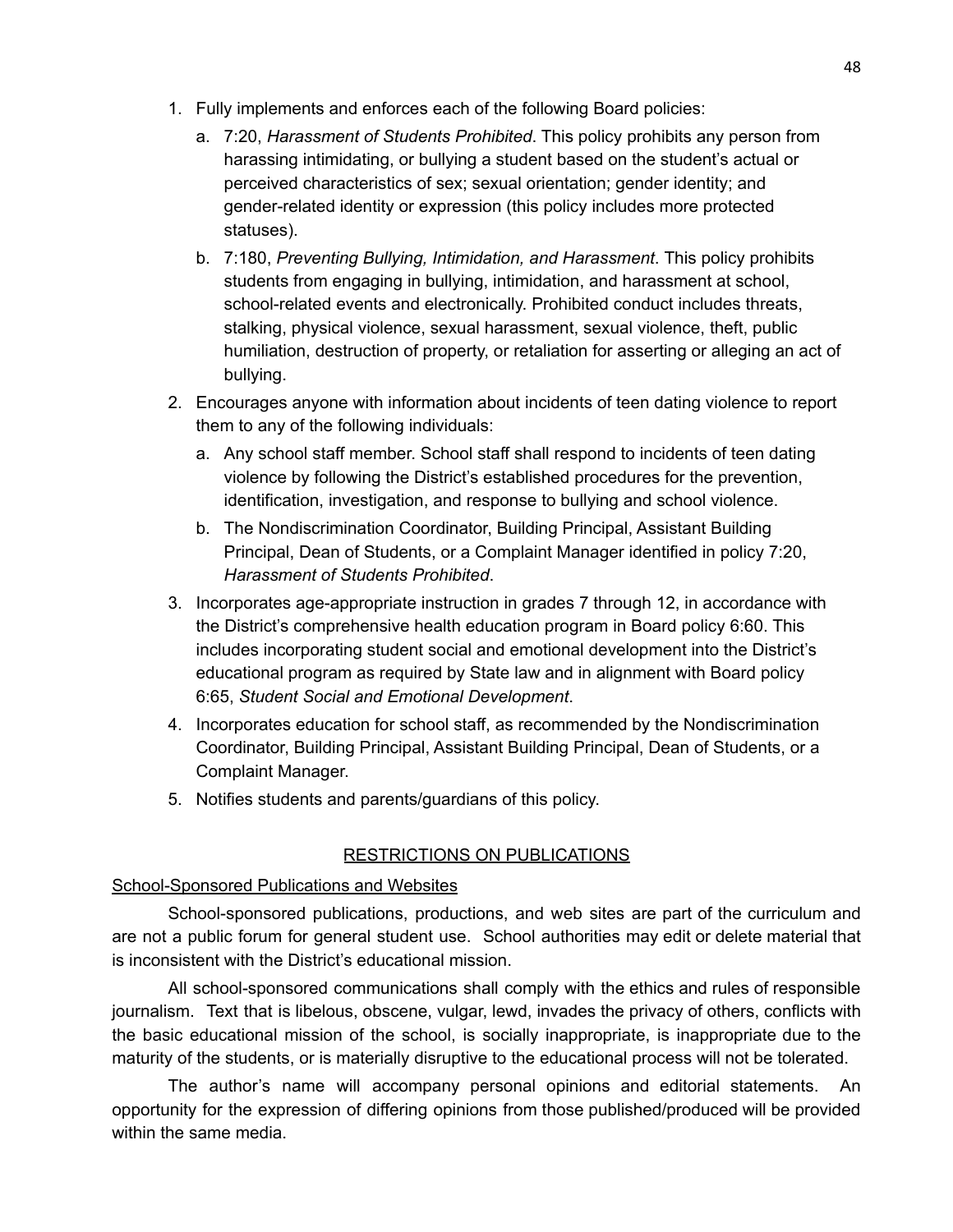- 1. Fully implements and enforces each of the following Board policies:
	- a. 7:20, *Harassment of Students Prohibited*. This policy prohibits any person from harassing intimidating, or bullying a student based on the student's actual or perceived characteristics of sex; sexual orientation; gender identity; and gender-related identity or expression (this policy includes more protected statuses).
	- b. 7:180, *Preventing Bullying, Intimidation, and Harassment*. This policy prohibits students from engaging in bullying, intimidation, and harassment at school, school-related events and electronically. Prohibited conduct includes threats, stalking, physical violence, sexual harassment, sexual violence, theft, public humiliation, destruction of property, or retaliation for asserting or alleging an act of bullying.
- 2. Encourages anyone with information about incidents of teen dating violence to report them to any of the following individuals:
	- a. Any school staff member. School staff shall respond to incidents of teen dating violence by following the District's established procedures for the prevention, identification, investigation, and response to bullying and school violence.
	- b. The Nondiscrimination Coordinator, Building Principal, Assistant Building Principal, Dean of Students, or a Complaint Manager identified in policy 7:20, *Harassment of Students Prohibited*.
- 3. Incorporates age-appropriate instruction in grades 7 through 12, in accordance with the District's comprehensive health education program in Board policy 6:60. This includes incorporating student social and emotional development into the District's educational program as required by State law and in alignment with Board policy 6:65, *Student Social and Emotional Development*.
- 4. Incorporates education for school staff, as recommended by the Nondiscrimination Coordinator, Building Principal, Assistant Building Principal, Dean of Students, or a Complaint Manager.
- 5. Notifies students and parents/guardians of this policy.

## RESTRICTIONS ON PUBLICATIONS

## School-Sponsored Publications and Websites

School-sponsored publications, productions, and web sites are part of the curriculum and are not a public forum for general student use. School authorities may edit or delete material that is inconsistent with the District's educational mission.

All school-sponsored communications shall comply with the ethics and rules of responsible journalism. Text that is libelous, obscene, vulgar, lewd, invades the privacy of others, conflicts with the basic educational mission of the school, is socially inappropriate, is inappropriate due to the maturity of the students, or is materially disruptive to the educational process will not be tolerated.

The author's name will accompany personal opinions and editorial statements. An opportunity for the expression of differing opinions from those published/produced will be provided within the same media.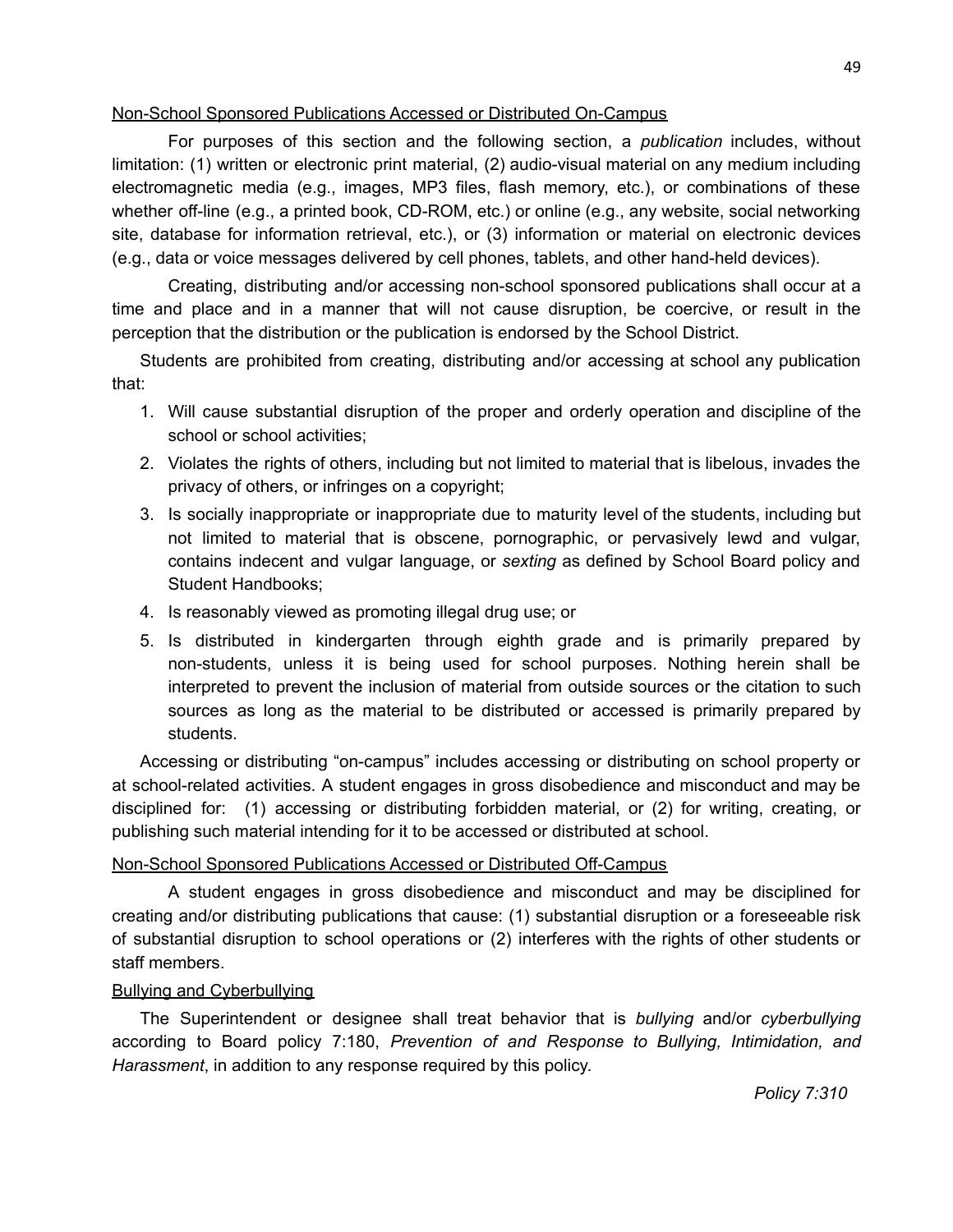### Non-School Sponsored Publications Accessed or Distributed On-Campus

For purposes of this section and the following section, a *publication* includes, without limitation: (1) written or electronic print material, (2) audio-visual material on any medium including electromagnetic media (e.g., images, MP3 files, flash memory, etc.), or combinations of these whether off-line (e.g., a printed book, CD-ROM, etc.) or online (e.g., any website, social networking site, database for information retrieval, etc.), or (3) information or material on electronic devices (e.g., data or voice messages delivered by cell phones, tablets, and other hand-held devices).

Creating, distributing and/or accessing non-school sponsored publications shall occur at a time and place and in a manner that will not cause disruption, be coercive, or result in the perception that the distribution or the publication is endorsed by the School District.

Students are prohibited from creating, distributing and/or accessing at school any publication that:

- 1. Will cause substantial disruption of the proper and orderly operation and discipline of the school or school activities;
- 2. Violates the rights of others, including but not limited to material that is libelous, invades the privacy of others, or infringes on a copyright;
- 3. Is socially inappropriate or inappropriate due to maturity level of the students, including but not limited to material that is obscene, pornographic, or pervasively lewd and vulgar, contains indecent and vulgar language, or *sexting* as defined by School Board policy and Student Handbooks;
- 4. Is reasonably viewed as promoting illegal drug use; or
- 5. Is distributed in kindergarten through eighth grade and is primarily prepared by non-students, unless it is being used for school purposes. Nothing herein shall be interpreted to prevent the inclusion of material from outside sources or the citation to such sources as long as the material to be distributed or accessed is primarily prepared by students.

Accessing or distributing "on-campus" includes accessing or distributing on school property or at school-related activities. A student engages in gross disobedience and misconduct and may be disciplined for: (1) accessing or distributing forbidden material, or (2) for writing, creating, or publishing such material intending for it to be accessed or distributed at school.

## Non-School Sponsored Publications Accessed or Distributed Off-Campus

A student engages in gross disobedience and misconduct and may be disciplined for creating and/or distributing publications that cause: (1) substantial disruption or a foreseeable risk of substantial disruption to school operations or (2) interferes with the rights of other students or staff members.

## Bullying and Cyberbullying

The Superintendent or designee shall treat behavior that is *bullying* and/or *cyberbullying* according to Board policy 7:180, *Prevention of and Response to Bullying, Intimidation, and Harassment*, in addition to any response required by this policy.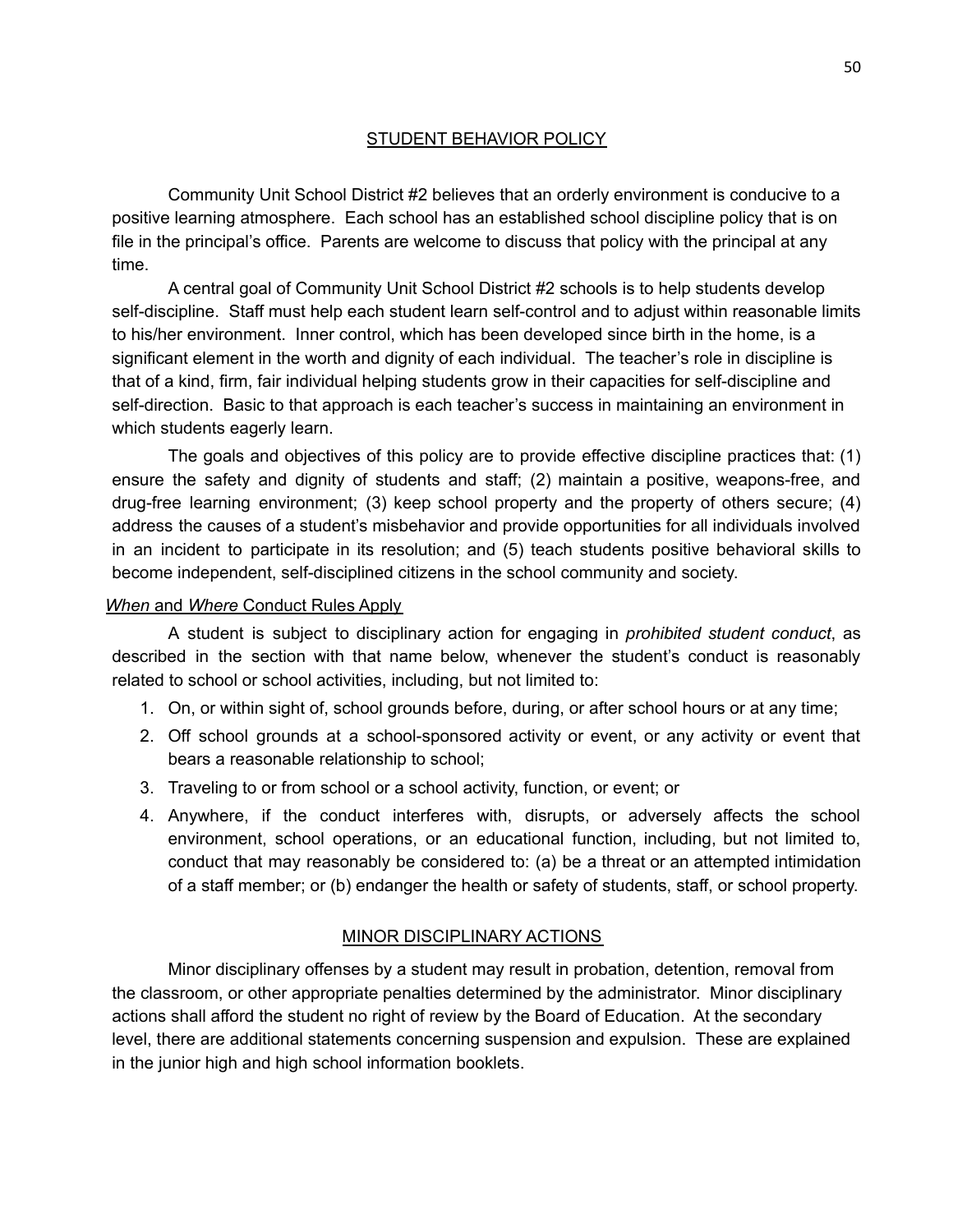### STUDENT BEHAVIOR POLICY

Community Unit School District #2 believes that an orderly environment is conducive to a positive learning atmosphere. Each school has an established school discipline policy that is on file in the principal's office. Parents are welcome to discuss that policy with the principal at any time.

A central goal of Community Unit School District #2 schools is to help students develop self-discipline. Staff must help each student learn self-control and to adjust within reasonable limits to his/her environment. Inner control, which has been developed since birth in the home, is a significant element in the worth and dignity of each individual. The teacher's role in discipline is that of a kind, firm, fair individual helping students grow in their capacities for self-discipline and self-direction. Basic to that approach is each teacher's success in maintaining an environment in which students eagerly learn.

The goals and objectives of this policy are to provide effective discipline practices that: (1) ensure the safety and dignity of students and staff; (2) maintain a positive, weapons-free, and drug-free learning environment; (3) keep school property and the property of others secure; (4) address the causes of a student's misbehavior and provide opportunities for all individuals involved in an incident to participate in its resolution; and (5) teach students positive behavioral skills to become independent, self-disciplined citizens in the school community and society.

### *When* and *Where* Conduct Rules Apply

A student is subject to disciplinary action for engaging in *prohibited student conduct*, as described in the section with that name below, whenever the student's conduct is reasonably related to school or school activities, including, but not limited to:

- 1. On, or within sight of, school grounds before, during, or after school hours or at any time;
- 2. Off school grounds at a school-sponsored activity or event, or any activity or event that bears a reasonable relationship to school;
- 3. Traveling to or from school or a school activity, function, or event; or
- 4. Anywhere, if the conduct interferes with, disrupts, or adversely affects the school environment, school operations, or an educational function, including, but not limited to, conduct that may reasonably be considered to: (a) be a threat or an attempted intimidation of a staff member; or (b) endanger the health or safety of students, staff, or school property.

### MINOR DISCIPLINARY ACTIONS

Minor disciplinary offenses by a student may result in probation, detention, removal from the classroom, or other appropriate penalties determined by the administrator. Minor disciplinary actions shall afford the student no right of review by the Board of Education. At the secondary level, there are additional statements concerning suspension and expulsion. These are explained in the junior high and high school information booklets.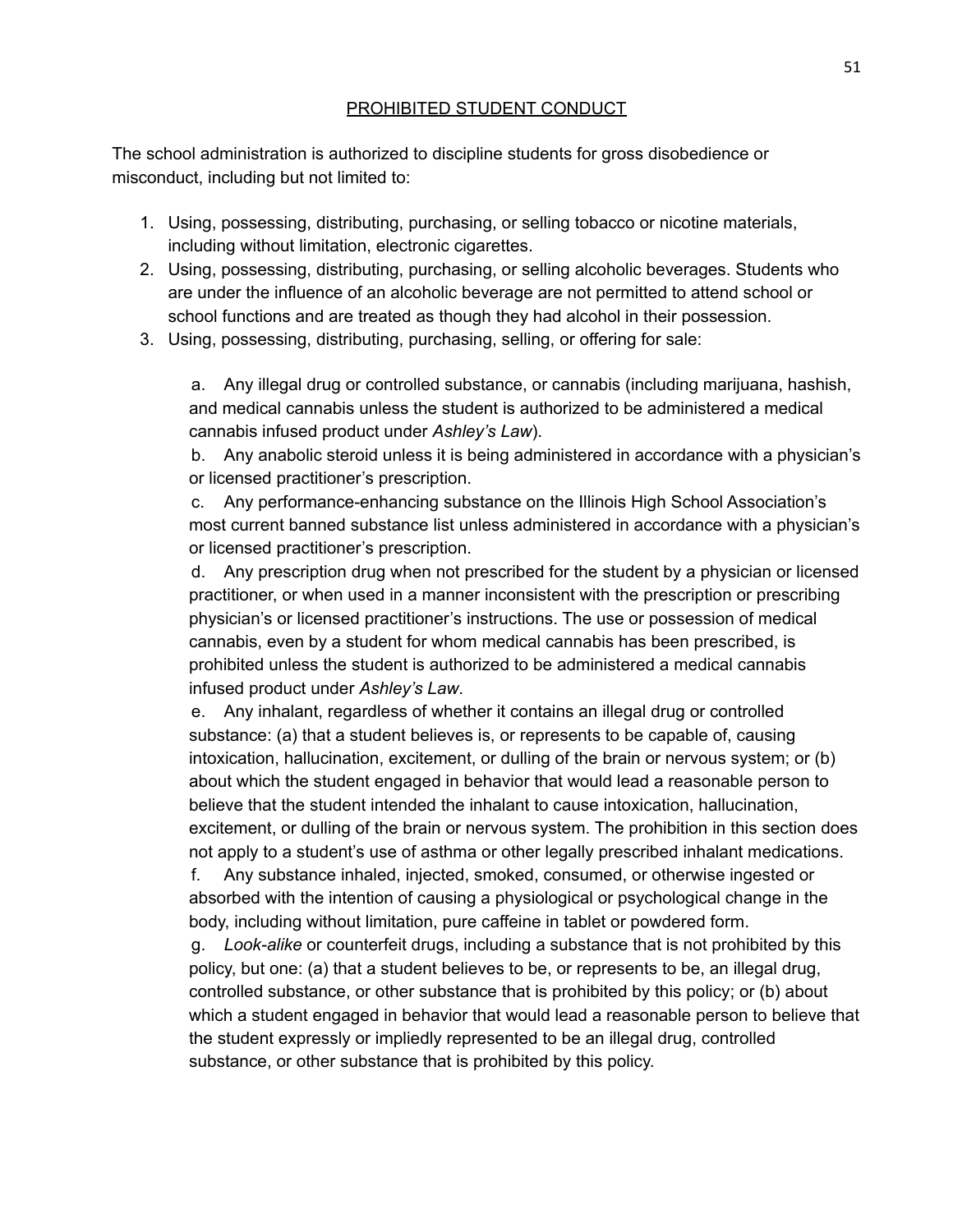### PROHIBITED STUDENT CONDUCT

The school administration is authorized to discipline students for gross disobedience or misconduct, including but not limited to:

- 1. Using, possessing, distributing, purchasing, or selling tobacco or nicotine materials, including without limitation, electronic cigarettes.
- 2. Using, possessing, distributing, purchasing, or selling alcoholic beverages. Students who are under the influence of an alcoholic beverage are not permitted to attend school or school functions and are treated as though they had alcohol in their possession.
- 3. Using, possessing, distributing, purchasing, selling, or offering for sale:

a. Any illegal drug or controlled substance, or cannabis (including marijuana, hashish, and medical cannabis unless the student is authorized to be administered a medical cannabis infused product under *Ashley's Law*).

b. Any anabolic steroid unless it is being administered in accordance with a physician's or licensed practitioner's prescription.

c. Any performance-enhancing substance on the Illinois High School Association's most current banned substance list unless administered in accordance with a physician's or licensed practitioner's prescription.

d. Any prescription drug when not prescribed for the student by a physician or licensed practitioner, or when used in a manner inconsistent with the prescription or prescribing physician's or licensed practitioner's instructions. The use or possession of medical cannabis, even by a student for whom medical cannabis has been prescribed, is prohibited unless the student is authorized to be administered a medical cannabis infused product under *Ashley's Law*.

e. Any inhalant, regardless of whether it contains an illegal drug or controlled substance: (a) that a student believes is, or represents to be capable of, causing intoxication, hallucination, excitement, or dulling of the brain or nervous system; or (b) about which the student engaged in behavior that would lead a reasonable person to believe that the student intended the inhalant to cause intoxication, hallucination, excitement, or dulling of the brain or nervous system. The prohibition in this section does not apply to a student's use of asthma or other legally prescribed inhalant medications.

f. Any substance inhaled, injected, smoked, consumed, or otherwise ingested or absorbed with the intention of causing a physiological or psychological change in the body, including without limitation, pure caffeine in tablet or powdered form.

g. *Look-alike* or counterfeit drugs, including a substance that is not prohibited by this policy, but one: (a) that a student believes to be, or represents to be, an illegal drug, controlled substance, or other substance that is prohibited by this policy; or (b) about which a student engaged in behavior that would lead a reasonable person to believe that the student expressly or impliedly represented to be an illegal drug, controlled substance, or other substance that is prohibited by this policy.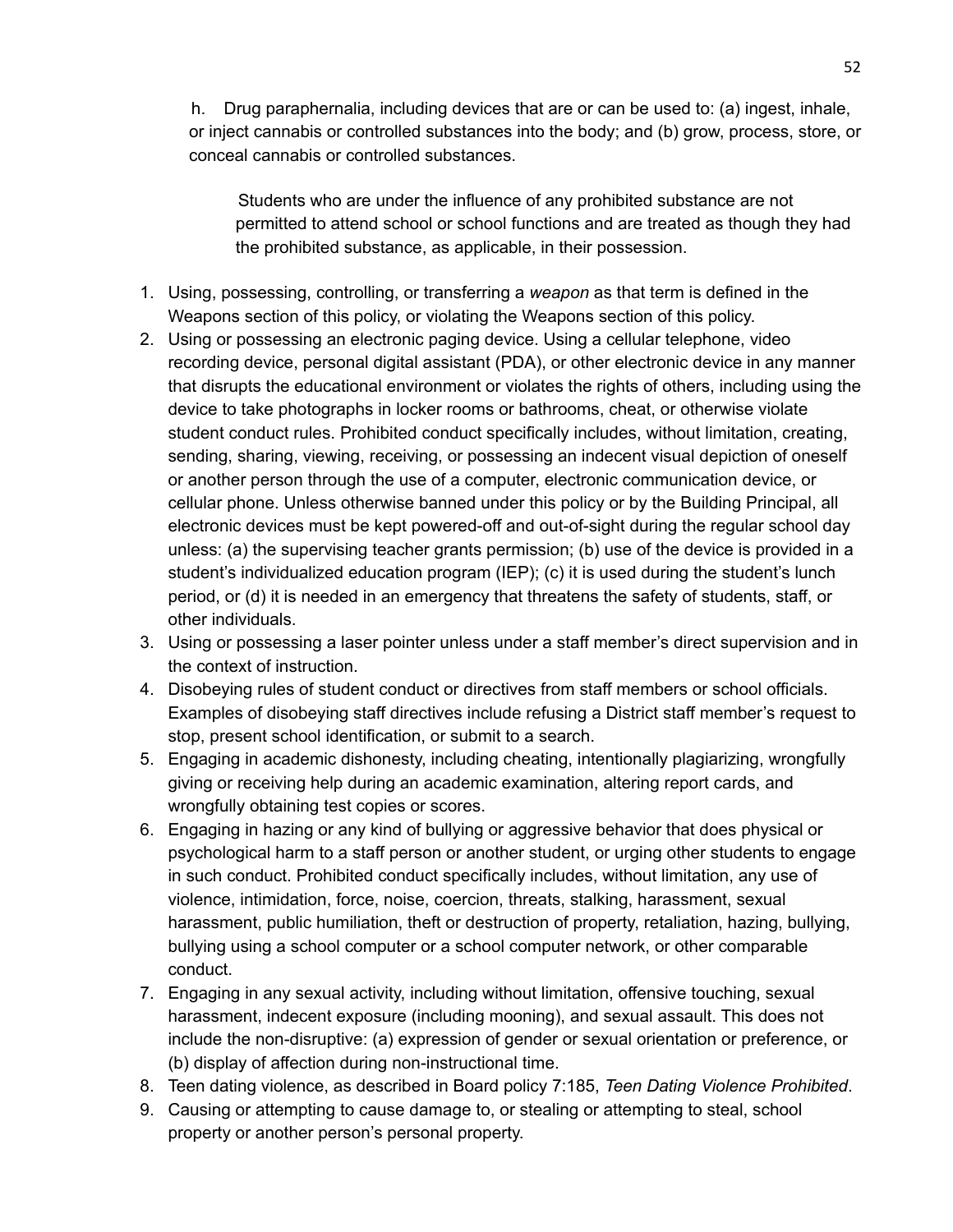h. Drug paraphernalia, including devices that are or can be used to: (a) ingest, inhale, or inject cannabis or controlled substances into the body; and (b) grow, process, store, or conceal cannabis or controlled substances.

Students who are under the influence of any prohibited substance are not permitted to attend school or school functions and are treated as though they had the prohibited substance, as applicable, in their possession.

- 1. Using, possessing, controlling, or transferring a *weapon* as that term is defined in the Weapons section of this policy, or violating the Weapons section of this policy.
- 2. Using or possessing an electronic paging device. Using a cellular telephone, video recording device, personal digital assistant (PDA), or other electronic device in any manner that disrupts the educational environment or violates the rights of others, including using the device to take photographs in locker rooms or bathrooms, cheat, or otherwise violate student conduct rules. Prohibited conduct specifically includes, without limitation, creating, sending, sharing, viewing, receiving, or possessing an indecent visual depiction of oneself or another person through the use of a computer, electronic communication device, or cellular phone. Unless otherwise banned under this policy or by the Building Principal, all electronic devices must be kept powered-off and out-of-sight during the regular school day unless: (a) the supervising teacher grants permission; (b) use of the device is provided in a student's individualized education program (IEP); (c) it is used during the student's lunch period, or (d) it is needed in an emergency that threatens the safety of students, staff, or other individuals.
- 3. Using or possessing a laser pointer unless under a staff member's direct supervision and in the context of instruction.
- 4. Disobeying rules of student conduct or directives from staff members or school officials. Examples of disobeying staff directives include refusing a District staff member's request to stop, present school identification, or submit to a search.
- 5. Engaging in academic dishonesty, including cheating, intentionally plagiarizing, wrongfully giving or receiving help during an academic examination, altering report cards, and wrongfully obtaining test copies or scores.
- 6. Engaging in hazing or any kind of bullying or aggressive behavior that does physical or psychological harm to a staff person or another student, or urging other students to engage in such conduct. Prohibited conduct specifically includes, without limitation, any use of violence, intimidation, force, noise, coercion, threats, stalking, harassment, sexual harassment, public humiliation, theft or destruction of property, retaliation, hazing, bullying, bullying using a school computer or a school computer network, or other comparable conduct.
- 7. Engaging in any sexual activity, including without limitation, offensive touching, sexual harassment, indecent exposure (including mooning), and sexual assault. This does not include the non-disruptive: (a) expression of gender or sexual orientation or preference, or (b) display of affection during non-instructional time.
- 8. Teen dating violence, as described in Board policy 7:185, *Teen Dating Violence Prohibited*.
- 9. Causing or attempting to cause damage to, or stealing or attempting to steal, school property or another person's personal property.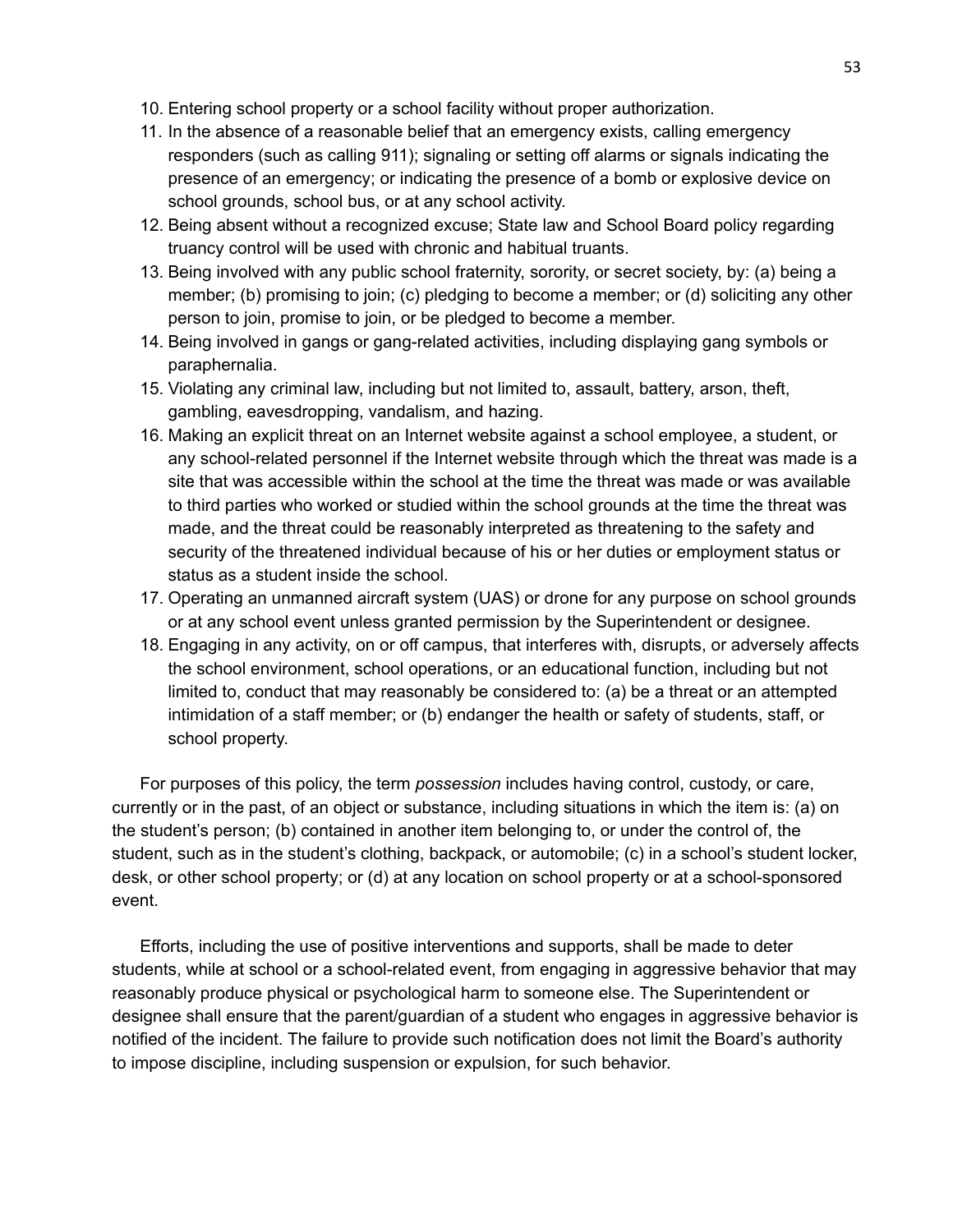- 10. Entering school property or a school facility without proper authorization.
- 11. In the absence of a reasonable belief that an emergency exists, calling emergency responders (such as calling 911); signaling or setting off alarms or signals indicating the presence of an emergency; or indicating the presence of a bomb or explosive device on school grounds, school bus, or at any school activity.
- 12. Being absent without a recognized excuse; State law and School Board policy regarding truancy control will be used with chronic and habitual truants.
- 13. Being involved with any public school fraternity, sorority, or secret society, by: (a) being a member; (b) promising to join; (c) pledging to become a member; or (d) soliciting any other person to join, promise to join, or be pledged to become a member.
- 14. Being involved in gangs or gang-related activities, including displaying gang symbols or paraphernalia.
- 15. Violating any criminal law, including but not limited to, assault, battery, arson, theft, gambling, eavesdropping, vandalism, and hazing.
- 16. Making an explicit threat on an Internet website against a school employee, a student, or any school-related personnel if the Internet website through which the threat was made is a site that was accessible within the school at the time the threat was made or was available to third parties who worked or studied within the school grounds at the time the threat was made, and the threat could be reasonably interpreted as threatening to the safety and security of the threatened individual because of his or her duties or employment status or status as a student inside the school.
- 17. Operating an unmanned aircraft system (UAS) or drone for any purpose on school grounds or at any school event unless granted permission by the Superintendent or designee.
- 18. Engaging in any activity, on or off campus, that interferes with, disrupts, or adversely affects the school environment, school operations, or an educational function, including but not limited to, conduct that may reasonably be considered to: (a) be a threat or an attempted intimidation of a staff member; or (b) endanger the health or safety of students, staff, or school property.

For purposes of this policy, the term *possession* includes having control, custody, or care, currently or in the past, of an object or substance, including situations in which the item is: (a) on the student's person; (b) contained in another item belonging to, or under the control of, the student, such as in the student's clothing, backpack, or automobile; (c) in a school's student locker, desk, or other school property; or (d) at any location on school property or at a school-sponsored event.

Efforts, including the use of positive interventions and supports, shall be made to deter students, while at school or a school-related event, from engaging in aggressive behavior that may reasonably produce physical or psychological harm to someone else. The Superintendent or designee shall ensure that the parent/guardian of a student who engages in aggressive behavior is notified of the incident. The failure to provide such notification does not limit the Board's authority to impose discipline, including suspension or expulsion, for such behavior.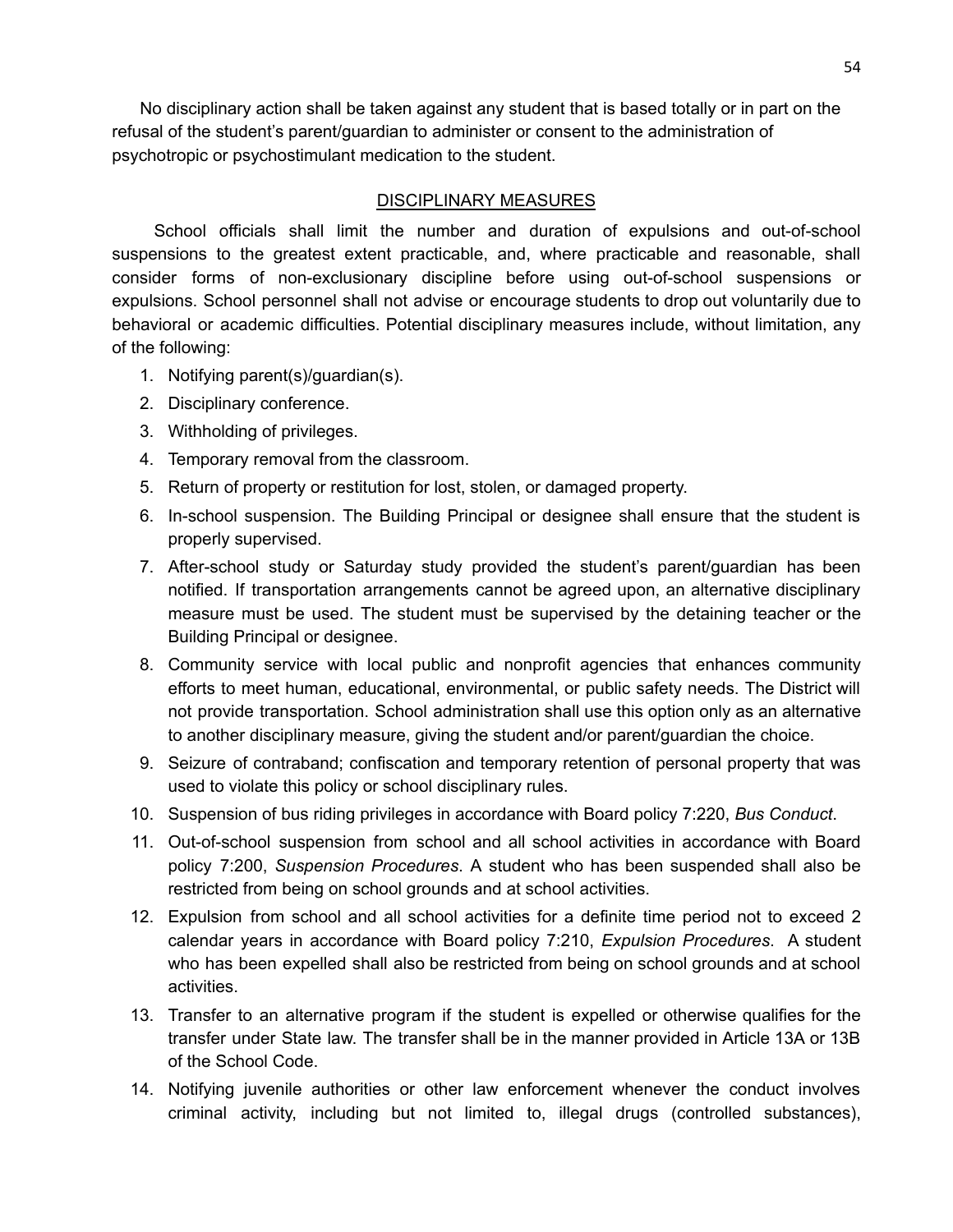No disciplinary action shall be taken against any student that is based totally or in part on the refusal of the student's parent/guardian to administer or consent to the administration of psychotropic or psychostimulant medication to the student.

### DISCIPLINARY MEASURES

School officials shall limit the number and duration of expulsions and out-of-school suspensions to the greatest extent practicable, and, where practicable and reasonable, shall consider forms of non-exclusionary discipline before using out-of-school suspensions or expulsions. School personnel shall not advise or encourage students to drop out voluntarily due to behavioral or academic difficulties. Potential disciplinary measures include, without limitation, any of the following:

- 1. Notifying parent(s)/guardian(s).
- 2. Disciplinary conference.
- 3. Withholding of privileges.
- 4. Temporary removal from the classroom.
- 5. Return of property or restitution for lost, stolen, or damaged property.
- 6. In-school suspension. The Building Principal or designee shall ensure that the student is properly supervised.
- 7. After-school study or Saturday study provided the student's parent/guardian has been notified. If transportation arrangements cannot be agreed upon, an alternative disciplinary measure must be used. The student must be supervised by the detaining teacher or the Building Principal or designee.
- 8. Community service with local public and nonprofit agencies that enhances community efforts to meet human, educational, environmental, or public safety needs. The District will not provide transportation. School administration shall use this option only as an alternative to another disciplinary measure, giving the student and/or parent/guardian the choice.
- 9. Seizure of contraband; confiscation and temporary retention of personal property that was used to violate this policy or school disciplinary rules.
- 10. Suspension of bus riding privileges in accordance with Board policy 7:220, *Bus Conduct*.
- 11. Out-of-school suspension from school and all school activities in accordance with Board policy 7:200, *Suspension Procedures*. A student who has been suspended shall also be restricted from being on school grounds and at school activities.
- 12. Expulsion from school and all school activities for a definite time period not to exceed 2 calendar years in accordance with Board policy 7:210, *Expulsion Procedures*. A student who has been expelled shall also be restricted from being on school grounds and at school activities.
- 13. Transfer to an alternative program if the student is expelled or otherwise qualifies for the transfer under State law. The transfer shall be in the manner provided in Article 13A or 13B of the School Code.
- 14. Notifying juvenile authorities or other law enforcement whenever the conduct involves criminal activity, including but not limited to, illegal drugs (controlled substances),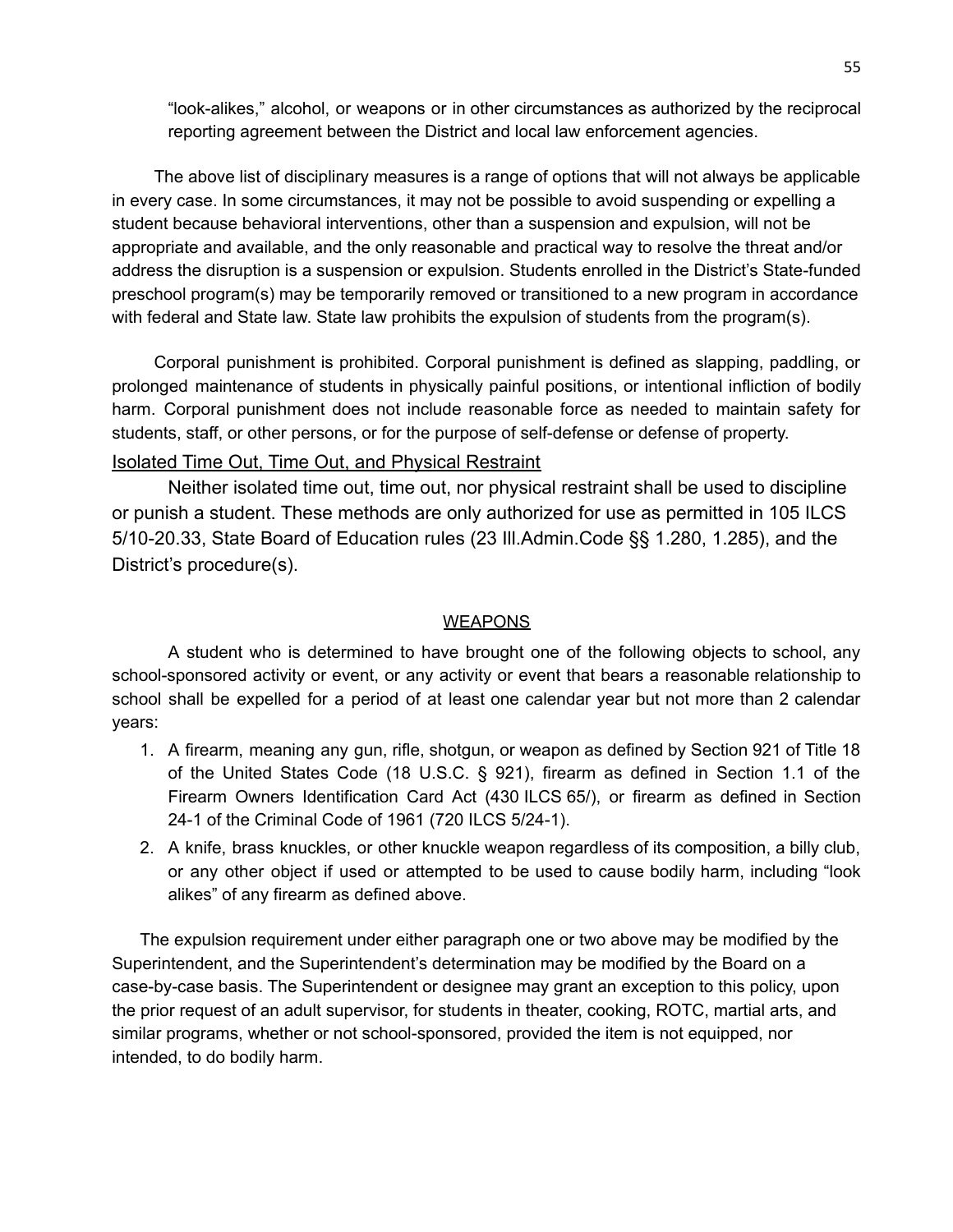"look-alikes," alcohol, or weapons or in other circumstances as authorized by the reciprocal reporting agreement between the District and local law enforcement agencies.

The above list of disciplinary measures is a range of options that will not always be applicable in every case. In some circumstances, it may not be possible to avoid suspending or expelling a student because behavioral interventions, other than a suspension and expulsion, will not be appropriate and available, and the only reasonable and practical way to resolve the threat and/or address the disruption is a suspension or expulsion. Students enrolled in the District's State-funded preschool program(s) may be temporarily removed or transitioned to a new program in accordance with federal and State law. State law prohibits the expulsion of students from the program(s).

Corporal punishment is prohibited. Corporal punishment is defined as slapping, paddling, or prolonged maintenance of students in physically painful positions, or intentional infliction of bodily harm. Corporal punishment does not include reasonable force as needed to maintain safety for students, staff, or other persons, or for the purpose of self-defense or defense of property.

### Isolated Time Out, Time Out, and Physical Restraint

Neither isolated time out, time out, nor physical restraint shall be used to discipline or punish a student. These methods are only authorized for use as permitted in 105 ILCS 5/10-20.33, State Board of Education rules (23 Ill.Admin.Code §§ 1.280, 1.285), and the District's procedure(s).

### **WEAPONS**

A student who is determined to have brought one of the following objects to school, any school-sponsored activity or event, or any activity or event that bears a reasonable relationship to school shall be expelled for a period of at least one calendar year but not more than 2 calendar years:

- 1. A firearm, meaning any gun, rifle, shotgun, or weapon as defined by Section 921 of Title 18 of the United States Code (18 U.S.C. § 921), firearm as defined in Section 1.1 of the Firearm Owners Identification Card Act (430 ILCS 65/), or firearm as defined in Section 24-1 of the Criminal Code of 1961 (720 ILCS 5/24-1).
- 2. A knife, brass knuckles, or other knuckle weapon regardless of its composition, a billy club, or any other object if used or attempted to be used to cause bodily harm, including "look alikes" of any firearm as defined above.

The expulsion requirement under either paragraph one or two above may be modified by the Superintendent, and the Superintendent's determination may be modified by the Board on a case-by-case basis. The Superintendent or designee may grant an exception to this policy, upon the prior request of an adult supervisor, for students in theater, cooking, ROTC, martial arts, and similar programs, whether or not school-sponsored, provided the item is not equipped, nor intended, to do bodily harm.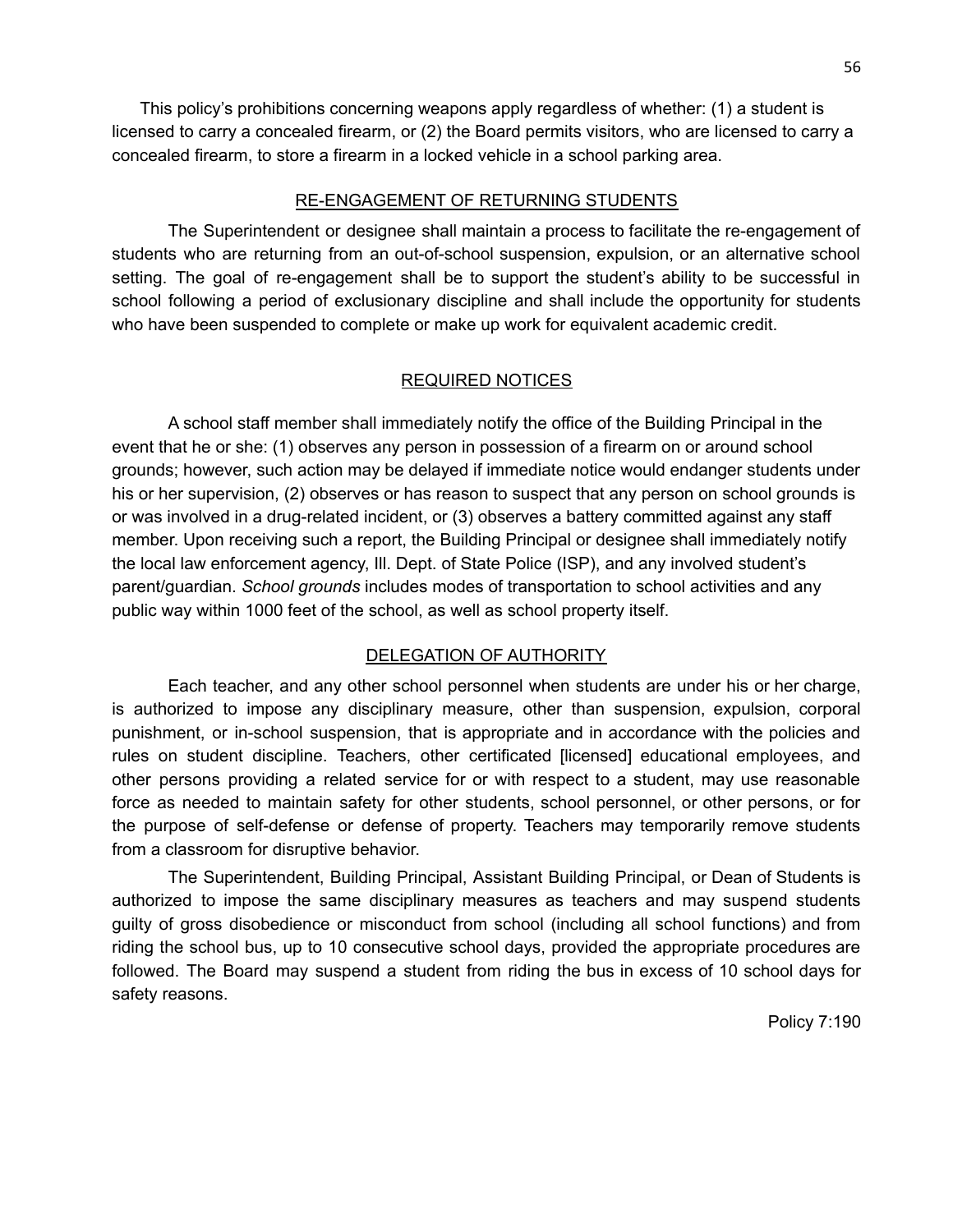This policy's prohibitions concerning weapons apply regardless of whether: (1) a student is licensed to carry a concealed firearm, or (2) the Board permits visitors, who are licensed to carry a concealed firearm, to store a firearm in a locked vehicle in a school parking area.

### RE-ENGAGEMENT OF RETURNING STUDENTS

The Superintendent or designee shall maintain a process to facilitate the re-engagement of students who are returning from an out-of-school suspension, expulsion, or an alternative school setting. The goal of re-engagement shall be to support the student's ability to be successful in school following a period of exclusionary discipline and shall include the opportunity for students who have been suspended to complete or make up work for equivalent academic credit.

### REQUIRED NOTICES

A school staff member shall immediately notify the office of the Building Principal in the event that he or she: (1) observes any person in possession of a firearm on or around school grounds; however, such action may be delayed if immediate notice would endanger students under his or her supervision, (2) observes or has reason to suspect that any person on school grounds is or was involved in a drug-related incident, or (3) observes a battery committed against any staff member. Upon receiving such a report, the Building Principal or designee shall immediately notify the local law enforcement agency, Ill. Dept. of State Police (ISP), and any involved student's parent/guardian. *School grounds* includes modes of transportation to school activities and any public way within 1000 feet of the school, as well as school property itself.

### DELEGATION OF AUTHORITY

Each teacher, and any other school personnel when students are under his or her charge, is authorized to impose any disciplinary measure, other than suspension, expulsion, corporal punishment, or in-school suspension, that is appropriate and in accordance with the policies and rules on student discipline. Teachers, other certificated [licensed] educational employees, and other persons providing a related service for or with respect to a student, may use reasonable force as needed to maintain safety for other students, school personnel, or other persons, or for the purpose of self-defense or defense of property. Teachers may temporarily remove students from a classroom for disruptive behavior.

The Superintendent, Building Principal, Assistant Building Principal, or Dean of Students is authorized to impose the same disciplinary measures as teachers and may suspend students guilty of gross disobedience or misconduct from school (including all school functions) and from riding the school bus, up to 10 consecutive school days, provided the appropriate procedures are followed. The Board may suspend a student from riding the bus in excess of 10 school days for safety reasons.

Policy 7:190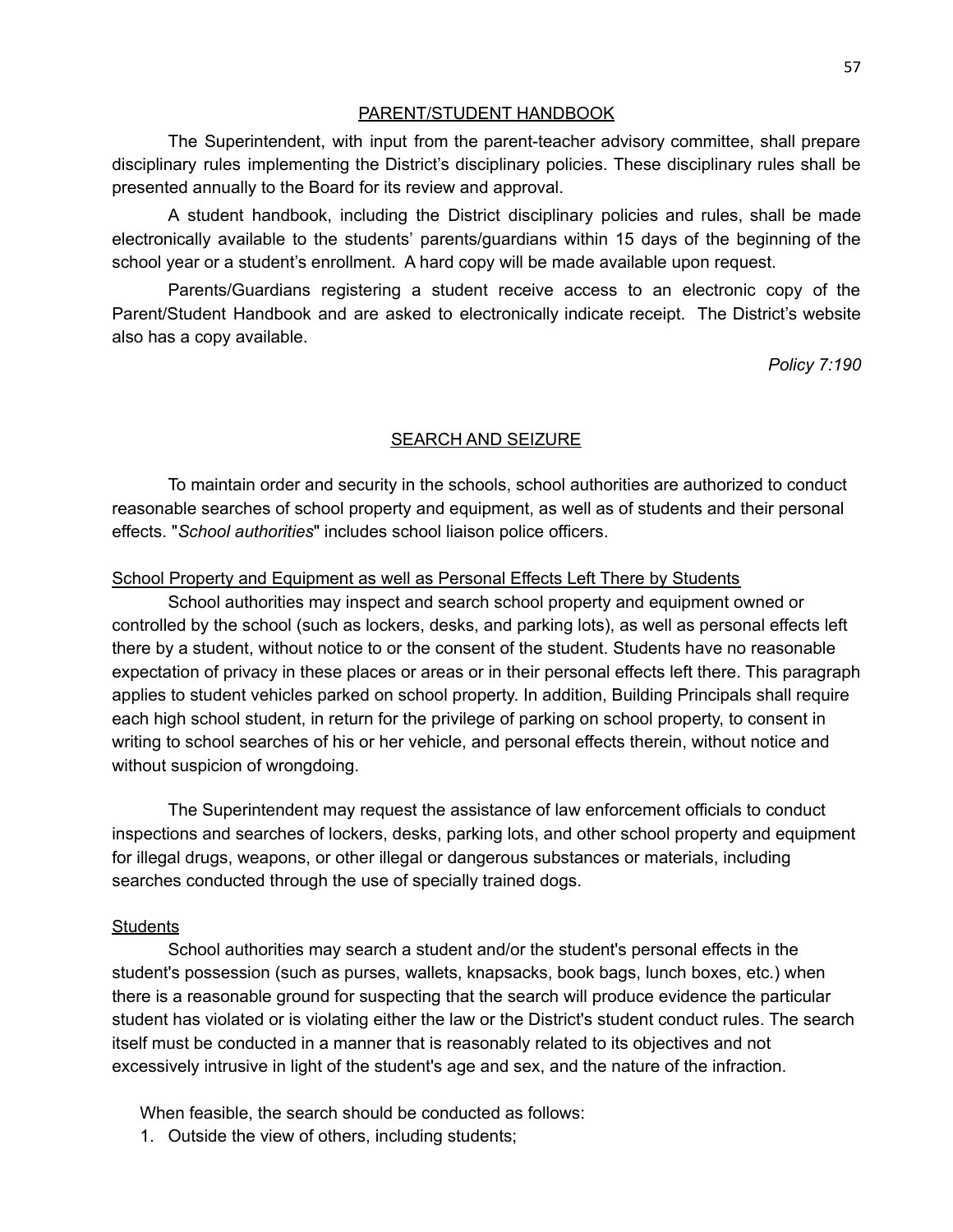#### PARENT/STUDENT HANDBOOK

The Superintendent, with input from the parent-teacher advisory committee, shall prepare disciplinary rules implementing the District's disciplinary policies. These disciplinary rules shall be presented annually to the Board for its review and approval.

A student handbook, including the District disciplinary policies and rules, shall be made electronically available to the students' parents/guardians within 15 days of the beginning of the school year or a student's enrollment. A hard copy will be made available upon request.

Parents/Guardians registering a student receive access to an electronic copy of the Parent/Student Handbook and are asked to electronically indicate receipt. The District's website also has a copy available.

*Policy 7:190*

### SEARCH AND SEIZURE

To maintain order and security in the schools, school authorities are authorized to conduct reasonable searches of school property and equipment, as well as of students and their personal effects. "*School authorities*" includes school liaison police officers.

#### School Property and Equipment as well as Personal Effects Left There by Students

School authorities may inspect and search school property and equipment owned or controlled by the school (such as lockers, desks, and parking lots), as well as personal effects left there by a student, without notice to or the consent of the student. Students have no reasonable expectation of privacy in these places or areas or in their personal effects left there. This paragraph applies to student vehicles parked on school property. In addition, Building Principals shall require each high school student, in return for the privilege of parking on school property, to consent in writing to school searches of his or her vehicle, and personal effects therein, without notice and without suspicion of wrongdoing.

The Superintendent may request the assistance of law enforcement officials to conduct inspections and searches of lockers, desks, parking lots, and other school property and equipment for illegal drugs, weapons, or other illegal or dangerous substances or materials, including searches conducted through the use of specially trained dogs.

### **Students**

School authorities may search a student and/or the student's personal effects in the student's possession (such as purses, wallets, knapsacks, book bags, lunch boxes, etc.) when there is a reasonable ground for suspecting that the search will produce evidence the particular student has violated or is violating either the law or the District's student conduct rules. The search itself must be conducted in a manner that is reasonably related to its objectives and not excessively intrusive in light of the student's age and sex, and the nature of the infraction.

When feasible, the search should be conducted as follows:

1. Outside the view of others, including students;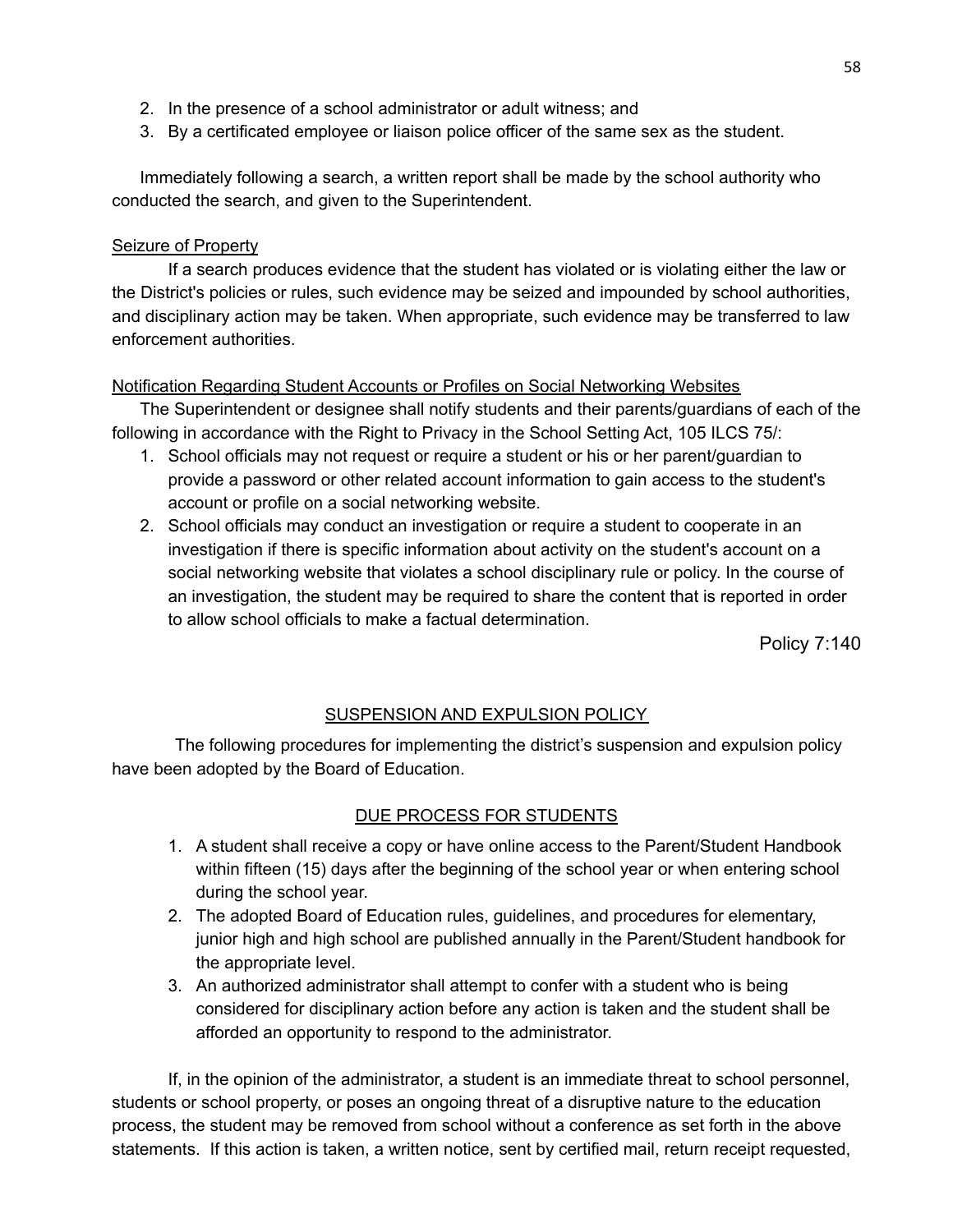- 2. In the presence of a school administrator or adult witness; and
- 3. By a certificated employee or liaison police officer of the same sex as the student.

Immediately following a search, a written report shall be made by the school authority who conducted the search, and given to the Superintendent.

### Seizure of Property

If a search produces evidence that the student has violated or is violating either the law or the District's policies or rules, such evidence may be seized and impounded by school authorities, and disciplinary action may be taken. When appropriate, such evidence may be transferred to law enforcement authorities.

### Notification Regarding Student Accounts or Profiles on Social Networking Websites

The Superintendent or designee shall notify students and their parents/guardians of each of the following in accordance with the Right to Privacy in the School Setting Act, 105 ILCS 75/:

- 1. School officials may not request or require a student or his or her parent/guardian to provide a password or other related account information to gain access to the student's account or profile on a social networking website.
- 2. School officials may conduct an investigation or require a student to cooperate in an investigation if there is specific information about activity on the student's account on a social networking website that violates a school disciplinary rule or policy. In the course of an investigation, the student may be required to share the content that is reported in order to allow school officials to make a factual determination.

Policy 7:140

## SUSPENSION AND EXPULSION POLICY

The following procedures for implementing the district's suspension and expulsion policy have been adopted by the Board of Education.

## DUE PROCESS FOR STUDENTS

- 1. A student shall receive a copy or have online access to the Parent/Student Handbook within fifteen (15) days after the beginning of the school year or when entering school during the school year.
- 2. The adopted Board of Education rules, guidelines, and procedures for elementary, junior high and high school are published annually in the Parent/Student handbook for the appropriate level.
- 3. An authorized administrator shall attempt to confer with a student who is being considered for disciplinary action before any action is taken and the student shall be afforded an opportunity to respond to the administrator.

If, in the opinion of the administrator, a student is an immediate threat to school personnel, students or school property, or poses an ongoing threat of a disruptive nature to the education process, the student may be removed from school without a conference as set forth in the above statements. If this action is taken, a written notice, sent by certified mail, return receipt requested,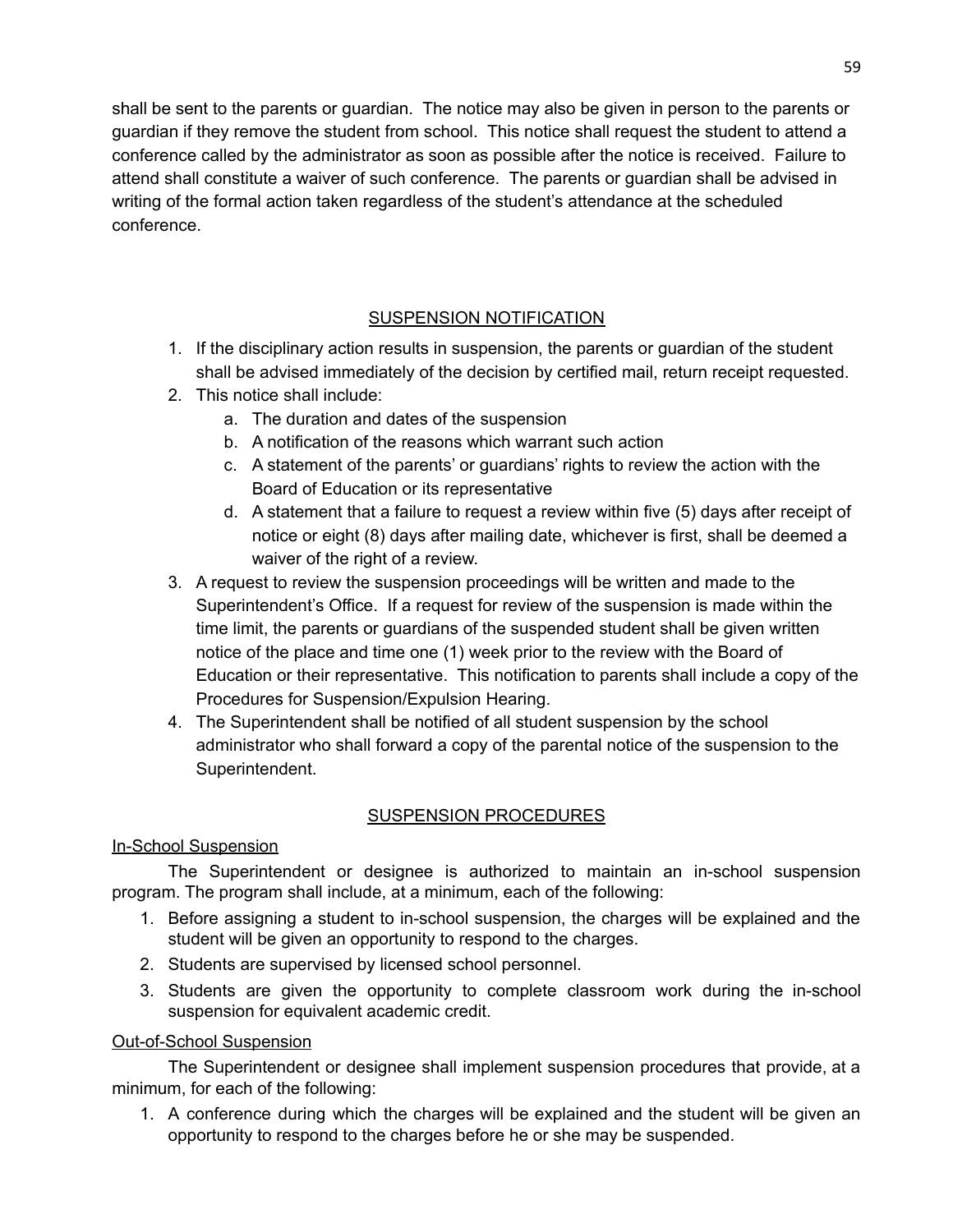shall be sent to the parents or guardian. The notice may also be given in person to the parents or guardian if they remove the student from school. This notice shall request the student to attend a conference called by the administrator as soon as possible after the notice is received. Failure to attend shall constitute a waiver of such conference. The parents or guardian shall be advised in writing of the formal action taken regardless of the student's attendance at the scheduled conference.

## SUSPENSION NOTIFICATION

- 1. If the disciplinary action results in suspension, the parents or guardian of the student shall be advised immediately of the decision by certified mail, return receipt requested.
- 2. This notice shall include:
	- a. The duration and dates of the suspension
	- b. A notification of the reasons which warrant such action
	- c. A statement of the parents' or guardians' rights to review the action with the Board of Education or its representative
	- d. A statement that a failure to request a review within five (5) days after receipt of notice or eight (8) days after mailing date, whichever is first, shall be deemed a waiver of the right of a review.
- 3. A request to review the suspension proceedings will be written and made to the Superintendent's Office. If a request for review of the suspension is made within the time limit, the parents or guardians of the suspended student shall be given written notice of the place and time one (1) week prior to the review with the Board of Education or their representative. This notification to parents shall include a copy of the Procedures for Suspension/Expulsion Hearing.
- 4. The Superintendent shall be notified of all student suspension by the school administrator who shall forward a copy of the parental notice of the suspension to the Superintendent.

## SUSPENSION PROCEDURES

## In-School Suspension

The Superintendent or designee is authorized to maintain an in-school suspension program. The program shall include, at a minimum, each of the following:

- 1. Before assigning a student to in-school suspension, the charges will be explained and the student will be given an opportunity to respond to the charges.
- 2. Students are supervised by licensed school personnel.
- 3. Students are given the opportunity to complete classroom work during the in-school suspension for equivalent academic credit.

## Out-of-School Suspension

The Superintendent or designee shall implement suspension procedures that provide, at a minimum, for each of the following:

1. A conference during which the charges will be explained and the student will be given an opportunity to respond to the charges before he or she may be suspended.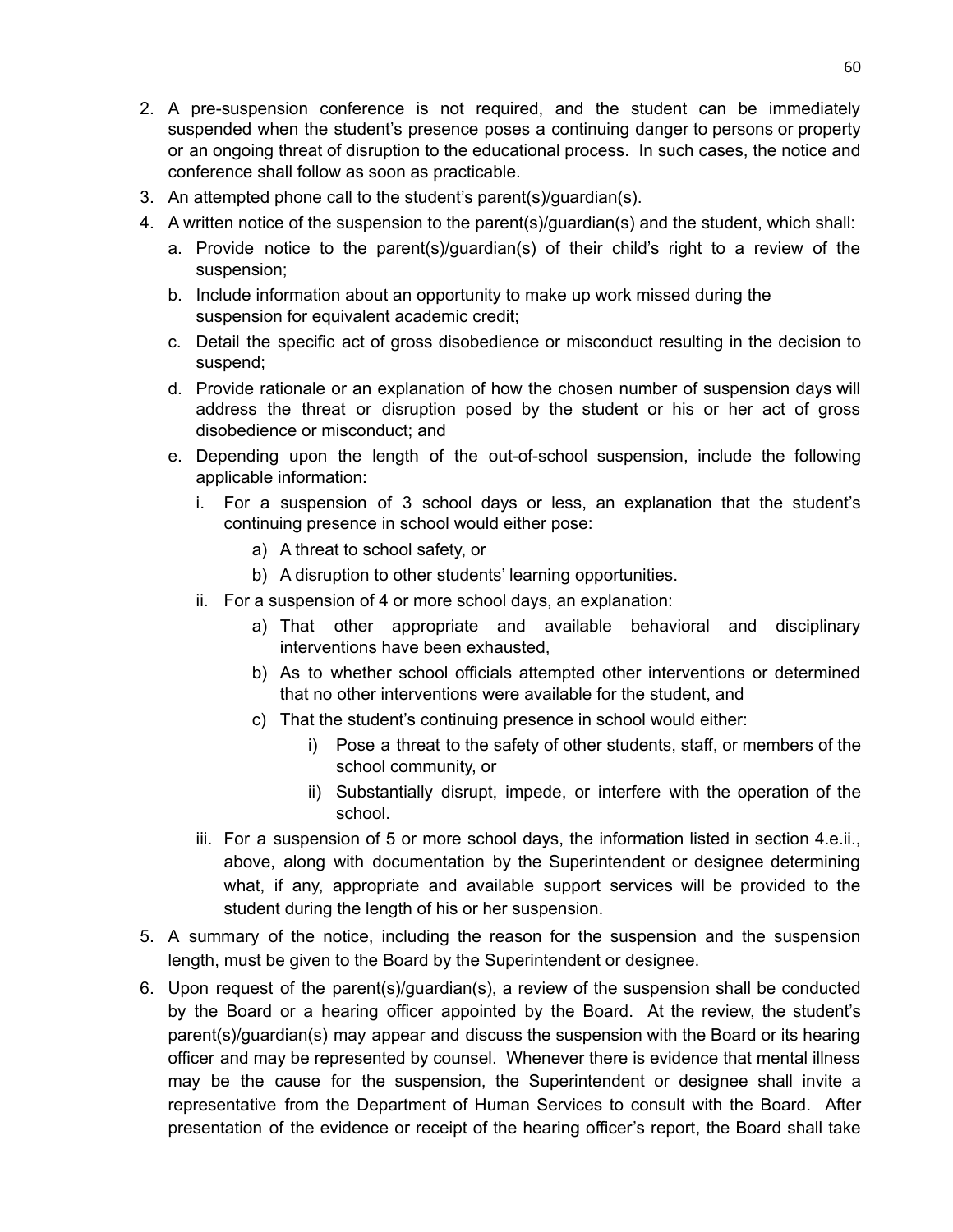- 2. A pre-suspension conference is not required, and the student can be immediately suspended when the student's presence poses a continuing danger to persons or property or an ongoing threat of disruption to the educational process. In such cases, the notice and conference shall follow as soon as practicable.
- 3. An attempted phone call to the student's parent(s)/guardian(s).
- 4. A written notice of the suspension to the parent(s)/guardian(s) and the student, which shall:
	- a. Provide notice to the parent(s)/guardian(s) of their child's right to a review of the suspension;
	- b. Include information about an opportunity to make up work missed during the suspension for equivalent academic credit;
	- c. Detail the specific act of gross disobedience or misconduct resulting in the decision to suspend;
	- d. Provide rationale or an explanation of how the chosen number of suspension days will address the threat or disruption posed by the student or his or her act of gross disobedience or misconduct; and
	- e. Depending upon the length of the out-of-school suspension, include the following applicable information:
		- i. For a suspension of 3 school days or less, an explanation that the student's continuing presence in school would either pose:
			- a) A threat to school safety, or
			- b) A disruption to other students' learning opportunities.
		- ii. For a suspension of 4 or more school days, an explanation:
			- a) That other appropriate and available behavioral and disciplinary interventions have been exhausted,
			- b) As to whether school officials attempted other interventions or determined that no other interventions were available for the student, and
			- c) That the student's continuing presence in school would either:
				- i) Pose a threat to the safety of other students, staff, or members of the school community, or
				- ii) Substantially disrupt, impede, or interfere with the operation of the school.
		- iii. For a suspension of 5 or more school days, the information listed in section 4.e.ii., above, along with documentation by the Superintendent or designee determining what, if any, appropriate and available support services will be provided to the student during the length of his or her suspension.
- 5. A summary of the notice, including the reason for the suspension and the suspension length, must be given to the Board by the Superintendent or designee.
- 6. Upon request of the parent(s)/guardian(s), a review of the suspension shall be conducted by the Board or a hearing officer appointed by the Board. At the review, the student's parent(s)/guardian(s) may appear and discuss the suspension with the Board or its hearing officer and may be represented by counsel. Whenever there is evidence that mental illness may be the cause for the suspension, the Superintendent or designee shall invite a representative from the Department of Human Services to consult with the Board. After presentation of the evidence or receipt of the hearing officer's report, the Board shall take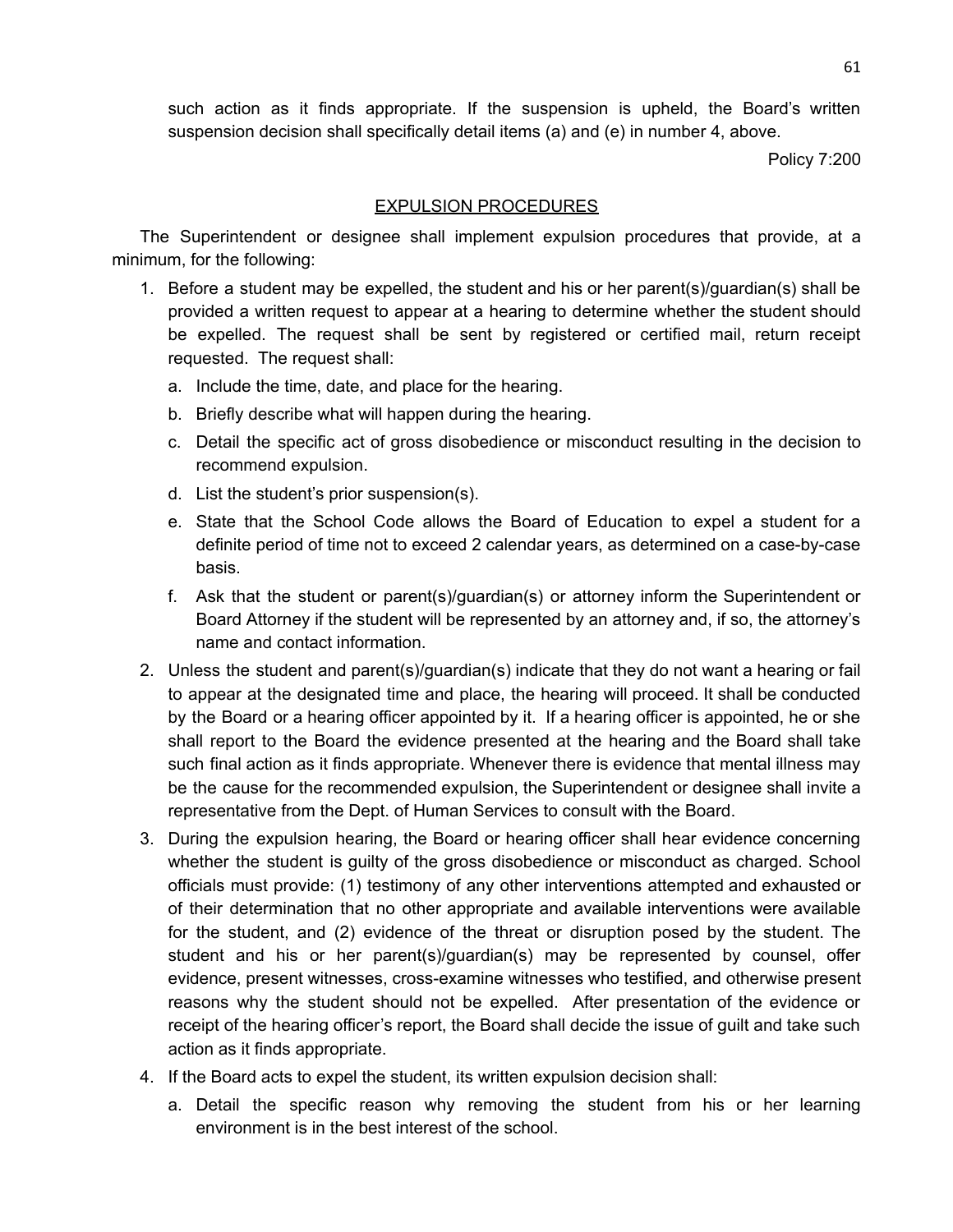such action as it finds appropriate. If the suspension is upheld, the Board's written suspension decision shall specifically detail items (a) and (e) in number 4, above.

Policy 7:200

### EXPULSION PROCEDURES

The Superintendent or designee shall implement expulsion procedures that provide, at a minimum, for the following:

- 1. Before a student may be expelled, the student and his or her parent(s)/guardian(s) shall be provided a written request to appear at a hearing to determine whether the student should be expelled. The request shall be sent by registered or certified mail, return receipt requested. The request shall:
	- a. Include the time, date, and place for the hearing.
	- b. Briefly describe what will happen during the hearing.
	- c. Detail the specific act of gross disobedience or misconduct resulting in the decision to recommend expulsion.
	- d. List the student's prior suspension(s).
	- e. State that the School Code allows the Board of Education to expel a student for a definite period of time not to exceed 2 calendar years, as determined on a case-by-case basis.
	- f. Ask that the student or parent(s)/guardian(s) or attorney inform the Superintendent or Board Attorney if the student will be represented by an attorney and, if so, the attorney's name and contact information.
- 2. Unless the student and parent(s)/guardian(s) indicate that they do not want a hearing or fail to appear at the designated time and place, the hearing will proceed. It shall be conducted by the Board or a hearing officer appointed by it. If a hearing officer is appointed, he or she shall report to the Board the evidence presented at the hearing and the Board shall take such final action as it finds appropriate. Whenever there is evidence that mental illness may be the cause for the recommended expulsion, the Superintendent or designee shall invite a representative from the Dept. of Human Services to consult with the Board.
- 3. During the expulsion hearing, the Board or hearing officer shall hear evidence concerning whether the student is guilty of the gross disobedience or misconduct as charged. School officials must provide: (1) testimony of any other interventions attempted and exhausted or of their determination that no other appropriate and available interventions were available for the student, and (2) evidence of the threat or disruption posed by the student. The student and his or her parent(s)/guardian(s) may be represented by counsel, offer evidence, present witnesses, cross-examine witnesses who testified, and otherwise present reasons why the student should not be expelled. After presentation of the evidence or receipt of the hearing officer's report, the Board shall decide the issue of guilt and take such action as it finds appropriate.
- 4. If the Board acts to expel the student, its written expulsion decision shall:
	- a. Detail the specific reason why removing the student from his or her learning environment is in the best interest of the school.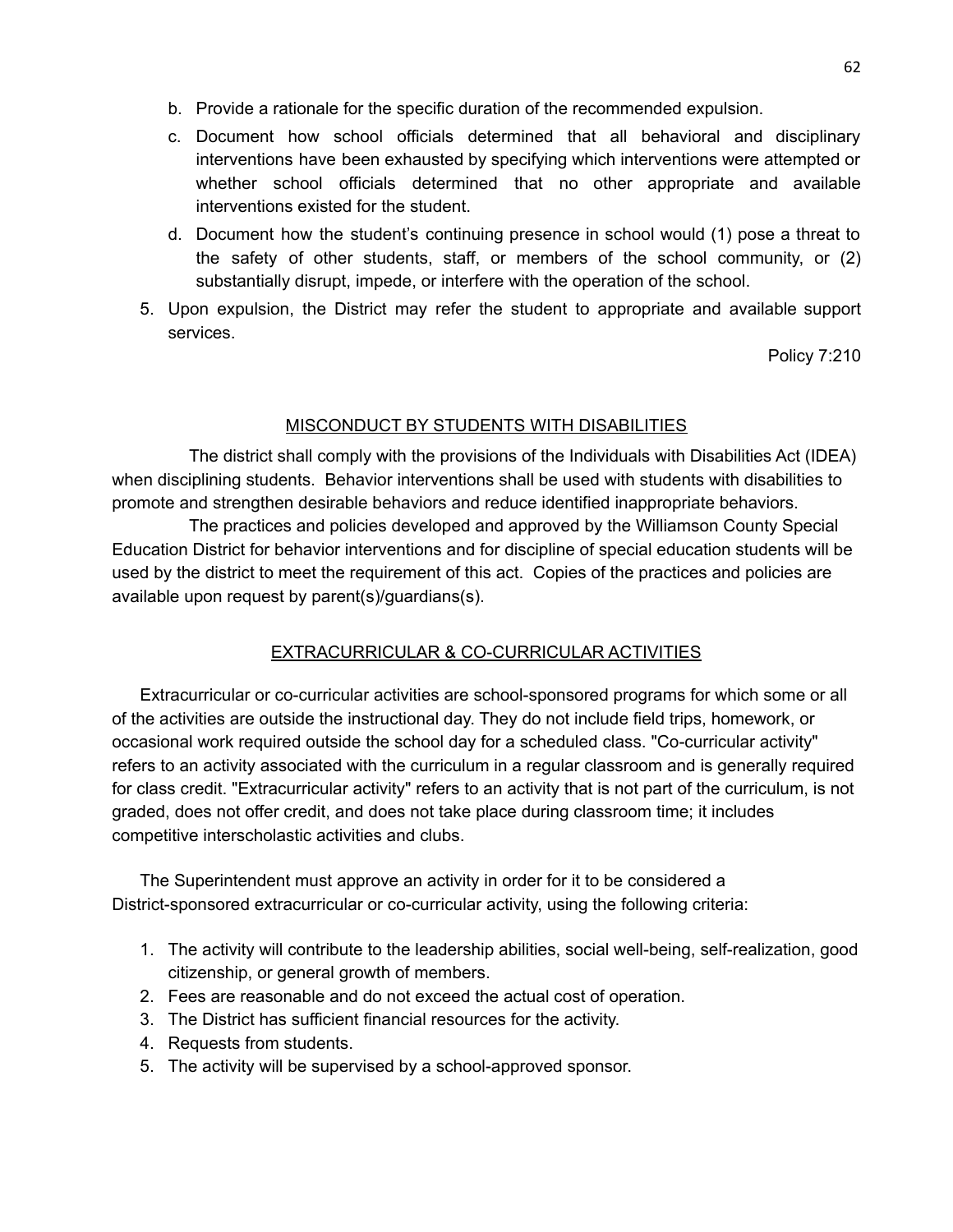- b. Provide a rationale for the specific duration of the recommended expulsion.
- c. Document how school officials determined that all behavioral and disciplinary interventions have been exhausted by specifying which interventions were attempted or whether school officials determined that no other appropriate and available interventions existed for the student.
- d. Document how the student's continuing presence in school would (1) pose a threat to the safety of other students, staff, or members of the school community, or (2) substantially disrupt, impede, or interfere with the operation of the school.
- 5. Upon expulsion, the District may refer the student to appropriate and available support services.

Policy 7:210

### MISCONDUCT BY STUDENTS WITH DISABILITIES

The district shall comply with the provisions of the Individuals with Disabilities Act (IDEA) when disciplining students. Behavior interventions shall be used with students with disabilities to promote and strengthen desirable behaviors and reduce identified inappropriate behaviors.

The practices and policies developed and approved by the Williamson County Special Education District for behavior interventions and for discipline of special education students will be used by the district to meet the requirement of this act. Copies of the practices and policies are available upon request by parent(s)/guardians(s).

## EXTRACURRICULAR & CO-CURRICULAR ACTIVITIES

Extracurricular or co-curricular activities are school-sponsored programs for which some or all of the activities are outside the instructional day. They do not include field trips, homework, or occasional work required outside the school day for a scheduled class. "Co-curricular activity" refers to an activity associated with the curriculum in a regular classroom and is generally required for class credit. "Extracurricular activity" refers to an activity that is not part of the curriculum, is not graded, does not offer credit, and does not take place during classroom time; it includes competitive interscholastic activities and clubs.

The Superintendent must approve an activity in order for it to be considered a District-sponsored extracurricular or co-curricular activity, using the following criteria:

- 1. The activity will contribute to the leadership abilities, social well-being, self-realization, good citizenship, or general growth of members.
- 2. Fees are reasonable and do not exceed the actual cost of operation.
- 3. The District has sufficient financial resources for the activity.
- 4. Requests from students.
- 5. The activity will be supervised by a school-approved sponsor.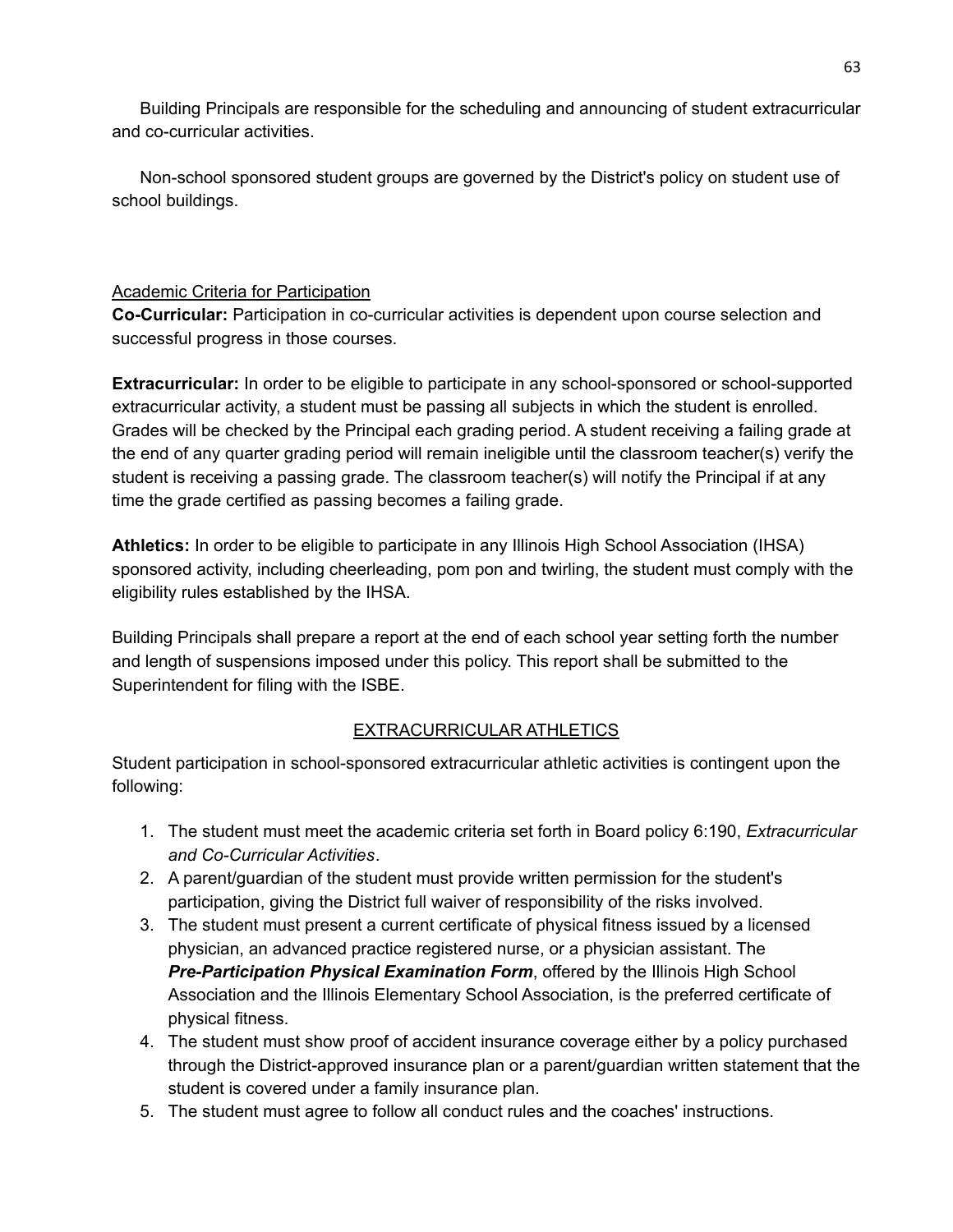Building Principals are responsible for the scheduling and announcing of student extracurricular and co-curricular activities.

Non-school sponsored student groups are governed by the District's policy on student use of school buildings.

## Academic Criteria for Participation

**Co-Curricular:** Participation in co-curricular activities is dependent upon course selection and successful progress in those courses.

**Extracurricular:** In order to be eligible to participate in any school-sponsored or school-supported extracurricular activity, a student must be passing all subjects in which the student is enrolled. Grades will be checked by the Principal each grading period. A student receiving a failing grade at the end of any quarter grading period will remain ineligible until the classroom teacher(s) verify the student is receiving a passing grade. The classroom teacher(s) will notify the Principal if at any time the grade certified as passing becomes a failing grade.

**Athletics:** In order to be eligible to participate in any Illinois High School Association (IHSA) sponsored activity, including cheerleading, pom pon and twirling, the student must comply with the eligibility rules established by the IHSA.

Building Principals shall prepare a report at the end of each school year setting forth the number and length of suspensions imposed under this policy. This report shall be submitted to the Superintendent for filing with the ISBE.

# EXTRACURRICULAR ATHLETICS

Student participation in school-sponsored extracurricular athletic activities is contingent upon the following:

- 1. The student must meet the academic criteria set forth in Board policy 6:190, *Extracurricular and Co-Curricular Activities*.
- 2. A parent/guardian of the student must provide written permission for the student's participation, giving the District full waiver of responsibility of the risks involved.
- 3. The student must present a current certificate of physical fitness issued by a licensed physician, an advanced practice registered nurse, or a physician assistant. The *Pre-Participation Physical Examination Form*, offered by the Illinois High School Association and the Illinois Elementary School Association, is the preferred certificate of physical fitness.
- 4. The student must show proof of accident insurance coverage either by a policy purchased through the District-approved insurance plan or a parent/guardian written statement that the student is covered under a family insurance plan.
- 5. The student must agree to follow all conduct rules and the coaches' instructions.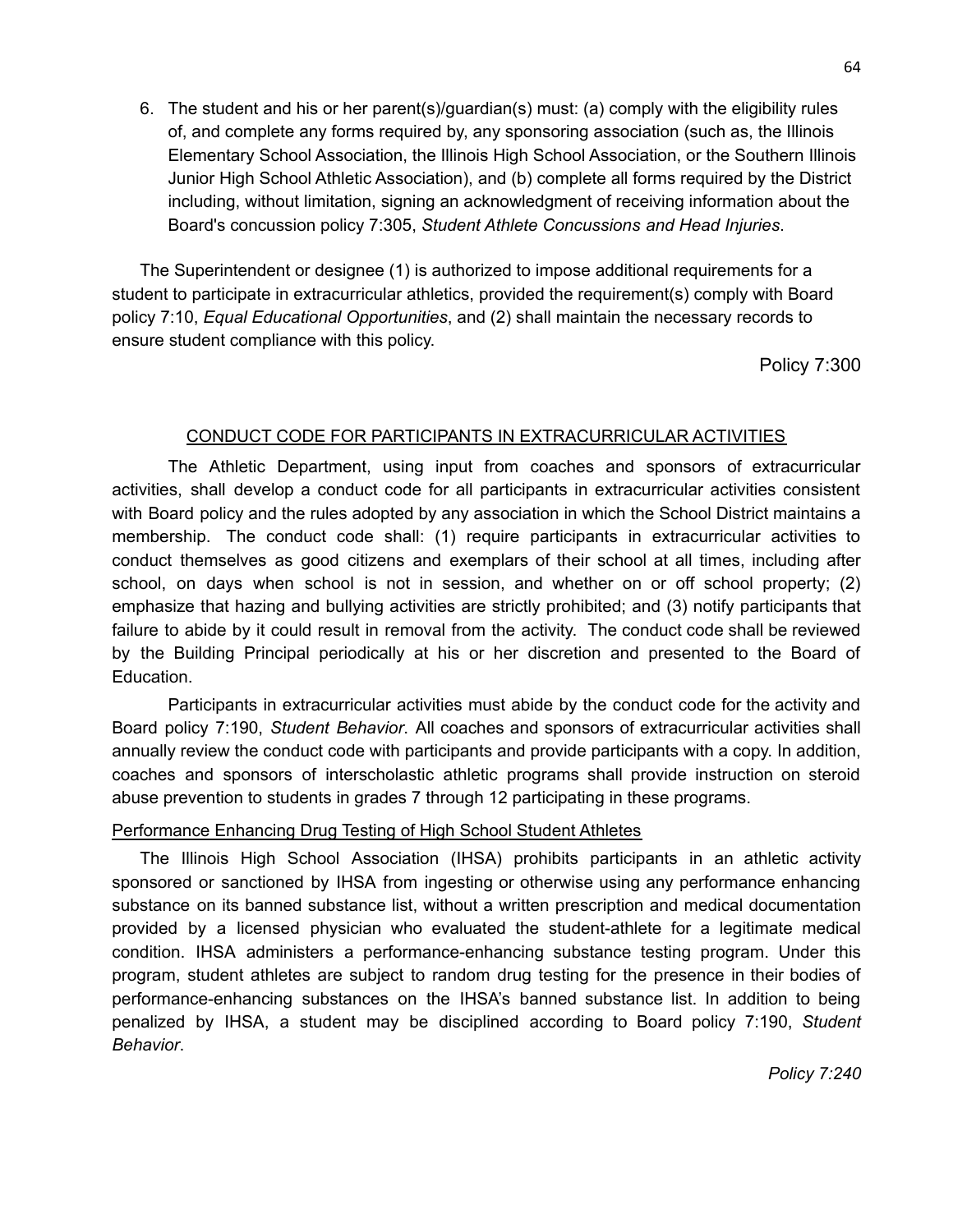6. The student and his or her parent(s)/guardian(s) must: (a) comply with the eligibility rules of, and complete any forms required by, any sponsoring association (such as, the Illinois Elementary School Association, the Illinois High School Association, or the Southern Illinois Junior High School Athletic Association), and (b) complete all forms required by the District including, without limitation, signing an acknowledgment of receiving information about the Board's concussion policy 7:305, *Student Athlete Concussions and Head Injuries*.

The Superintendent or designee (1) is authorized to impose additional requirements for a student to participate in extracurricular athletics, provided the requirement(s) comply with Board policy 7:10, *Equal Educational Opportunities*, and (2) shall maintain the necessary records to ensure student compliance with this policy.

Policy 7:300

### CONDUCT CODE FOR PARTICIPANTS IN EXTRACURRICULAR ACTIVITIES

The Athletic Department, using input from coaches and sponsors of extracurricular activities, shall develop a conduct code for all participants in extracurricular activities consistent with Board policy and the rules adopted by any association in which the School District maintains a membership. The conduct code shall: (1) require participants in extracurricular activities to conduct themselves as good citizens and exemplars of their school at all times, including after school, on days when school is not in session, and whether on or off school property; (2) emphasize that hazing and bullying activities are strictly prohibited; and (3) notify participants that failure to abide by it could result in removal from the activity. The conduct code shall be reviewed by the Building Principal periodically at his or her discretion and presented to the Board of Education.

Participants in extracurricular activities must abide by the conduct code for the activity and Board policy 7:190, *Student Behavior*. All coaches and sponsors of extracurricular activities shall annually review the conduct code with participants and provide participants with a copy. In addition, coaches and sponsors of interscholastic athletic programs shall provide instruction on steroid abuse prevention to students in grades 7 through 12 participating in these programs.

#### Performance Enhancing Drug Testing of High School Student Athletes

The Illinois High School Association (IHSA) prohibits participants in an athletic activity sponsored or sanctioned by IHSA from ingesting or otherwise using any performance enhancing substance on its banned substance list, without a written prescription and medical documentation provided by a licensed physician who evaluated the student-athlete for a legitimate medical condition. IHSA administers a performance-enhancing substance testing program. Under this program, student athletes are subject to random drug testing for the presence in their bodies of performance-enhancing substances on the IHSA's banned substance list. In addition to being penalized by IHSA, a student may be disciplined according to Board policy 7:190, *Student Behavior*.

*Policy 7:240*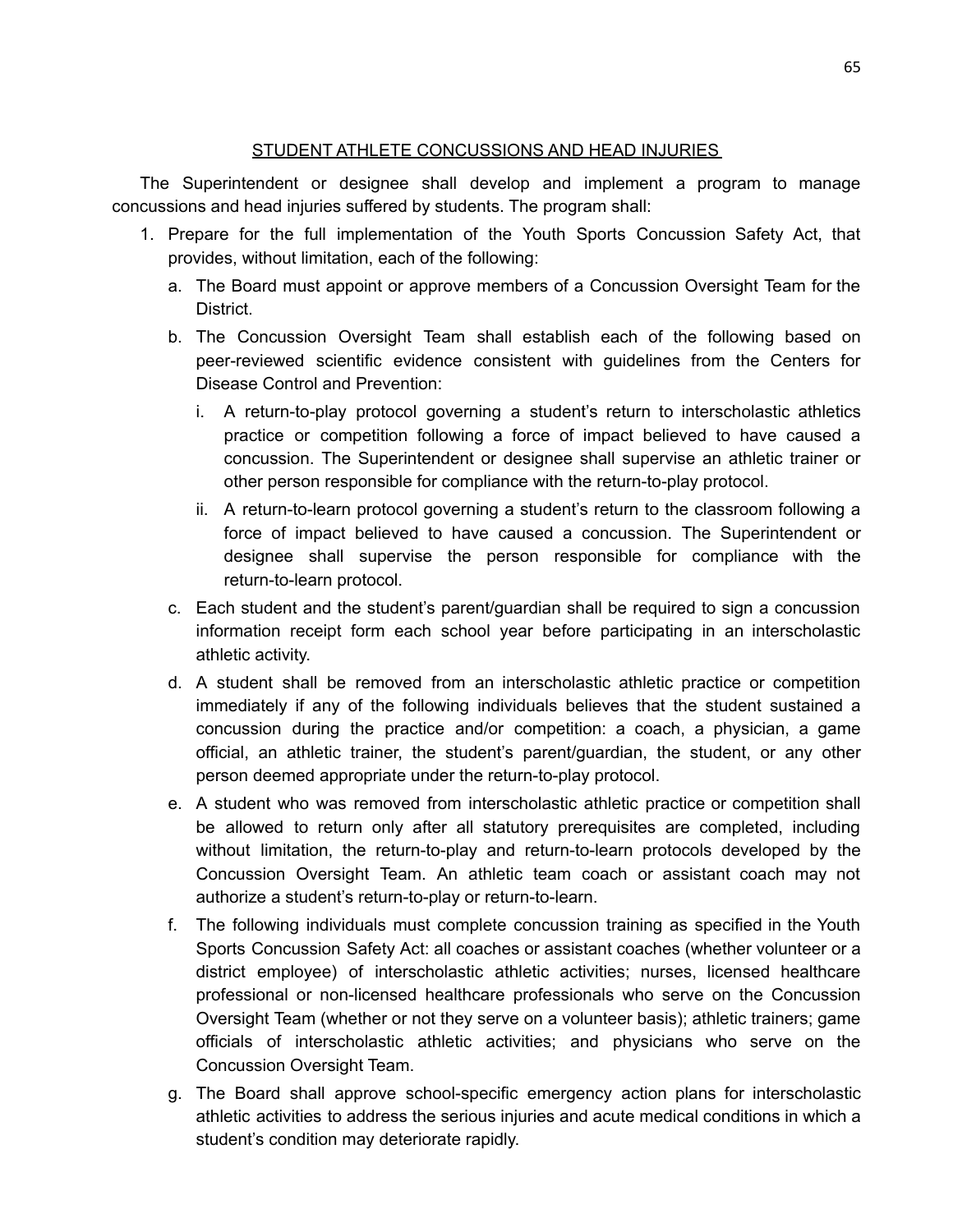### STUDENT ATHLETE CONCUSSIONS AND HEAD INJURIES

The Superintendent or designee shall develop and implement a program to manage concussions and head injuries suffered by students. The program shall:

- 1. Prepare for the full implementation of the Youth Sports Concussion Safety Act, that provides, without limitation, each of the following:
	- a. The Board must appoint or approve members of a Concussion Oversight Team for the District.
	- b. The Concussion Oversight Team shall establish each of the following based on peer-reviewed scientific evidence consistent with guidelines from the Centers for Disease Control and Prevention:
		- i. A return-to-play protocol governing a student's return to interscholastic athletics practice or competition following a force of impact believed to have caused a concussion. The Superintendent or designee shall supervise an athletic trainer or other person responsible for compliance with the return-to-play protocol.
		- ii. A return-to-learn protocol governing a student's return to the classroom following a force of impact believed to have caused a concussion. The Superintendent or designee shall supervise the person responsible for compliance with the return-to-learn protocol.
	- c. Each student and the student's parent/guardian shall be required to sign a concussion information receipt form each school year before participating in an interscholastic athletic activity.
	- d. A student shall be removed from an interscholastic athletic practice or competition immediately if any of the following individuals believes that the student sustained a concussion during the practice and/or competition: a coach, a physician, a game official, an athletic trainer, the student's parent/guardian, the student, or any other person deemed appropriate under the return-to-play protocol.
	- e. A student who was removed from interscholastic athletic practice or competition shall be allowed to return only after all statutory prerequisites are completed, including without limitation, the return-to-play and return-to-learn protocols developed by the Concussion Oversight Team. An athletic team coach or assistant coach may not authorize a student's return-to-play or return-to-learn.
	- f. The following individuals must complete concussion training as specified in the Youth Sports Concussion Safety Act: all coaches or assistant coaches (whether volunteer or a district employee) of interscholastic athletic activities; nurses, licensed healthcare professional or non-licensed healthcare professionals who serve on the Concussion Oversight Team (whether or not they serve on a volunteer basis); athletic trainers; game officials of interscholastic athletic activities; and physicians who serve on the Concussion Oversight Team.
	- g. The Board shall approve school-specific emergency action plans for interscholastic athletic activities to address the serious injuries and acute medical conditions in which a student's condition may deteriorate rapidly.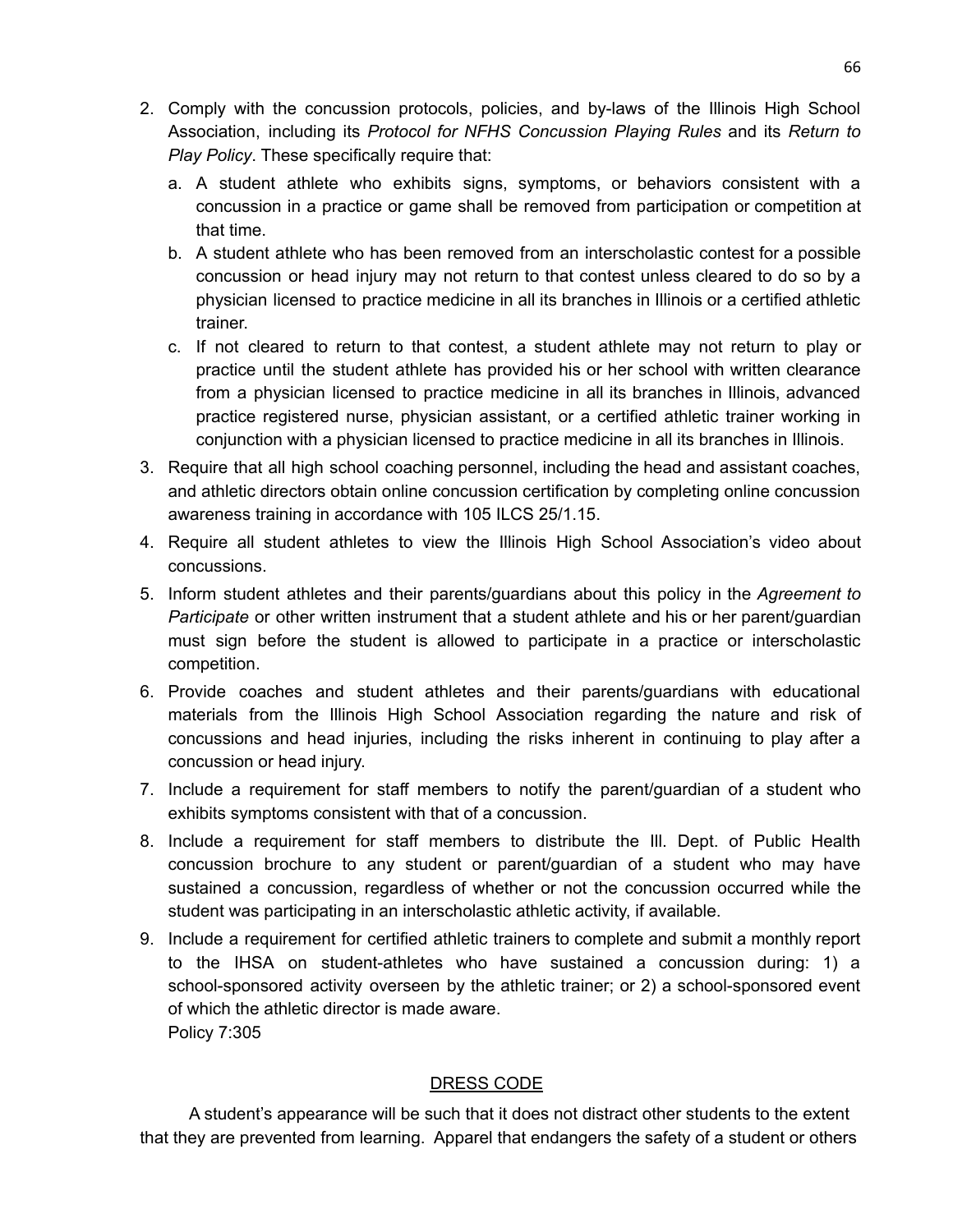- 2. Comply with the concussion protocols, policies, and by-laws of the Illinois High School Association, including its *Protocol for NFHS Concussion Playing Rules* and its *Return to Play Policy*. These specifically require that:
	- a. A student athlete who exhibits signs, symptoms, or behaviors consistent with a concussion in a practice or game shall be removed from participation or competition at that time.
	- b. A student athlete who has been removed from an interscholastic contest for a possible concussion or head injury may not return to that contest unless cleared to do so by a physician licensed to practice medicine in all its branches in Illinois or a certified athletic trainer.
	- c. If not cleared to return to that contest, a student athlete may not return to play or practice until the student athlete has provided his or her school with written clearance from a physician licensed to practice medicine in all its branches in Illinois, advanced practice registered nurse, physician assistant, or a certified athletic trainer working in conjunction with a physician licensed to practice medicine in all its branches in Illinois.
- 3. Require that all high school coaching personnel, including the head and assistant coaches, and athletic directors obtain online concussion certification by completing online concussion awareness training in accordance with 105 ILCS 25/1.15.
- 4. Require all student athletes to view the Illinois High School Association's video about concussions.
- 5. Inform student athletes and their parents/guardians about this policy in the *Agreement to Participate* or other written instrument that a student athlete and his or her parent/guardian must sign before the student is allowed to participate in a practice or interscholastic competition.
- 6. Provide coaches and student athletes and their parents/guardians with educational materials from the Illinois High School Association regarding the nature and risk of concussions and head injuries, including the risks inherent in continuing to play after a concussion or head injury.
- 7. Include a requirement for staff members to notify the parent/guardian of a student who exhibits symptoms consistent with that of a concussion.
- 8. Include a requirement for staff members to distribute the Ill. Dept. of Public Health concussion brochure to any student or parent/guardian of a student who may have sustained a concussion, regardless of whether or not the concussion occurred while the student was participating in an interscholastic athletic activity, if available.
- 9. Include a requirement for certified athletic trainers to complete and submit a monthly report to the IHSA on student-athletes who have sustained a concussion during: 1) a school-sponsored activity overseen by the athletic trainer; or 2) a school-sponsored event of which the athletic director is made aware. Policy 7:305

## DRESS CODE

A student's appearance will be such that it does not distract other students to the extent that they are prevented from learning. Apparel that endangers the safety of a student or others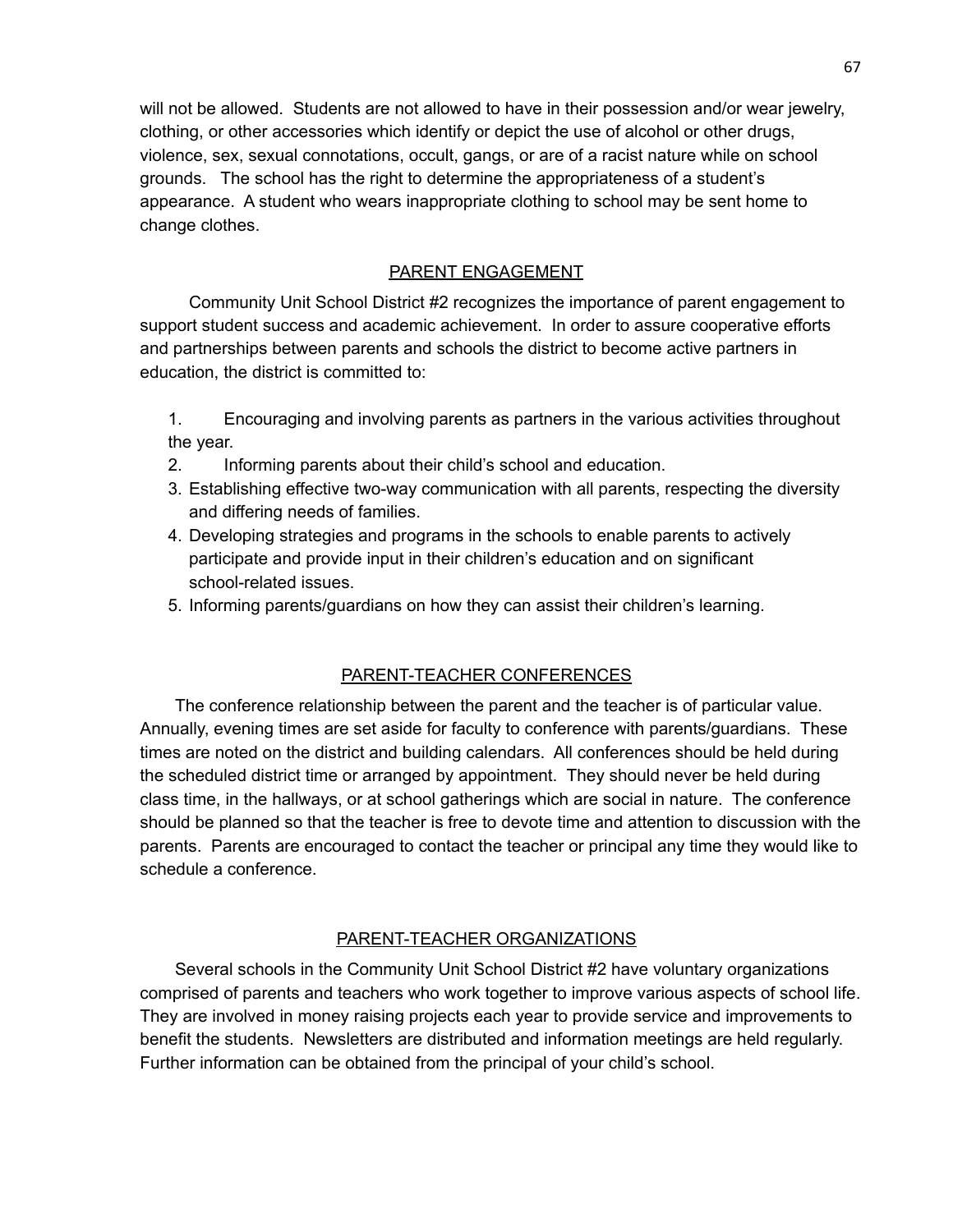will not be allowed. Students are not allowed to have in their possession and/or wear jewelry, clothing, or other accessories which identify or depict the use of alcohol or other drugs, violence, sex, sexual connotations, occult, gangs, or are of a racist nature while on school grounds. The school has the right to determine the appropriateness of a student's appearance. A student who wears inappropriate clothing to school may be sent home to change clothes.

### PARENT ENGAGEMENT

Community Unit School District #2 recognizes the importance of parent engagement to support student success and academic achievement. In order to assure cooperative efforts and partnerships between parents and schools the district to become active partners in education, the district is committed to:

- 1. Encouraging and involving parents as partners in the various activities throughout the year.
- 2. Informing parents about their child's school and education.
- 3. Establishing effective two-way communication with all parents, respecting the diversity and differing needs of families.
- 4. Developing strategies and programs in the schools to enable parents to actively participate and provide input in their children's education and on significant school-related issues.
- 5. Informing parents/guardians on how they can assist their children's learning.

## PARENT-TEACHER CONFERENCES

The conference relationship between the parent and the teacher is of particular value. Annually, evening times are set aside for faculty to conference with parents/guardians. These times are noted on the district and building calendars. All conferences should be held during the scheduled district time or arranged by appointment. They should never be held during class time, in the hallways, or at school gatherings which are social in nature. The conference should be planned so that the teacher is free to devote time and attention to discussion with the parents. Parents are encouraged to contact the teacher or principal any time they would like to schedule a conference.

### PARENT-TEACHER ORGANIZATIONS

Several schools in the Community Unit School District #2 have voluntary organizations comprised of parents and teachers who work together to improve various aspects of school life. They are involved in money raising projects each year to provide service and improvements to benefit the students. Newsletters are distributed and information meetings are held regularly. Further information can be obtained from the principal of your child's school.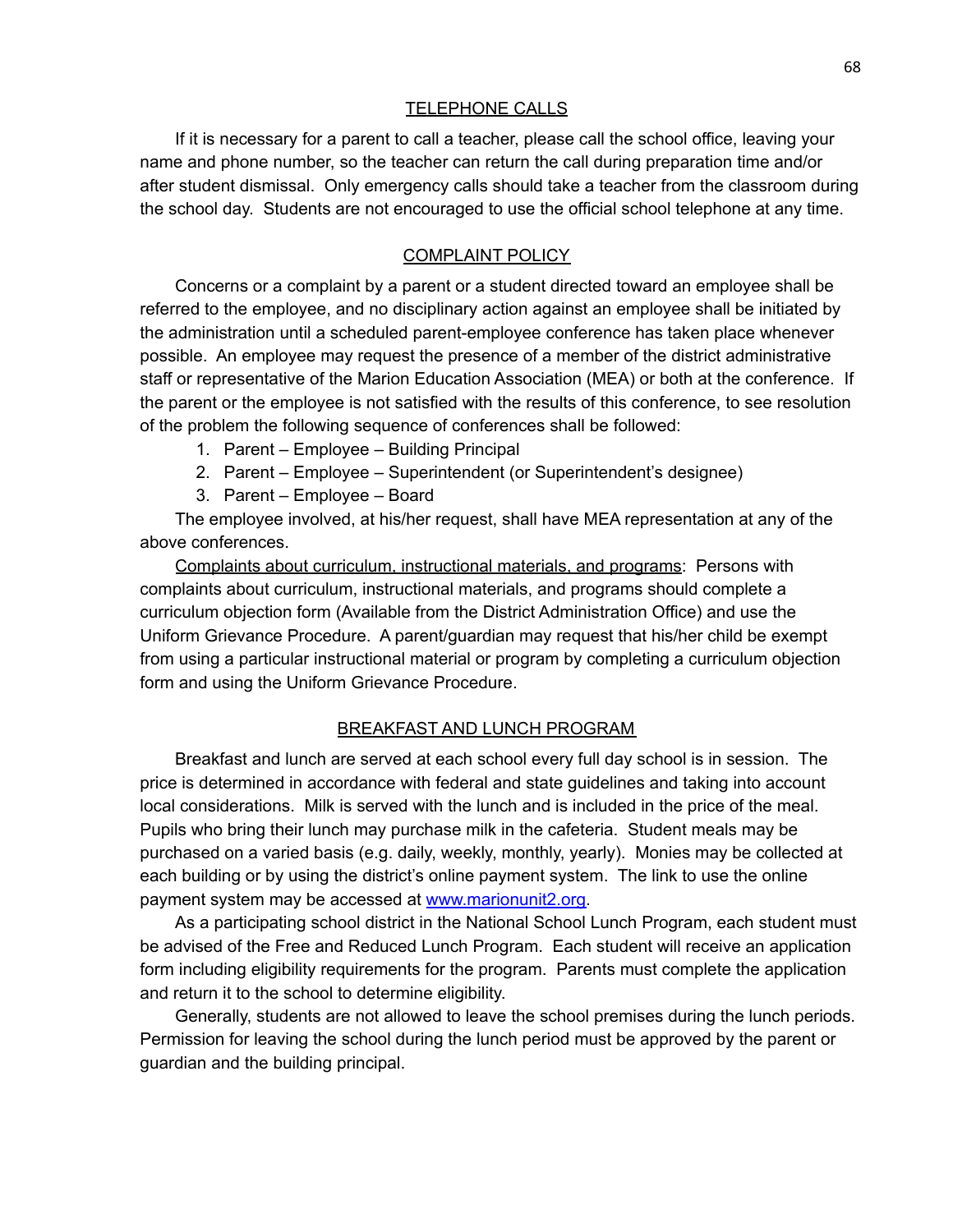#### TELEPHONE CALLS

If it is necessary for a parent to call a teacher, please call the school office, leaving your name and phone number, so the teacher can return the call during preparation time and/or after student dismissal. Only emergency calls should take a teacher from the classroom during the school day. Students are not encouraged to use the official school telephone at any time.

### COMPLAINT POLICY

Concerns or a complaint by a parent or a student directed toward an employee shall be referred to the employee, and no disciplinary action against an employee shall be initiated by the administration until a scheduled parent-employee conference has taken place whenever possible. An employee may request the presence of a member of the district administrative staff or representative of the Marion Education Association (MEA) or both at the conference. If the parent or the employee is not satisfied with the results of this conference, to see resolution of the problem the following sequence of conferences shall be followed:

- 1. Parent Employee Building Principal
- 2. Parent Employee Superintendent (or Superintendent's designee)
- 3. Parent Employee Board

The employee involved, at his/her request, shall have MEA representation at any of the above conferences.

Complaints about curriculum, instructional materials, and programs: Persons with complaints about curriculum, instructional materials, and programs should complete a curriculum objection form (Available from the District Administration Office) and use the Uniform Grievance Procedure. A parent/guardian may request that his/her child be exempt from using a particular instructional material or program by completing a curriculum objection form and using the Uniform Grievance Procedure.

#### BREAKFAST AND LUNCH PROGRAM

Breakfast and lunch are served at each school every full day school is in session. The price is determined in accordance with federal and state guidelines and taking into account local considerations. Milk is served with the lunch and is included in the price of the meal. Pupils who bring their lunch may purchase milk in the cafeteria. Student meals may be purchased on a varied basis (e.g. daily, weekly, monthly, yearly). Monies may be collected at each building or by using the district's online payment system. The link to use the online payment system may be accessed at [www.marionunit2.org.](http://www.marionunit2.org)

As a participating school district in the National School Lunch Program, each student must be advised of the Free and Reduced Lunch Program. Each student will receive an application form including eligibility requirements for the program. Parents must complete the application and return it to the school to determine eligibility.

Generally, students are not allowed to leave the school premises during the lunch periods. Permission for leaving the school during the lunch period must be approved by the parent or guardian and the building principal.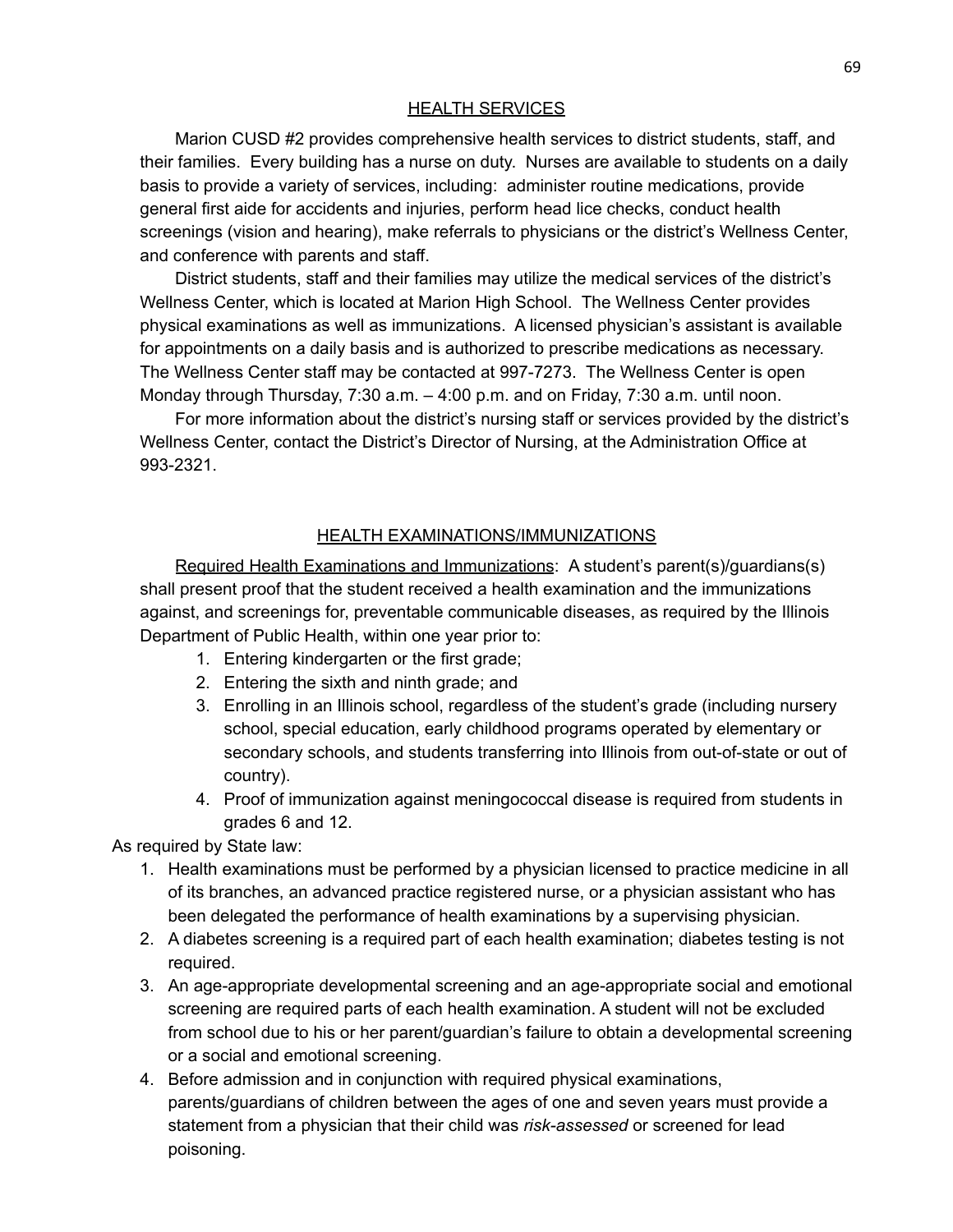### HEALTH SERVICES

Marion CUSD #2 provides comprehensive health services to district students, staff, and their families. Every building has a nurse on duty. Nurses are available to students on a daily basis to provide a variety of services, including: administer routine medications, provide general first aide for accidents and injuries, perform head lice checks, conduct health screenings (vision and hearing), make referrals to physicians or the district's Wellness Center, and conference with parents and staff.

District students, staff and their families may utilize the medical services of the district's Wellness Center, which is located at Marion High School. The Wellness Center provides physical examinations as well as immunizations. A licensed physician's assistant is available for appointments on a daily basis and is authorized to prescribe medications as necessary. The Wellness Center staff may be contacted at 997-7273. The Wellness Center is open Monday through Thursday, 7:30 a.m. – 4:00 p.m. and on Friday, 7:30 a.m. until noon.

For more information about the district's nursing staff or services provided by the district's Wellness Center, contact the District's Director of Nursing, at the Administration Office at 993-2321.

### HEALTH EXAMINATIONS/IMMUNIZATIONS

Required Health Examinations and Immunizations: A student's parent(s)/guardians(s) shall present proof that the student received a health examination and the immunizations against, and screenings for, preventable communicable diseases, as required by the Illinois Department of Public Health, within one year prior to:

- 1. Entering kindergarten or the first grade;
- 2. Entering the sixth and ninth grade; and
- 3. Enrolling in an Illinois school, regardless of the student's grade (including nursery school, special education, early childhood programs operated by elementary or secondary schools, and students transferring into Illinois from out-of-state or out of country).
- 4. Proof of immunization against meningococcal disease is required from students in grades 6 and 12.

As required by State law:

- 1. Health examinations must be performed by a physician licensed to practice medicine in all of its branches, an advanced practice registered nurse, or a physician assistant who has been delegated the performance of health examinations by a supervising physician.
- 2. A diabetes screening is a required part of each health examination; diabetes testing is not required.
- 3. An age-appropriate developmental screening and an age-appropriate social and emotional screening are required parts of each health examination. A student will not be excluded from school due to his or her parent/guardian's failure to obtain a developmental screening or a social and emotional screening.
- 4. Before admission and in conjunction with required physical examinations, parents/guardians of children between the ages of one and seven years must provide a statement from a physician that their child was *risk-assessed* or screened for lead poisoning.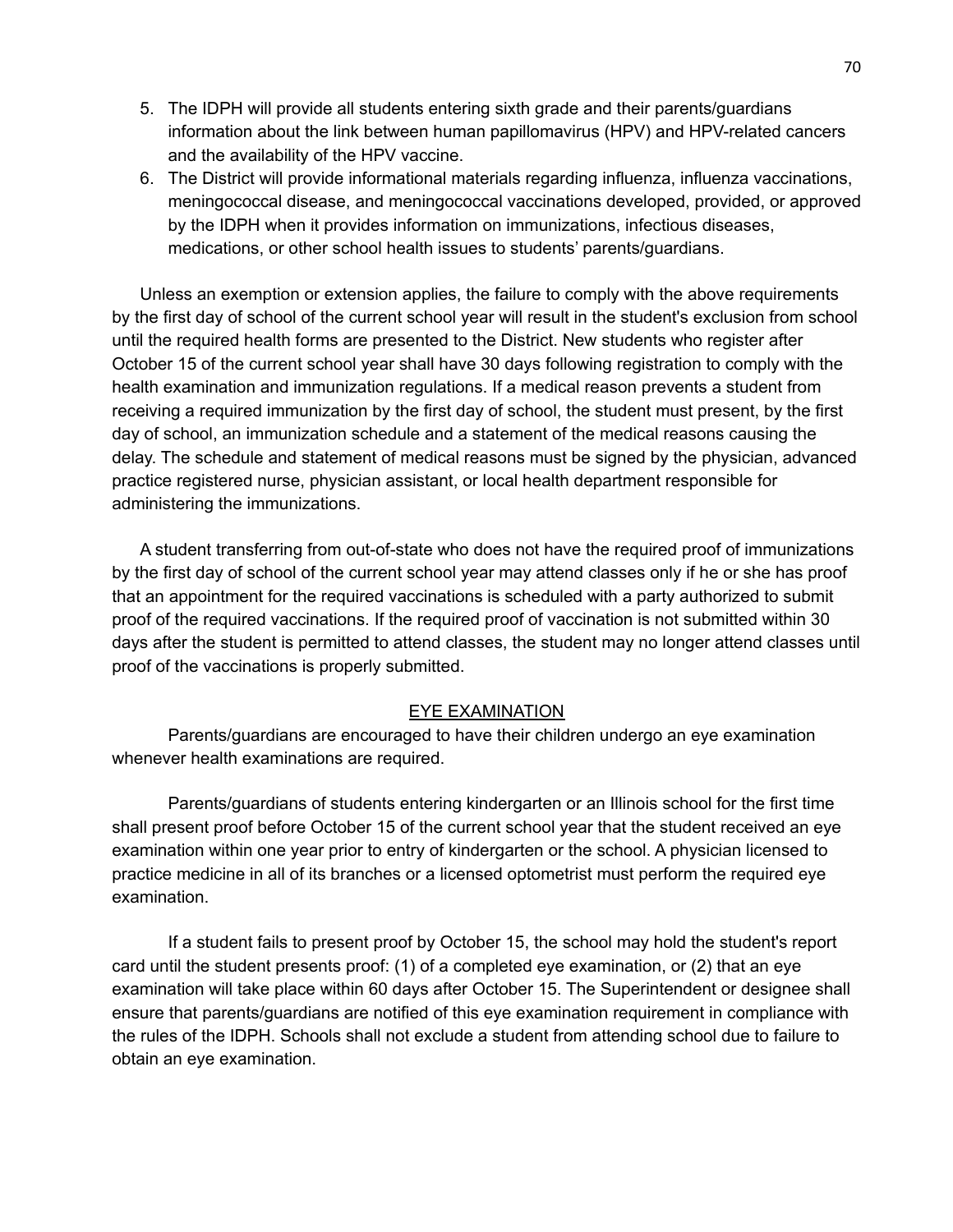- 5. The IDPH will provide all students entering sixth grade and their parents/guardians information about the link between human papillomavirus (HPV) and HPV-related cancers and the availability of the HPV vaccine.
- 6. The District will provide informational materials regarding influenza, influenza vaccinations, meningococcal disease, and meningococcal vaccinations developed, provided, or approved by the IDPH when it provides information on immunizations, infectious diseases, medications, or other school health issues to students' parents/guardians.

Unless an exemption or extension applies, the failure to comply with the above requirements by the first day of school of the current school year will result in the student's exclusion from school until the required health forms are presented to the District. New students who register after October 15 of the current school year shall have 30 days following registration to comply with the health examination and immunization regulations. If a medical reason prevents a student from receiving a required immunization by the first day of school, the student must present, by the first day of school, an immunization schedule and a statement of the medical reasons causing the delay. The schedule and statement of medical reasons must be signed by the physician, advanced practice registered nurse, physician assistant, or local health department responsible for administering the immunizations.

A student transferring from out-of-state who does not have the required proof of immunizations by the first day of school of the current school year may attend classes only if he or she has proof that an appointment for the required vaccinations is scheduled with a party authorized to submit proof of the required vaccinations. If the required proof of vaccination is not submitted within 30 days after the student is permitted to attend classes, the student may no longer attend classes until proof of the vaccinations is properly submitted.

#### EYE EXAMINATION

Parents/guardians are encouraged to have their children undergo an eye examination whenever health examinations are required.

Parents/guardians of students entering kindergarten or an Illinois school for the first time shall present proof before October 15 of the current school year that the student received an eye examination within one year prior to entry of kindergarten or the school. A physician licensed to practice medicine in all of its branches or a licensed optometrist must perform the required eye examination.

If a student fails to present proof by October 15, the school may hold the student's report card until the student presents proof: (1) of a completed eye examination, or (2) that an eye examination will take place within 60 days after October 15. The Superintendent or designee shall ensure that parents/guardians are notified of this eye examination requirement in compliance with the rules of the IDPH. Schools shall not exclude a student from attending school due to failure to obtain an eye examination.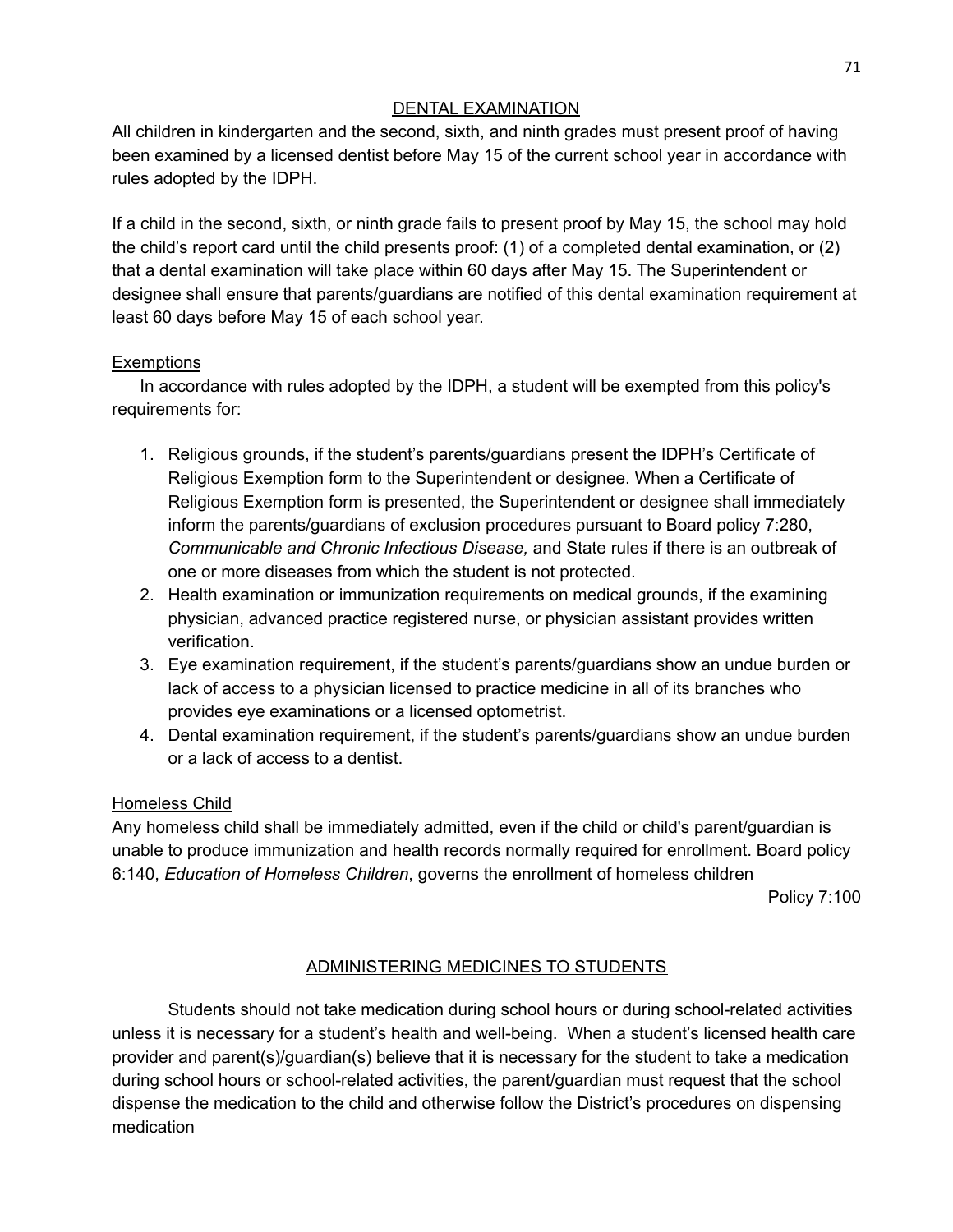## DENTAL EXAMINATION

All children in kindergarten and the second, sixth, and ninth grades must present proof of having been examined by a licensed dentist before May 15 of the current school year in accordance with rules adopted by the IDPH.

If a child in the second, sixth, or ninth grade fails to present proof by May 15, the school may hold the child's report card until the child presents proof: (1) of a completed dental examination, or (2) that a dental examination will take place within 60 days after May 15. The Superintendent or designee shall ensure that parents/guardians are notified of this dental examination requirement at least 60 days before May 15 of each school year.

## **Exemptions**

In accordance with rules adopted by the IDPH, a student will be exempted from this policy's requirements for:

- 1. Religious grounds, if the student's parents/guardians present the IDPH's Certificate of Religious Exemption form to the Superintendent or designee. When a Certificate of Religious Exemption form is presented, the Superintendent or designee shall immediately inform the parents/guardians of exclusion procedures pursuant to Board policy 7:280, *Communicable and Chronic Infectious Disease,* and State rules if there is an outbreak of one or more diseases from which the student is not protected.
- 2. Health examination or immunization requirements on medical grounds, if the examining physician, advanced practice registered nurse, or physician assistant provides written verification.
- 3. Eye examination requirement, if the student's parents/guardians show an undue burden or lack of access to a physician licensed to practice medicine in all of its branches who provides eye examinations or a licensed optometrist.
- 4. Dental examination requirement, if the student's parents/guardians show an undue burden or a lack of access to a dentist.

# Homeless Child

Any homeless child shall be immediately admitted, even if the child or child's parent/guardian is unable to produce immunization and health records normally required for enrollment. Board policy 6:140, *Education of Homeless Children*, governs the enrollment of homeless children

Policy 7:100

# ADMINISTERING MEDICINES TO STUDENTS

Students should not take medication during school hours or during school-related activities unless it is necessary for a student's health and well-being. When a student's licensed health care provider and parent(s)/guardian(s) believe that it is necessary for the student to take a medication during school hours or school-related activities, the parent/guardian must request that the school dispense the medication to the child and otherwise follow the District's procedures on dispensing medication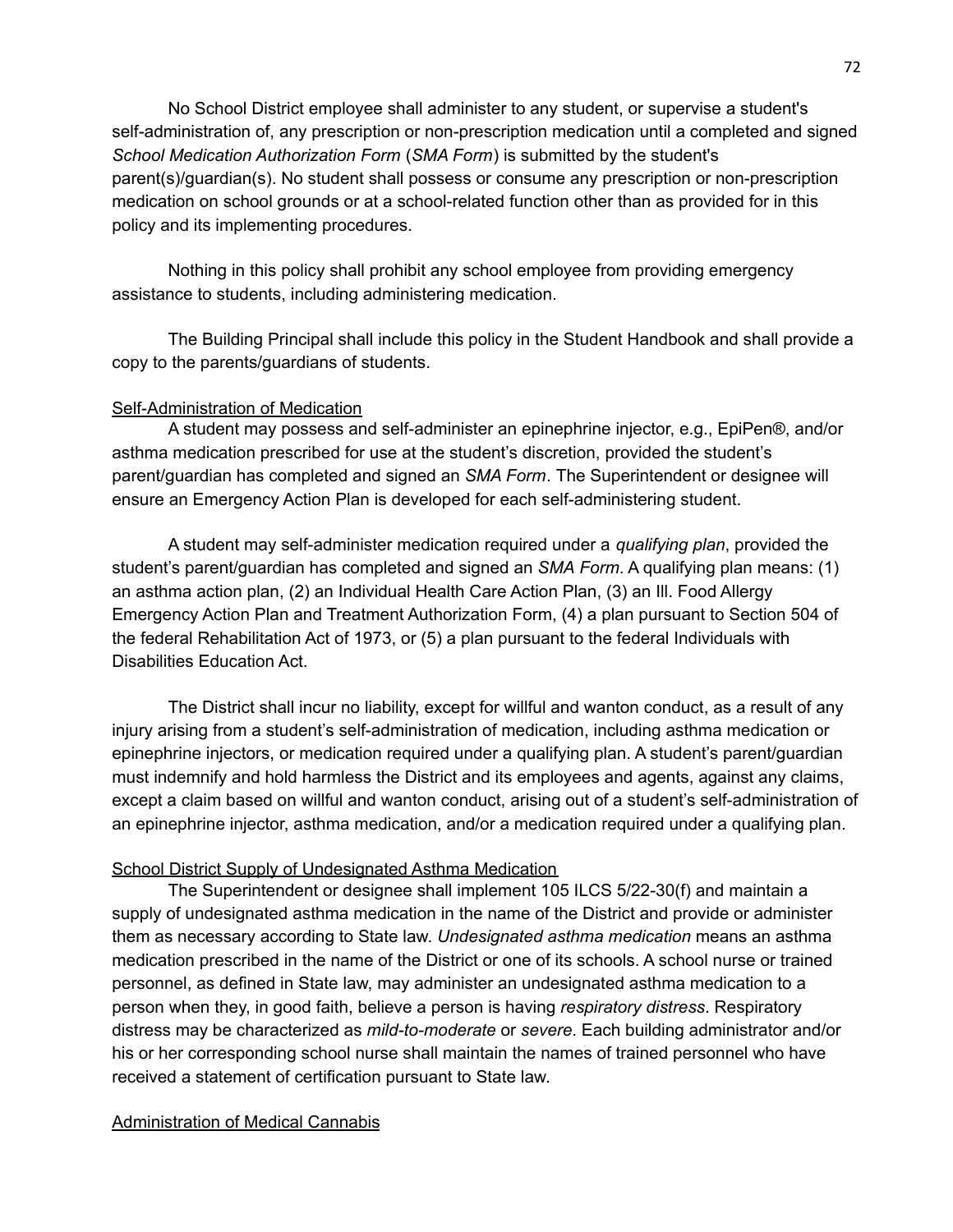No School District employee shall administer to any student, or supervise a student's self-administration of, any prescription or non-prescription medication until a completed and signed *School Medication Authorization Form* (*SMA Form*) is submitted by the student's parent(s)/guardian(s). No student shall possess or consume any prescription or non-prescription medication on school grounds or at a school-related function other than as provided for in this policy and its implementing procedures.

Nothing in this policy shall prohibit any school employee from providing emergency assistance to students, including administering medication.

The Building Principal shall include this policy in the Student Handbook and shall provide a copy to the parents/guardians of students.

### Self-Administration of Medication

A student may possess and self-administer an epinephrine injector, e.g., EpiPen®, and/or asthma medication prescribed for use at the student's discretion, provided the student's parent/guardian has completed and signed an *SMA Form*. The Superintendent or designee will ensure an Emergency Action Plan is developed for each self-administering student.

A student may self-administer medication required under a *qualifying plan*, provided the student's parent/guardian has completed and signed an *SMA Form*. A qualifying plan means: (1) an asthma action plan, (2) an Individual Health Care Action Plan, (3) an Ill. Food Allergy Emergency Action Plan and Treatment Authorization Form, (4) a plan pursuant to Section 504 of the federal Rehabilitation Act of 1973, or (5) a plan pursuant to the federal Individuals with Disabilities Education Act.

The District shall incur no liability, except for willful and wanton conduct, as a result of any injury arising from a student's self-administration of medication, including asthma medication or epinephrine injectors, or medication required under a qualifying plan. A student's parent/guardian must indemnify and hold harmless the District and its employees and agents, against any claims, except a claim based on willful and wanton conduct, arising out of a student's self-administration of an epinephrine injector, asthma medication, and/or a medication required under a qualifying plan.

### School District Supply of Undesignated Asthma Medication

The Superintendent or designee shall implement 105 ILCS 5/22-30(f) and maintain a supply of undesignated asthma medication in the name of the District and provide or administer them as necessary according to State law. *Undesignated asthma medication* means an asthma medication prescribed in the name of the District or one of its schools. A school nurse or trained personnel, as defined in State law, may administer an undesignated asthma medication to a person when they, in good faith, believe a person is having *respiratory distress*. Respiratory distress may be characterized as *mild-to-moderate* or *severe*. Each building administrator and/or his or her corresponding school nurse shall maintain the names of trained personnel who have received a statement of certification pursuant to State law.

### Administration of Medical Cannabis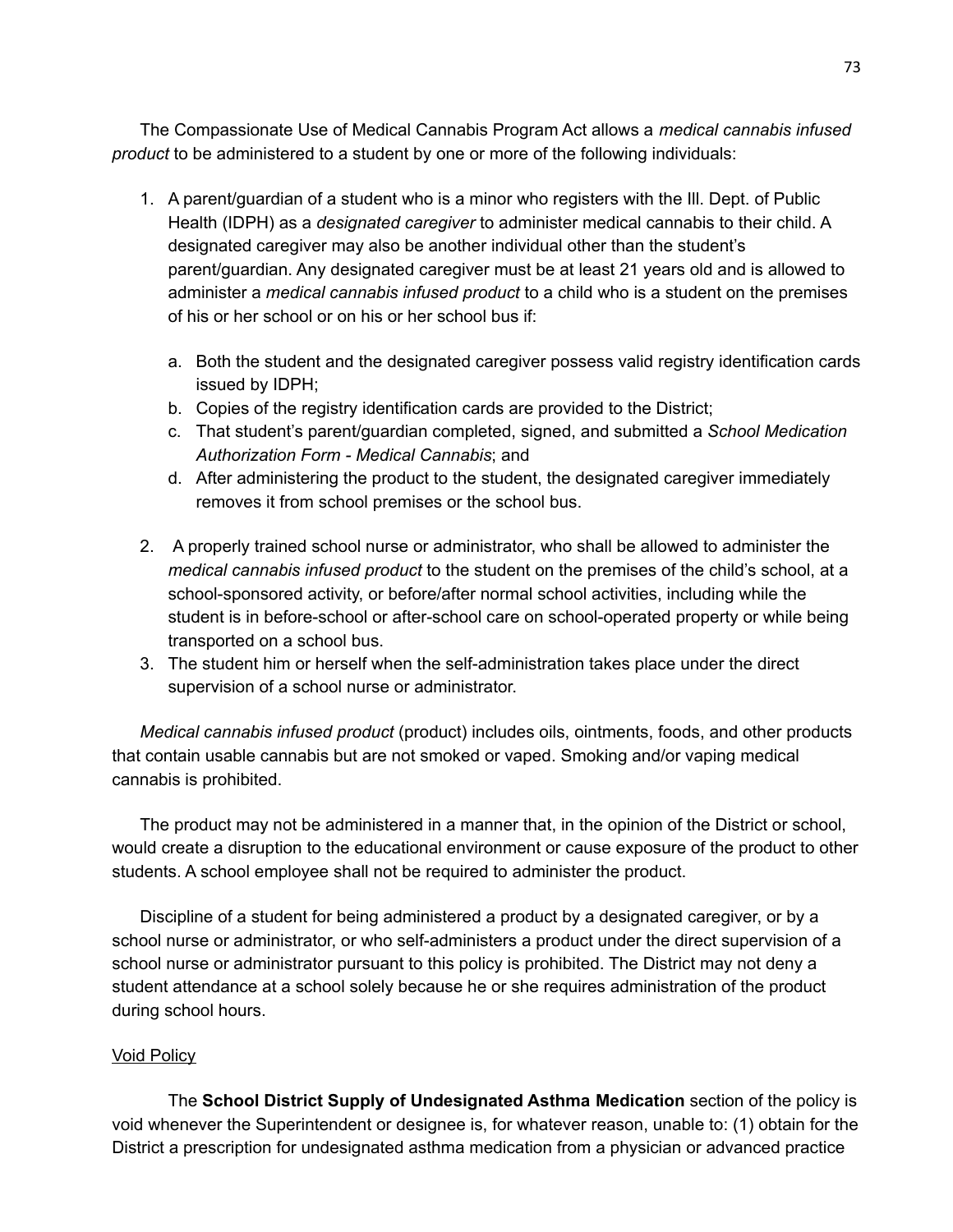The Compassionate Use of Medical Cannabis Program Act allows a *medical cannabis infused product* to be administered to a student by one or more of the following individuals:

- 1. A parent/guardian of a student who is a minor who registers with the Ill. Dept. of Public Health (IDPH) as a *designated caregiver* to administer medical cannabis to their child. A designated caregiver may also be another individual other than the student's parent/guardian. Any designated caregiver must be at least 21 years old and is allowed to administer a *medical cannabis infused product* to a child who is a student on the premises of his or her school or on his or her school bus if:
	- a. Both the student and the designated caregiver possess valid registry identification cards issued by IDPH;
	- b. Copies of the registry identification cards are provided to the District;
	- c. That student's parent/guardian completed, signed, and submitted a *School Medication Authorization Form - Medical Cannabis*; and
	- d. After administering the product to the student, the designated caregiver immediately removes it from school premises or the school bus.
- 2. A properly trained school nurse or administrator, who shall be allowed to administer the *medical cannabis infused product* to the student on the premises of the child's school, at a school-sponsored activity, or before/after normal school activities, including while the student is in before-school or after-school care on school-operated property or while being transported on a school bus.
- 3. The student him or herself when the self-administration takes place under the direct supervision of a school nurse or administrator.

*Medical cannabis infused product* (product) includes oils, ointments, foods, and other products that contain usable cannabis but are not smoked or vaped. Smoking and/or vaping medical cannabis is prohibited.

The product may not be administered in a manner that, in the opinion of the District or school, would create a disruption to the educational environment or cause exposure of the product to other students. A school employee shall not be required to administer the product.

Discipline of a student for being administered a product by a designated caregiver, or by a school nurse or administrator, or who self-administers a product under the direct supervision of a school nurse or administrator pursuant to this policy is prohibited. The District may not deny a student attendance at a school solely because he or she requires administration of the product during school hours.

### Void Policy

The **School District Supply of Undesignated Asthma Medication** section of the policy is void whenever the Superintendent or designee is, for whatever reason, unable to: (1) obtain for the District a prescription for undesignated asthma medication from a physician or advanced practice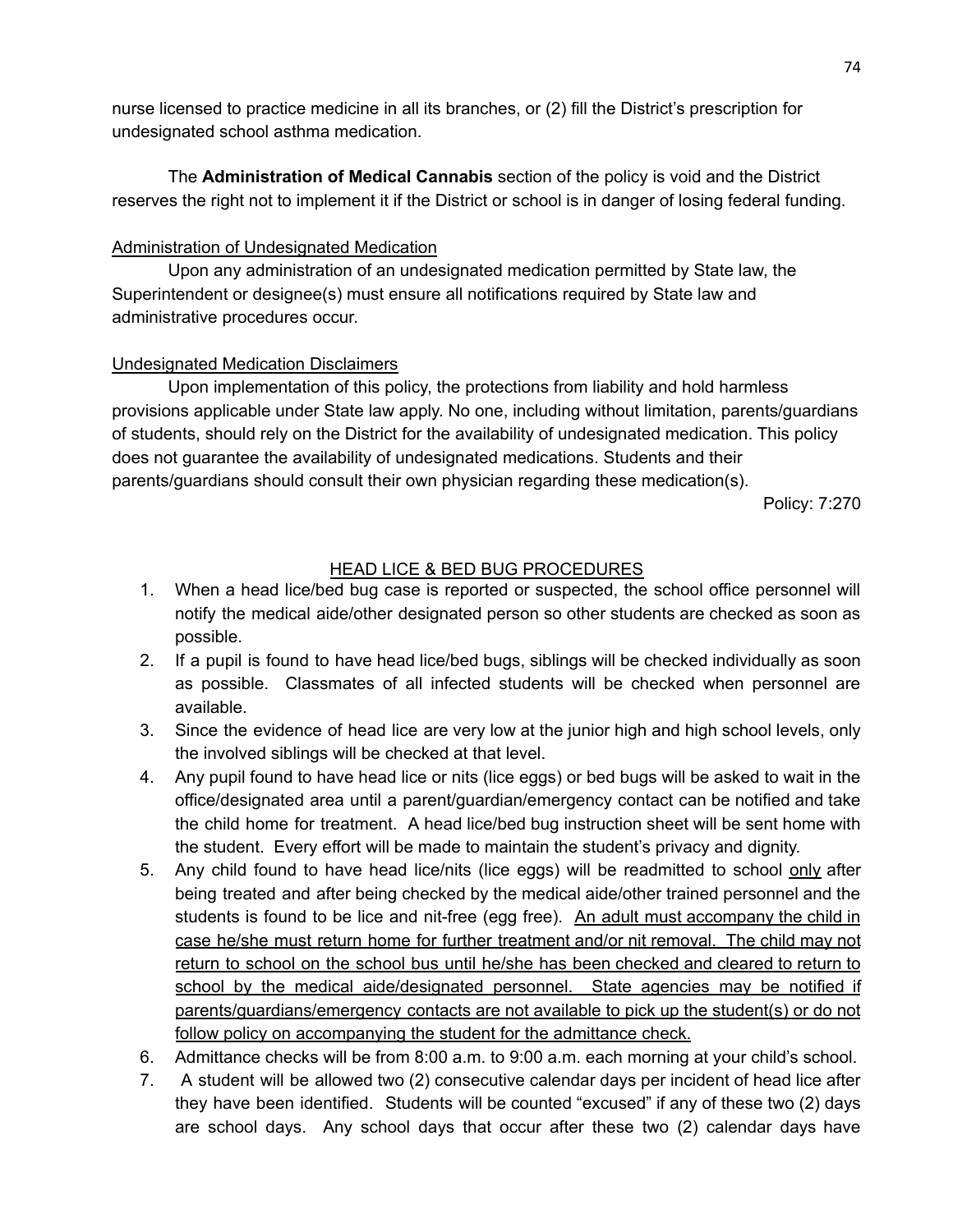nurse licensed to practice medicine in all its branches, or (2) fill the District's prescription for undesignated school asthma medication.

The **Administration of Medical Cannabis** section of the policy is void and the District reserves the right not to implement it if the District or school is in danger of losing federal funding.

## Administration of Undesignated Medication

Upon any administration of an undesignated medication permitted by State law, the Superintendent or designee(s) must ensure all notifications required by State law and administrative procedures occur.

## Undesignated Medication Disclaimers

Upon implementation of this policy, the protections from liability and hold harmless provisions applicable under State law apply. No one, including without limitation, parents/guardians of students, should rely on the District for the availability of undesignated medication. This policy does not guarantee the availability of undesignated medications. Students and their parents/guardians should consult their own physician regarding these medication(s).

Policy: 7:270

## HEAD LICE & BED BUG PROCEDURES

- 1. When a head lice/bed bug case is reported or suspected, the school office personnel will notify the medical aide/other designated person so other students are checked as soon as possible.
- 2. If a pupil is found to have head lice/bed bugs, siblings will be checked individually as soon as possible. Classmates of all infected students will be checked when personnel are available.
- 3. Since the evidence of head lice are very low at the junior high and high school levels, only the involved siblings will be checked at that level.
- 4. Any pupil found to have head lice or nits (lice eggs) or bed bugs will be asked to wait in the office/designated area until a parent/guardian/emergency contact can be notified and take the child home for treatment. A head lice/bed bug instruction sheet will be sent home with the student. Every effort will be made to maintain the student's privacy and dignity.
- 5. Any child found to have head lice/nits (lice eggs) will be readmitted to school only after being treated and after being checked by the medical aide/other trained personnel and the students is found to be lice and nit-free (egg free). An adult must accompany the child in case he/she must return home for further treatment and/or nit removal. The child may not return to school on the school bus until he/she has been checked and cleared to return to school by the medical aide/designated personnel. State agencies may be notified if parents/guardians/emergency contacts are not available to pick up the student(s) or do not follow policy on accompanying the student for the admittance check.
- 6. Admittance checks will be from 8:00 a.m. to 9:00 a.m. each morning at your child's school.
- 7. A student will be allowed two (2) consecutive calendar days per incident of head lice after they have been identified. Students will be counted "excused" if any of these two (2) days are school days. Any school days that occur after these two (2) calendar days have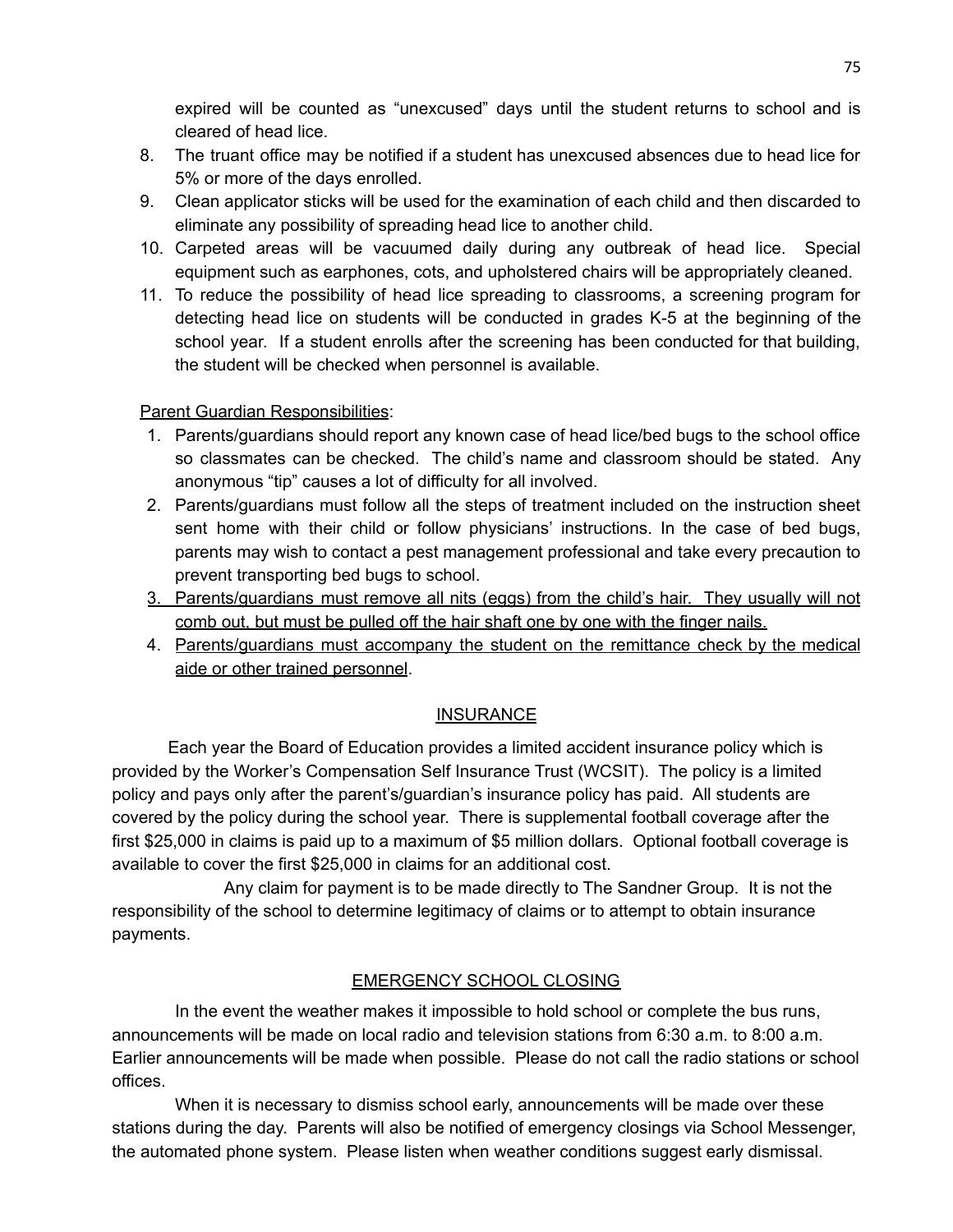expired will be counted as "unexcused" days until the student returns to school and is cleared of head lice.

- 8. The truant office may be notified if a student has unexcused absences due to head lice for 5% or more of the days enrolled.
- 9. Clean applicator sticks will be used for the examination of each child and then discarded to eliminate any possibility of spreading head lice to another child.
- 10. Carpeted areas will be vacuumed daily during any outbreak of head lice. Special equipment such as earphones, cots, and upholstered chairs will be appropriately cleaned.
- 11. To reduce the possibility of head lice spreading to classrooms, a screening program for detecting head lice on students will be conducted in grades K-5 at the beginning of the school year. If a student enrolls after the screening has been conducted for that building, the student will be checked when personnel is available.

## Parent Guardian Responsibilities:

- 1. Parents/guardians should report any known case of head lice/bed bugs to the school office so classmates can be checked. The child's name and classroom should be stated. Any anonymous "tip" causes a lot of difficulty for all involved.
- 2. Parents/guardians must follow all the steps of treatment included on the instruction sheet sent home with their child or follow physicians' instructions. In the case of bed bugs, parents may wish to contact a pest management professional and take every precaution to prevent transporting bed bugs to school.
- 3. Parents/guardians must remove all nits (eggs) from the child's hair. They usually will not comb out, but must be pulled off the hair shaft one by one with the finger nails.
- 4. Parents/guardians must accompany the student on the remittance check by the medical aide or other trained personnel.

## **INSURANCE**

Each year the Board of Education provides a limited accident insurance policy which is provided by the Worker's Compensation Self Insurance Trust (WCSIT). The policy is a limited policy and pays only after the parent's/guardian's insurance policy has paid. All students are covered by the policy during the school year. There is supplemental football coverage after the first \$25,000 in claims is paid up to a maximum of \$5 million dollars. Optional football coverage is available to cover the first \$25,000 in claims for an additional cost.

Any claim for payment is to be made directly to The Sandner Group. It is not the responsibility of the school to determine legitimacy of claims or to attempt to obtain insurance payments.

## EMERGENCY SCHOOL CLOSING

In the event the weather makes it impossible to hold school or complete the bus runs, announcements will be made on local radio and television stations from 6:30 a.m. to 8:00 a.m. Earlier announcements will be made when possible. Please do not call the radio stations or school offices.

When it is necessary to dismiss school early, announcements will be made over these stations during the day. Parents will also be notified of emergency closings via School Messenger, the automated phone system. Please listen when weather conditions suggest early dismissal.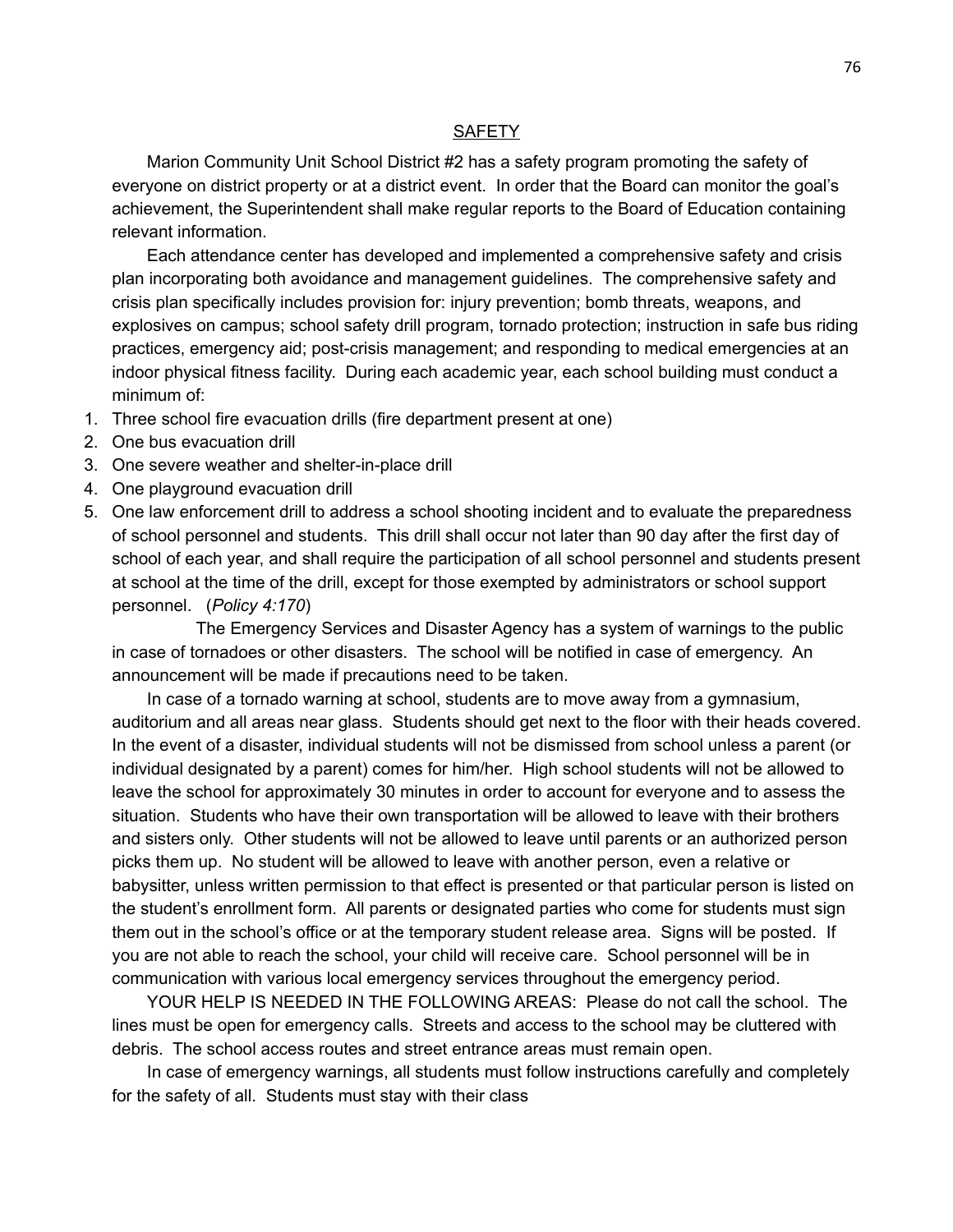#### **SAFETY**

Marion Community Unit School District #2 has a safety program promoting the safety of everyone on district property or at a district event. In order that the Board can monitor the goal's achievement, the Superintendent shall make regular reports to the Board of Education containing relevant information.

Each attendance center has developed and implemented a comprehensive safety and crisis plan incorporating both avoidance and management guidelines. The comprehensive safety and crisis plan specifically includes provision for: injury prevention; bomb threats, weapons, and explosives on campus; school safety drill program, tornado protection; instruction in safe bus riding practices, emergency aid; post-crisis management; and responding to medical emergencies at an indoor physical fitness facility. During each academic year, each school building must conduct a minimum of:

- 1. Three school fire evacuation drills (fire department present at one)
- 2. One bus evacuation drill
- 3. One severe weather and shelter-in-place drill
- 4. One playground evacuation drill
- 5. One law enforcement drill to address a school shooting incident and to evaluate the preparedness of school personnel and students. This drill shall occur not later than 90 day after the first day of school of each year, and shall require the participation of all school personnel and students present at school at the time of the drill, except for those exempted by administrators or school support personnel. (*Policy 4:170*)

The Emergency Services and Disaster Agency has a system of warnings to the public in case of tornadoes or other disasters. The school will be notified in case of emergency. An announcement will be made if precautions need to be taken.

In case of a tornado warning at school, students are to move away from a gymnasium, auditorium and all areas near glass. Students should get next to the floor with their heads covered. In the event of a disaster, individual students will not be dismissed from school unless a parent (or individual designated by a parent) comes for him/her. High school students will not be allowed to leave the school for approximately 30 minutes in order to account for everyone and to assess the situation. Students who have their own transportation will be allowed to leave with their brothers and sisters only. Other students will not be allowed to leave until parents or an authorized person picks them up. No student will be allowed to leave with another person, even a relative or babysitter, unless written permission to that effect is presented or that particular person is listed on the student's enrollment form. All parents or designated parties who come for students must sign them out in the school's office or at the temporary student release area. Signs will be posted. If you are not able to reach the school, your child will receive care. School personnel will be in communication with various local emergency services throughout the emergency period.

YOUR HELP IS NEEDED IN THE FOLLOWING AREAS: Please do not call the school. The lines must be open for emergency calls. Streets and access to the school may be cluttered with debris. The school access routes and street entrance areas must remain open.

In case of emergency warnings, all students must follow instructions carefully and completely for the safety of all. Students must stay with their class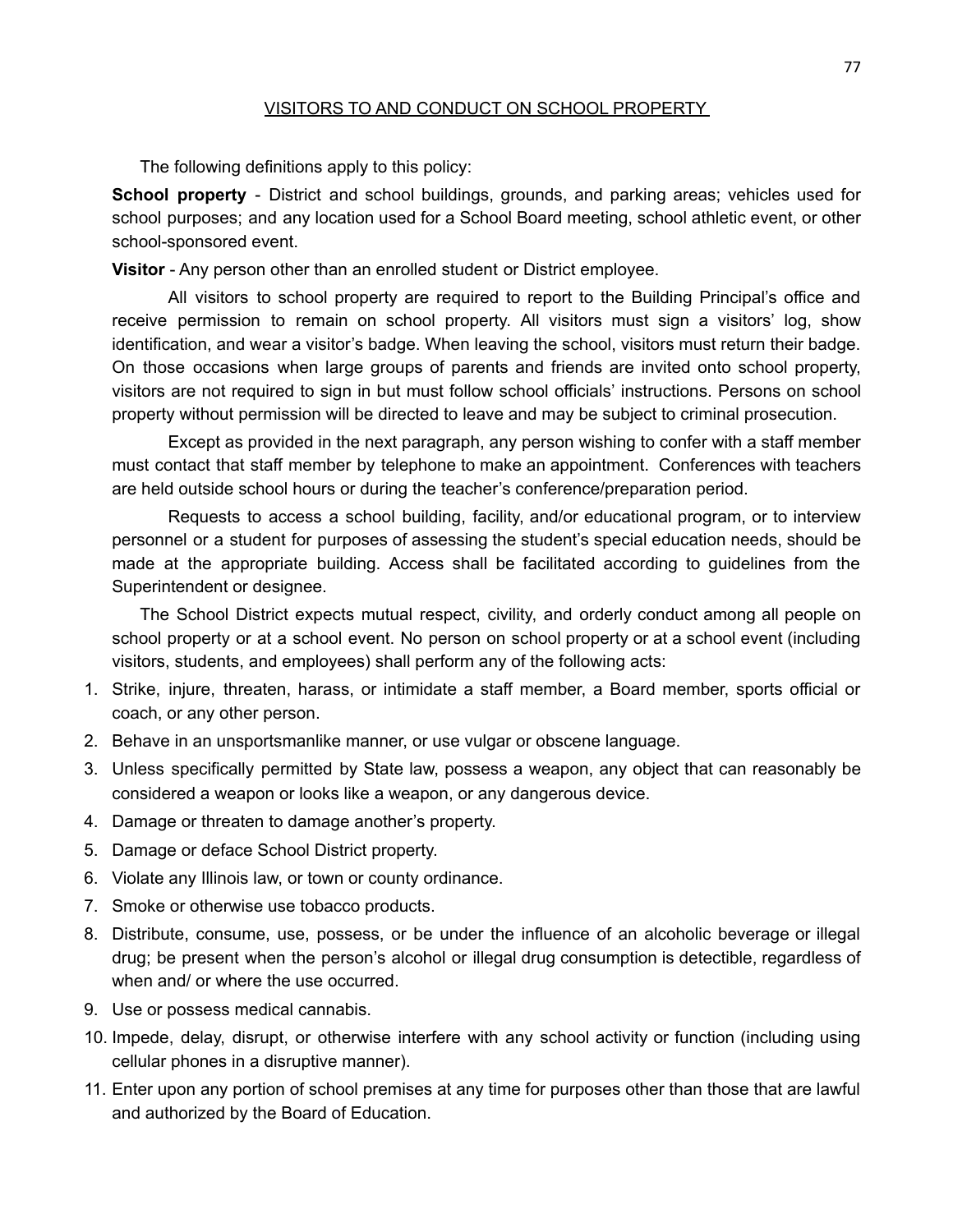### VISITORS TO AND CONDUCT ON SCHOOL PROPERTY

The following definitions apply to this policy:

**School property** - District and school buildings, grounds, and parking areas; vehicles used for school purposes; and any location used for a School Board meeting, school athletic event, or other school-sponsored event.

**Visitor** - Any person other than an enrolled student or District employee.

All visitors to school property are required to report to the Building Principal's office and receive permission to remain on school property. All visitors must sign a visitors' log, show identification, and wear a visitor's badge. When leaving the school, visitors must return their badge. On those occasions when large groups of parents and friends are invited onto school property, visitors are not required to sign in but must follow school officials' instructions. Persons on school property without permission will be directed to leave and may be subject to criminal prosecution.

Except as provided in the next paragraph, any person wishing to confer with a staff member must contact that staff member by telephone to make an appointment. Conferences with teachers are held outside school hours or during the teacher's conference/preparation period.

Requests to access a school building, facility, and/or educational program, or to interview personnel or a student for purposes of assessing the student's special education needs, should be made at the appropriate building. Access shall be facilitated according to guidelines from the Superintendent or designee.

The School District expects mutual respect, civility, and orderly conduct among all people on school property or at a school event. No person on school property or at a school event (including visitors, students, and employees) shall perform any of the following acts:

- 1. Strike, injure, threaten, harass, or intimidate a staff member, a Board member, sports official or coach, or any other person.
- 2. Behave in an unsportsmanlike manner, or use vulgar or obscene language.
- 3. Unless specifically permitted by State law, possess a weapon, any object that can reasonably be considered a weapon or looks like a weapon, or any dangerous device.
- 4. Damage or threaten to damage another's property.
- 5. Damage or deface School District property.
- 6. Violate any Illinois law, or town or county ordinance.
- 7. Smoke or otherwise use tobacco products.
- 8. Distribute, consume, use, possess, or be under the influence of an alcoholic beverage or illegal drug; be present when the person's alcohol or illegal drug consumption is detectible, regardless of when and/ or where the use occurred.
- 9. Use or possess medical cannabis.
- 10. Impede, delay, disrupt, or otherwise interfere with any school activity or function (including using cellular phones in a disruptive manner).
- 11. Enter upon any portion of school premises at any time for purposes other than those that are lawful and authorized by the Board of Education.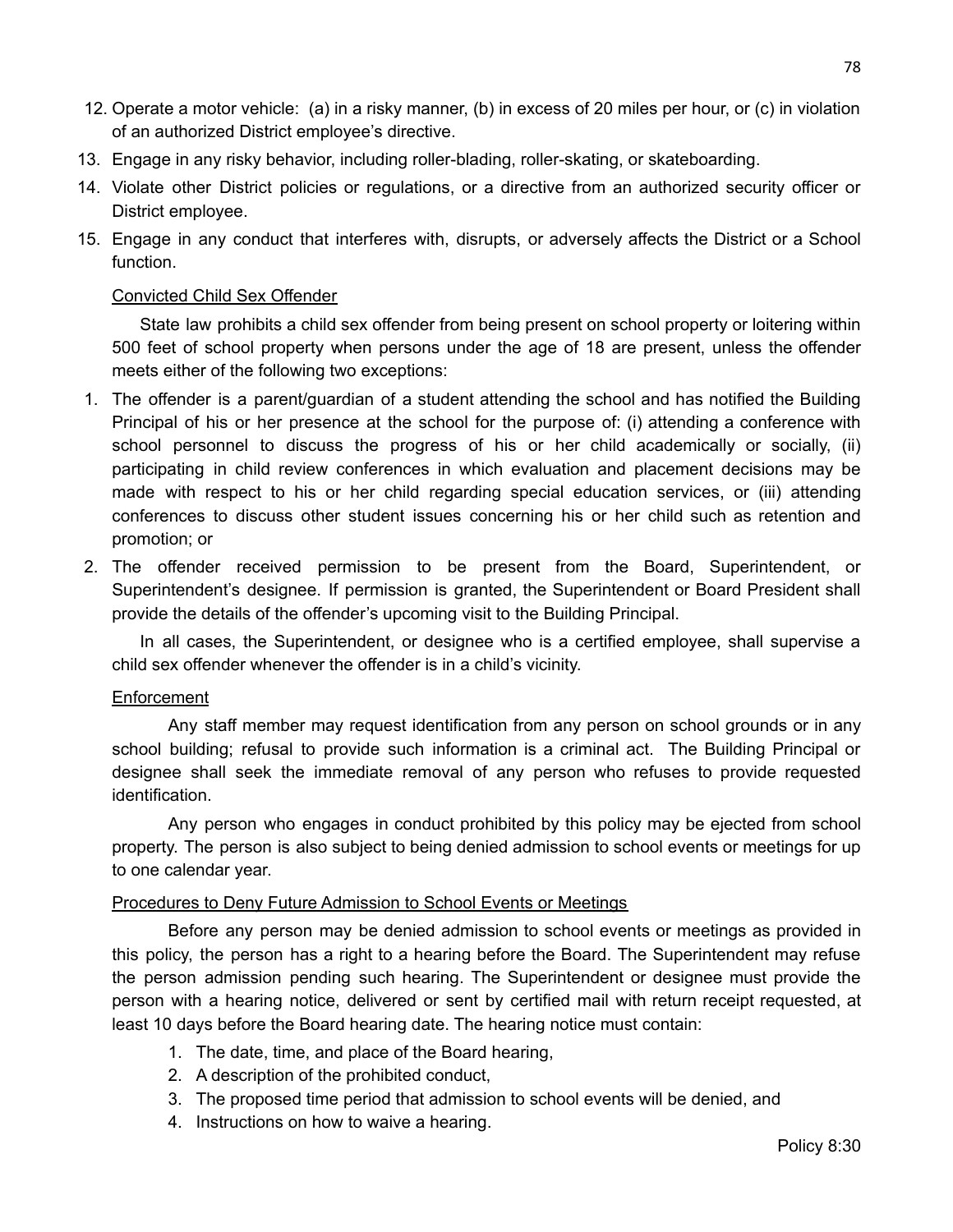- 12. Operate a motor vehicle: (a) in a risky manner, (b) in excess of 20 miles per hour, or (c) in violation of an authorized District employee's directive.
- 13. Engage in any risky behavior, including roller-blading, roller-skating, or skateboarding.
- 14. Violate other District policies or regulations, or a directive from an authorized security officer or District employee.
- 15. Engage in any conduct that interferes with, disrupts, or adversely affects the District or a School function.

### Convicted Child Sex Offender

State law prohibits a child sex offender from being present on school property or loitering within 500 feet of school property when persons under the age of 18 are present, unless the offender meets either of the following two exceptions:

- 1. The offender is a parent/guardian of a student attending the school and has notified the Building Principal of his or her presence at the school for the purpose of: (i) attending a conference with school personnel to discuss the progress of his or her child academically or socially, (ii) participating in child review conferences in which evaluation and placement decisions may be made with respect to his or her child regarding special education services, or (iii) attending conferences to discuss other student issues concerning his or her child such as retention and promotion; or
- 2. The offender received permission to be present from the Board, Superintendent, or Superintendent's designee. If permission is granted, the Superintendent or Board President shall provide the details of the offender's upcoming visit to the Building Principal.

In all cases, the Superintendent, or designee who is a certified employee, shall supervise a child sex offender whenever the offender is in a child's vicinity.

### Enforcement

Any staff member may request identification from any person on school grounds or in any school building; refusal to provide such information is a criminal act. The Building Principal or designee shall seek the immediate removal of any person who refuses to provide requested identification.

Any person who engages in conduct prohibited by this policy may be ejected from school property. The person is also subject to being denied admission to school events or meetings for up to one calendar year.

### Procedures to Deny Future Admission to School Events or Meetings

Before any person may be denied admission to school events or meetings as provided in this policy, the person has a right to a hearing before the Board. The Superintendent may refuse the person admission pending such hearing. The Superintendent or designee must provide the person with a hearing notice, delivered or sent by certified mail with return receipt requested, at least 10 days before the Board hearing date. The hearing notice must contain:

- 1. The date, time, and place of the Board hearing,
- 2. A description of the prohibited conduct,
- 3. The proposed time period that admission to school events will be denied, and
- 4. Instructions on how to waive a hearing.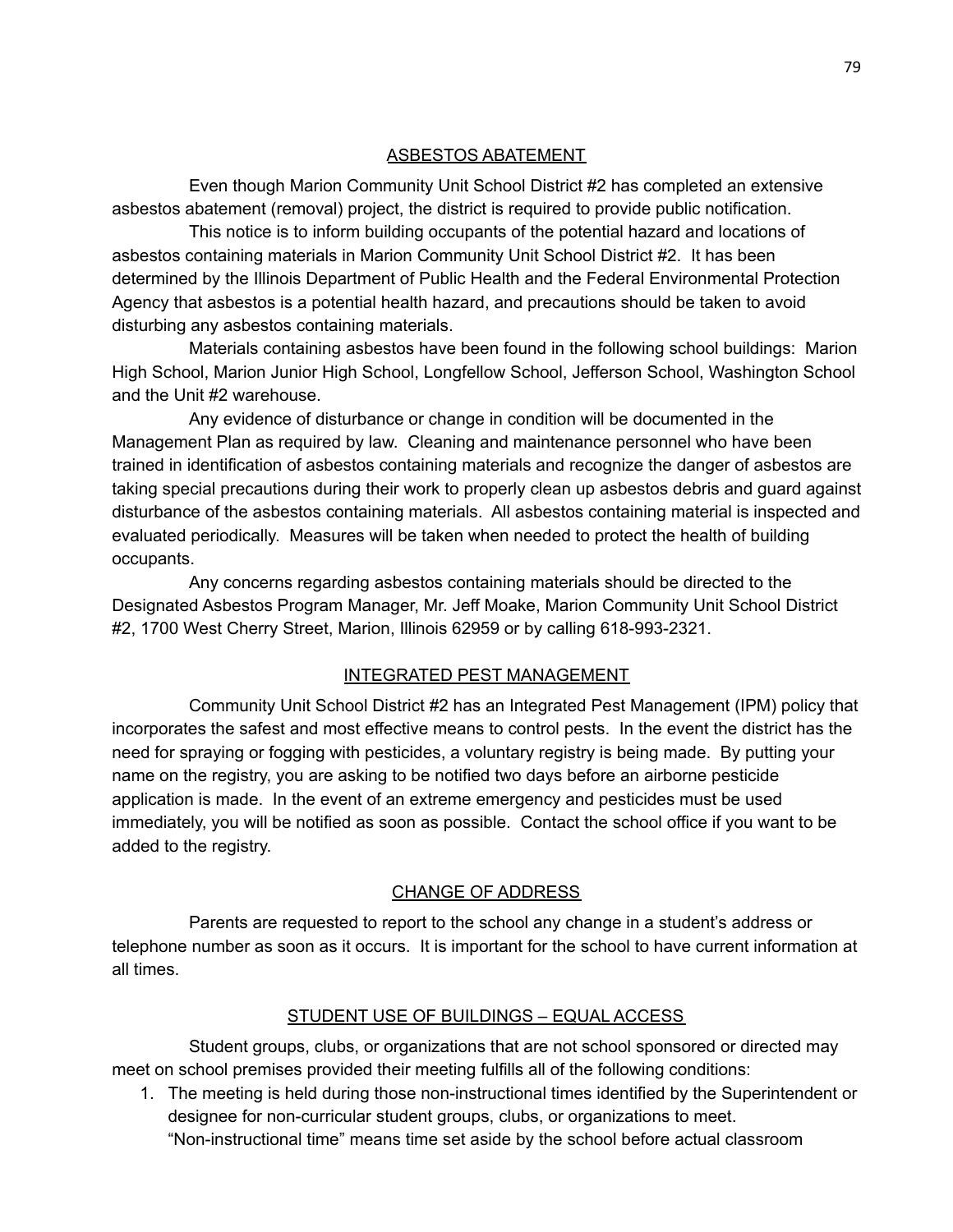### ASBESTOS ABATEMENT

Even though Marion Community Unit School District #2 has completed an extensive asbestos abatement (removal) project, the district is required to provide public notification.

This notice is to inform building occupants of the potential hazard and locations of asbestos containing materials in Marion Community Unit School District #2. It has been determined by the Illinois Department of Public Health and the Federal Environmental Protection Agency that asbestos is a potential health hazard, and precautions should be taken to avoid disturbing any asbestos containing materials.

Materials containing asbestos have been found in the following school buildings: Marion High School, Marion Junior High School, Longfellow School, Jefferson School, Washington School and the Unit #2 warehouse.

Any evidence of disturbance or change in condition will be documented in the Management Plan as required by law. Cleaning and maintenance personnel who have been trained in identification of asbestos containing materials and recognize the danger of asbestos are taking special precautions during their work to properly clean up asbestos debris and guard against disturbance of the asbestos containing materials. All asbestos containing material is inspected and evaluated periodically. Measures will be taken when needed to protect the health of building occupants.

Any concerns regarding asbestos containing materials should be directed to the Designated Asbestos Program Manager, Mr. Jeff Moake, Marion Community Unit School District #2, 1700 West Cherry Street, Marion, Illinois 62959 or by calling 618-993-2321.

### INTEGRATED PEST MANAGEMENT

Community Unit School District #2 has an Integrated Pest Management (IPM) policy that incorporates the safest and most effective means to control pests. In the event the district has the need for spraying or fogging with pesticides, a voluntary registry is being made. By putting your name on the registry, you are asking to be notified two days before an airborne pesticide application is made. In the event of an extreme emergency and pesticides must be used immediately, you will be notified as soon as possible. Contact the school office if you want to be added to the registry.

### CHANGE OF ADDRESS

Parents are requested to report to the school any change in a student's address or telephone number as soon as it occurs. It is important for the school to have current information at all times.

### STUDENT USE OF BUILDINGS – EQUAL ACCESS

Student groups, clubs, or organizations that are not school sponsored or directed may meet on school premises provided their meeting fulfills all of the following conditions:

1. The meeting is held during those non-instructional times identified by the Superintendent or designee for non-curricular student groups, clubs, or organizations to meet. "Non-instructional time" means time set aside by the school before actual classroom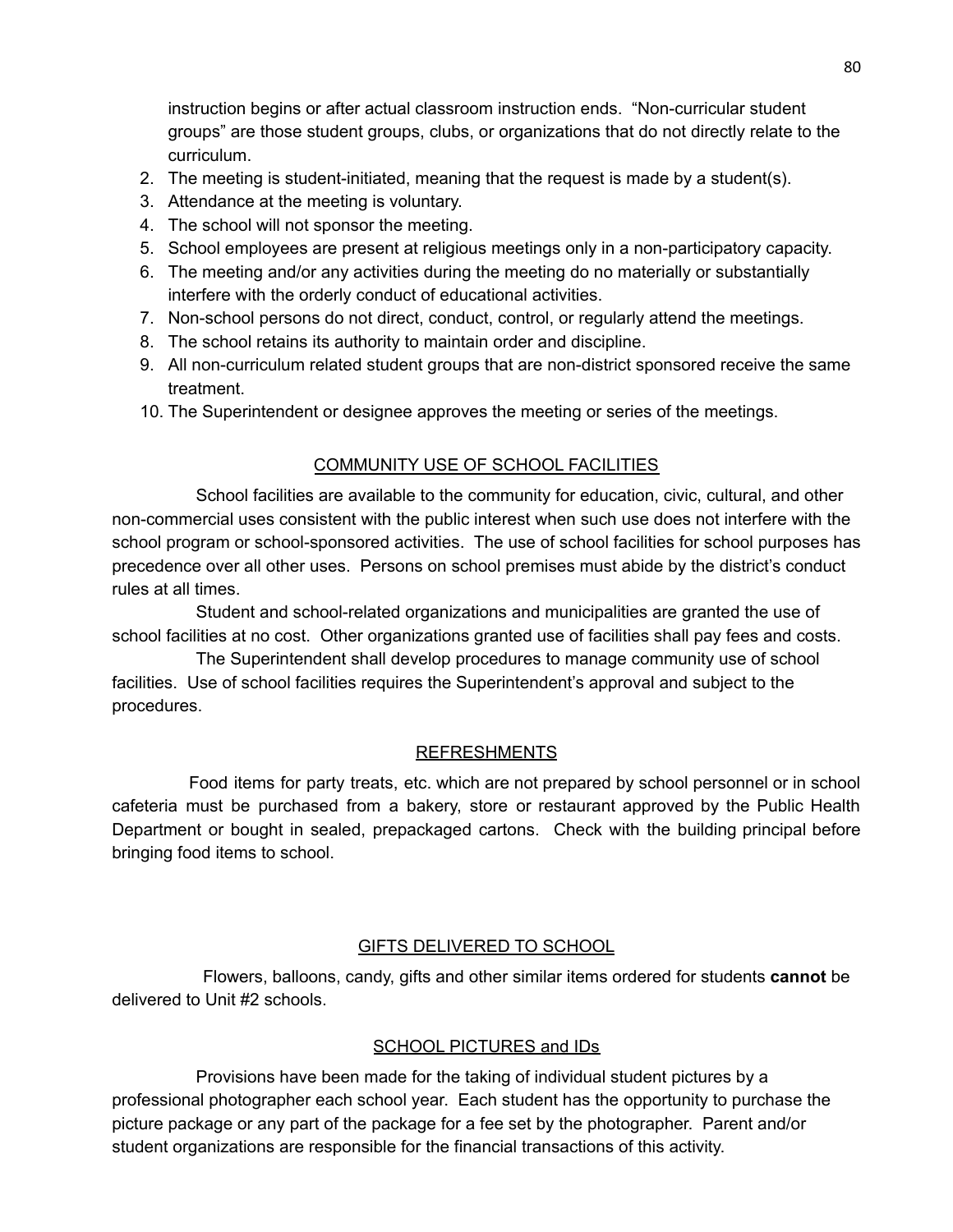instruction begins or after actual classroom instruction ends. "Non-curricular student groups" are those student groups, clubs, or organizations that do not directly relate to the curriculum.

- 2. The meeting is student-initiated, meaning that the request is made by a student(s).
- 3. Attendance at the meeting is voluntary.
- 4. The school will not sponsor the meeting.
- 5. School employees are present at religious meetings only in a non-participatory capacity.
- 6. The meeting and/or any activities during the meeting do no materially or substantially interfere with the orderly conduct of educational activities.
- 7. Non-school persons do not direct, conduct, control, or regularly attend the meetings.
- 8. The school retains its authority to maintain order and discipline.
- 9. All non-curriculum related student groups that are non-district sponsored receive the same treatment.
- 10. The Superintendent or designee approves the meeting or series of the meetings.

## COMMUNITY USE OF SCHOOL FACILITIES

School facilities are available to the community for education, civic, cultural, and other non-commercial uses consistent with the public interest when such use does not interfere with the school program or school-sponsored activities. The use of school facilities for school purposes has precedence over all other uses. Persons on school premises must abide by the district's conduct rules at all times.

Student and school-related organizations and municipalities are granted the use of school facilities at no cost. Other organizations granted use of facilities shall pay fees and costs.

The Superintendent shall develop procedures to manage community use of school facilities. Use of school facilities requires the Superintendent's approval and subject to the procedures.

### REFRESHMENTS

Food items for party treats, etc. which are not prepared by school personnel or in school cafeteria must be purchased from a bakery, store or restaurant approved by the Public Health Department or bought in sealed, prepackaged cartons. Check with the building principal before bringing food items to school.

### GIFTS DELIVERED TO SCHOOL

Flowers, balloons, candy, gifts and other similar items ordered for students **cannot** be delivered to Unit #2 schools.

### SCHOOL PICTURES and IDs

Provisions have been made for the taking of individual student pictures by a professional photographer each school year. Each student has the opportunity to purchase the picture package or any part of the package for a fee set by the photographer. Parent and/or student organizations are responsible for the financial transactions of this activity.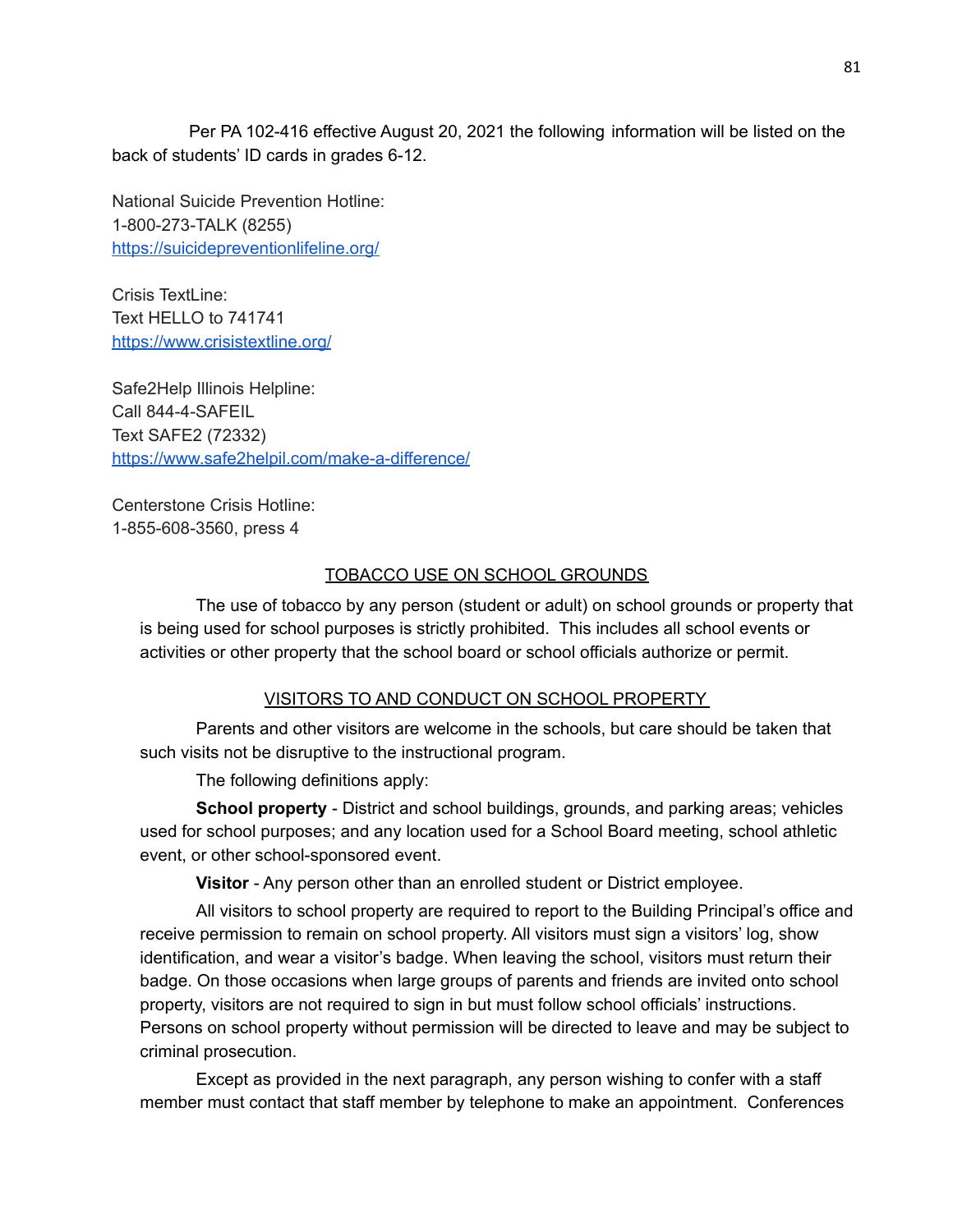Per PA 102-416 effective August 20, 2021 the following information will be listed on the back of students' ID cards in grades 6-12.

National Suicide Prevention Hotline: 1-800-273-TALK (8255) <https://suicidepreventionlifeline.org/>

Crisis TextLine: Text HELLO to 741741 <https://www.crisistextline.org/>

Safe2Help Illinois Helpline: Call 844-4-SAFEIL Text SAFE2 (72332) <https://www.safe2helpil.com/make-a-difference/>

Centerstone Crisis Hotline: 1-855-608-3560, press 4

## TOBACCO USE ON SCHOOL GROUNDS

The use of tobacco by any person (student or adult) on school grounds or property that is being used for school purposes is strictly prohibited. This includes all school events or activities or other property that the school board or school officials authorize or permit.

## VISITORS TO AND CONDUCT ON SCHOOL PROPERTY

Parents and other visitors are welcome in the schools, but care should be taken that such visits not be disruptive to the instructional program.

The following definitions apply:

**School property** - District and school buildings, grounds, and parking areas; vehicles used for school purposes; and any location used for a School Board meeting, school athletic event, or other school-sponsored event.

**Visitor** - Any person other than an enrolled student or District employee.

All visitors to school property are required to report to the Building Principal's office and receive permission to remain on school property. All visitors must sign a visitors' log, show identification, and wear a visitor's badge. When leaving the school, visitors must return their badge. On those occasions when large groups of parents and friends are invited onto school property, visitors are not required to sign in but must follow school officials' instructions. Persons on school property without permission will be directed to leave and may be subject to criminal prosecution.

Except as provided in the next paragraph, any person wishing to confer with a staff member must contact that staff member by telephone to make an appointment. Conferences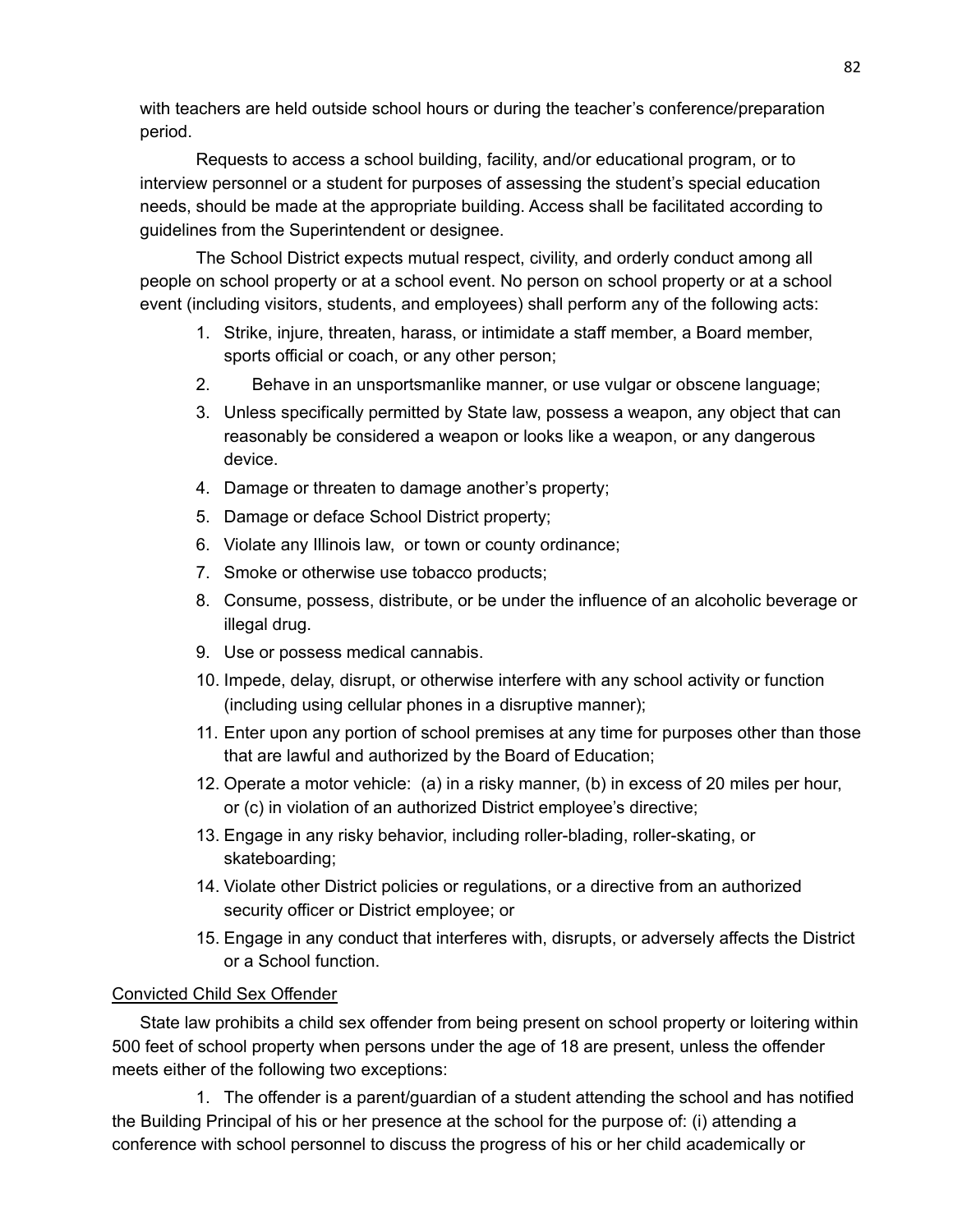with teachers are held outside school hours or during the teacher's conference/preparation period.

Requests to access a school building, facility, and/or educational program, or to interview personnel or a student for purposes of assessing the student's special education needs, should be made at the appropriate building. Access shall be facilitated according to guidelines from the Superintendent or designee.

The School District expects mutual respect, civility, and orderly conduct among all people on school property or at a school event. No person on school property or at a school event (including visitors, students, and employees) shall perform any of the following acts:

- 1. Strike, injure, threaten, harass, or intimidate a staff member, a Board member, sports official or coach, or any other person;
- 2. Behave in an unsportsmanlike manner, or use vulgar or obscene language;
- 3. Unless specifically permitted by State law, possess a weapon, any object that can reasonably be considered a weapon or looks like a weapon, or any dangerous device.
- 4. Damage or threaten to damage another's property;
- 5. Damage or deface School District property;
- 6. Violate any Illinois law, or town or county ordinance;
- 7. Smoke or otherwise use tobacco products;
- 8. Consume, possess, distribute, or be under the influence of an alcoholic beverage or illegal drug.
- 9. Use or possess medical cannabis.
- 10. Impede, delay, disrupt, or otherwise interfere with any school activity or function (including using cellular phones in a disruptive manner);
- 11. Enter upon any portion of school premises at any time for purposes other than those that are lawful and authorized by the Board of Education;
- 12. Operate a motor vehicle: (a) in a risky manner, (b) in excess of 20 miles per hour, or (c) in violation of an authorized District employee's directive;
- 13. Engage in any risky behavior, including roller-blading, roller-skating, or skateboarding;
- 14. Violate other District policies or regulations, or a directive from an authorized security officer or District employee; or
- 15. Engage in any conduct that interferes with, disrupts, or adversely affects the District or a School function.

## Convicted Child Sex Offender

State law prohibits a child sex offender from being present on school property or loitering within 500 feet of school property when persons under the age of 18 are present, unless the offender meets either of the following two exceptions:

1. The offender is a parent/guardian of a student attending the school and has notified the Building Principal of his or her presence at the school for the purpose of: (i) attending a conference with school personnel to discuss the progress of his or her child academically or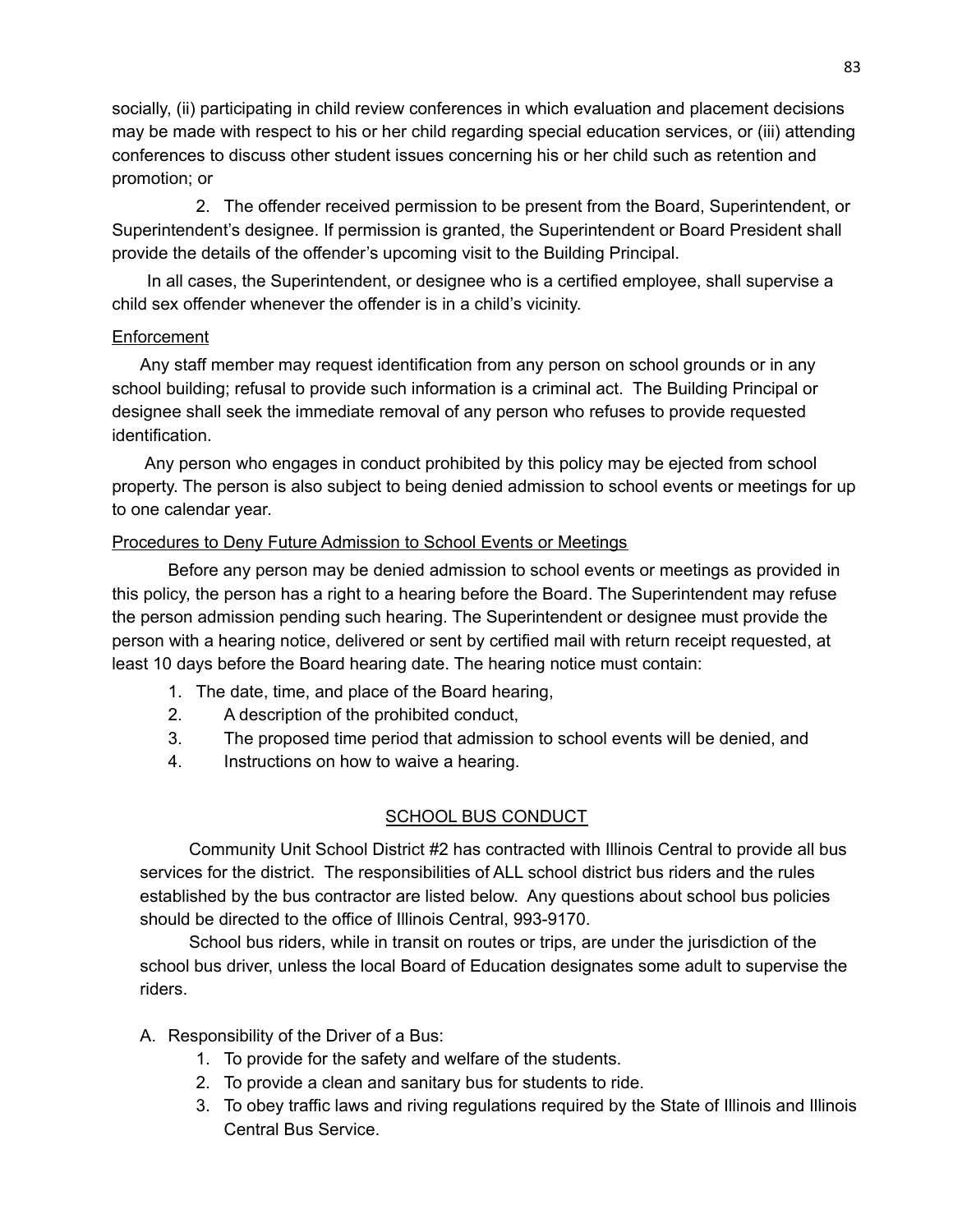socially, (ii) participating in child review conferences in which evaluation and placement decisions may be made with respect to his or her child regarding special education services, or (iii) attending conferences to discuss other student issues concerning his or her child such as retention and promotion; or

2. The offender received permission to be present from the Board, Superintendent, or Superintendent's designee. If permission is granted, the Superintendent or Board President shall provide the details of the offender's upcoming visit to the Building Principal.

In all cases, the Superintendent, or designee who is a certified employee, shall supervise a child sex offender whenever the offender is in a child's vicinity.

### Enforcement

Any staff member may request identification from any person on school grounds or in any school building; refusal to provide such information is a criminal act. The Building Principal or designee shall seek the immediate removal of any person who refuses to provide requested identification.

Any person who engages in conduct prohibited by this policy may be ejected from school property. The person is also subject to being denied admission to school events or meetings for up to one calendar year.

### Procedures to Deny Future Admission to School Events or Meetings

Before any person may be denied admission to school events or meetings as provided in this policy, the person has a right to a hearing before the Board. The Superintendent may refuse the person admission pending such hearing. The Superintendent or designee must provide the person with a hearing notice, delivered or sent by certified mail with return receipt requested, at least 10 days before the Board hearing date. The hearing notice must contain:

- 1. The date, time, and place of the Board hearing,
- 2. A description of the prohibited conduct,
- 3. The proposed time period that admission to school events will be denied, and
- 4. Instructions on how to waive a hearing.

## SCHOOL BUS CONDUCT

Community Unit School District #2 has contracted with Illinois Central to provide all bus services for the district. The responsibilities of ALL school district bus riders and the rules established by the bus contractor are listed below. Any questions about school bus policies should be directed to the office of Illinois Central, 993-9170.

School bus riders, while in transit on routes or trips, are under the jurisdiction of the school bus driver, unless the local Board of Education designates some adult to supervise the riders.

A. Responsibility of the Driver of a Bus:

- 1. To provide for the safety and welfare of the students.
- 2. To provide a clean and sanitary bus for students to ride.
- 3. To obey traffic laws and riving regulations required by the State of Illinois and Illinois Central Bus Service.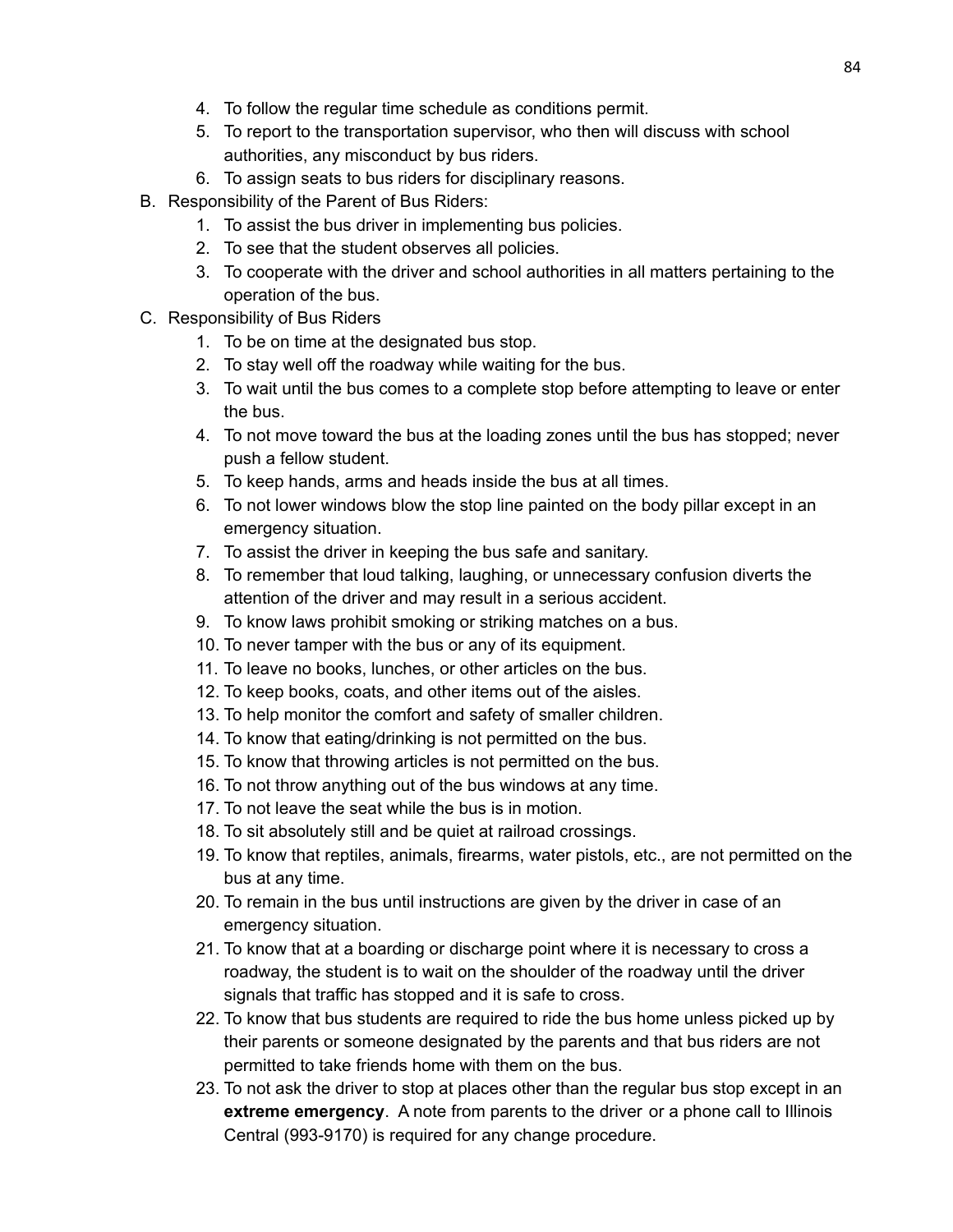- 4. To follow the regular time schedule as conditions permit.
- 5. To report to the transportation supervisor, who then will discuss with school authorities, any misconduct by bus riders.
- 6. To assign seats to bus riders for disciplinary reasons.
- B. Responsibility of the Parent of Bus Riders:
	- 1. To assist the bus driver in implementing bus policies.
	- 2. To see that the student observes all policies.
	- 3. To cooperate with the driver and school authorities in all matters pertaining to the operation of the bus.
- C. Responsibility of Bus Riders
	- 1. To be on time at the designated bus stop.
	- 2. To stay well off the roadway while waiting for the bus.
	- 3. To wait until the bus comes to a complete stop before attempting to leave or enter the bus.
	- 4. To not move toward the bus at the loading zones until the bus has stopped; never push a fellow student.
	- 5. To keep hands, arms and heads inside the bus at all times.
	- 6. To not lower windows blow the stop line painted on the body pillar except in an emergency situation.
	- 7. To assist the driver in keeping the bus safe and sanitary.
	- 8. To remember that loud talking, laughing, or unnecessary confusion diverts the attention of the driver and may result in a serious accident.
	- 9. To know laws prohibit smoking or striking matches on a bus.
	- 10. To never tamper with the bus or any of its equipment.
	- 11. To leave no books, lunches, or other articles on the bus.
	- 12. To keep books, coats, and other items out of the aisles.
	- 13. To help monitor the comfort and safety of smaller children.
	- 14. To know that eating/drinking is not permitted on the bus.
	- 15. To know that throwing articles is not permitted on the bus.
	- 16. To not throw anything out of the bus windows at any time.
	- 17. To not leave the seat while the bus is in motion.
	- 18. To sit absolutely still and be quiet at railroad crossings.
	- 19. To know that reptiles, animals, firearms, water pistols, etc., are not permitted on the bus at any time.
	- 20. To remain in the bus until instructions are given by the driver in case of an emergency situation.
	- 21. To know that at a boarding or discharge point where it is necessary to cross a roadway, the student is to wait on the shoulder of the roadway until the driver signals that traffic has stopped and it is safe to cross.
	- 22. To know that bus students are required to ride the bus home unless picked up by their parents or someone designated by the parents and that bus riders are not permitted to take friends home with them on the bus.
	- 23. To not ask the driver to stop at places other than the regular bus stop except in an **extreme emergency**. A note from parents to the driver or a phone call to Illinois Central (993-9170) is required for any change procedure.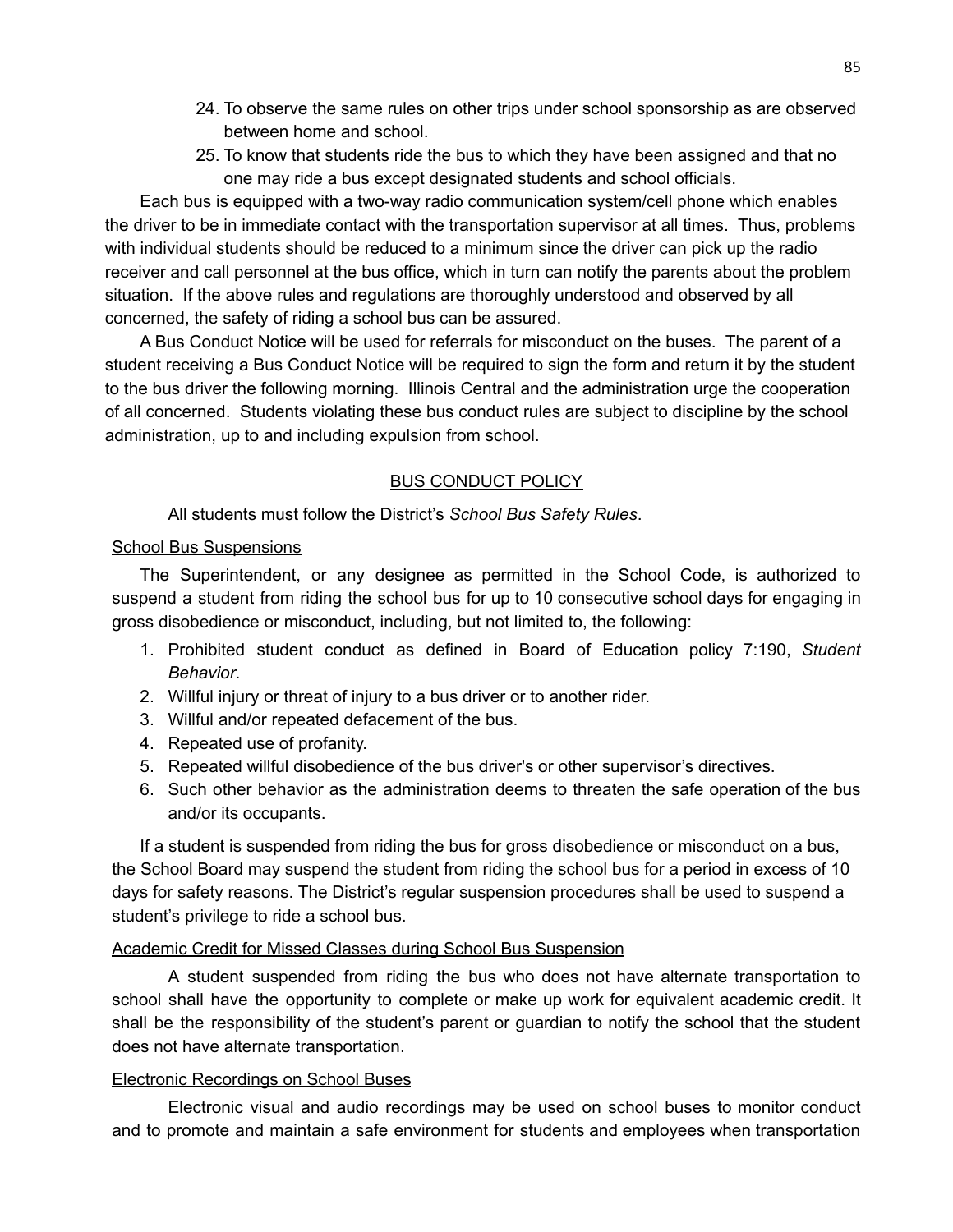- 24. To observe the same rules on other trips under school sponsorship as are observed between home and school.
- 25. To know that students ride the bus to which they have been assigned and that no one may ride a bus except designated students and school officials.

Each bus is equipped with a two-way radio communication system/cell phone which enables the driver to be in immediate contact with the transportation supervisor at all times. Thus, problems with individual students should be reduced to a minimum since the driver can pick up the radio receiver and call personnel at the bus office, which in turn can notify the parents about the problem situation. If the above rules and regulations are thoroughly understood and observed by all concerned, the safety of riding a school bus can be assured.

A Bus Conduct Notice will be used for referrals for misconduct on the buses. The parent of a student receiving a Bus Conduct Notice will be required to sign the form and return it by the student to the bus driver the following morning. Illinois Central and the administration urge the cooperation of all concerned. Students violating these bus conduct rules are subject to discipline by the school administration, up to and including expulsion from school.

### BUS CONDUCT POLICY

All students must follow the District's *School Bus Safety Rules*.

#### School Bus Suspensions

The Superintendent, or any designee as permitted in the School Code, is authorized to suspend a student from riding the school bus for up to 10 consecutive school days for engaging in gross disobedience or misconduct, including, but not limited to, the following:

- 1. Prohibited student conduct as defined in Board of Education policy 7:190, *Student Behavior*.
- 2. Willful injury or threat of injury to a bus driver or to another rider.
- 3. Willful and/or repeated defacement of the bus.
- 4. Repeated use of profanity.
- 5. Repeated willful disobedience of the bus driver's or other supervisor's directives.
- 6. Such other behavior as the administration deems to threaten the safe operation of the bus and/or its occupants.

If a student is suspended from riding the bus for gross disobedience or misconduct on a bus, the School Board may suspend the student from riding the school bus for a period in excess of 10 days for safety reasons. The District's regular suspension procedures shall be used to suspend a student's privilege to ride a school bus.

### Academic Credit for Missed Classes during School Bus Suspension

A student suspended from riding the bus who does not have alternate transportation to school shall have the opportunity to complete or make up work for equivalent academic credit. It shall be the responsibility of the student's parent or guardian to notify the school that the student does not have alternate transportation.

### Electronic Recordings on School Buses

Electronic visual and audio recordings may be used on school buses to monitor conduct and to promote and maintain a safe environment for students and employees when transportation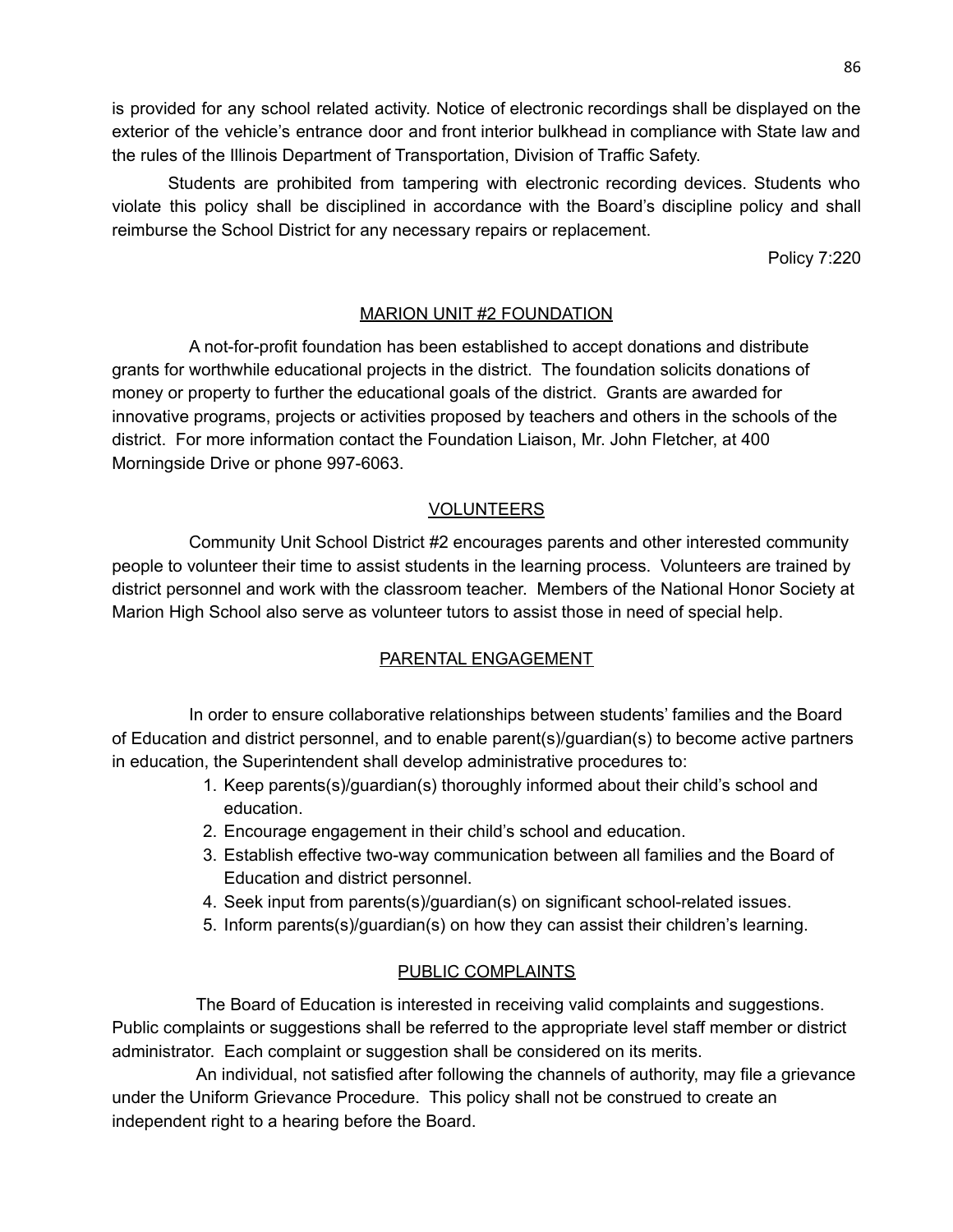is provided for any school related activity. Notice of electronic recordings shall be displayed on the exterior of the vehicle's entrance door and front interior bulkhead in compliance with State law and the rules of the Illinois Department of Transportation, Division of Traffic Safety.

Students are prohibited from tampering with electronic recording devices. Students who violate this policy shall be disciplined in accordance with the Board's discipline policy and shall reimburse the School District for any necessary repairs or replacement.

Policy 7:220

## MARION UNIT #2 FOUNDATION

A not-for-profit foundation has been established to accept donations and distribute grants for worthwhile educational projects in the district. The foundation solicits donations of money or property to further the educational goals of the district. Grants are awarded for innovative programs, projects or activities proposed by teachers and others in the schools of the district. For more information contact the Foundation Liaison, Mr. John Fletcher, at 400 Morningside Drive or phone 997-6063.

### VOLUNTEERS

Community Unit School District #2 encourages parents and other interested community people to volunteer their time to assist students in the learning process. Volunteers are trained by district personnel and work with the classroom teacher. Members of the National Honor Society at Marion High School also serve as volunteer tutors to assist those in need of special help.

### PARENTAL ENGAGEMENT

In order to ensure collaborative relationships between students' families and the Board of Education and district personnel, and to enable parent(s)/guardian(s) to become active partners in education, the Superintendent shall develop administrative procedures to:

- 1. Keep parents(s)/guardian(s) thoroughly informed about their child's school and education.
- 2. Encourage engagement in their child's school and education.
- 3. Establish effective two-way communication between all families and the Board of Education and district personnel.
- 4. Seek input from parents(s)/guardian(s) on significant school-related issues.
- 5. Inform parents(s)/guardian(s) on how they can assist their children's learning.

### PUBLIC COMPLAINTS

The Board of Education is interested in receiving valid complaints and suggestions. Public complaints or suggestions shall be referred to the appropriate level staff member or district administrator. Each complaint or suggestion shall be considered on its merits.

An individual, not satisfied after following the channels of authority, may file a grievance under the Uniform Grievance Procedure. This policy shall not be construed to create an independent right to a hearing before the Board.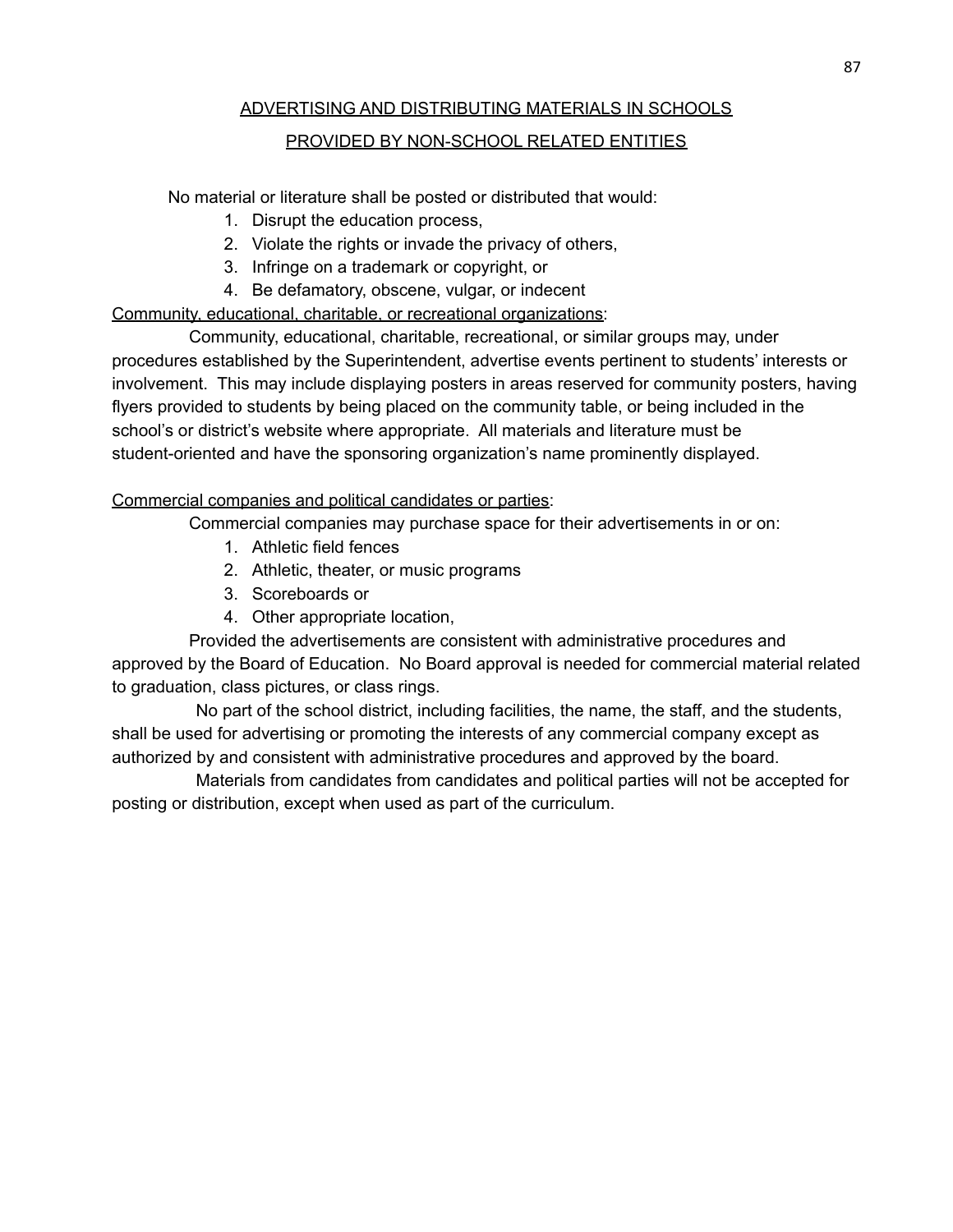# ADVERTISING AND DISTRIBUTING MATERIALS IN SCHOOLS

## PROVIDED BY NON-SCHOOL RELATED ENTITIES

No material or literature shall be posted or distributed that would:

- 1. Disrupt the education process,
- 2. Violate the rights or invade the privacy of others,
- 3. Infringe on a trademark or copyright, or
- 4. Be defamatory, obscene, vulgar, or indecent

Community, educational, charitable, or recreational organizations:

Community, educational, charitable, recreational, or similar groups may, under procedures established by the Superintendent, advertise events pertinent to students' interests or involvement. This may include displaying posters in areas reserved for community posters, having flyers provided to students by being placed on the community table, or being included in the school's or district's website where appropriate. All materials and literature must be student-oriented and have the sponsoring organization's name prominently displayed.

## Commercial companies and political candidates or parties:

Commercial companies may purchase space for their advertisements in or on:

- 1. Athletic field fences
- 2. Athletic, theater, or music programs
- 3. Scoreboards or
- 4. Other appropriate location,

Provided the advertisements are consistent with administrative procedures and approved by the Board of Education. No Board approval is needed for commercial material related to graduation, class pictures, or class rings.

No part of the school district, including facilities, the name, the staff, and the students, shall be used for advertising or promoting the interests of any commercial company except as authorized by and consistent with administrative procedures and approved by the board.

Materials from candidates from candidates and political parties will not be accepted for posting or distribution, except when used as part of the curriculum.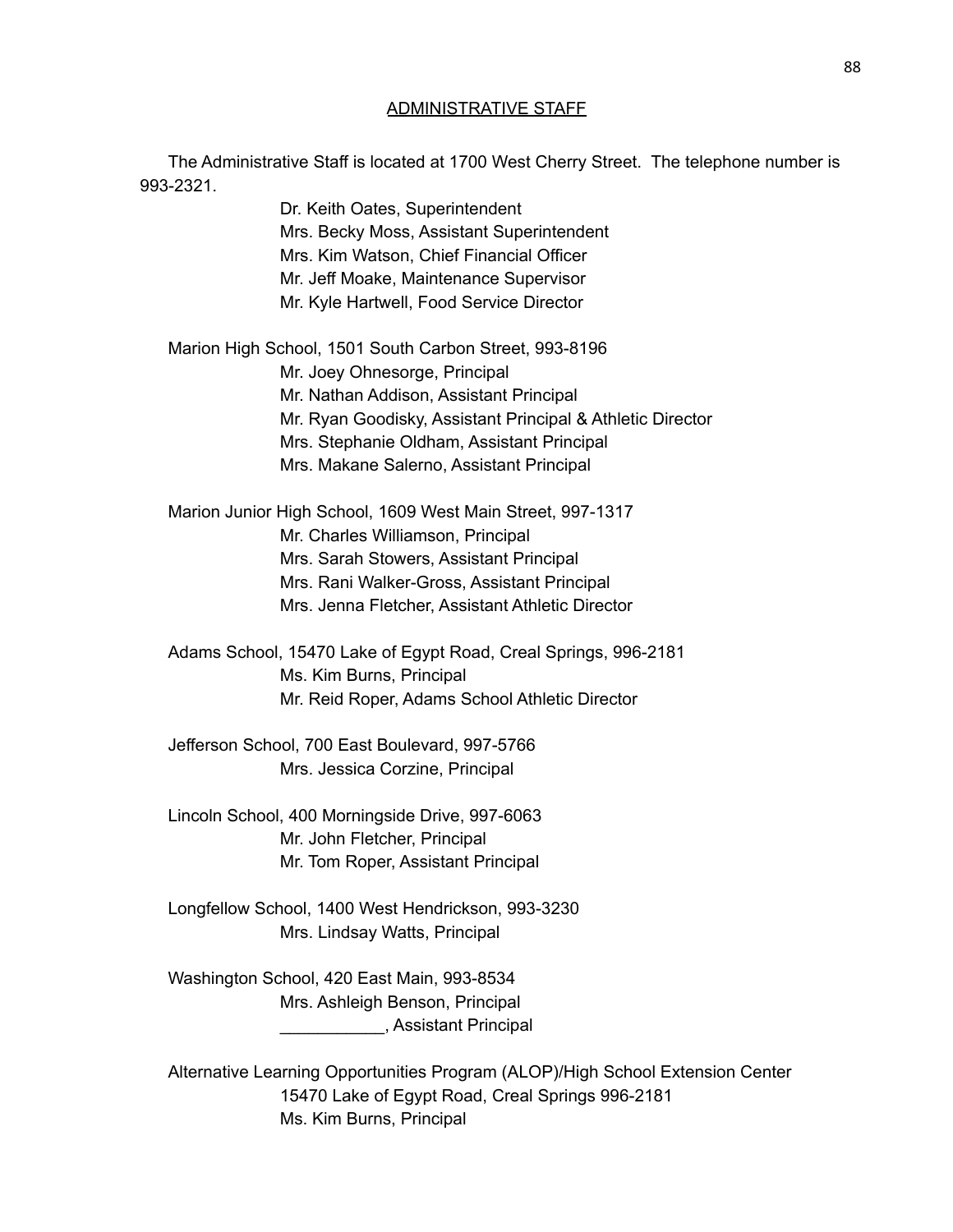#### ADMINISTRATIVE STAFF

The Administrative Staff is located at 1700 West Cherry Street. The telephone number is 993-2321.

> Dr. Keith Oates, Superintendent Mrs. Becky Moss, Assistant Superintendent Mrs. Kim Watson, Chief Financial Officer Mr. Jeff Moake, Maintenance Supervisor Mr. Kyle Hartwell, Food Service Director

Marion High School, 1501 South Carbon Street, 993-8196 Mr. Joey Ohnesorge, Principal Mr. Nathan Addison, Assistant Principal Mr. Ryan Goodisky, Assistant Principal & Athletic Director Mrs. Stephanie Oldham, Assistant Principal Mrs. Makane Salerno, Assistant Principal

Marion Junior High School, 1609 West Main Street, 997-1317 Mr. Charles Williamson, Principal Mrs. Sarah Stowers, Assistant Principal Mrs. Rani Walker-Gross, Assistant Principal Mrs. Jenna Fletcher, Assistant Athletic Director

Adams School, 15470 Lake of Egypt Road, Creal Springs, 996-2181 Ms. Kim Burns, Principal Mr. Reid Roper, Adams School Athletic Director

Jefferson School, 700 East Boulevard, 997-5766 Mrs. Jessica Corzine, Principal

Lincoln School, 400 Morningside Drive, 997-6063 Mr. John Fletcher, Principal Mr. Tom Roper, Assistant Principal

Longfellow School, 1400 West Hendrickson, 993-3230 Mrs. Lindsay Watts, Principal

Washington School, 420 East Main, 993-8534 Mrs. Ashleigh Benson, Principal \_\_\_\_\_\_\_\_\_\_\_, Assistant Principal

Alternative Learning Opportunities Program (ALOP)/High School Extension Center 15470 Lake of Egypt Road, Creal Springs 996-2181 Ms. Kim Burns, Principal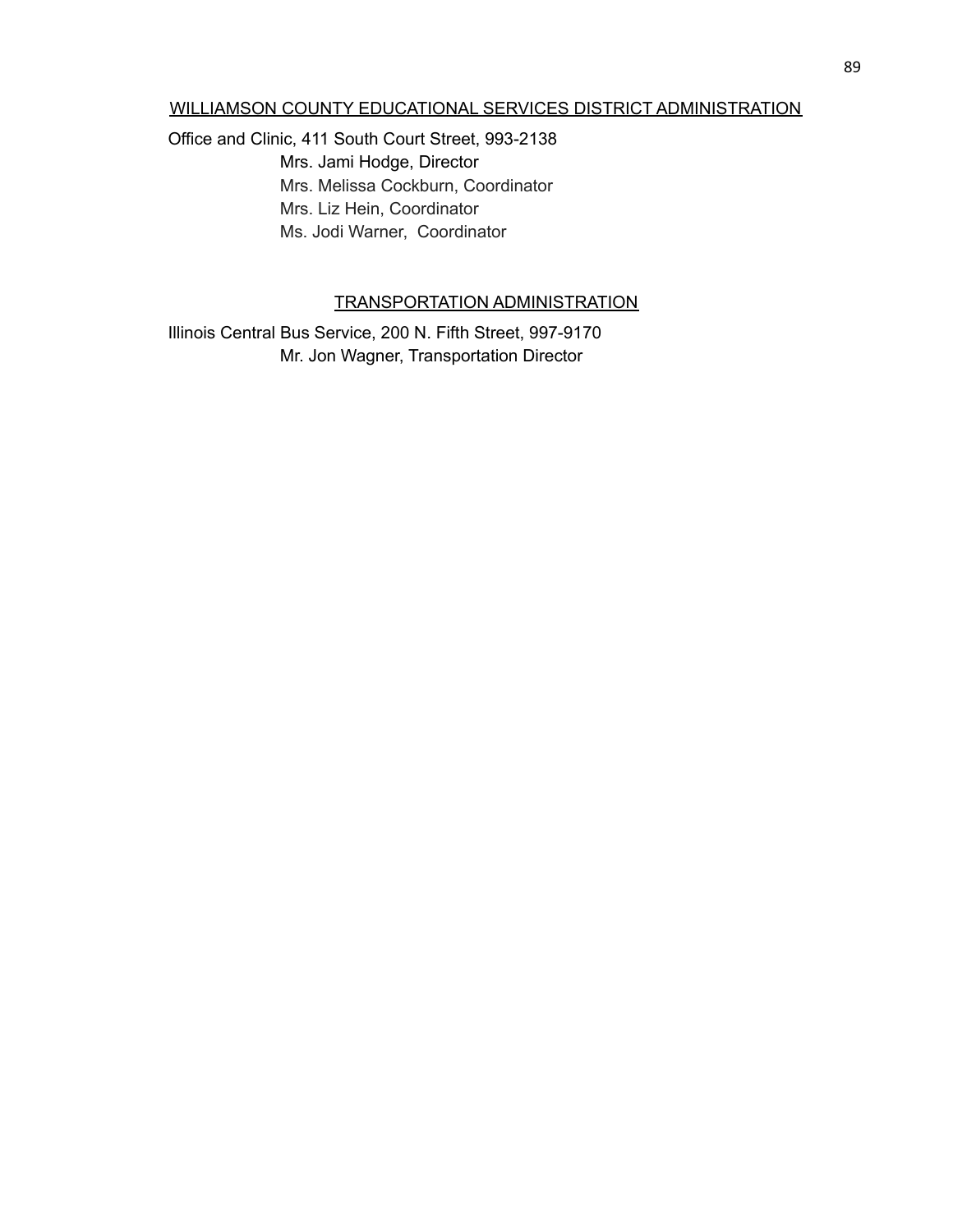#### WILLIAMSON COUNTY EDUCATIONAL SERVICES DISTRICT ADMINISTRATION

Office and Clinic, 411 South Court Street, 993-2138

Mrs. Jami Hodge, Director Mrs. Melissa Cockburn, Coordinator Mrs. Liz Hein, Coordinator Ms. Jodi Warner, Coordinator

## TRANSPORTATION ADMINISTRATION

Illinois Central Bus Service, 200 N. Fifth Street, 997-9170 Mr. Jon Wagner, Transportation Director